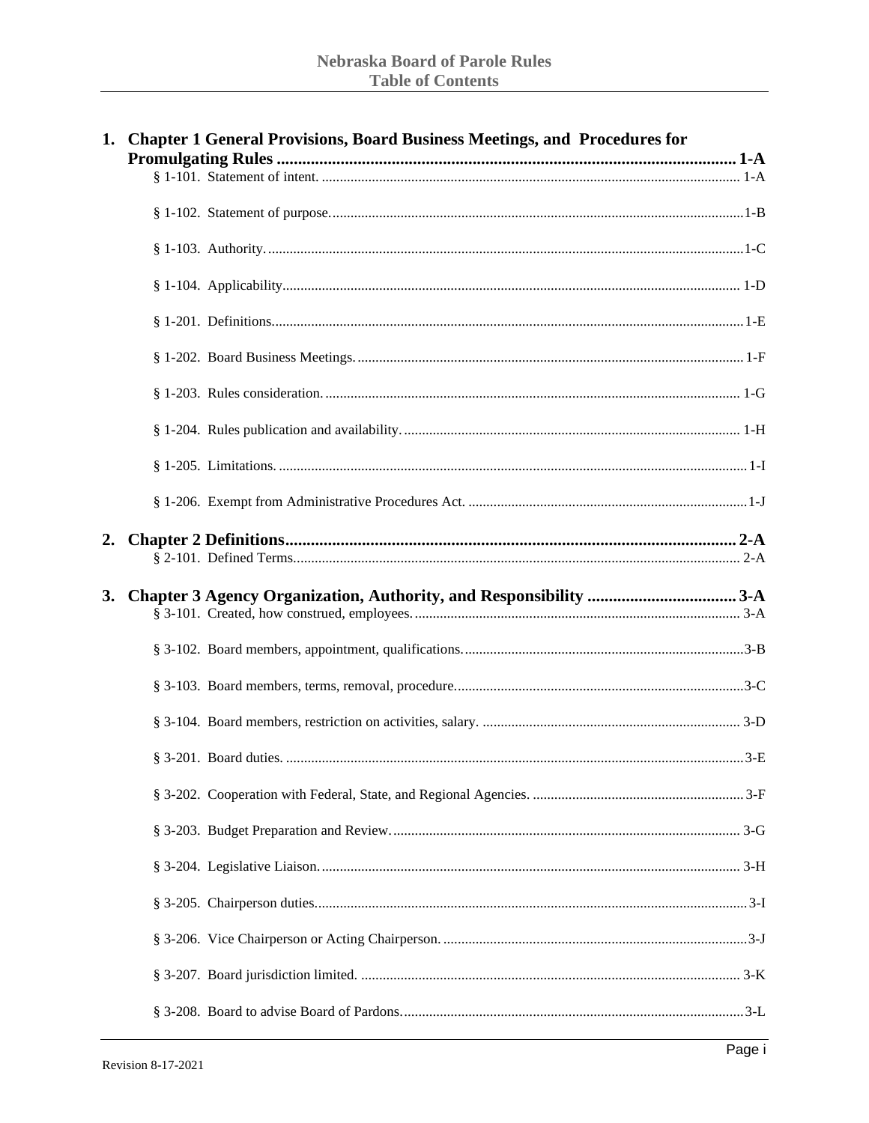|    | 1. Chapter 1 General Provisions, Board Business Meetings, and Procedures for |  |
|----|------------------------------------------------------------------------------|--|
|    |                                                                              |  |
|    |                                                                              |  |
|    |                                                                              |  |
|    |                                                                              |  |
|    |                                                                              |  |
|    |                                                                              |  |
|    |                                                                              |  |
|    |                                                                              |  |
|    |                                                                              |  |
|    |                                                                              |  |
| 2. |                                                                              |  |
|    |                                                                              |  |
| 3. |                                                                              |  |
|    |                                                                              |  |
|    |                                                                              |  |
|    |                                                                              |  |
|    |                                                                              |  |
|    |                                                                              |  |
|    |                                                                              |  |
|    |                                                                              |  |
|    |                                                                              |  |
|    |                                                                              |  |
|    |                                                                              |  |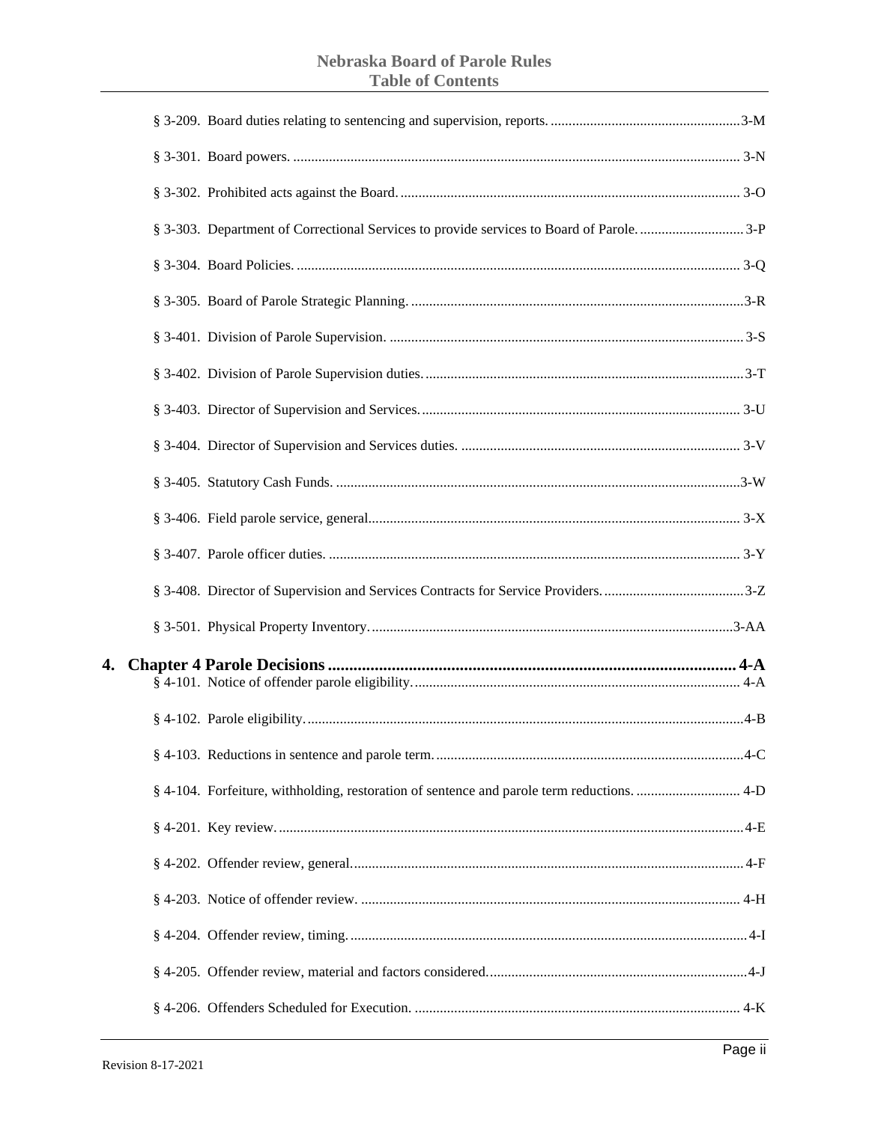# **Nebraska Board of Parole Rules Table of Contents**

| § 4-104. Forfeiture, withholding, restoration of sentence and parole term reductions.  4-D |  |
|--------------------------------------------------------------------------------------------|--|
|                                                                                            |  |
|                                                                                            |  |
|                                                                                            |  |
|                                                                                            |  |
|                                                                                            |  |
|                                                                                            |  |

 $\overline{\mathbf{4}}$ .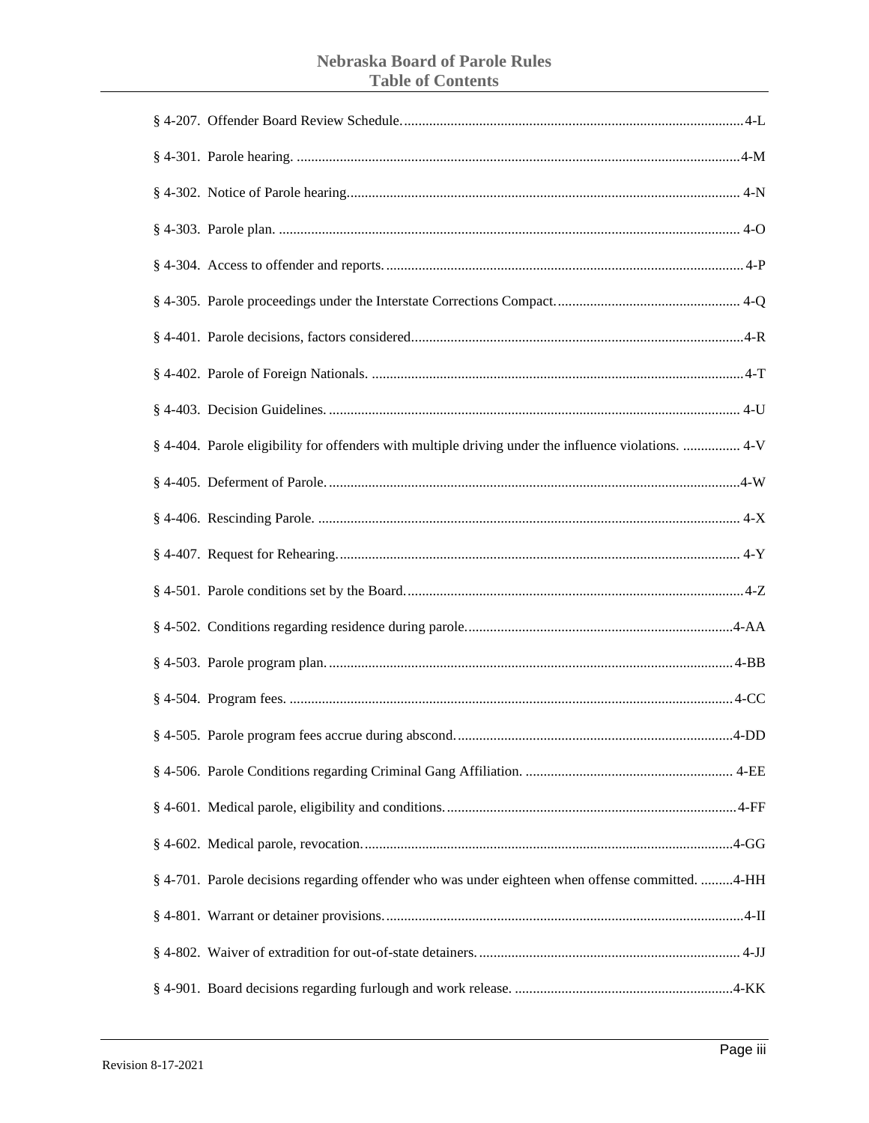### **Nebraska Board of Parole Rules Table of Contents**

| § 4-404. Parole eligibility for offenders with multiple driving under the influence violations.  4-V |  |
|------------------------------------------------------------------------------------------------------|--|
|                                                                                                      |  |
|                                                                                                      |  |
|                                                                                                      |  |
|                                                                                                      |  |
|                                                                                                      |  |
|                                                                                                      |  |
|                                                                                                      |  |
|                                                                                                      |  |
|                                                                                                      |  |
|                                                                                                      |  |
|                                                                                                      |  |
| § 4-701. Parole decisions regarding offender who was under eighteen when offense committed. 4-HH     |  |
|                                                                                                      |  |
|                                                                                                      |  |
|                                                                                                      |  |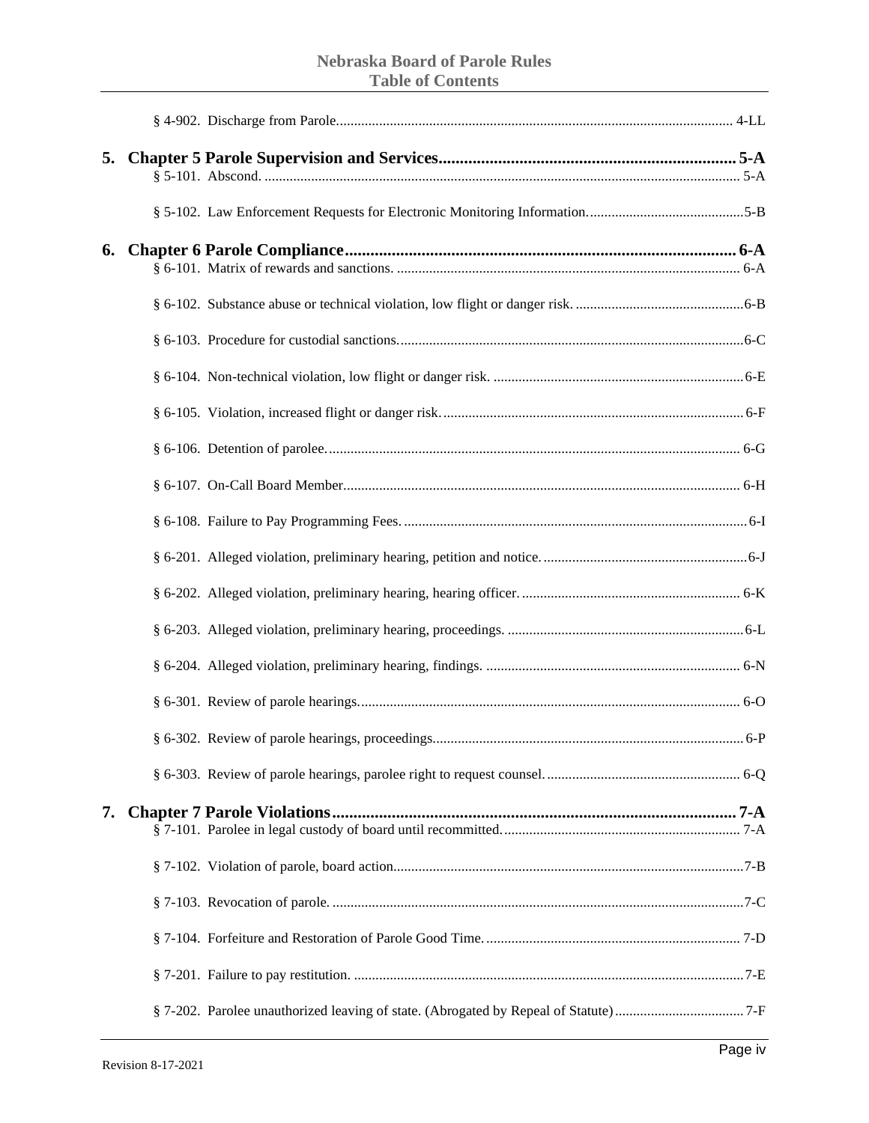| 5. |  |  |
|----|--|--|
|    |  |  |
| 6. |  |  |
|    |  |  |
|    |  |  |
|    |  |  |
|    |  |  |
|    |  |  |
|    |  |  |
|    |  |  |
|    |  |  |
|    |  |  |
|    |  |  |
|    |  |  |
|    |  |  |
|    |  |  |
|    |  |  |
| 7. |  |  |
|    |  |  |
|    |  |  |
|    |  |  |
|    |  |  |
|    |  |  |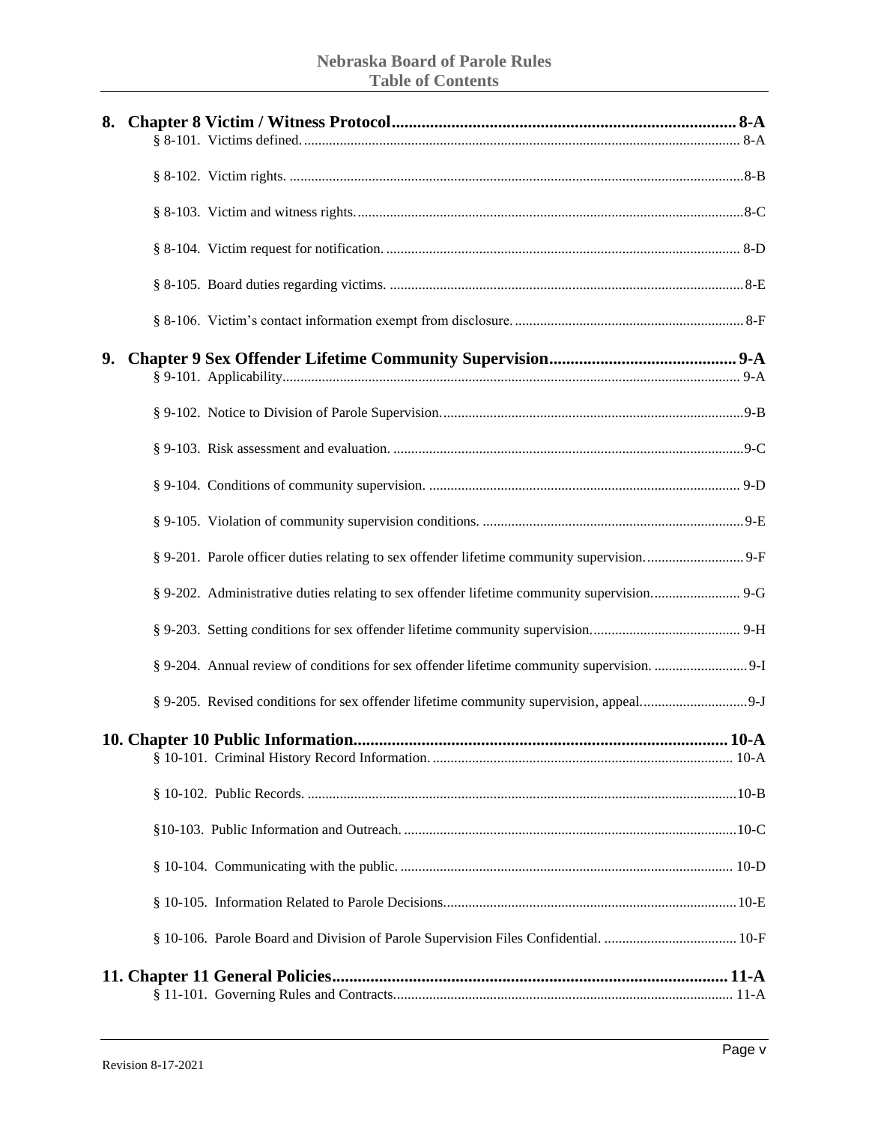| 8. |         |
|----|---------|
|    |         |
|    |         |
|    |         |
|    |         |
|    |         |
| 9. |         |
|    |         |
|    |         |
|    |         |
|    |         |
|    |         |
|    |         |
|    |         |
|    |         |
|    |         |
|    | $.10-A$ |
|    |         |
|    |         |
|    |         |
|    |         |
|    |         |
|    |         |
|    |         |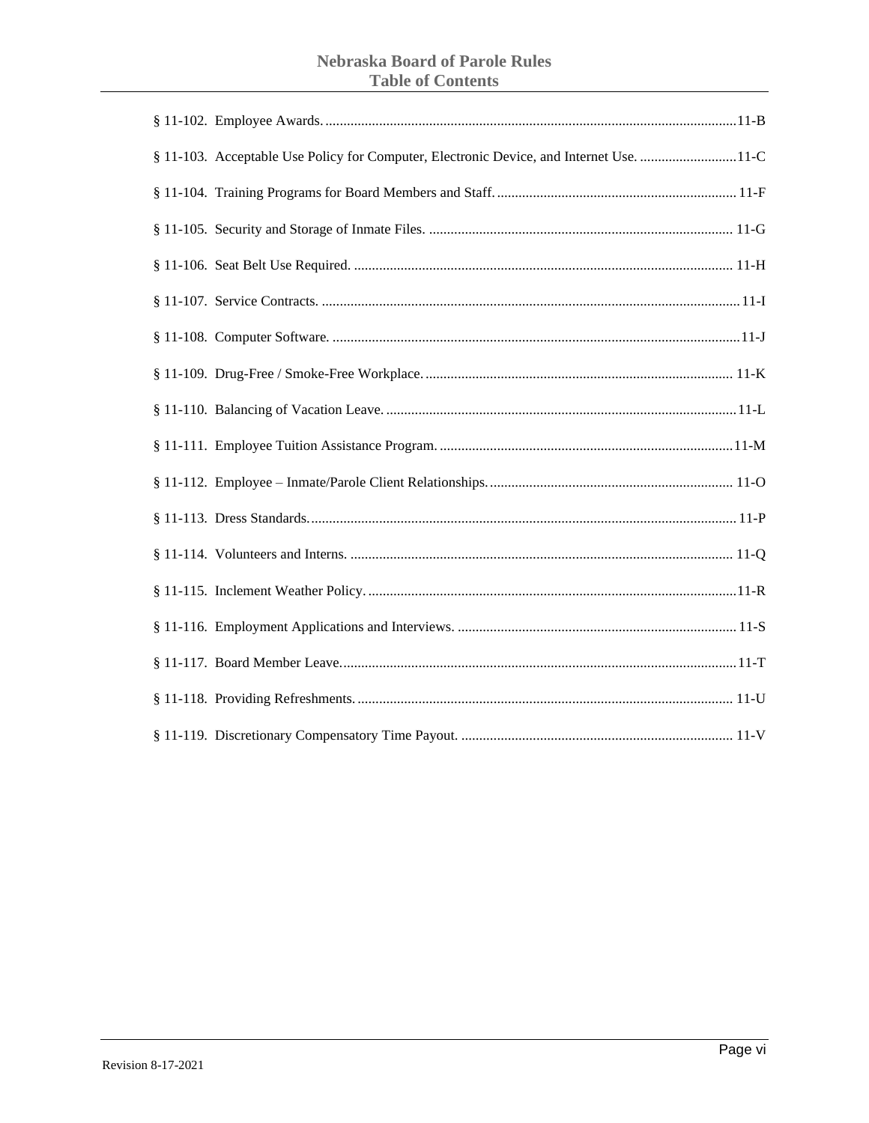### **Nebraska Board of Parole Rules Table of Contents**

| § 11-103. Acceptable Use Policy for Computer, Electronic Device, and Internet Use. 11-C |
|-----------------------------------------------------------------------------------------|
|                                                                                         |
|                                                                                         |
|                                                                                         |
|                                                                                         |
|                                                                                         |
|                                                                                         |
|                                                                                         |
|                                                                                         |
|                                                                                         |
|                                                                                         |
|                                                                                         |
|                                                                                         |
|                                                                                         |
|                                                                                         |
|                                                                                         |
|                                                                                         |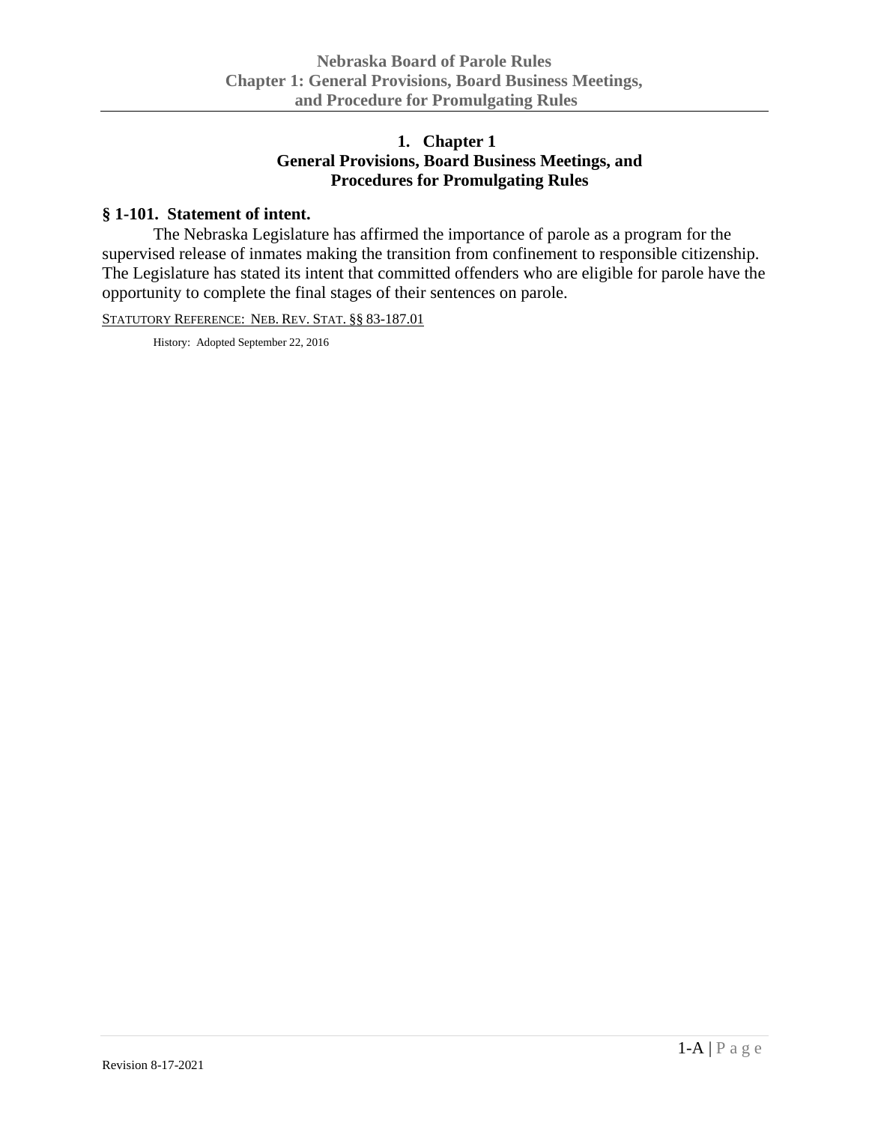# **1. Chapter 1 General Provisions, Board Business Meetings, and Procedures for Promulgating Rules**

# <span id="page-6-1"></span><span id="page-6-0"></span>**§ 1-101. Statement of intent.**

The Nebraska Legislature has affirmed the importance of parole as a program for the supervised release of inmates making the transition from confinement to responsible citizenship. The Legislature has stated its intent that committed offenders who are eligible for parole have the opportunity to complete the final stages of their sentences on parole.

STATUTORY REFERENCE: NEB. REV. STAT. §§ 83-187.01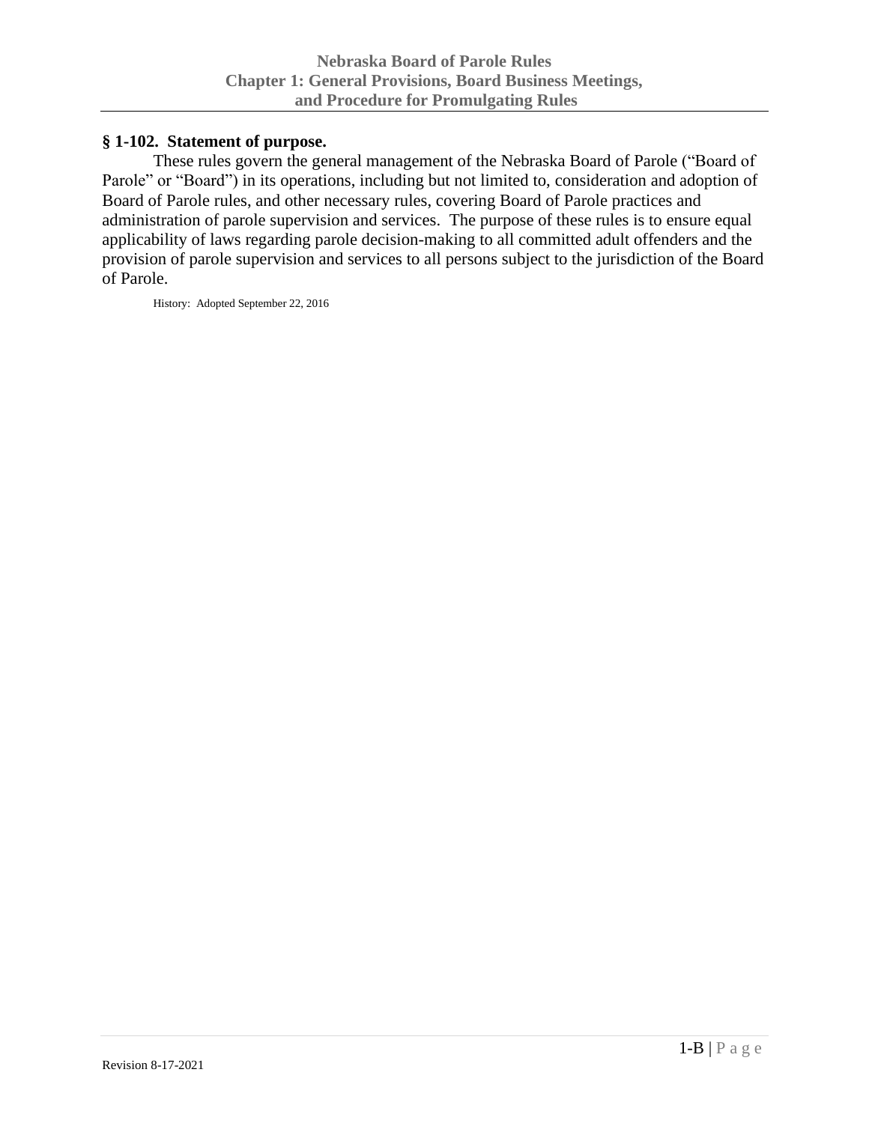### <span id="page-7-0"></span>**§ 1-102. Statement of purpose.**

These rules govern the general management of the Nebraska Board of Parole ("Board of Parole" or "Board") in its operations, including but not limited to, consideration and adoption of Board of Parole rules, and other necessary rules, covering Board of Parole practices and administration of parole supervision and services. The purpose of these rules is to ensure equal applicability of laws regarding parole decision-making to all committed adult offenders and the provision of parole supervision and services to all persons subject to the jurisdiction of the Board of Parole.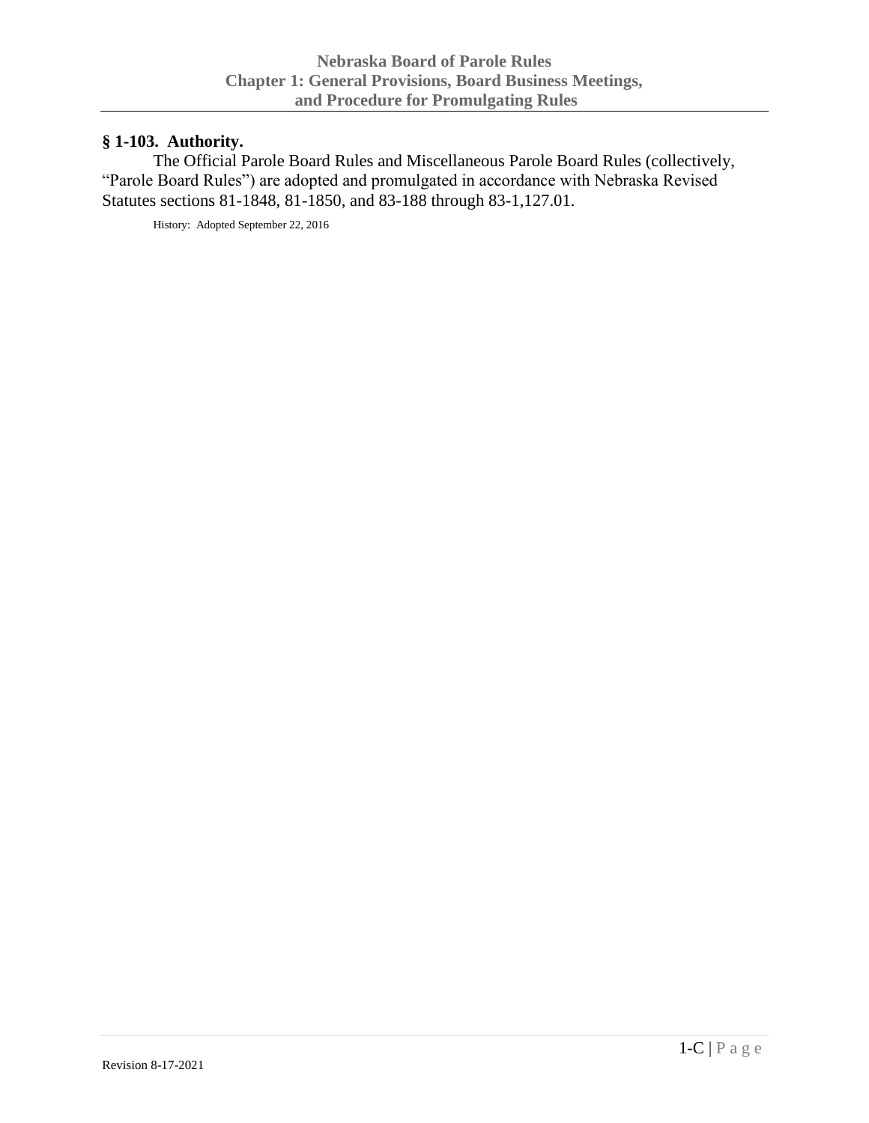# <span id="page-8-0"></span>**§ 1-103. Authority.**

The Official Parole Board Rules and Miscellaneous Parole Board Rules (collectively, "Parole Board Rules") are adopted and promulgated in accordance with Nebraska Revised Statutes sections 81-1848, 81-1850, and 83-188 through 83-1,127.01.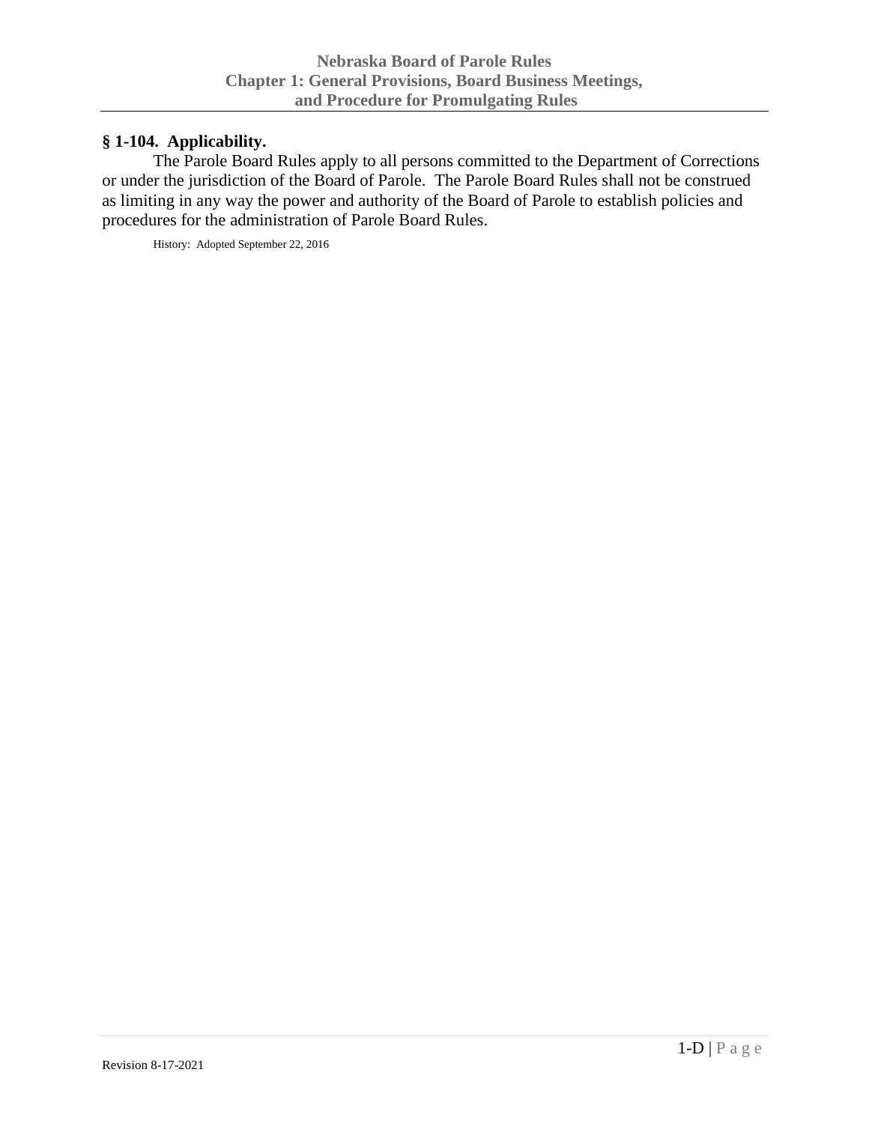# <span id="page-9-0"></span>**§ 1-104. Applicability.**

The Parole Board Rules apply to all persons committed to the Department of Corrections or under the jurisdiction of the Board of Parole. The Parole Board Rules shall not be construed as limiting in any way the power and authority of the Board of Parole to establish policies and procedures for the administration of Parole Board Rules.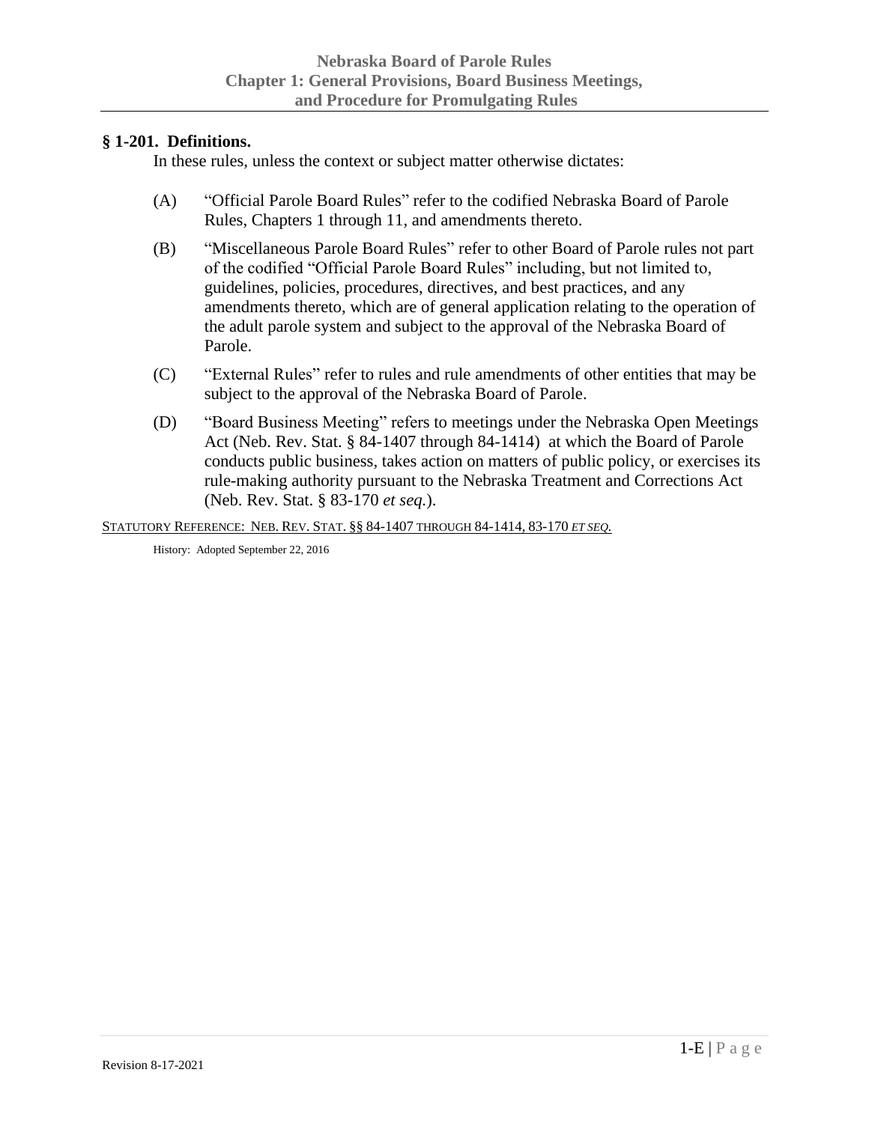#### <span id="page-10-0"></span>**§ 1-201. Definitions.**

In these rules, unless the context or subject matter otherwise dictates:

- (A) "Official Parole Board Rules" refer to the codified Nebraska Board of Parole Rules, Chapters 1 through 11, and amendments thereto.
- (B) "Miscellaneous Parole Board Rules" refer to other Board of Parole rules not part of the codified "Official Parole Board Rules" including, but not limited to, guidelines, policies, procedures, directives, and best practices, and any amendments thereto, which are of general application relating to the operation of the adult parole system and subject to the approval of the Nebraska Board of Parole.
- (C) "External Rules" refer to rules and rule amendments of other entities that may be subject to the approval of the Nebraska Board of Parole.
- (D) "Board Business Meeting" refers to meetings under the Nebraska Open Meetings Act (Neb. Rev. Stat. § 84-1407 through 84-1414) at which the Board of Parole conducts public business, takes action on matters of public policy, or exercises its rule-making authority pursuant to the Nebraska Treatment and Corrections Act (Neb. Rev. Stat. § 83-170 *et seq.*).

STATUTORY REFERENCE: NEB. REV. STAT. §§ 84-1407 THROUGH 84-1414, 83-170 *ET SEQ.*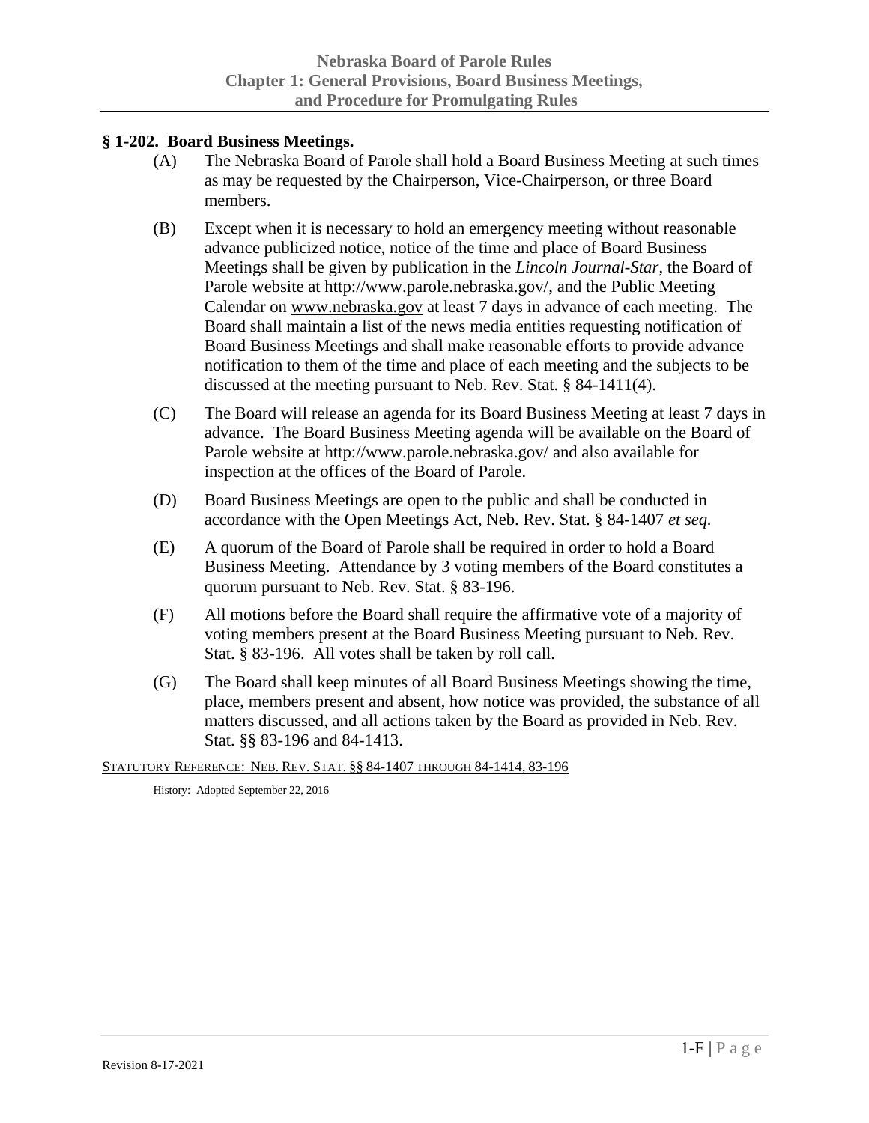### <span id="page-11-0"></span>**§ 1-202. Board Business Meetings.**

- (A) The Nebraska Board of Parole shall hold a Board Business Meeting at such times as may be requested by the Chairperson, Vice-Chairperson, or three Board members.
- (B) Except when it is necessary to hold an emergency meeting without reasonable advance publicized notice, notice of the time and place of Board Business Meetings shall be given by publication in the *Lincoln Journal-Star*, the Board of Parole website at http://www.parole.nebraska.gov/, and the Public Meeting Calendar on [www.nebraska.gov](http://www.nebraska.gov/) at least 7 days in advance of each meeting. The Board shall maintain a list of the news media entities requesting notification of Board Business Meetings and shall make reasonable efforts to provide advance notification to them of the time and place of each meeting and the subjects to be discussed at the meeting pursuant to Neb. Rev. Stat. § 84-1411(4).
- (C) The Board will release an agenda for its Board Business Meeting at least 7 days in advance. The Board Business Meeting agenda will be available on the Board of Parole website at<http://www.parole.nebraska.gov/> and also available for inspection at the offices of the Board of Parole.
- (D) Board Business Meetings are open to the public and shall be conducted in accordance with the Open Meetings Act, Neb. Rev. Stat. § 84-1407 *et seq.*
- (E) A quorum of the Board of Parole shall be required in order to hold a Board Business Meeting. Attendance by 3 voting members of the Board constitutes a quorum pursuant to Neb. Rev. Stat. § 83-196.
- (F) All motions before the Board shall require the affirmative vote of a majority of voting members present at the Board Business Meeting pursuant to Neb. Rev. Stat. § 83-196. All votes shall be taken by roll call.
- (G) The Board shall keep minutes of all Board Business Meetings showing the time, place, members present and absent, how notice was provided, the substance of all matters discussed, and all actions taken by the Board as provided in Neb. Rev. Stat. §§ 83-196 and 84-1413.

STATUTORY REFERENCE: NEB. REV. STAT. §§ 84-1407 THROUGH 84-1414, 83-196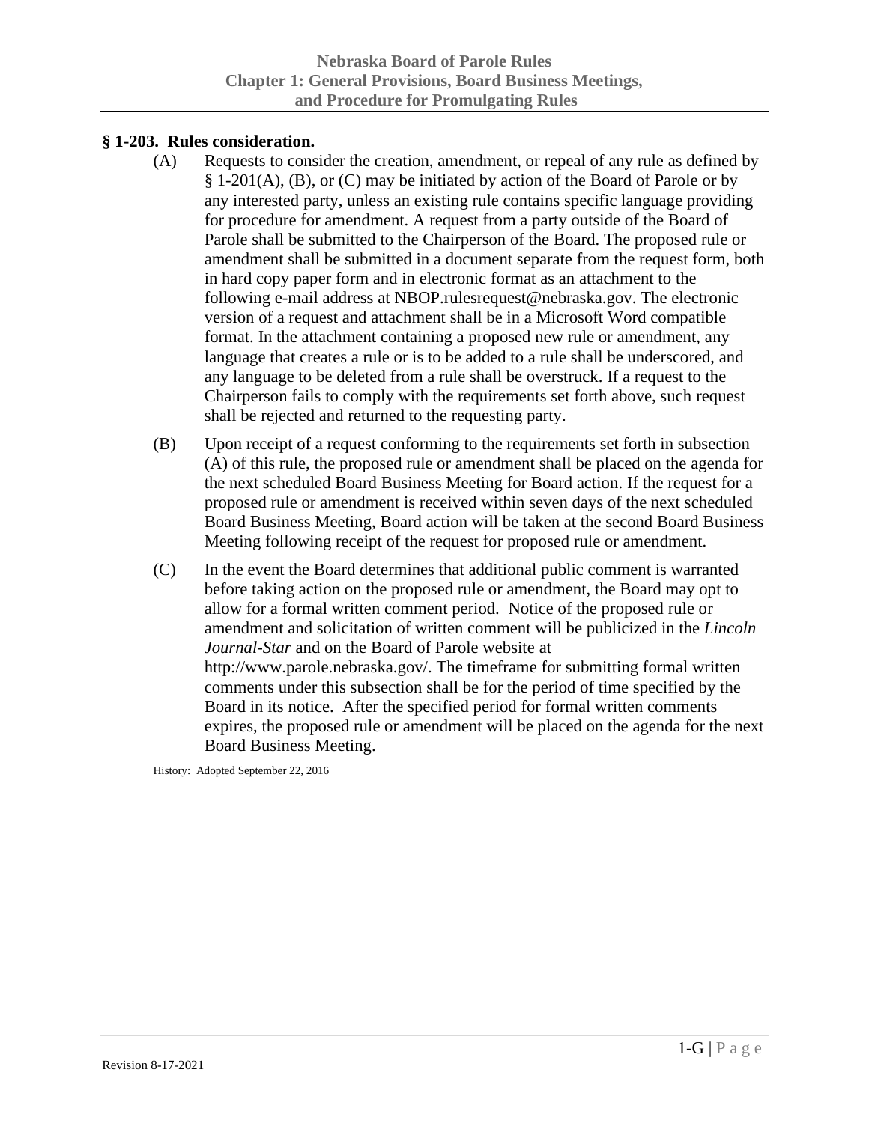#### <span id="page-12-0"></span>**§ 1-203. Rules consideration.**

- (A) Requests to consider the creation, amendment, or repeal of any rule as defined by § 1-201(A), (B), or (C) may be initiated by action of the Board of Parole or by any interested party, unless an existing rule contains specific language providing for procedure for amendment. A request from a party outside of the Board of Parole shall be submitted to the Chairperson of the Board. The proposed rule or amendment shall be submitted in a document separate from the request form, both in hard copy paper form and in electronic format as an attachment to the following e-mail address at NBOP.rulesrequest@nebraska.gov. The electronic version of a request and attachment shall be in a Microsoft Word compatible format. In the attachment containing a proposed new rule or amendment, any language that creates a rule or is to be added to a rule shall be underscored, and any language to be deleted from a rule shall be overstruck. If a request to the Chairperson fails to comply with the requirements set forth above, such request shall be rejected and returned to the requesting party.
- (B) Upon receipt of a request conforming to the requirements set forth in subsection (A) of this rule, the proposed rule or amendment shall be placed on the agenda for the next scheduled Board Business Meeting for Board action. If the request for a proposed rule or amendment is received within seven days of the next scheduled Board Business Meeting, Board action will be taken at the second Board Business Meeting following receipt of the request for proposed rule or amendment.
- (C) In the event the Board determines that additional public comment is warranted before taking action on the proposed rule or amendment, the Board may opt to allow for a formal written comment period. Notice of the proposed rule or amendment and solicitation of written comment will be publicized in the *Lincoln Journal-Star* and on the Board of Parole website at http://www.parole.nebraska.gov/. The timeframe for submitting formal written comments under this subsection shall be for the period of time specified by the Board in its notice. After the specified period for formal written comments expires, the proposed rule or amendment will be placed on the agenda for the next Board Business Meeting.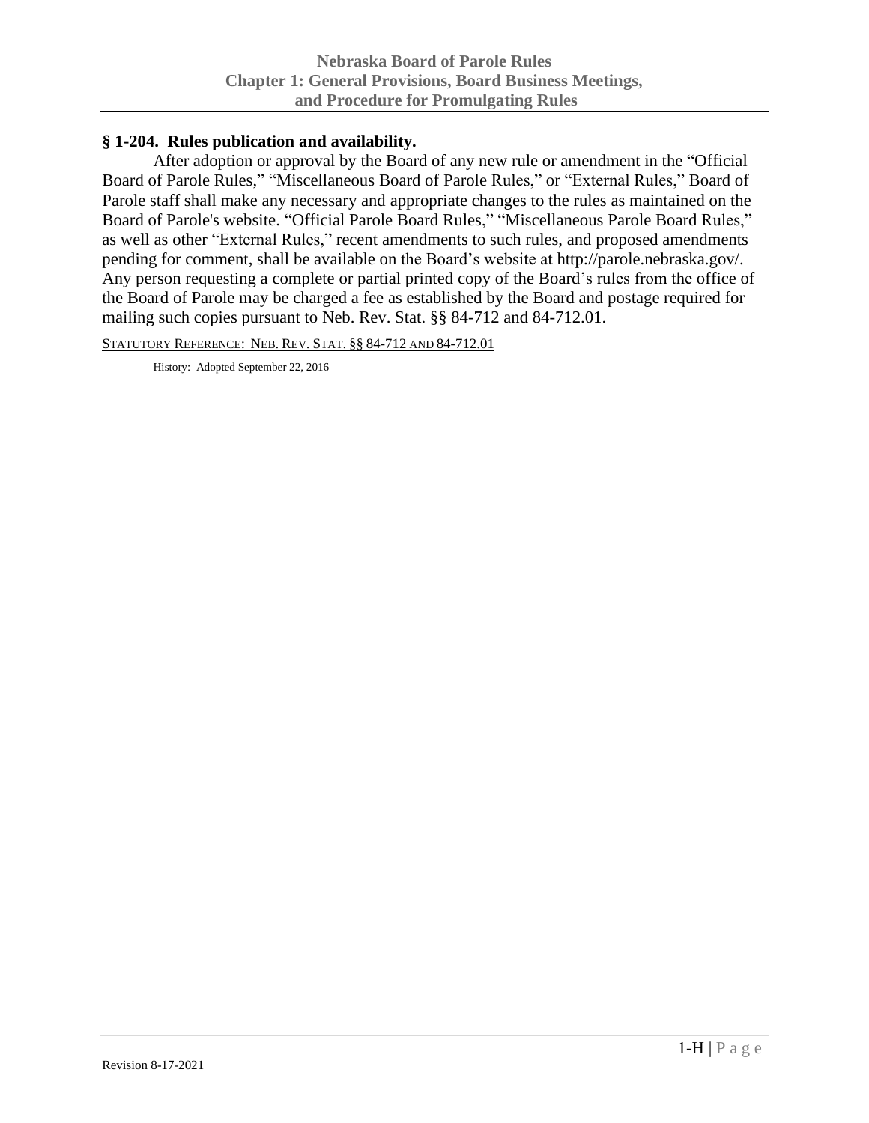### <span id="page-13-0"></span>**§ 1-204. Rules publication and availability.**

After adoption or approval by the Board of any new rule or amendment in the "Official Board of Parole Rules," "Miscellaneous Board of Parole Rules," or "External Rules," Board of Parole staff shall make any necessary and appropriate changes to the rules as maintained on the Board of Parole's website. "Official Parole Board Rules," "Miscellaneous Parole Board Rules," as well as other "External Rules," recent amendments to such rules, and proposed amendments pending for comment, shall be available on the Board's website at http://parole.nebraska.gov/. Any person requesting a complete or partial printed copy of the Board's rules from the office of the Board of Parole may be charged a fee as established by the Board and postage required for mailing such copies pursuant to Neb. Rev. Stat. §§ 84-712 and 84-712.01.

STATUTORY REFERENCE: NEB. REV. STAT. §§ 84-712 AND 84-712.01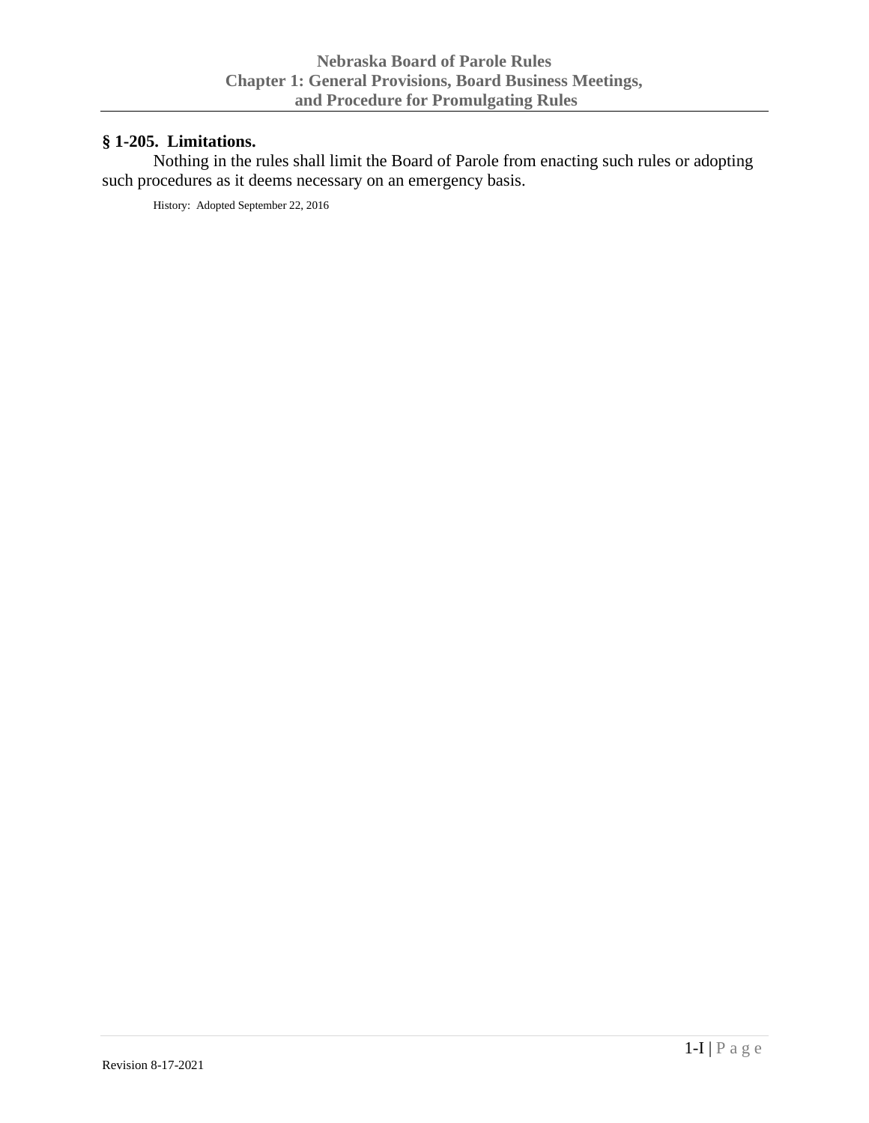# <span id="page-14-0"></span>**§ 1-205. Limitations.**

Nothing in the rules shall limit the Board of Parole from enacting such rules or adopting such procedures as it deems necessary on an emergency basis.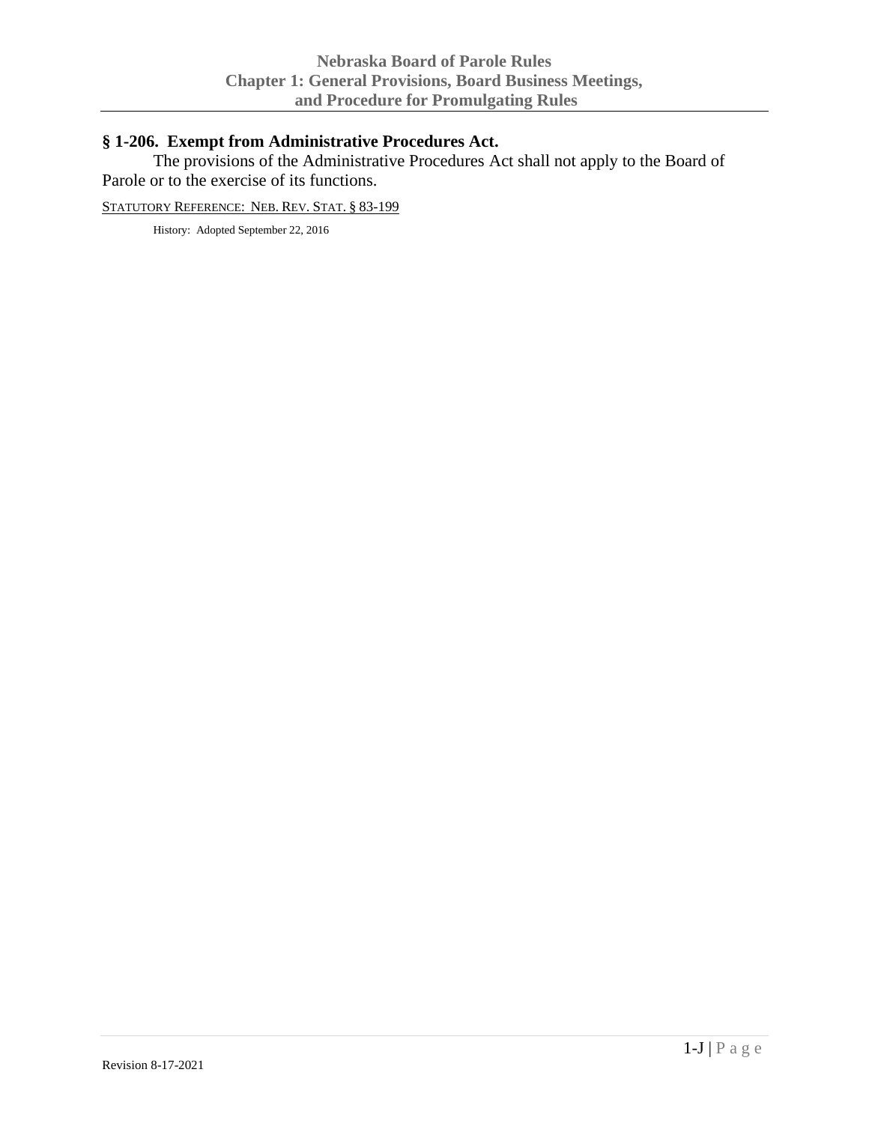# <span id="page-15-0"></span>**§ 1-206. Exempt from Administrative Procedures Act.**

The provisions of the Administrative Procedures Act shall not apply to the Board of Parole or to the exercise of its functions.

STATUTORY REFERENCE: NEB. REV. STAT. § 83-199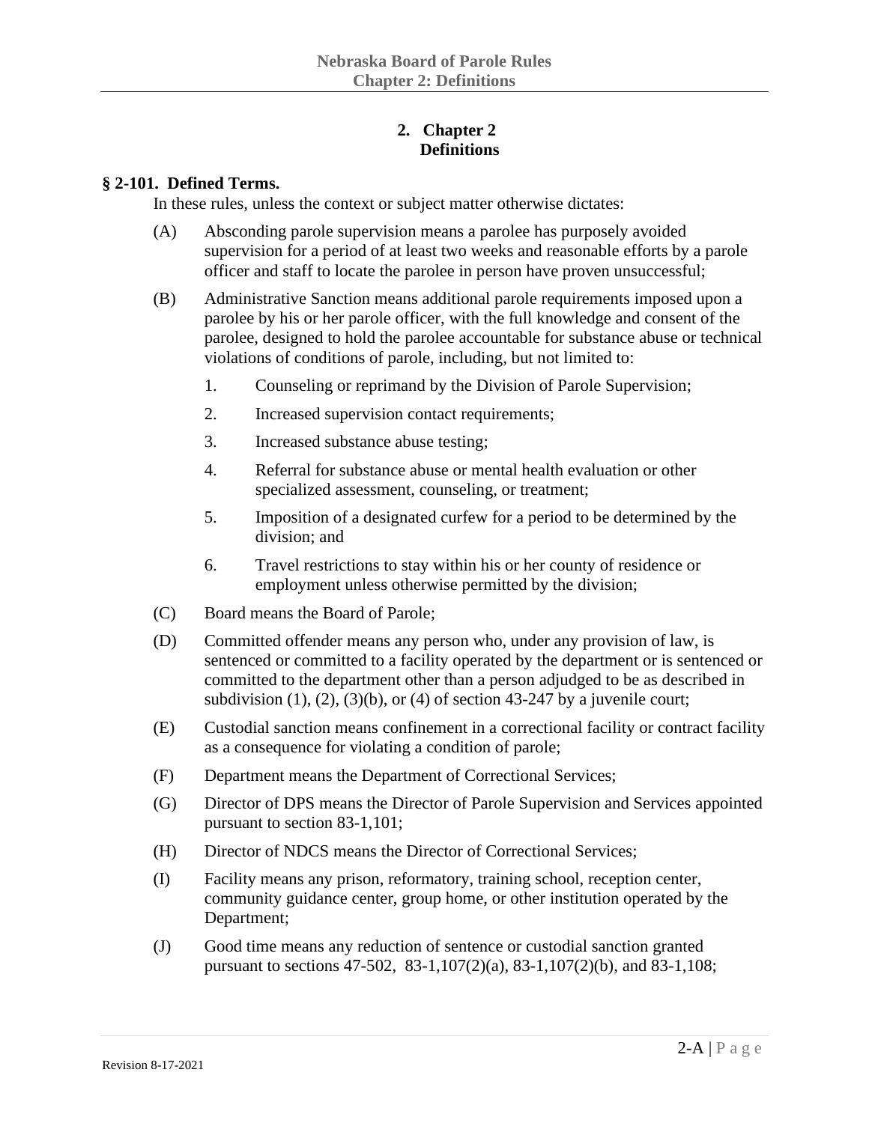### **2. Chapter 2 Definitions**

#### <span id="page-16-1"></span><span id="page-16-0"></span>**§ 2-101. Defined Terms.**

In these rules, unless the context or subject matter otherwise dictates:

- (A) Absconding parole supervision means a parolee has purposely avoided supervision for a period of at least two weeks and reasonable efforts by a parole officer and staff to locate the parolee in person have proven unsuccessful;
- (B) Administrative Sanction means additional parole requirements imposed upon a parolee by his or her parole officer, with the full knowledge and consent of the parolee, designed to hold the parolee accountable for substance abuse or technical violations of conditions of parole, including, but not limited to:
	- 1. Counseling or reprimand by the Division of Parole Supervision;
	- 2. Increased supervision contact requirements;
	- 3. Increased substance abuse testing;
	- 4. Referral for substance abuse or mental health evaluation or other specialized assessment, counseling, or treatment;
	- 5. Imposition of a designated curfew for a period to be determined by the division; and
	- 6. Travel restrictions to stay within his or her county of residence or employment unless otherwise permitted by the division;
- (C) Board means the Board of Parole;
- (D) Committed offender means any person who, under any provision of law, is sentenced or committed to a facility operated by the department or is sentenced or committed to the department other than a person adjudged to be as described in subdivision  $(1)$ ,  $(2)$ ,  $(3)(b)$ , or  $(4)$  of section 43-247 by a juvenile court;
- (E) Custodial sanction means confinement in a correctional facility or contract facility as a consequence for violating a condition of parole;
- (F) Department means the Department of Correctional Services;
- (G) Director of DPS means the Director of Parole Supervision and Services appointed pursuant to section 83-1,101;
- (H) Director of NDCS means the Director of Correctional Services;
- (I) Facility means any prison, reformatory, training school, reception center, community guidance center, group home, or other institution operated by the Department;
- (J) Good time means any reduction of sentence or custodial sanction granted pursuant to sections 47-502, 83-1,107(2)(a), 83-1,107(2)(b), and 83-1,108;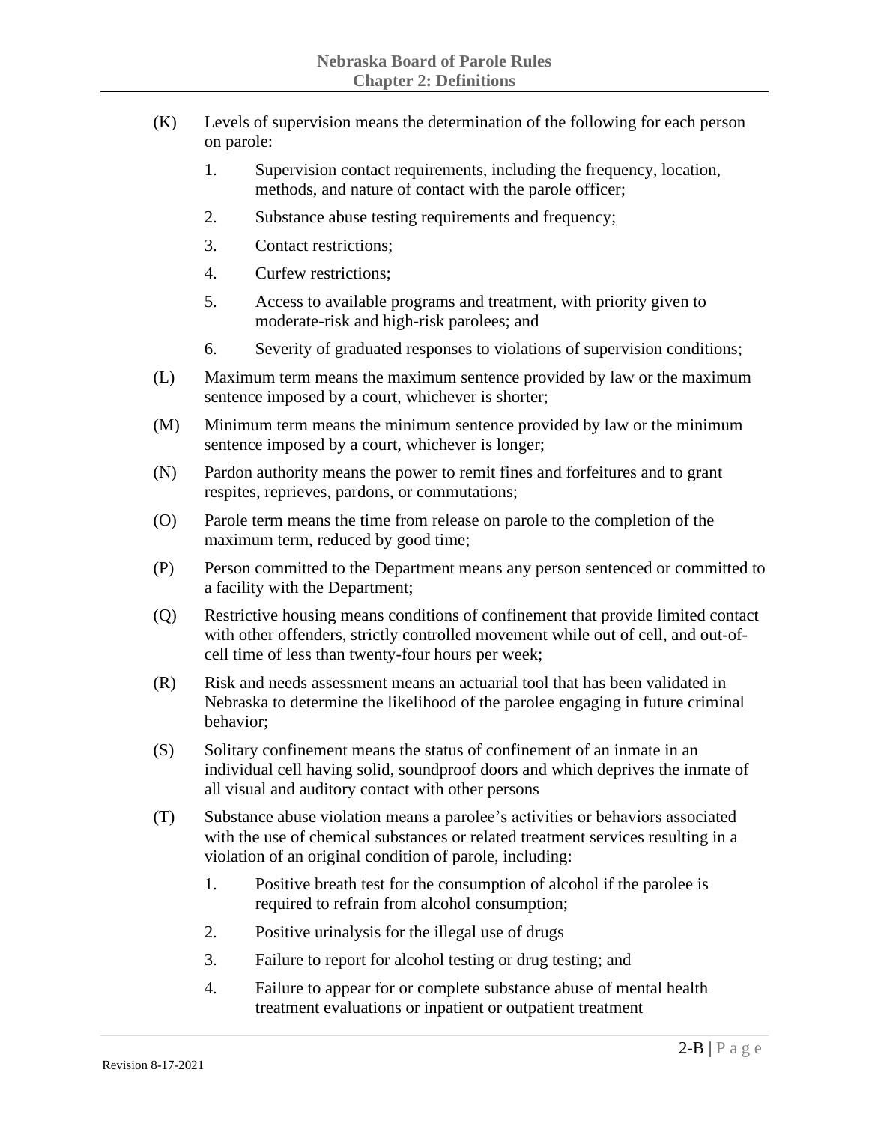- (K) Levels of supervision means the determination of the following for each person on parole:
	- 1. Supervision contact requirements, including the frequency, location, methods, and nature of contact with the parole officer;
	- 2. Substance abuse testing requirements and frequency;
	- 3. Contact restrictions;
	- 4. Curfew restrictions;
	- 5. Access to available programs and treatment, with priority given to moderate-risk and high-risk parolees; and
	- 6. Severity of graduated responses to violations of supervision conditions;
- (L) Maximum term means the maximum sentence provided by law or the maximum sentence imposed by a court, whichever is shorter;
- (M) Minimum term means the minimum sentence provided by law or the minimum sentence imposed by a court, whichever is longer;
- (N) Pardon authority means the power to remit fines and forfeitures and to grant respites, reprieves, pardons, or commutations;
- (O) Parole term means the time from release on parole to the completion of the maximum term, reduced by good time;
- (P) Person committed to the Department means any person sentenced or committed to a facility with the Department;
- (Q) Restrictive housing means conditions of confinement that provide limited contact with other offenders, strictly controlled movement while out of cell, and out-ofcell time of less than twenty-four hours per week;
- (R) Risk and needs assessment means an actuarial tool that has been validated in Nebraska to determine the likelihood of the parolee engaging in future criminal behavior;
- (S) Solitary confinement means the status of confinement of an inmate in an individual cell having solid, soundproof doors and which deprives the inmate of all visual and auditory contact with other persons
- (T) Substance abuse violation means a parolee's activities or behaviors associated with the use of chemical substances or related treatment services resulting in a violation of an original condition of parole, including:
	- 1. Positive breath test for the consumption of alcohol if the parolee is required to refrain from alcohol consumption;
	- 2. Positive urinalysis for the illegal use of drugs
	- 3. Failure to report for alcohol testing or drug testing; and
	- 4. Failure to appear for or complete substance abuse of mental health treatment evaluations or inpatient or outpatient treatment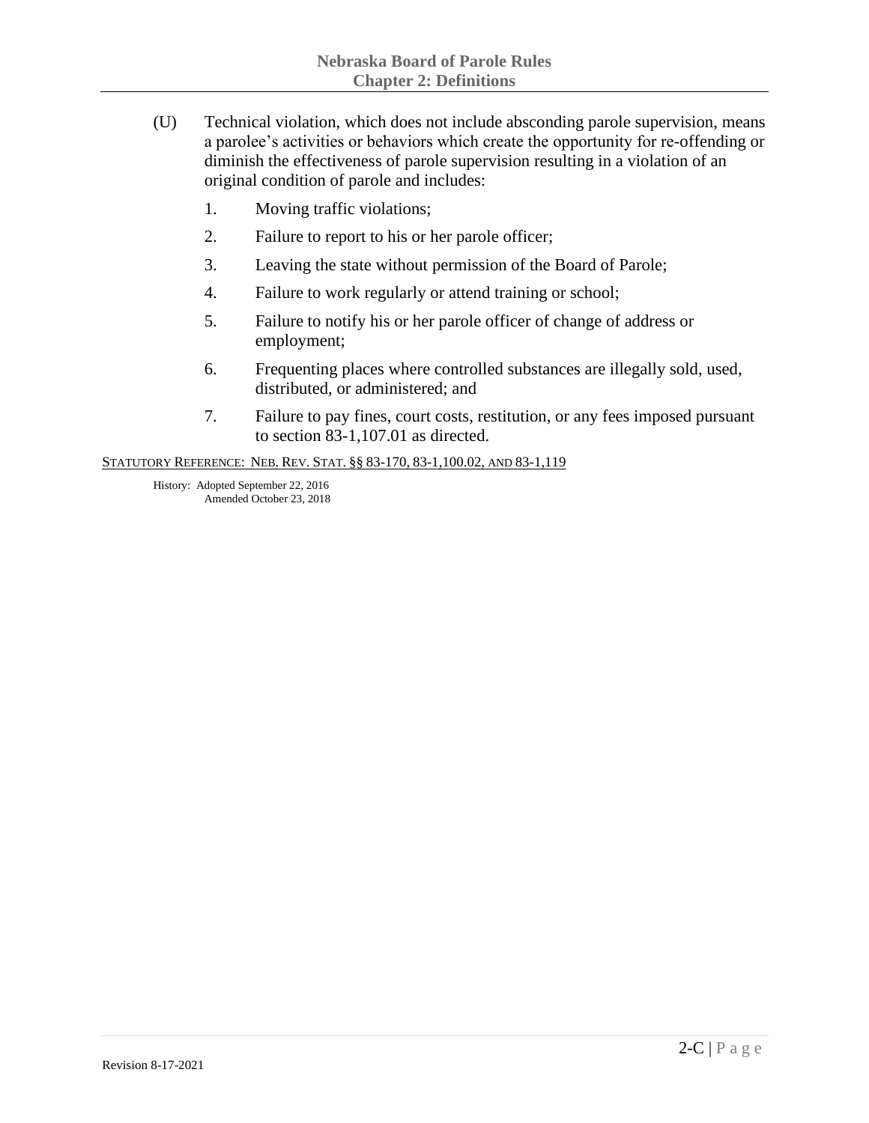- (U) Technical violation, which does not include absconding parole supervision, means a parolee's activities or behaviors which create the opportunity for re-offending or diminish the effectiveness of parole supervision resulting in a violation of an original condition of parole and includes:
	- 1. Moving traffic violations;
	- 2. Failure to report to his or her parole officer;
	- 3. Leaving the state without permission of the Board of Parole;
	- 4. Failure to work regularly or attend training or school;
	- 5. Failure to notify his or her parole officer of change of address or employment;
	- 6. Frequenting places where controlled substances are illegally sold, used, distributed, or administered; and
	- 7. Failure to pay fines, court costs, restitution, or any fees imposed pursuant to section 83-1,107.01 as directed.

STATUTORY REFERENCE: NEB. REV. STAT. §§ 83-170, 83-1,100.02, AND 83-1,119

History: Adopted September 22, 2016 Amended October 23, 2018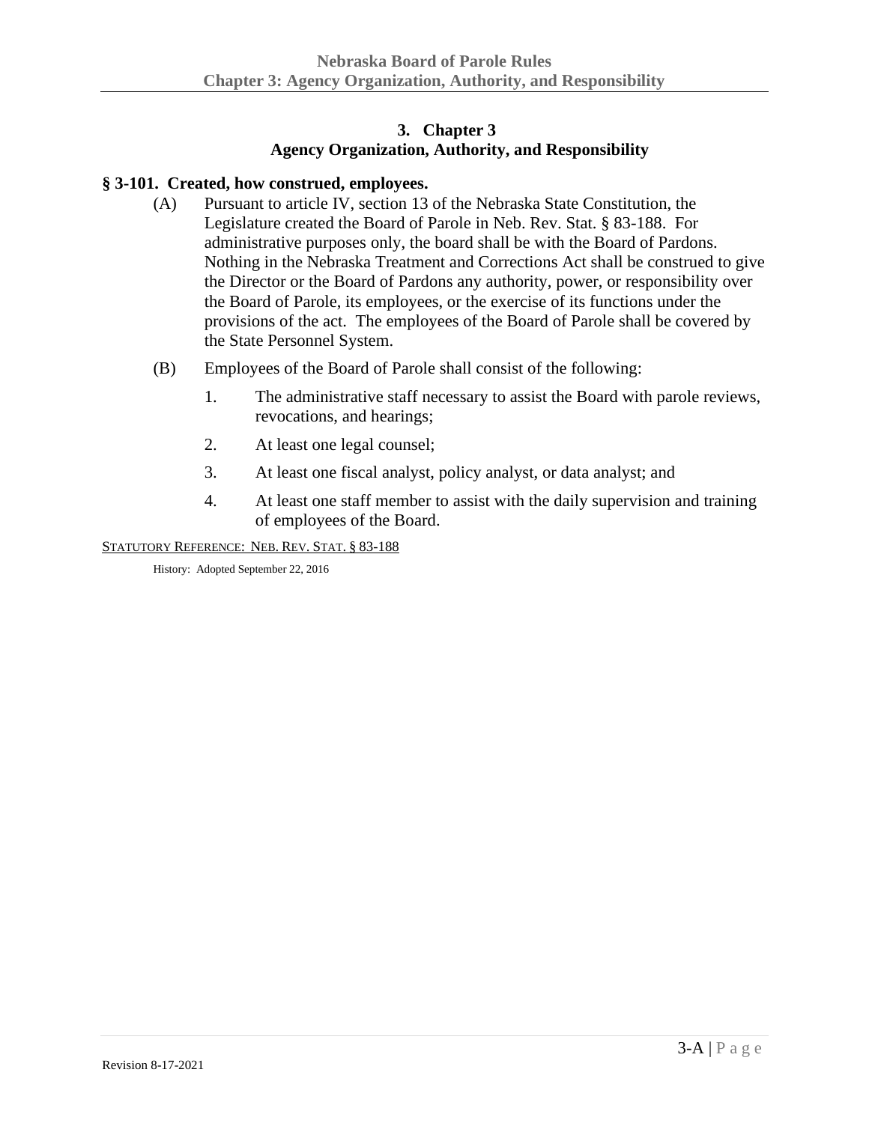# **3. Chapter 3 Agency Organization, Authority, and Responsibility**

### <span id="page-19-1"></span><span id="page-19-0"></span>**§ 3-101. Created, how construed, employees.**

- (A) Pursuant to article IV, section 13 of the Nebraska State Constitution, the Legislature created the Board of Parole in Neb. Rev. Stat. § 83-188. For administrative purposes only, the board shall be with the Board of Pardons. Nothing in the Nebraska Treatment and Corrections Act shall be construed to give the Director or the Board of Pardons any authority, power, or responsibility over the Board of Parole, its employees, or the exercise of its functions under the provisions of the act. The employees of the Board of Parole shall be covered by the State Personnel System.
- (B) Employees of the Board of Parole shall consist of the following:
	- 1. The administrative staff necessary to assist the Board with parole reviews, revocations, and hearings;
	- 2. At least one legal counsel;
	- 3. At least one fiscal analyst, policy analyst, or data analyst; and
	- 4. At least one staff member to assist with the daily supervision and training of employees of the Board.

STATUTORY REFERENCE: NEB. REV. STAT. § 83-188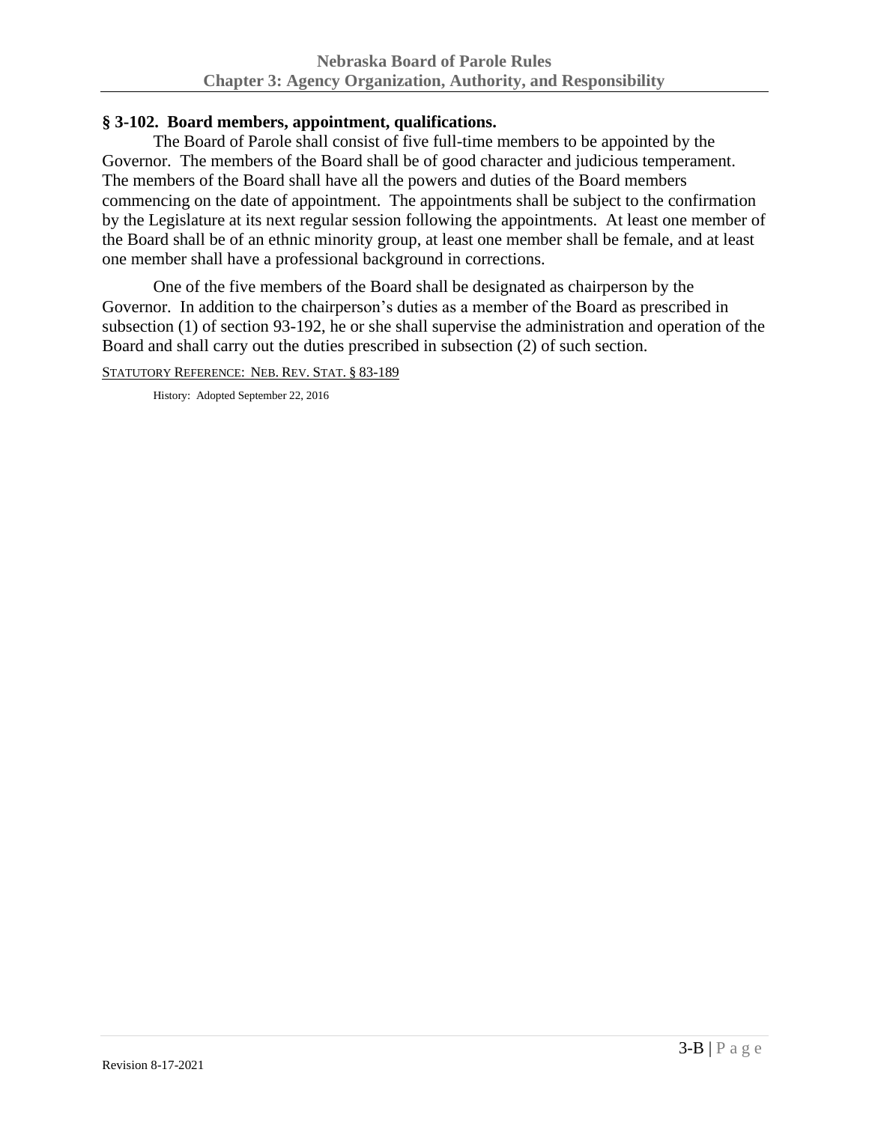# <span id="page-20-0"></span>**§ 3-102. Board members, appointment, qualifications.**

The Board of Parole shall consist of five full-time members to be appointed by the Governor. The members of the Board shall be of good character and judicious temperament. The members of the Board shall have all the powers and duties of the Board members commencing on the date of appointment. The appointments shall be subject to the confirmation by the Legislature at its next regular session following the appointments. At least one member of the Board shall be of an ethnic minority group, at least one member shall be female, and at least one member shall have a professional background in corrections.

One of the five members of the Board shall be designated as chairperson by the Governor. In addition to the chairperson's duties as a member of the Board as prescribed in subsection (1) of section 93-192, he or she shall supervise the administration and operation of the Board and shall carry out the duties prescribed in subsection (2) of such section.

STATUTORY REFERENCE: NEB. REV. STAT. § 83-189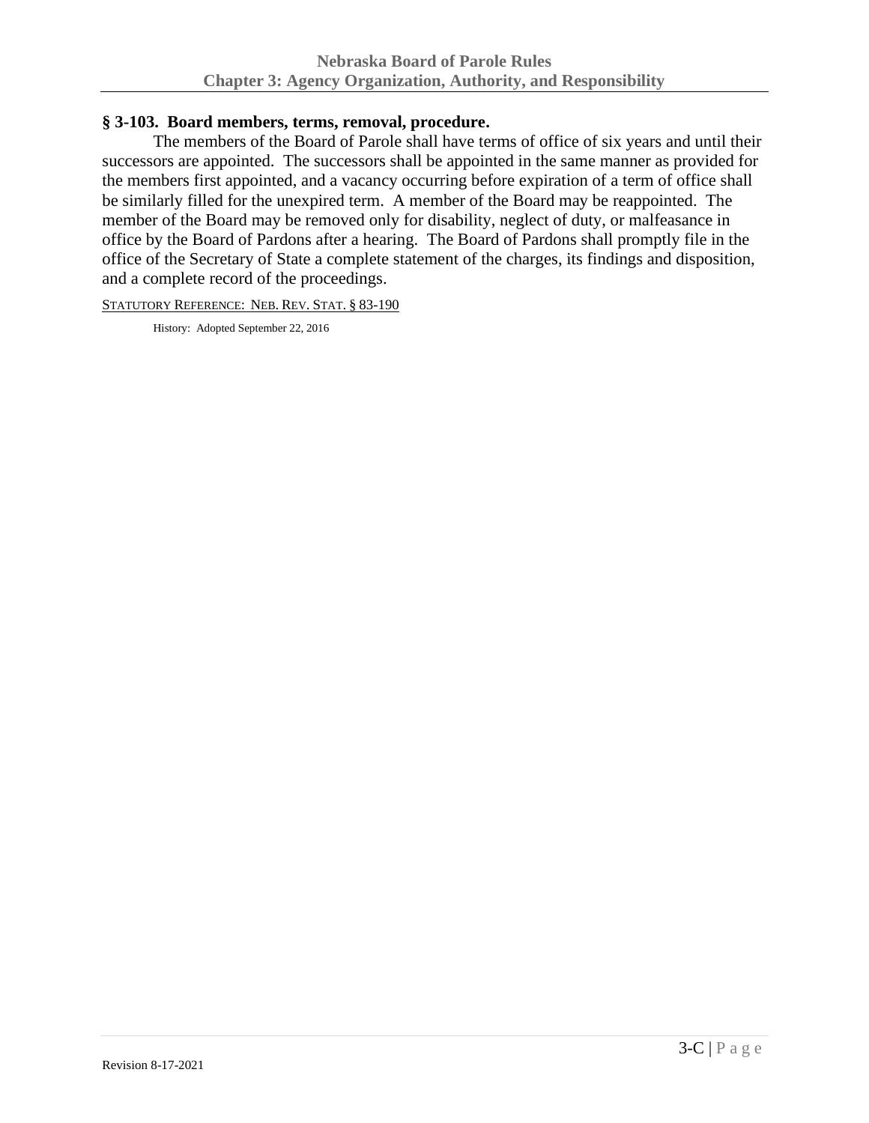# <span id="page-21-0"></span>**§ 3-103. Board members, terms, removal, procedure.**

The members of the Board of Parole shall have terms of office of six years and until their successors are appointed. The successors shall be appointed in the same manner as provided for the members first appointed, and a vacancy occurring before expiration of a term of office shall be similarly filled for the unexpired term. A member of the Board may be reappointed. The member of the Board may be removed only for disability, neglect of duty, or malfeasance in office by the Board of Pardons after a hearing. The Board of Pardons shall promptly file in the office of the Secretary of State a complete statement of the charges, its findings and disposition, and a complete record of the proceedings.

STATUTORY REFERENCE: NEB. REV. STAT. § 83-190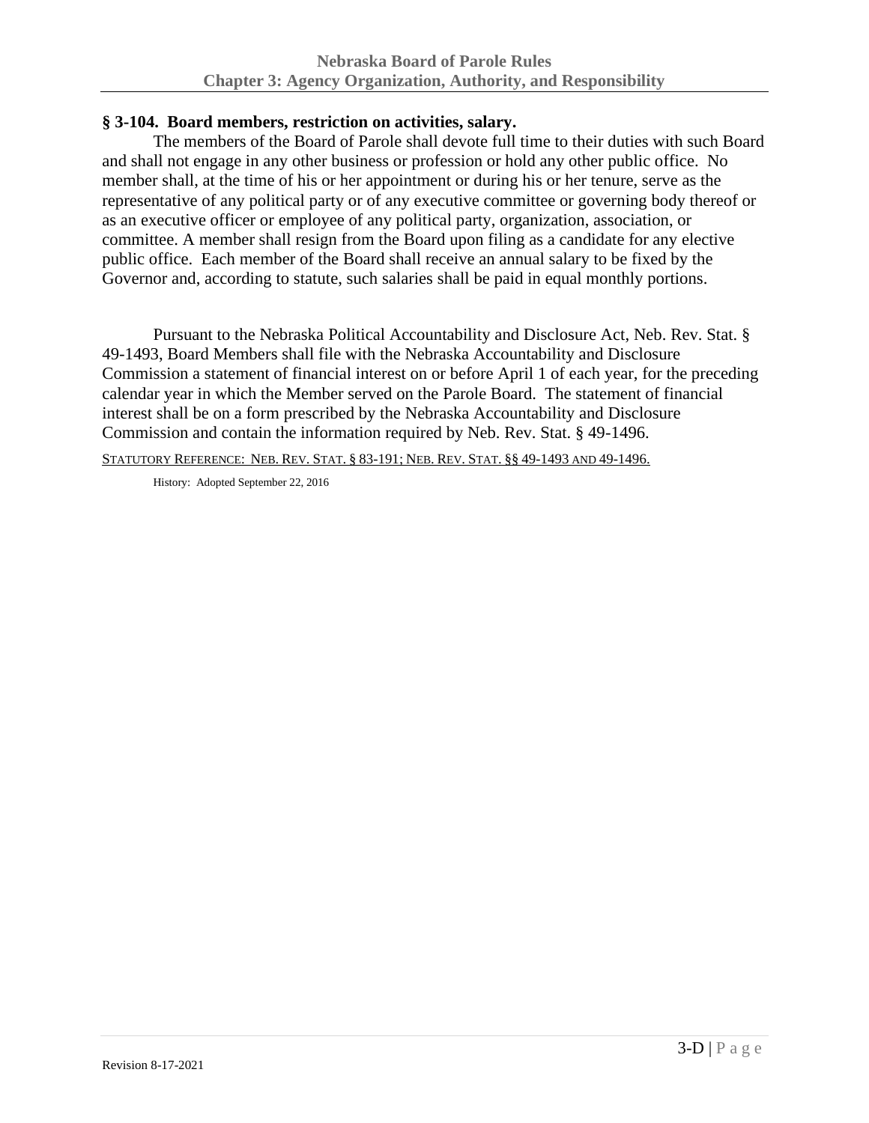# <span id="page-22-0"></span>**§ 3-104. Board members, restriction on activities, salary.**

The members of the Board of Parole shall devote full time to their duties with such Board and shall not engage in any other business or profession or hold any other public office. No member shall, at the time of his or her appointment or during his or her tenure, serve as the representative of any political party or of any executive committee or governing body thereof or as an executive officer or employee of any political party, organization, association, or committee. A member shall resign from the Board upon filing as a candidate for any elective public office. Each member of the Board shall receive an annual salary to be fixed by the Governor and, according to statute, such salaries shall be paid in equal monthly portions.

Pursuant to the Nebraska Political Accountability and Disclosure Act, Neb. Rev. Stat. § 49-1493, Board Members shall file with the Nebraska Accountability and Disclosure Commission a statement of financial interest on or before April 1 of each year, for the preceding calendar year in which the Member served on the Parole Board. The statement of financial interest shall be on a form prescribed by the Nebraska Accountability and Disclosure Commission and contain the information required by Neb. Rev. Stat. § 49-1496.

STATUTORY REFERENCE: NEB. REV. STAT. § 83-191; NEB. REV. STAT. §§ 49-1493 AND 49-1496.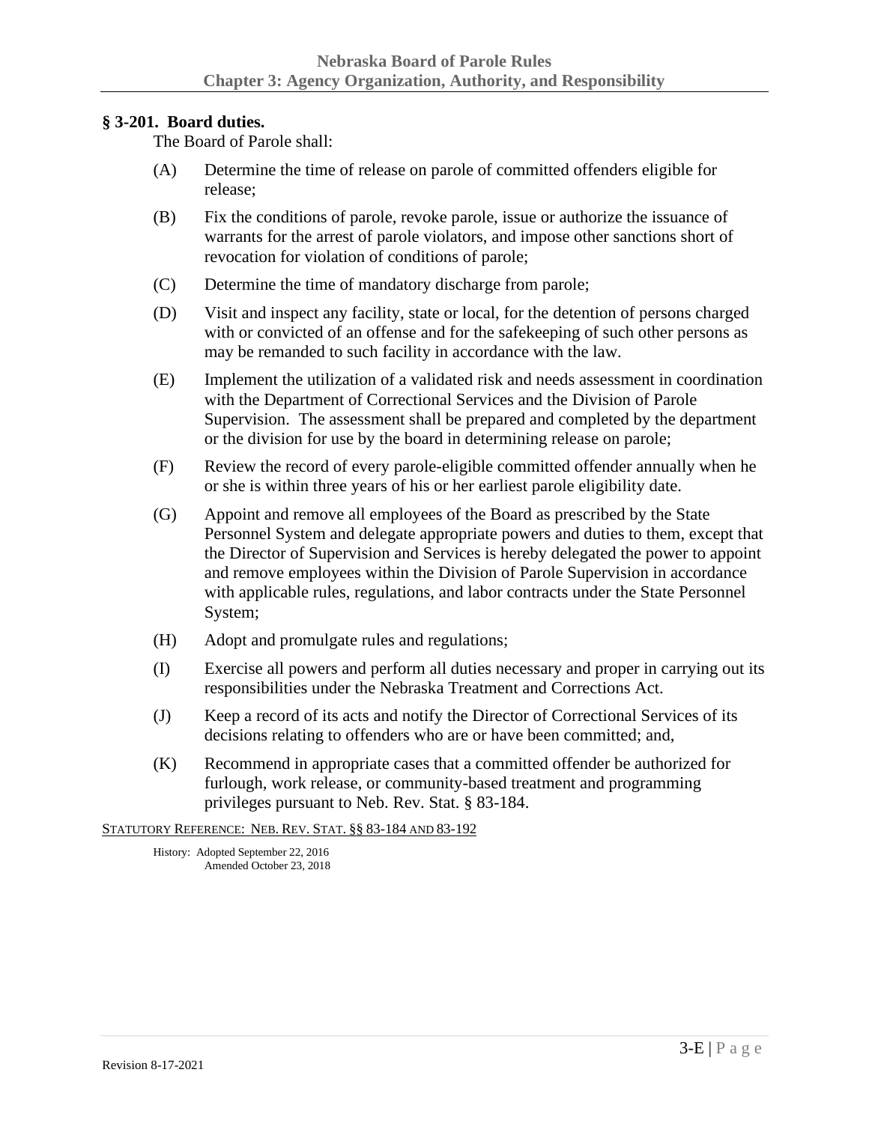### <span id="page-23-0"></span>**§ 3-201. Board duties.**

The Board of Parole shall:

- (A) Determine the time of release on parole of committed offenders eligible for release;
- (B) Fix the conditions of parole, revoke parole, issue or authorize the issuance of warrants for the arrest of parole violators, and impose other sanctions short of revocation for violation of conditions of parole;
- (C) Determine the time of mandatory discharge from parole;
- (D) Visit and inspect any facility, state or local, for the detention of persons charged with or convicted of an offense and for the safekeeping of such other persons as may be remanded to such facility in accordance with the law.
- (E) Implement the utilization of a validated risk and needs assessment in coordination with the Department of Correctional Services and the Division of Parole Supervision. The assessment shall be prepared and completed by the department or the division for use by the board in determining release on parole;
- (F) Review the record of every parole-eligible committed offender annually when he or she is within three years of his or her earliest parole eligibility date.
- (G) Appoint and remove all employees of the Board as prescribed by the State Personnel System and delegate appropriate powers and duties to them, except that the Director of Supervision and Services is hereby delegated the power to appoint and remove employees within the Division of Parole Supervision in accordance with applicable rules, regulations, and labor contracts under the State Personnel System;
- (H) Adopt and promulgate rules and regulations;
- (I) Exercise all powers and perform all duties necessary and proper in carrying out its responsibilities under the Nebraska Treatment and Corrections Act.
- (J) Keep a record of its acts and notify the Director of Correctional Services of its decisions relating to offenders who are or have been committed; and,
- (K) Recommend in appropriate cases that a committed offender be authorized for furlough, work release, or community-based treatment and programming privileges pursuant to Neb. Rev. Stat. § 83-184.

STATUTORY REFERENCE: NEB. REV. STAT. §§ 83-184 AND 83-192

History: Adopted September 22, 2016 Amended October 23, 2018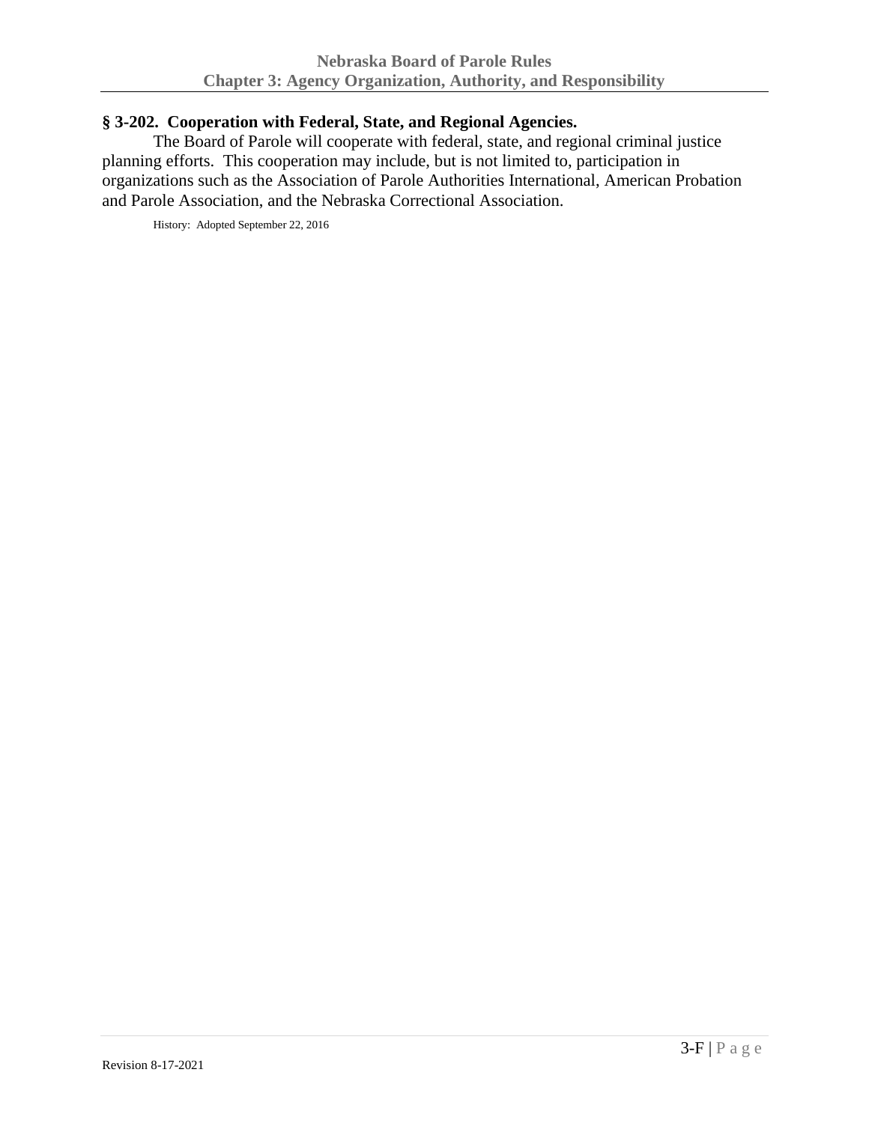### <span id="page-24-0"></span>**§ 3-202. Cooperation with Federal, State, and Regional Agencies.**

The Board of Parole will cooperate with federal, state, and regional criminal justice planning efforts. This cooperation may include, but is not limited to, participation in organizations such as the Association of Parole Authorities International, American Probation and Parole Association, and the Nebraska Correctional Association.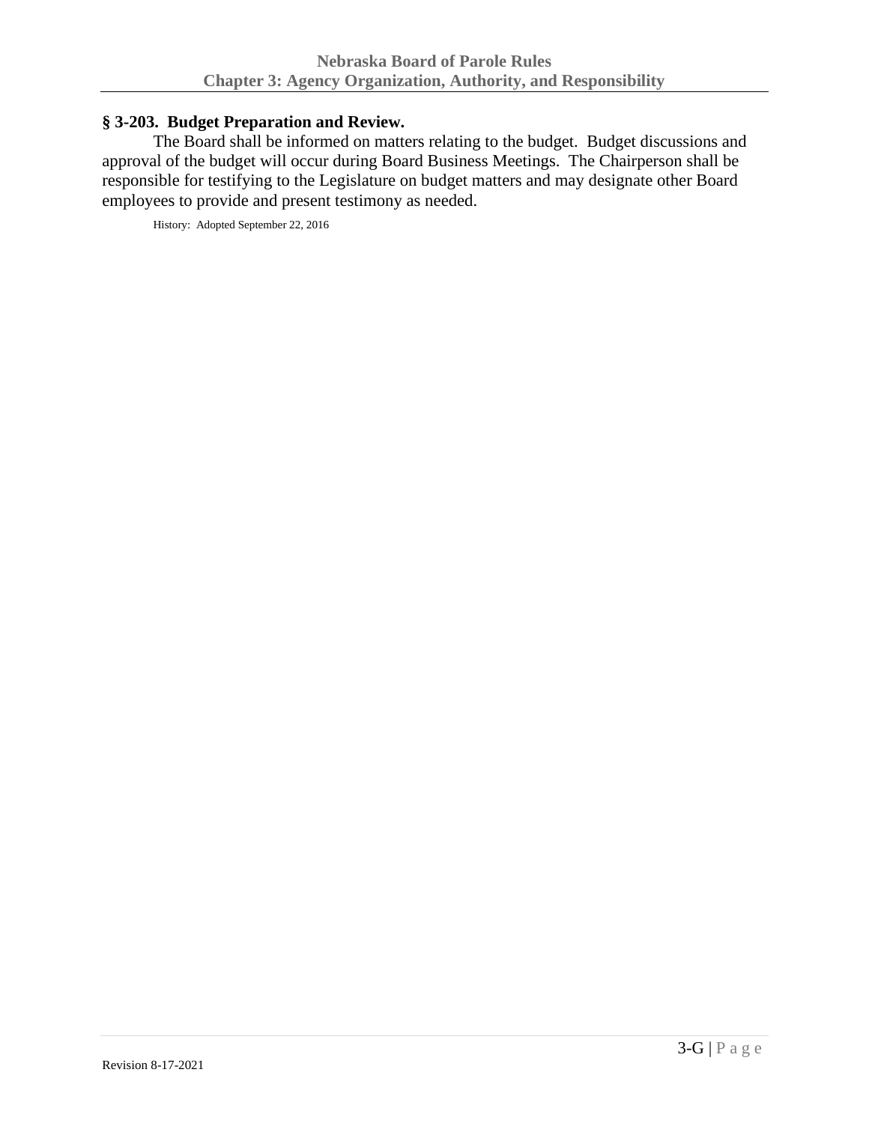### <span id="page-25-0"></span>**§ 3-203. Budget Preparation and Review.**

The Board shall be informed on matters relating to the budget. Budget discussions and approval of the budget will occur during Board Business Meetings. The Chairperson shall be responsible for testifying to the Legislature on budget matters and may designate other Board employees to provide and present testimony as needed.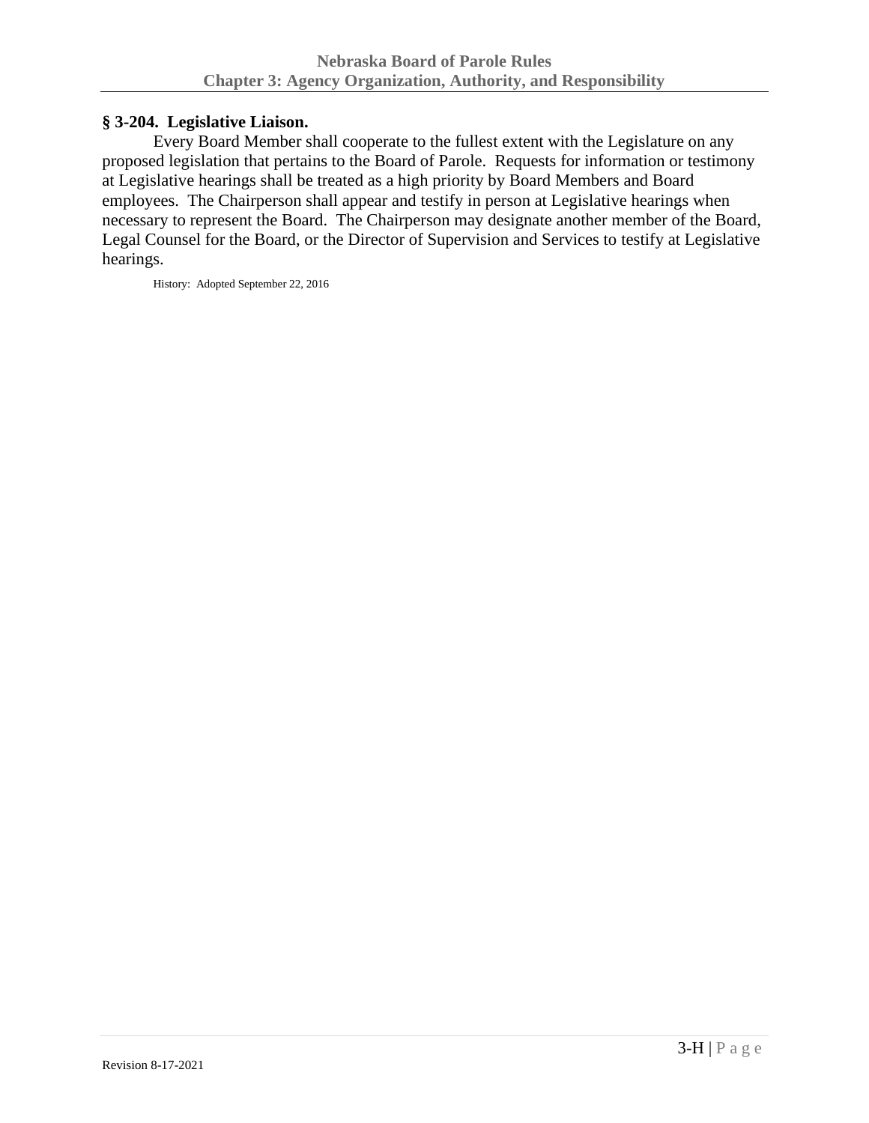# <span id="page-26-0"></span>**§ 3-204. Legislative Liaison.**

Every Board Member shall cooperate to the fullest extent with the Legislature on any proposed legislation that pertains to the Board of Parole. Requests for information or testimony at Legislative hearings shall be treated as a high priority by Board Members and Board employees. The Chairperson shall appear and testify in person at Legislative hearings when necessary to represent the Board. The Chairperson may designate another member of the Board, Legal Counsel for the Board, or the Director of Supervision and Services to testify at Legislative hearings.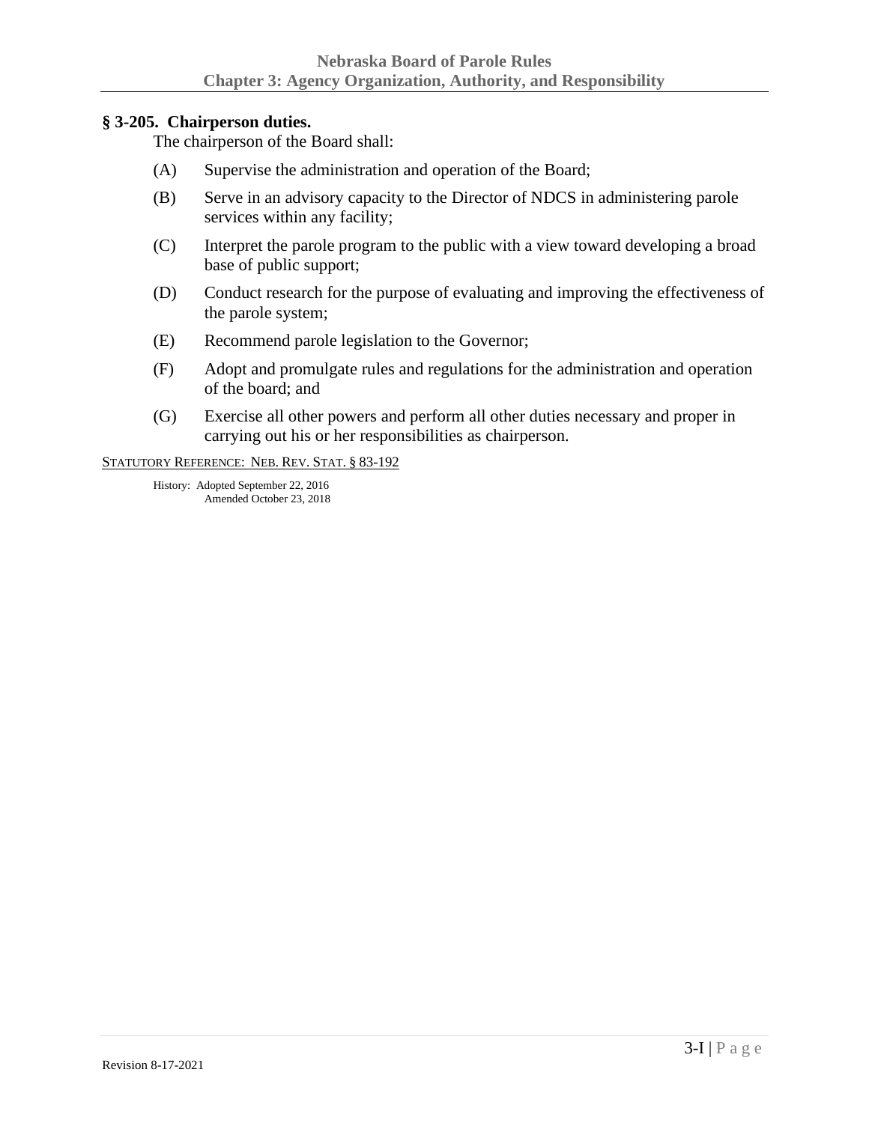#### <span id="page-27-0"></span>**§ 3-205. Chairperson duties.**

The chairperson of the Board shall:

- (A) Supervise the administration and operation of the Board;
- (B) Serve in an advisory capacity to the Director of NDCS in administering parole services within any facility;
- (C) Interpret the parole program to the public with a view toward developing a broad base of public support;
- (D) Conduct research for the purpose of evaluating and improving the effectiveness of the parole system;
- (E) Recommend parole legislation to the Governor;
- (F) Adopt and promulgate rules and regulations for the administration and operation of the board; and
- (G) Exercise all other powers and perform all other duties necessary and proper in carrying out his or her responsibilities as chairperson.

STATUTORY REFERENCE: NEB. REV. STAT. § 83-192

History: Adopted September 22, 2016 Amended October 23, 2018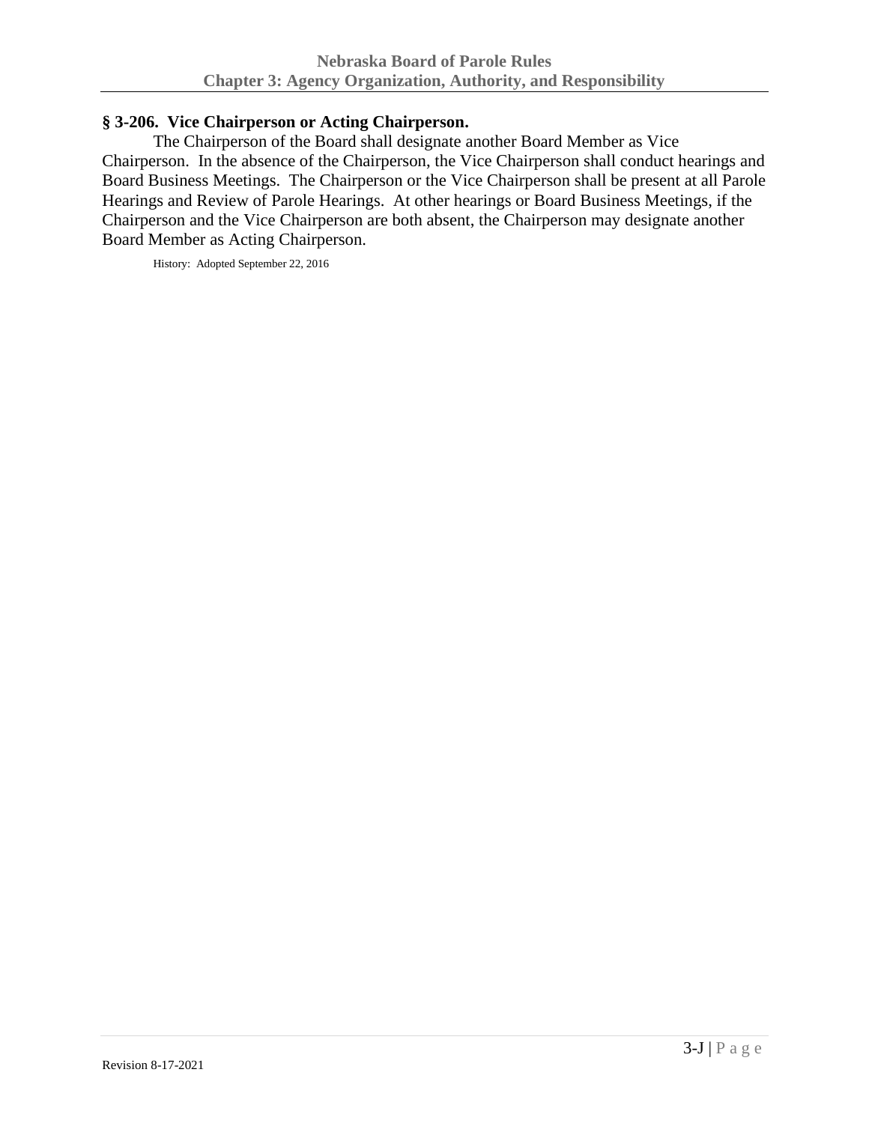# <span id="page-28-0"></span>**§ 3-206. Vice Chairperson or Acting Chairperson.**

The Chairperson of the Board shall designate another Board Member as Vice Chairperson. In the absence of the Chairperson, the Vice Chairperson shall conduct hearings and Board Business Meetings. The Chairperson or the Vice Chairperson shall be present at all Parole Hearings and Review of Parole Hearings. At other hearings or Board Business Meetings, if the Chairperson and the Vice Chairperson are both absent, the Chairperson may designate another Board Member as Acting Chairperson.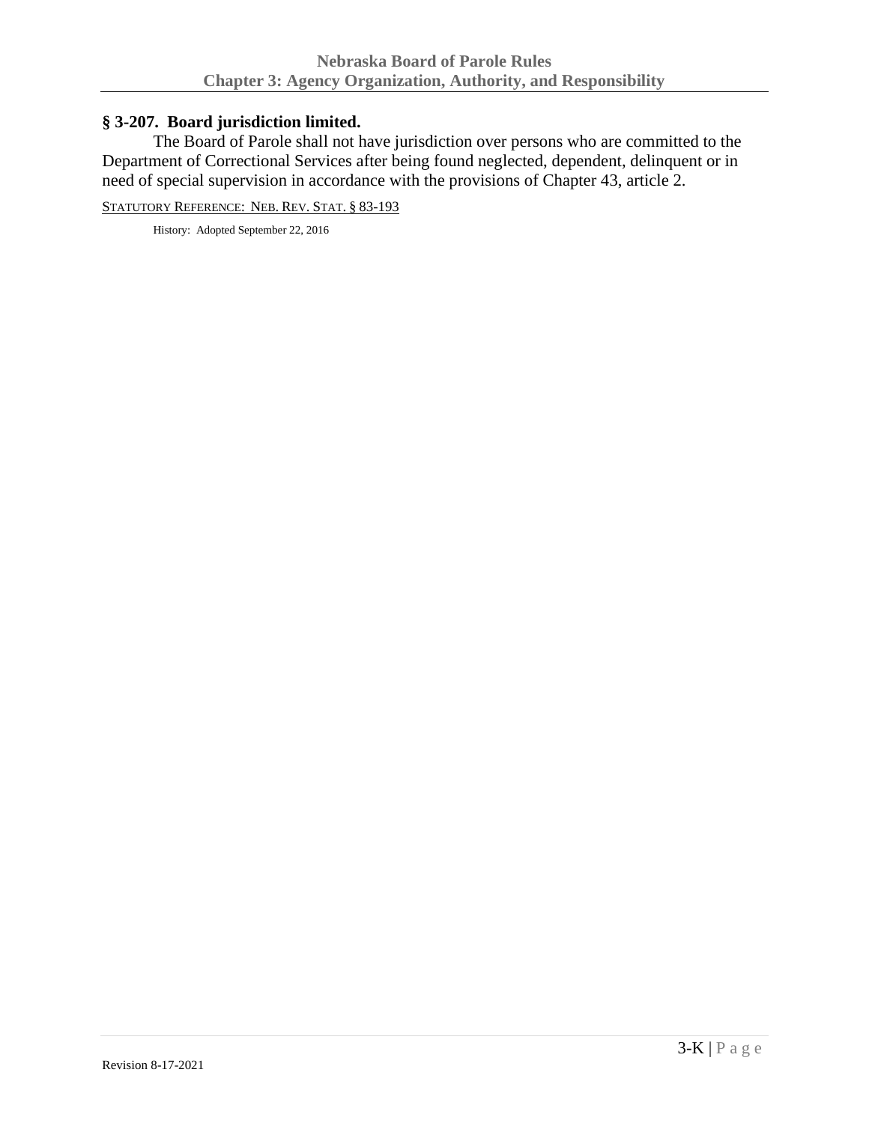# <span id="page-29-0"></span>**§ 3-207. Board jurisdiction limited.**

The Board of Parole shall not have jurisdiction over persons who are committed to the Department of Correctional Services after being found neglected, dependent, delinquent or in need of special supervision in accordance with the provisions of Chapter 43, article 2.

STATUTORY REFERENCE: NEB. REV. STAT. § 83-193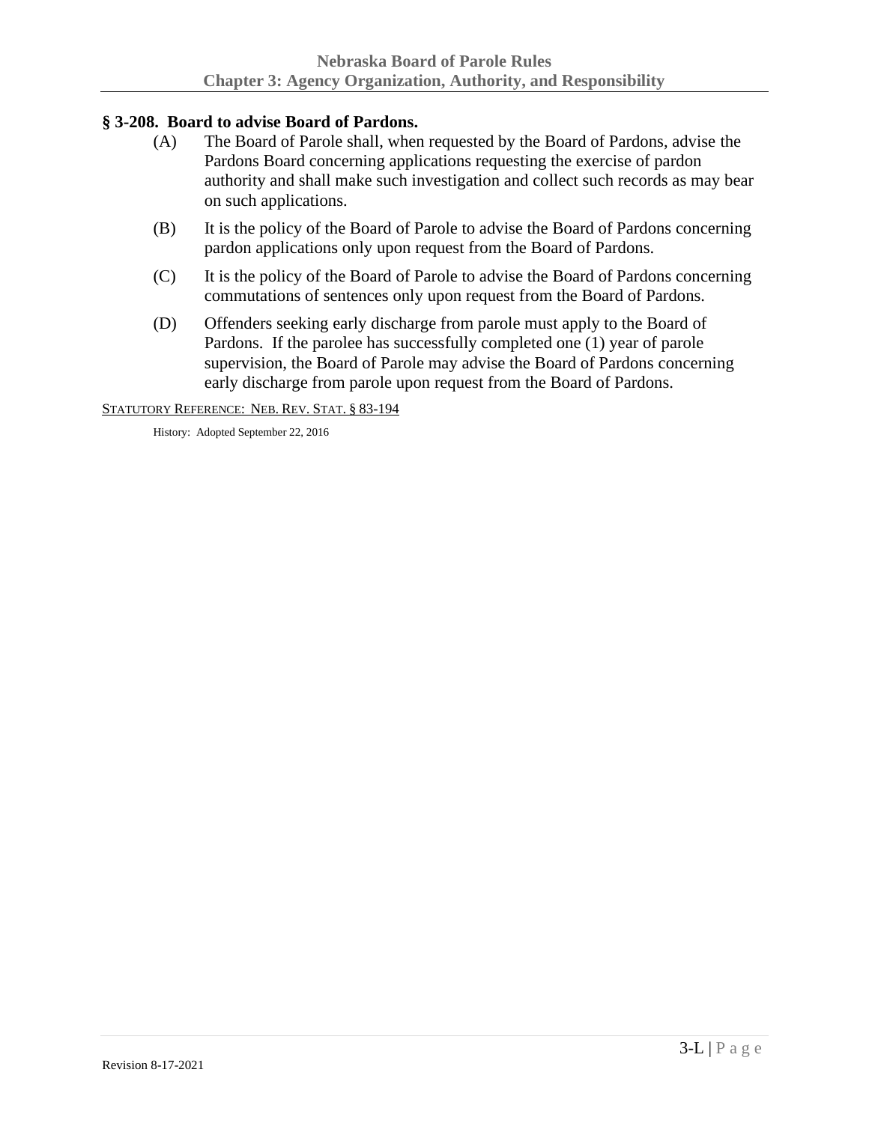# <span id="page-30-0"></span>**§ 3-208. Board to advise Board of Pardons.**

- (A) The Board of Parole shall, when requested by the Board of Pardons, advise the Pardons Board concerning applications requesting the exercise of pardon authority and shall make such investigation and collect such records as may bear on such applications.
- (B) It is the policy of the Board of Parole to advise the Board of Pardons concerning pardon applications only upon request from the Board of Pardons.
- (C) It is the policy of the Board of Parole to advise the Board of Pardons concerning commutations of sentences only upon request from the Board of Pardons.
- (D) Offenders seeking early discharge from parole must apply to the Board of Pardons. If the parolee has successfully completed one (1) year of parole supervision, the Board of Parole may advise the Board of Pardons concerning early discharge from parole upon request from the Board of Pardons.

STATUTORY REFERENCE: NEB. REV. STAT. § 83-194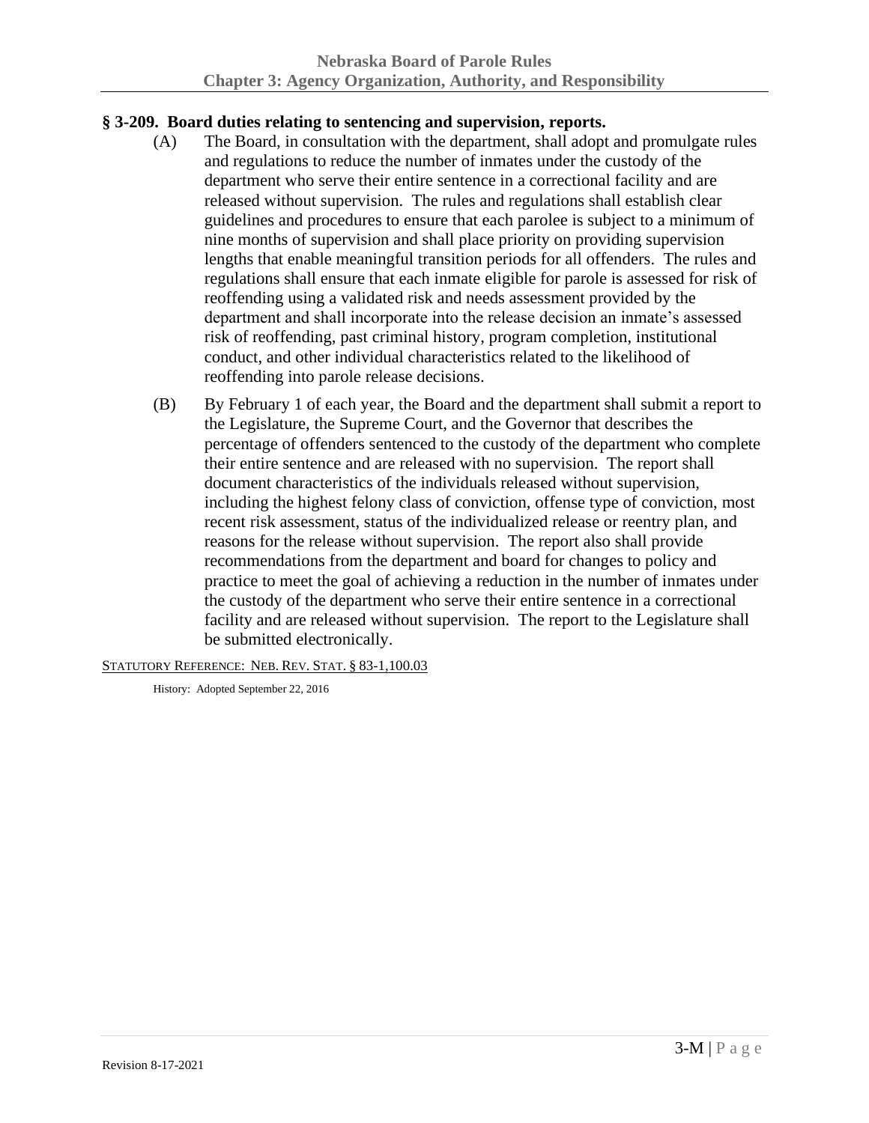# <span id="page-31-0"></span>**§ 3-209. Board duties relating to sentencing and supervision, reports.**

- (A) The Board, in consultation with the department, shall adopt and promulgate rules and regulations to reduce the number of inmates under the custody of the department who serve their entire sentence in a correctional facility and are released without supervision. The rules and regulations shall establish clear guidelines and procedures to ensure that each parolee is subject to a minimum of nine months of supervision and shall place priority on providing supervision lengths that enable meaningful transition periods for all offenders. The rules and regulations shall ensure that each inmate eligible for parole is assessed for risk of reoffending using a validated risk and needs assessment provided by the department and shall incorporate into the release decision an inmate's assessed risk of reoffending, past criminal history, program completion, institutional conduct, and other individual characteristics related to the likelihood of reoffending into parole release decisions.
- (B) By February 1 of each year, the Board and the department shall submit a report to the Legislature, the Supreme Court, and the Governor that describes the percentage of offenders sentenced to the custody of the department who complete their entire sentence and are released with no supervision. The report shall document characteristics of the individuals released without supervision, including the highest felony class of conviction, offense type of conviction, most recent risk assessment, status of the individualized release or reentry plan, and reasons for the release without supervision. The report also shall provide recommendations from the department and board for changes to policy and practice to meet the goal of achieving a reduction in the number of inmates under the custody of the department who serve their entire sentence in a correctional facility and are released without supervision. The report to the Legislature shall be submitted electronically.

STATUTORY REFERENCE: NEB. REV. STAT. § 83-1,100.03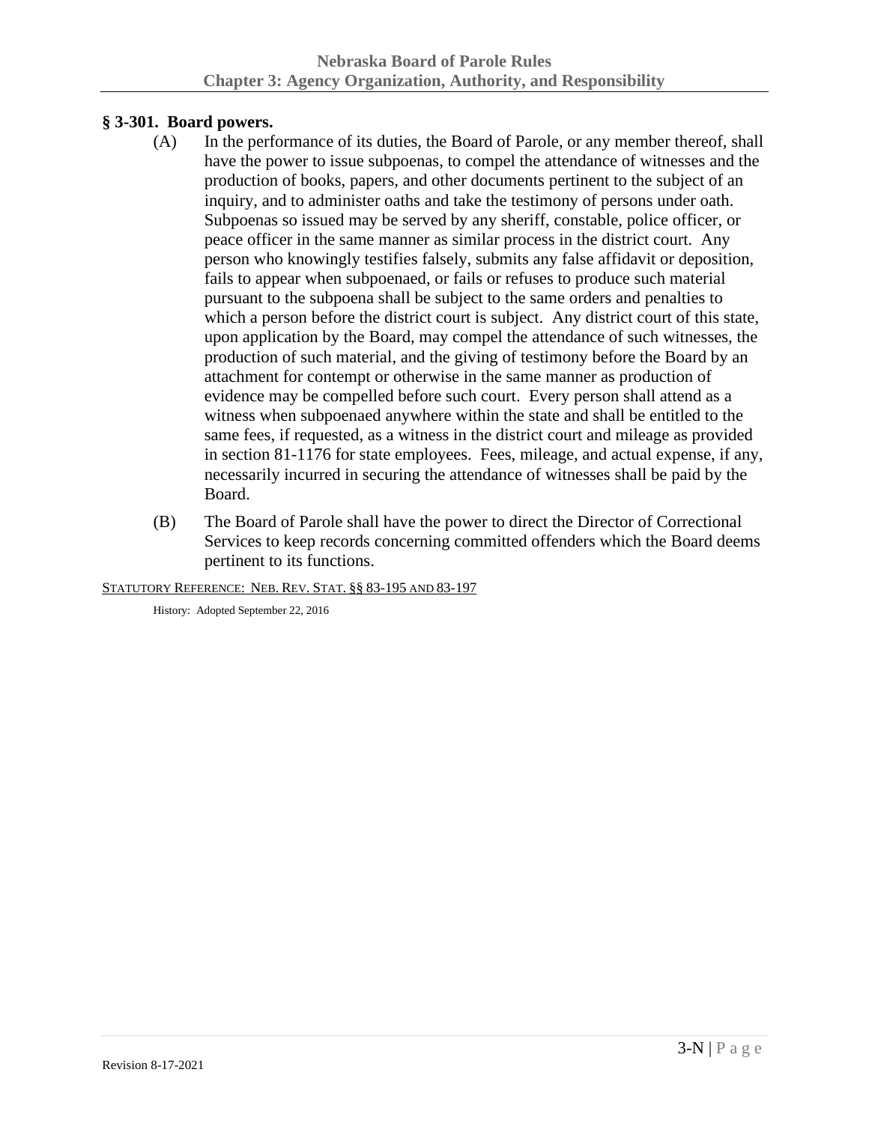# <span id="page-32-0"></span>**§ 3-301. Board powers.**

- (A) In the performance of its duties, the Board of Parole, or any member thereof, shall have the power to issue subpoenas, to compel the attendance of witnesses and the production of books, papers, and other documents pertinent to the subject of an inquiry, and to administer oaths and take the testimony of persons under oath. Subpoenas so issued may be served by any sheriff, constable, police officer, or peace officer in the same manner as similar process in the district court. Any person who knowingly testifies falsely, submits any false affidavit or deposition, fails to appear when subpoenaed, or fails or refuses to produce such material pursuant to the subpoena shall be subject to the same orders and penalties to which a person before the district court is subject. Any district court of this state, upon application by the Board, may compel the attendance of such witnesses, the production of such material, and the giving of testimony before the Board by an attachment for contempt or otherwise in the same manner as production of evidence may be compelled before such court. Every person shall attend as a witness when subpoenaed anywhere within the state and shall be entitled to the same fees, if requested, as a witness in the district court and mileage as provided in section 81-1176 for state employees. Fees, mileage, and actual expense, if any, necessarily incurred in securing the attendance of witnesses shall be paid by the Board.
- (B) The Board of Parole shall have the power to direct the Director of Correctional Services to keep records concerning committed offenders which the Board deems pertinent to its functions.

STATUTORY REFERENCE: NEB. REV. STAT. §§ 83-195 AND 83-197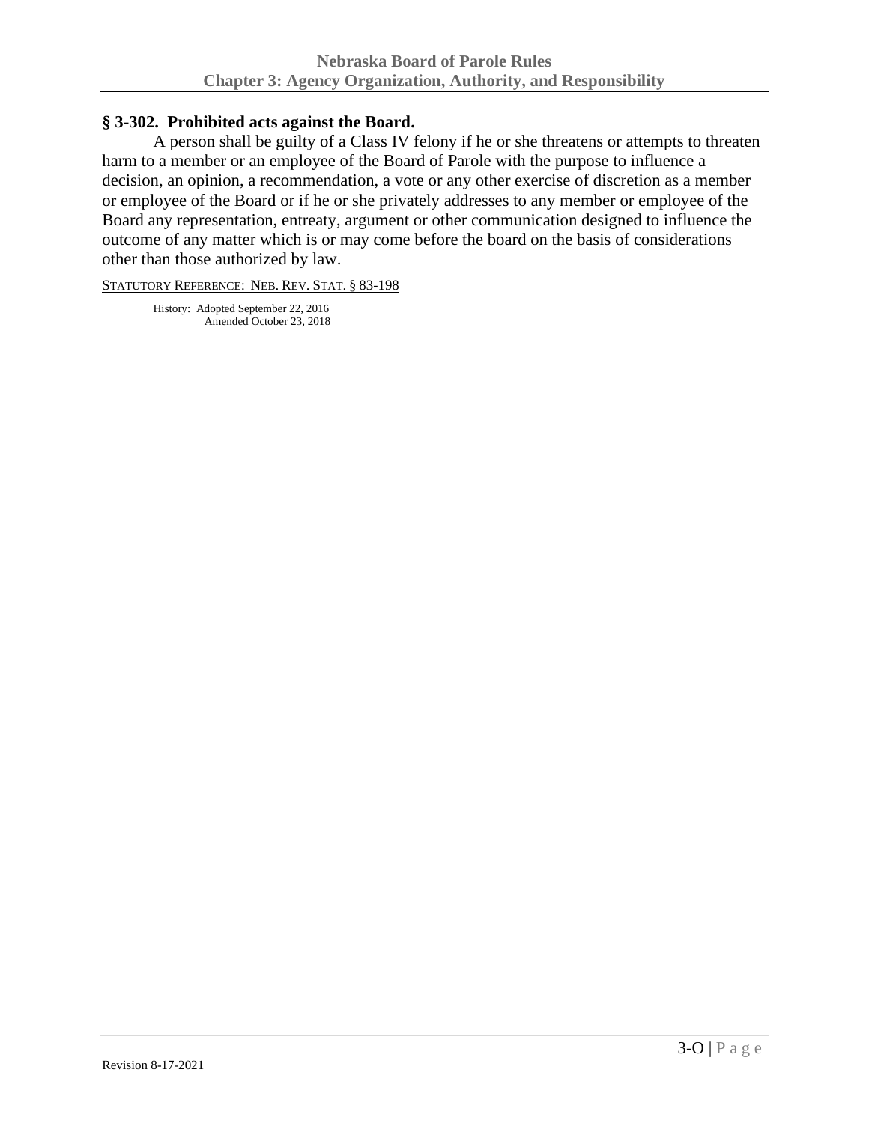### <span id="page-33-0"></span>**§ 3-302. Prohibited acts against the Board.**

A person shall be guilty of a Class IV felony if he or she threatens or attempts to threaten harm to a member or an employee of the Board of Parole with the purpose to influence a decision, an opinion, a recommendation, a vote or any other exercise of discretion as a member or employee of the Board or if he or she privately addresses to any member or employee of the Board any representation, entreaty, argument or other communication designed to influence the outcome of any matter which is or may come before the board on the basis of considerations other than those authorized by law.

STATUTORY REFERENCE: NEB. REV. STAT. § 83-198

History: Adopted September 22, 2016 Amended October 23, 2018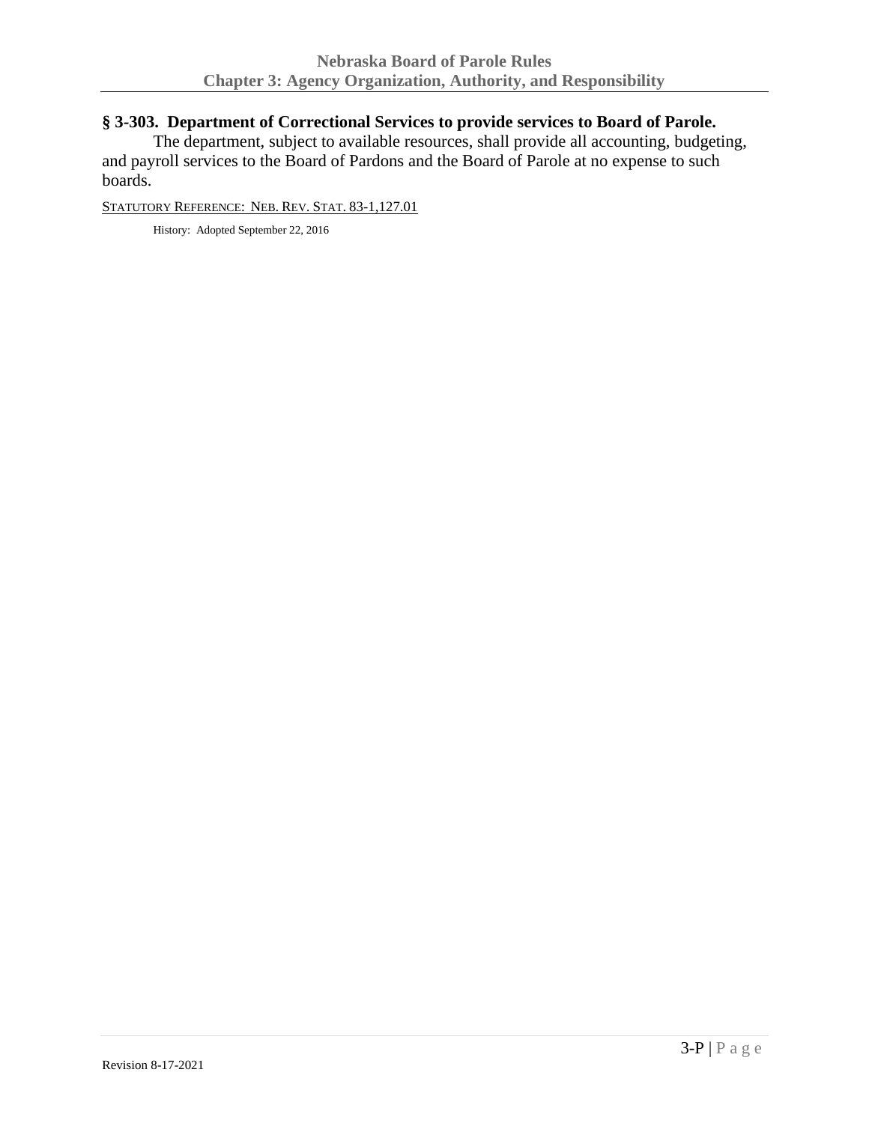# <span id="page-34-0"></span>**§ 3-303. Department of Correctional Services to provide services to Board of Parole.**

The department, subject to available resources, shall provide all accounting, budgeting, and payroll services to the Board of Pardons and the Board of Parole at no expense to such boards.

STATUTORY REFERENCE: NEB. REV. STAT. 83-1,127.01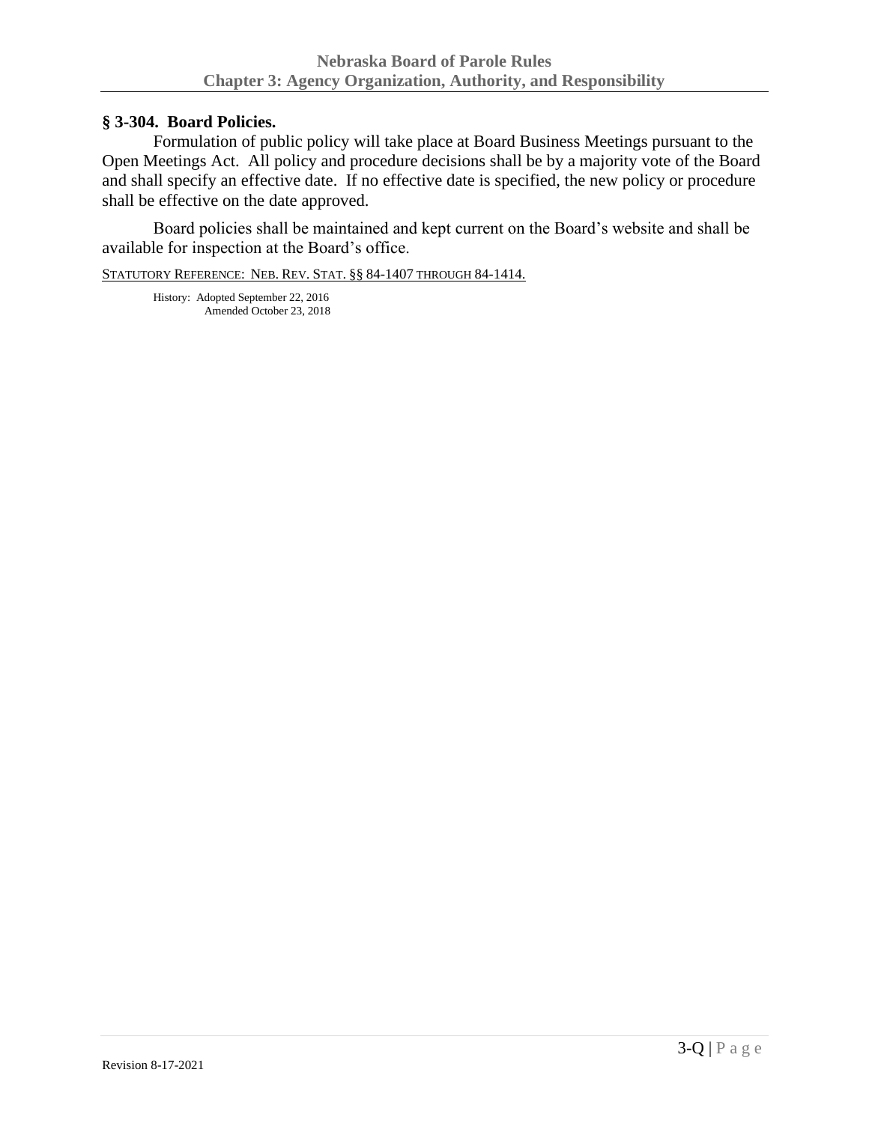### <span id="page-35-0"></span>**§ 3-304. Board Policies.**

Formulation of public policy will take place at Board Business Meetings pursuant to the Open Meetings Act. All policy and procedure decisions shall be by a majority vote of the Board and shall specify an effective date. If no effective date is specified, the new policy or procedure shall be effective on the date approved.

Board policies shall be maintained and kept current on the Board's website and shall be available for inspection at the Board's office.

STATUTORY REFERENCE: NEB. REV. STAT. §§ 84-1407 THROUGH 84-1414.

History: Adopted September 22, 2016 Amended October 23, 2018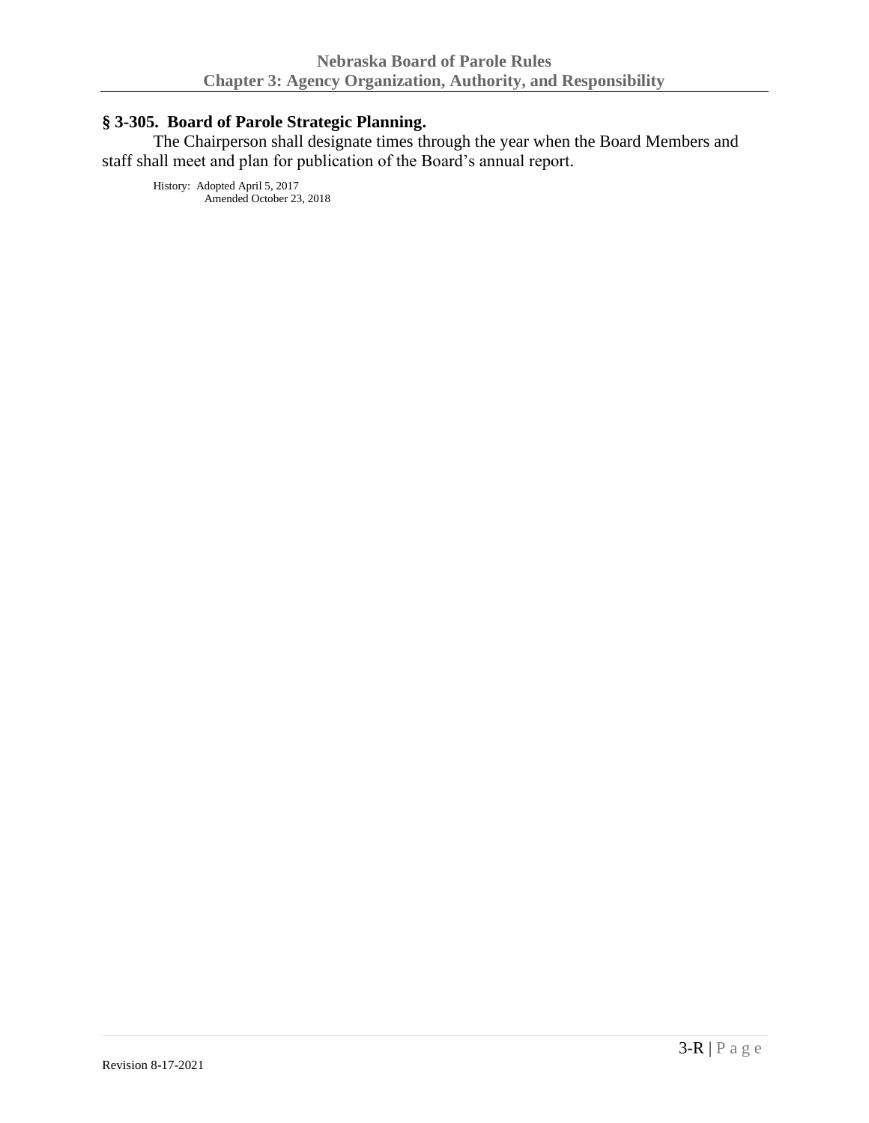# **§ 3-305. Board of Parole Strategic Planning.**

The Chairperson shall designate times through the year when the Board Members and staff shall meet and plan for publication of the Board's annual report.

History: Adopted April 5, 2017 Amended October 23, 2018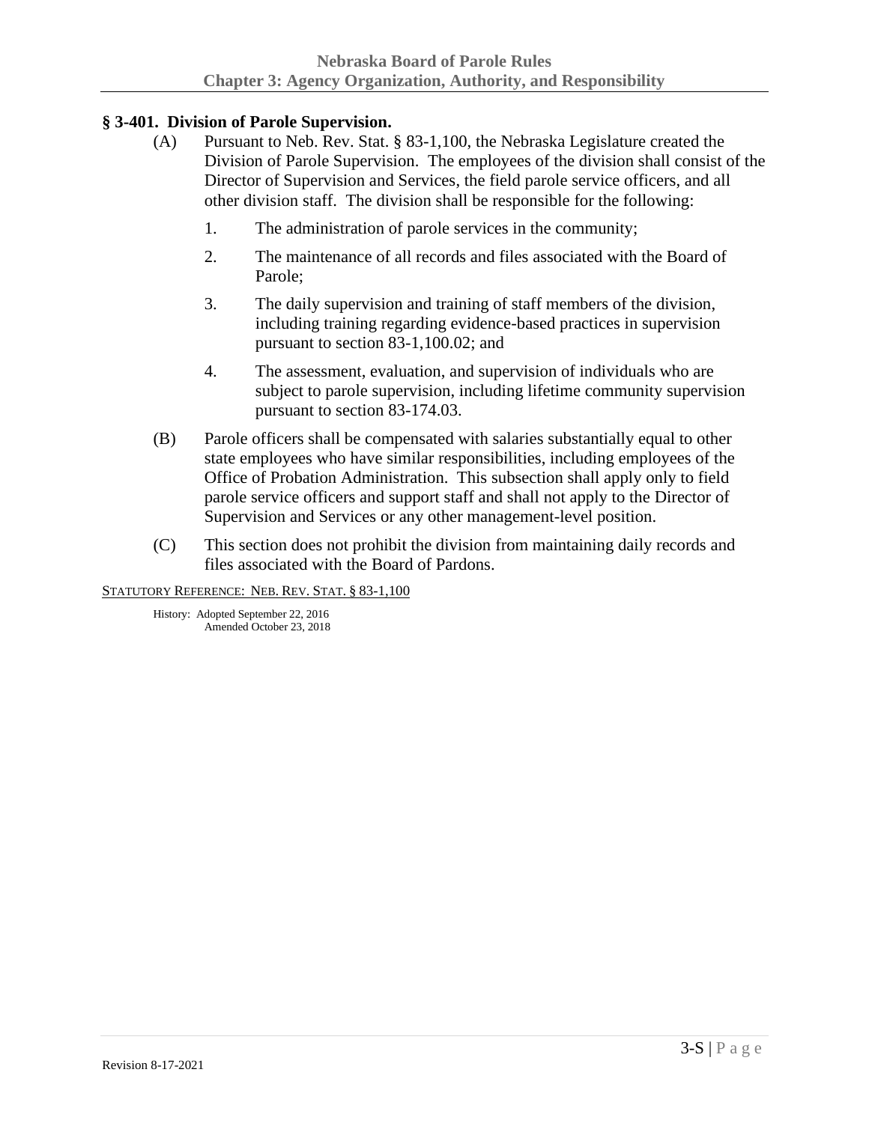# **§ 3-401. Division of Parole Supervision.**

- (A) Pursuant to Neb. Rev. Stat. § 83-1,100, the Nebraska Legislature created the Division of Parole Supervision. The employees of the division shall consist of the Director of Supervision and Services, the field parole service officers, and all other division staff. The division shall be responsible for the following:
	- 1. The administration of parole services in the community;
	- 2. The maintenance of all records and files associated with the Board of Parole;
	- 3. The daily supervision and training of staff members of the division, including training regarding evidence-based practices in supervision pursuant to section 83-1,100.02; and
	- 4. The assessment, evaluation, and supervision of individuals who are subject to parole supervision, including lifetime community supervision pursuant to section 83-174.03.
- (B) Parole officers shall be compensated with salaries substantially equal to other state employees who have similar responsibilities, including employees of the Office of Probation Administration. This subsection shall apply only to field parole service officers and support staff and shall not apply to the Director of Supervision and Services or any other management-level position.
- (C) This section does not prohibit the division from maintaining daily records and files associated with the Board of Pardons.

STATUTORY REFERENCE: NEB. REV. STAT. § 83-1,100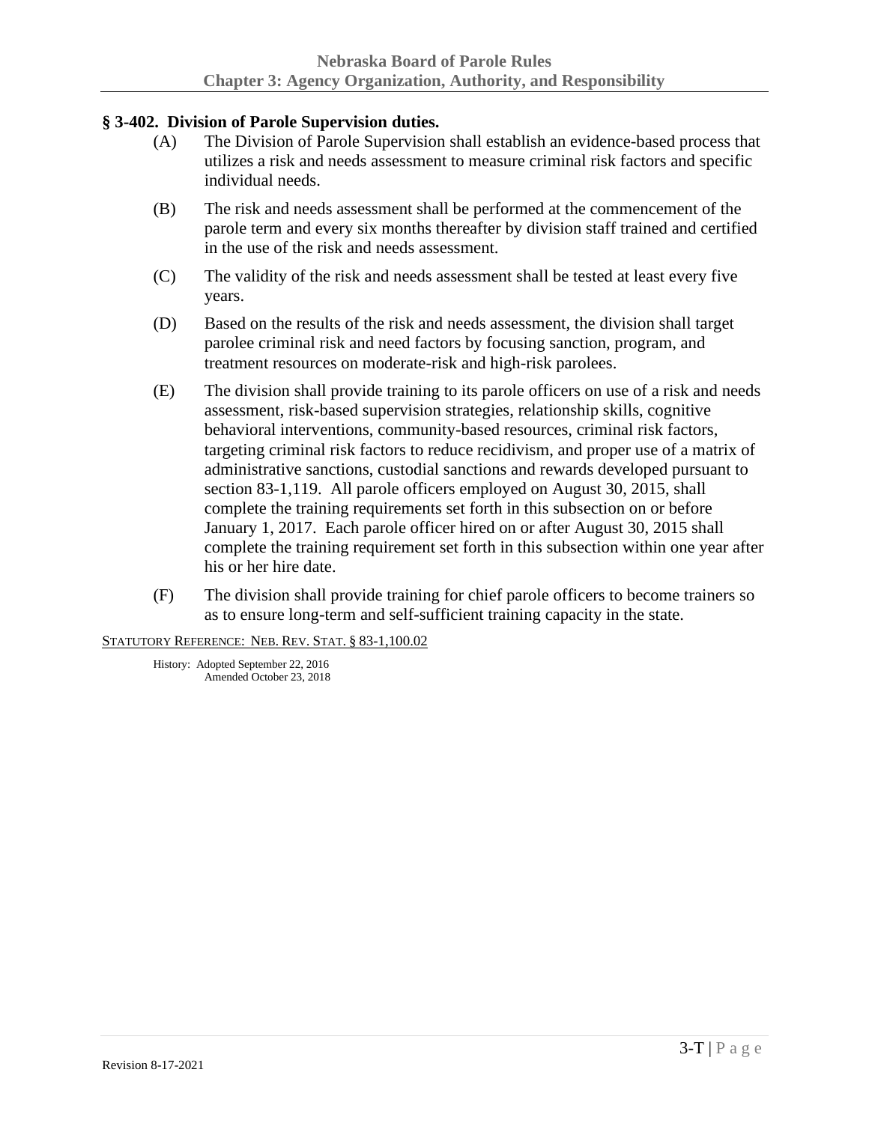# **§ 3-402. Division of Parole Supervision duties.**

- (A) The Division of Parole Supervision shall establish an evidence-based process that utilizes a risk and needs assessment to measure criminal risk factors and specific individual needs.
- (B) The risk and needs assessment shall be performed at the commencement of the parole term and every six months thereafter by division staff trained and certified in the use of the risk and needs assessment.
- (C) The validity of the risk and needs assessment shall be tested at least every five years.
- (D) Based on the results of the risk and needs assessment, the division shall target parolee criminal risk and need factors by focusing sanction, program, and treatment resources on moderate-risk and high-risk parolees.
- (E) The division shall provide training to its parole officers on use of a risk and needs assessment, risk-based supervision strategies, relationship skills, cognitive behavioral interventions, community-based resources, criminal risk factors, targeting criminal risk factors to reduce recidivism, and proper use of a matrix of administrative sanctions, custodial sanctions and rewards developed pursuant to section 83-1,119. All parole officers employed on August 30, 2015, shall complete the training requirements set forth in this subsection on or before January 1, 2017. Each parole officer hired on or after August 30, 2015 shall complete the training requirement set forth in this subsection within one year after his or her hire date.
- (F) The division shall provide training for chief parole officers to become trainers so as to ensure long-term and self-sufficient training capacity in the state.

STATUTORY REFERENCE: NEB. REV. STAT. § 83-1,100.02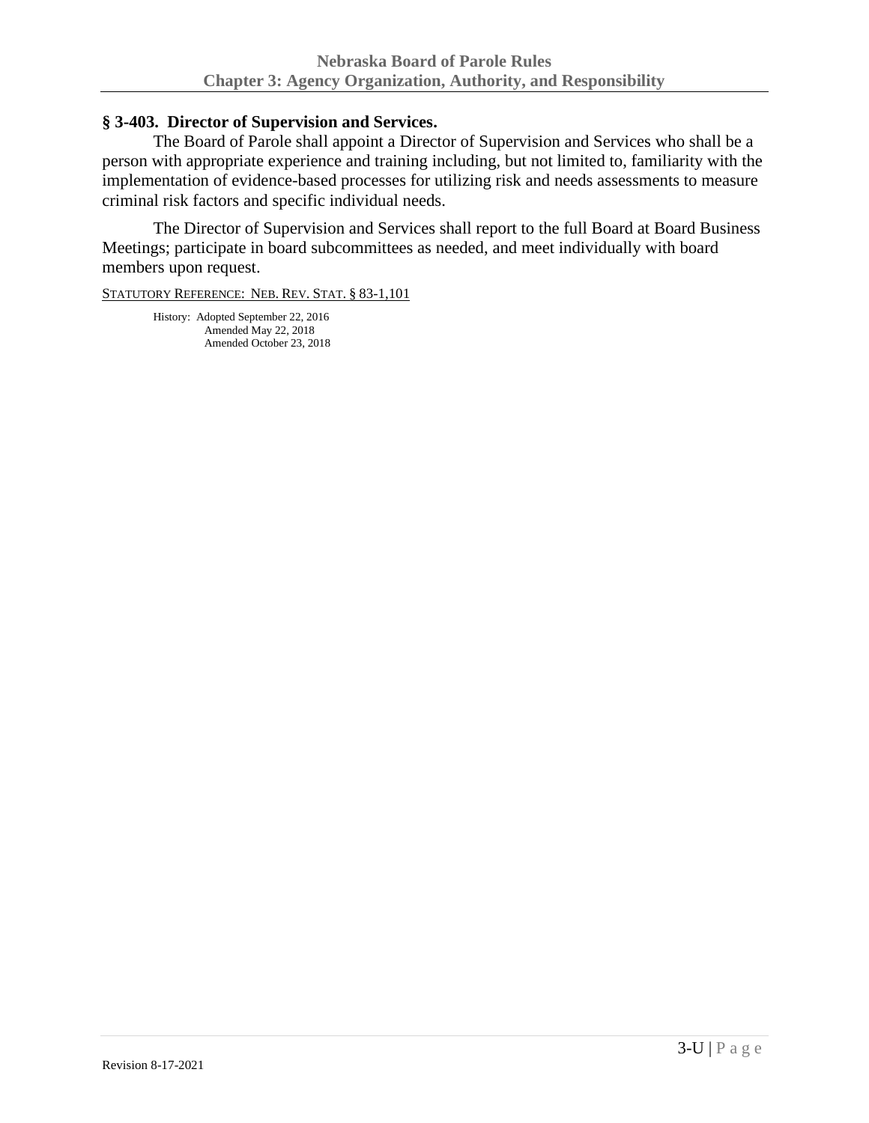### **§ 3-403. Director of Supervision and Services.**

The Board of Parole shall appoint a Director of Supervision and Services who shall be a person with appropriate experience and training including, but not limited to, familiarity with the implementation of evidence-based processes for utilizing risk and needs assessments to measure criminal risk factors and specific individual needs.

The Director of Supervision and Services shall report to the full Board at Board Business Meetings; participate in board subcommittees as needed, and meet individually with board members upon request.

STATUTORY REFERENCE: NEB. REV. STAT. § 83-1,101

History: Adopted September 22, 2016 Amended May 22, 2018 Amended October 23, 2018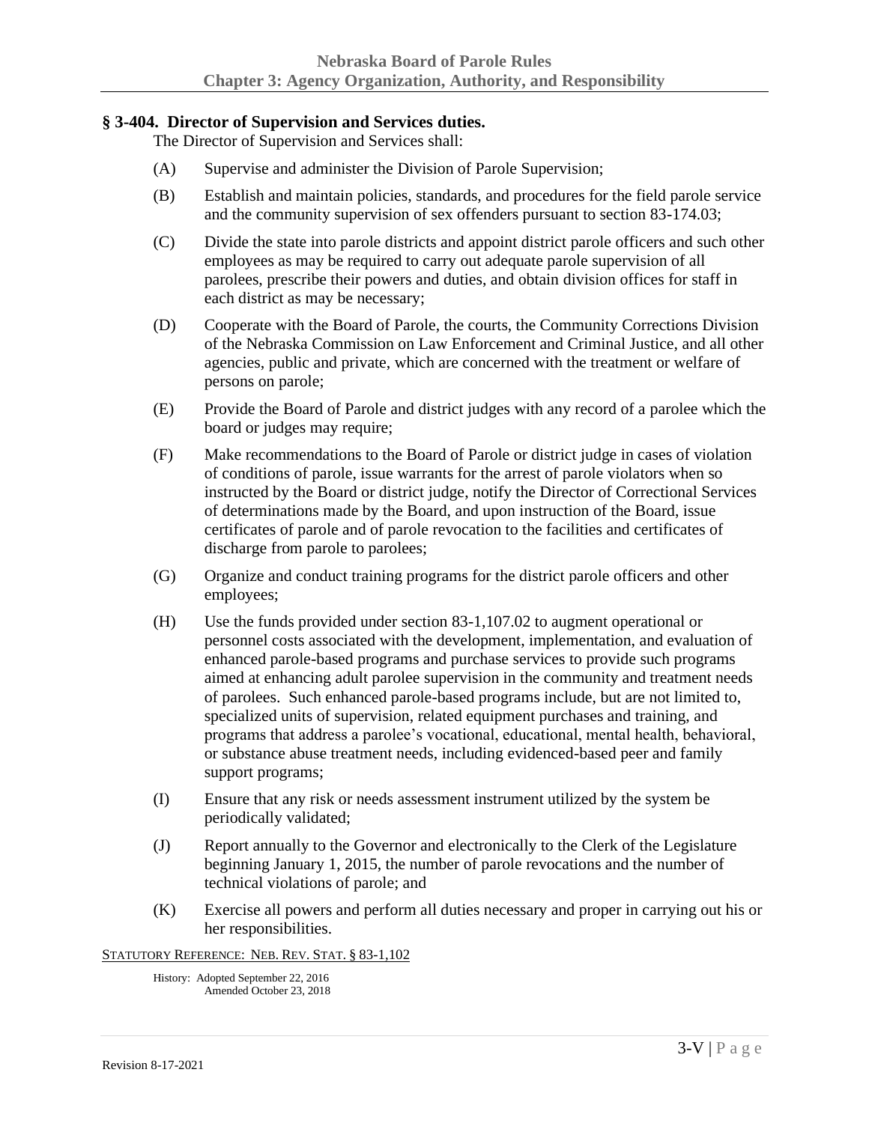#### **§ 3-404. Director of Supervision and Services duties.**

The Director of Supervision and Services shall:

- (A) Supervise and administer the Division of Parole Supervision;
- (B) Establish and maintain policies, standards, and procedures for the field parole service and the community supervision of sex offenders pursuant to section 83-174.03;
- (C) Divide the state into parole districts and appoint district parole officers and such other employees as may be required to carry out adequate parole supervision of all parolees, prescribe their powers and duties, and obtain division offices for staff in each district as may be necessary;
- (D) Cooperate with the Board of Parole, the courts, the Community Corrections Division of the Nebraska Commission on Law Enforcement and Criminal Justice, and all other agencies, public and private, which are concerned with the treatment or welfare of persons on parole;
- (E) Provide the Board of Parole and district judges with any record of a parolee which the board or judges may require;
- (F) Make recommendations to the Board of Parole or district judge in cases of violation of conditions of parole, issue warrants for the arrest of parole violators when so instructed by the Board or district judge, notify the Director of Correctional Services of determinations made by the Board, and upon instruction of the Board, issue certificates of parole and of parole revocation to the facilities and certificates of discharge from parole to parolees;
- (G) Organize and conduct training programs for the district parole officers and other employees;
- (H) Use the funds provided under section 83-1,107.02 to augment operational or personnel costs associated with the development, implementation, and evaluation of enhanced parole-based programs and purchase services to provide such programs aimed at enhancing adult parolee supervision in the community and treatment needs of parolees. Such enhanced parole-based programs include, but are not limited to, specialized units of supervision, related equipment purchases and training, and programs that address a parolee's vocational, educational, mental health, behavioral, or substance abuse treatment needs, including evidenced-based peer and family support programs;
- (I) Ensure that any risk or needs assessment instrument utilized by the system be periodically validated;
- (J) Report annually to the Governor and electronically to the Clerk of the Legislature beginning January 1, 2015, the number of parole revocations and the number of technical violations of parole; and
- (K) Exercise all powers and perform all duties necessary and proper in carrying out his or her responsibilities.

STATUTORY REFERENCE: NEB. REV. STAT. § 83-1,102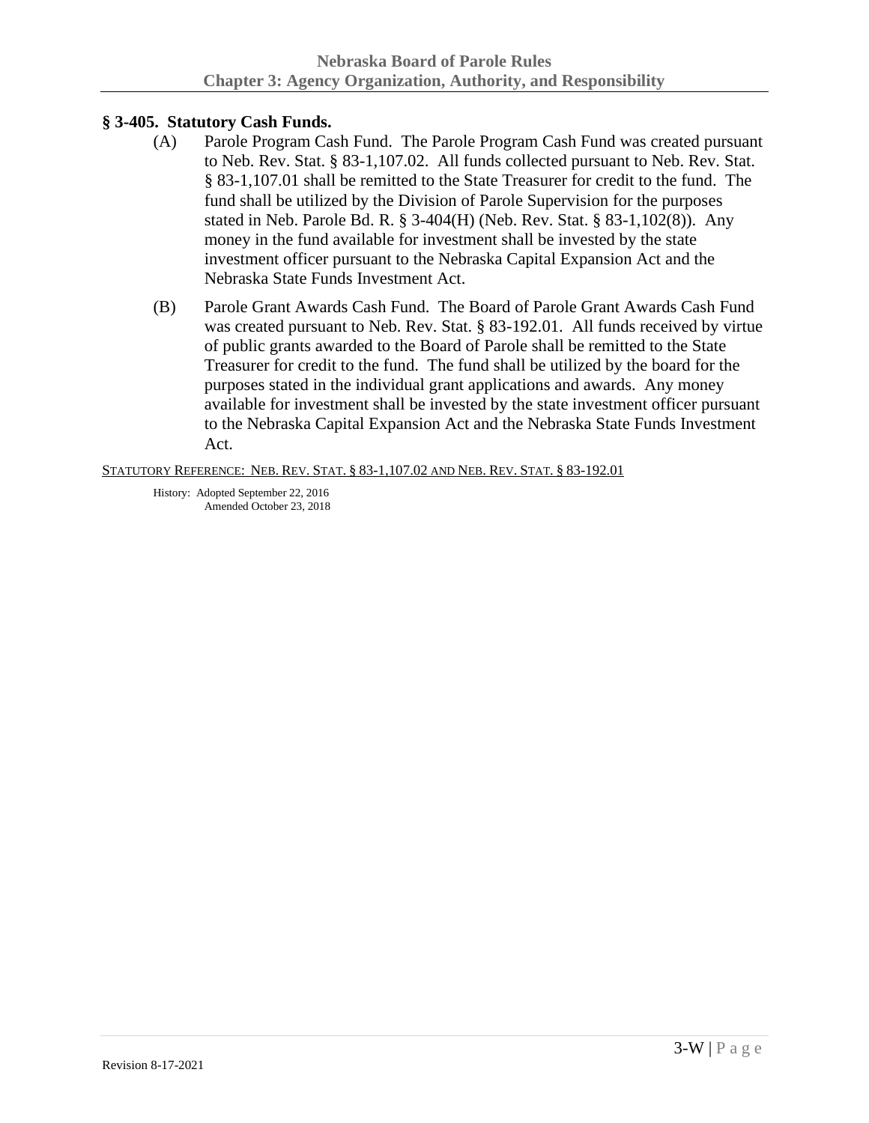# **§ 3-405. Statutory Cash Funds.**

- (A) Parole Program Cash Fund. The Parole Program Cash Fund was created pursuant to Neb. Rev. Stat. § 83-1,107.02. All funds collected pursuant to Neb. Rev. Stat. § 83-1,107.01 shall be remitted to the State Treasurer for credit to the fund. The fund shall be utilized by the Division of Parole Supervision for the purposes stated in Neb. Parole Bd. R. § 3-404(H) (Neb. Rev. Stat. § 83-1,102(8)). Any money in the fund available for investment shall be invested by the state investment officer pursuant to the Nebraska Capital Expansion Act and the Nebraska State Funds Investment Act.
- (B) Parole Grant Awards Cash Fund. The Board of Parole Grant Awards Cash Fund was created pursuant to Neb. Rev. Stat. § 83-192.01. All funds received by virtue of public grants awarded to the Board of Parole shall be remitted to the State Treasurer for credit to the fund. The fund shall be utilized by the board for the purposes stated in the individual grant applications and awards. Any money available for investment shall be invested by the state investment officer pursuant to the Nebraska Capital Expansion Act and the Nebraska State Funds Investment Act.

STATUTORY REFERENCE: NEB. REV. STAT. § 83-1,107.02 AND NEB. REV. STAT. § 83-192.01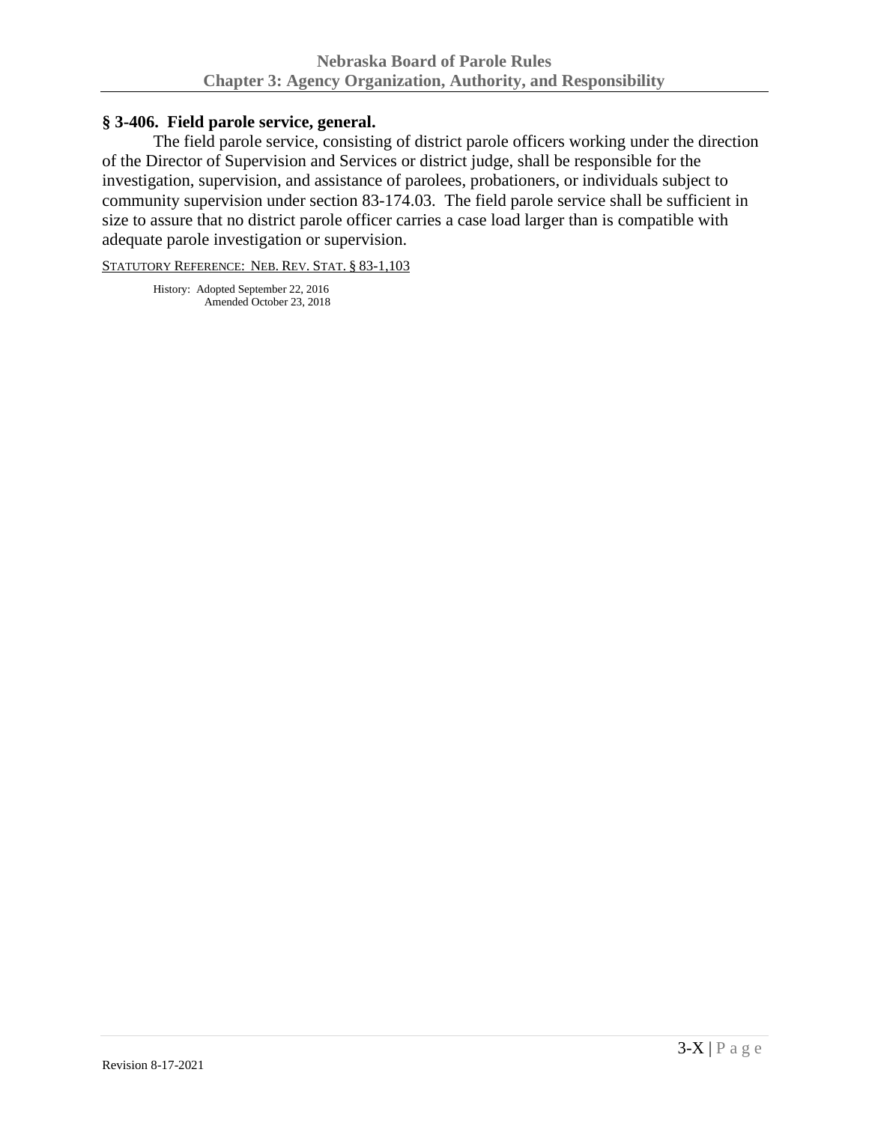## **§ 3-406. Field parole service, general.**

The field parole service, consisting of district parole officers working under the direction of the Director of Supervision and Services or district judge, shall be responsible for the investigation, supervision, and assistance of parolees, probationers, or individuals subject to community supervision under section 83-174.03. The field parole service shall be sufficient in size to assure that no district parole officer carries a case load larger than is compatible with adequate parole investigation or supervision.

STATUTORY REFERENCE: NEB. REV. STAT. § 83-1,103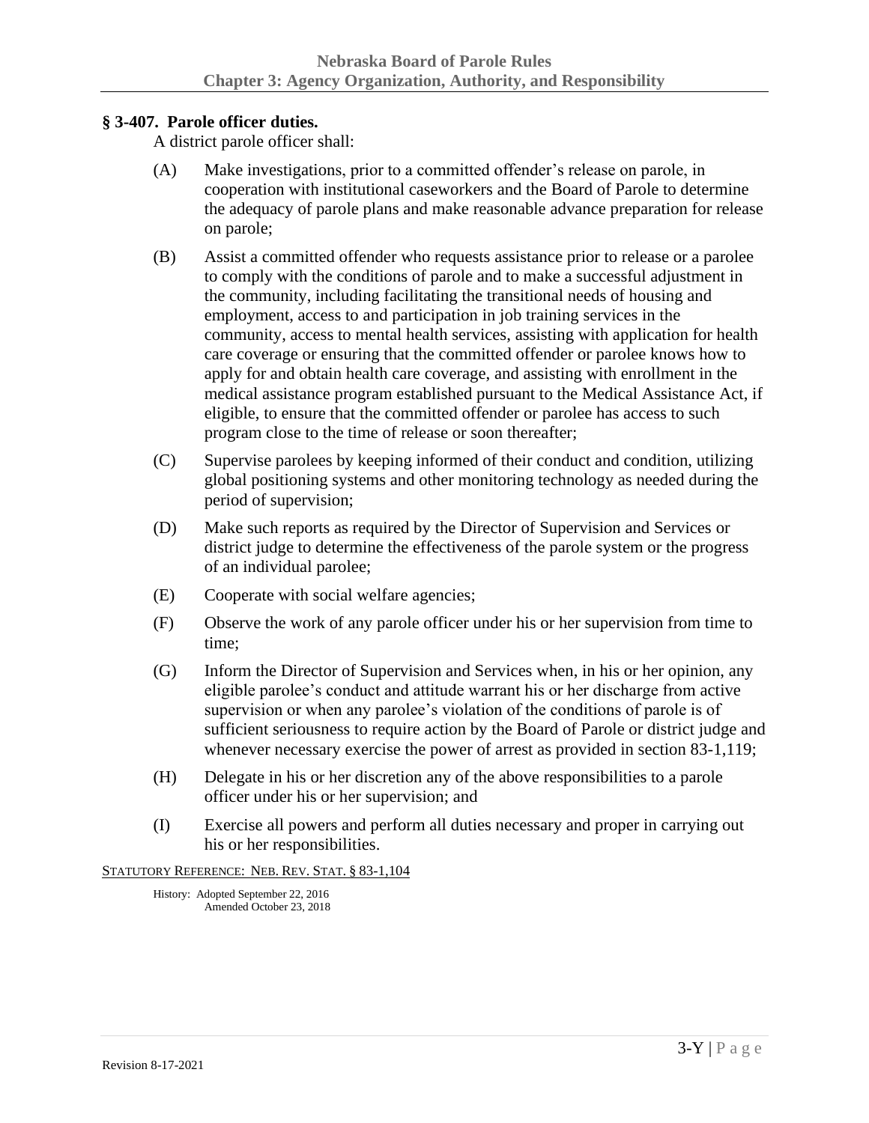# **§ 3-407. Parole officer duties.**

A district parole officer shall:

- (A) Make investigations, prior to a committed offender's release on parole, in cooperation with institutional caseworkers and the Board of Parole to determine the adequacy of parole plans and make reasonable advance preparation for release on parole;
- (B) Assist a committed offender who requests assistance prior to release or a parolee to comply with the conditions of parole and to make a successful adjustment in the community, including facilitating the transitional needs of housing and employment, access to and participation in job training services in the community, access to mental health services, assisting with application for health care coverage or ensuring that the committed offender or parolee knows how to apply for and obtain health care coverage, and assisting with enrollment in the medical assistance program established pursuant to the Medical Assistance Act, if eligible, to ensure that the committed offender or parolee has access to such program close to the time of release or soon thereafter;
- (C) Supervise parolees by keeping informed of their conduct and condition, utilizing global positioning systems and other monitoring technology as needed during the period of supervision;
- (D) Make such reports as required by the Director of Supervision and Services or district judge to determine the effectiveness of the parole system or the progress of an individual parolee;
- (E) Cooperate with social welfare agencies;
- (F) Observe the work of any parole officer under his or her supervision from time to time;
- (G) Inform the Director of Supervision and Services when, in his or her opinion, any eligible parolee's conduct and attitude warrant his or her discharge from active supervision or when any parolee's violation of the conditions of parole is of sufficient seriousness to require action by the Board of Parole or district judge and whenever necessary exercise the power of arrest as provided in section 83-1,119;
- (H) Delegate in his or her discretion any of the above responsibilities to a parole officer under his or her supervision; and
- (I) Exercise all powers and perform all duties necessary and proper in carrying out his or her responsibilities.

STATUTORY REFERENCE: NEB. REV. STAT. § 83-1,104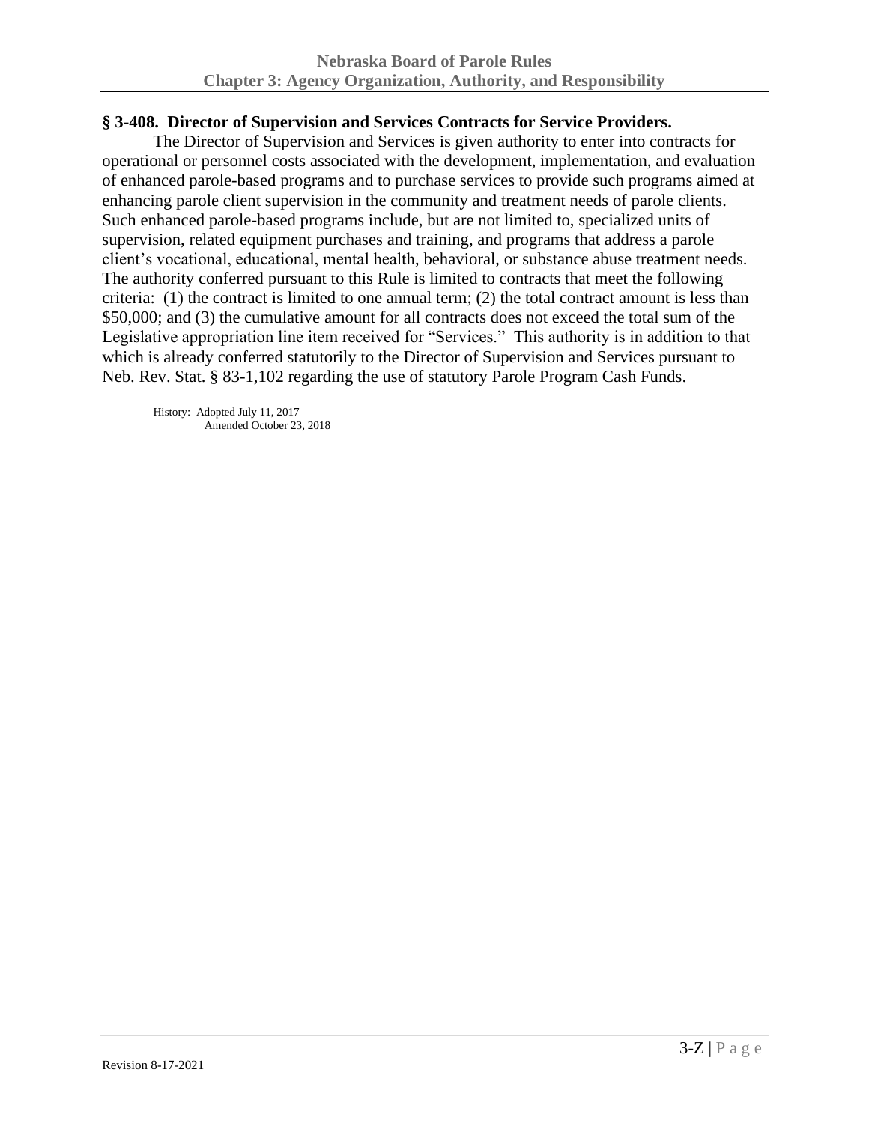## **§ 3-408. Director of Supervision and Services Contracts for Service Providers.**

The Director of Supervision and Services is given authority to enter into contracts for operational or personnel costs associated with the development, implementation, and evaluation of enhanced parole-based programs and to purchase services to provide such programs aimed at enhancing parole client supervision in the community and treatment needs of parole clients. Such enhanced parole-based programs include, but are not limited to, specialized units of supervision, related equipment purchases and training, and programs that address a parole client's vocational, educational, mental health, behavioral, or substance abuse treatment needs. The authority conferred pursuant to this Rule is limited to contracts that meet the following criteria: (1) the contract is limited to one annual term; (2) the total contract amount is less than \$50,000; and (3) the cumulative amount for all contracts does not exceed the total sum of the Legislative appropriation line item received for "Services." This authority is in addition to that which is already conferred statutorily to the Director of Supervision and Services pursuant to Neb. Rev. Stat. § 83-1,102 regarding the use of statutory Parole Program Cash Funds.

History: Adopted July 11, 2017 Amended October 23, 2018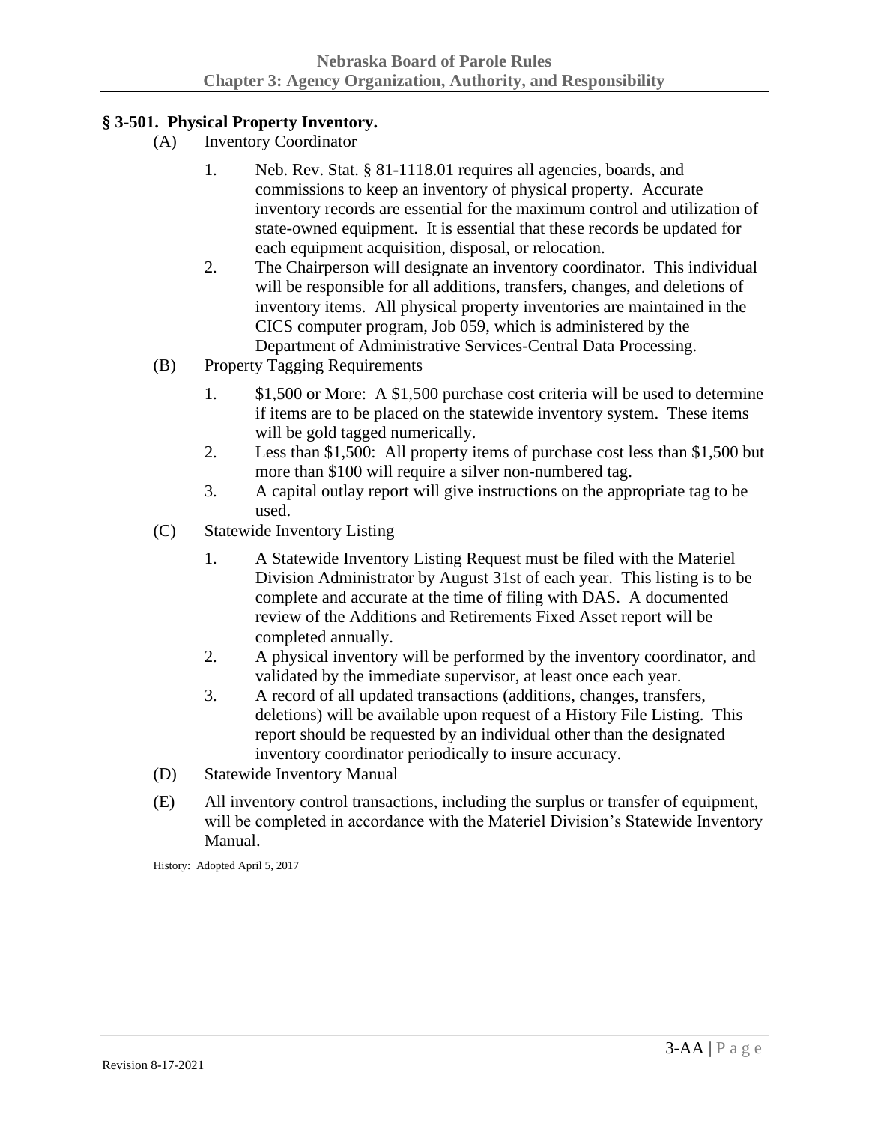# **§ 3-501. Physical Property Inventory.**

- (A) Inventory Coordinator
	- 1. Neb. Rev. Stat. § 81-1118.01 requires all agencies, boards, and commissions to keep an inventory of physical property. Accurate inventory records are essential for the maximum control and utilization of state-owned equipment. It is essential that these records be updated for each equipment acquisition, disposal, or relocation.
	- 2. The Chairperson will designate an inventory coordinator. This individual will be responsible for all additions, transfers, changes, and deletions of inventory items. All physical property inventories are maintained in the CICS computer program, Job 059, which is administered by the Department of Administrative Services-Central Data Processing.
- (B) Property Tagging Requirements
	- 1. \$1,500 or More: A \$1,500 purchase cost criteria will be used to determine if items are to be placed on the statewide inventory system. These items will be gold tagged numerically.
	- 2. Less than \$1,500: All property items of purchase cost less than \$1,500 but more than \$100 will require a silver non-numbered tag.
	- 3. A capital outlay report will give instructions on the appropriate tag to be used.
- (C) Statewide Inventory Listing
	- 1. A Statewide Inventory Listing Request must be filed with the Materiel Division Administrator by August 31st of each year. This listing is to be complete and accurate at the time of filing with DAS. A documented review of the Additions and Retirements Fixed Asset report will be completed annually.
	- 2. A physical inventory will be performed by the inventory coordinator, and validated by the immediate supervisor, at least once each year.
	- 3. A record of all updated transactions (additions, changes, transfers, deletions) will be available upon request of a History File Listing. This report should be requested by an individual other than the designated inventory coordinator periodically to insure accuracy.
- (D) Statewide Inventory Manual
- (E) All inventory control transactions, including the surplus or transfer of equipment, will be completed in accordance with the Materiel Division's Statewide Inventory Manual.

History: Adopted April 5, 2017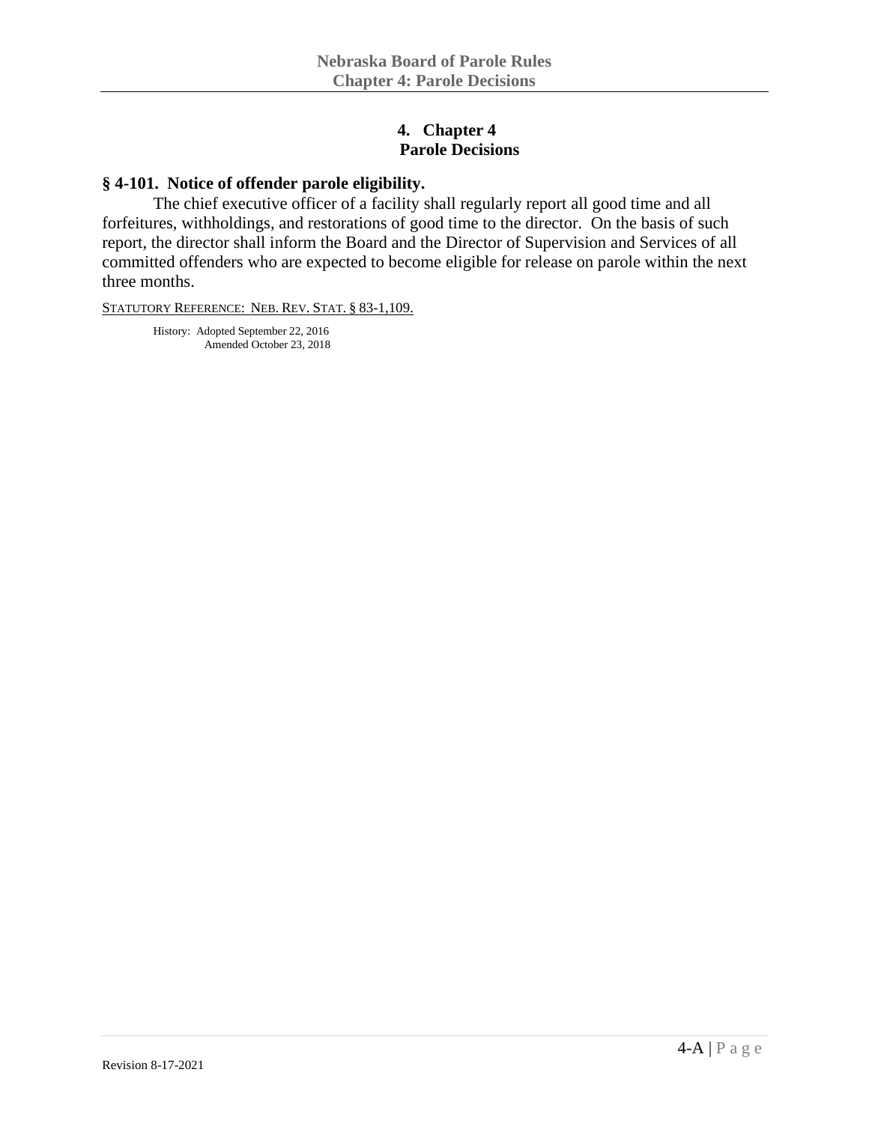#### **4. Chapter 4 Parole Decisions**

#### **§ 4-101. Notice of offender parole eligibility.**

The chief executive officer of a facility shall regularly report all good time and all forfeitures, withholdings, and restorations of good time to the director. On the basis of such report, the director shall inform the Board and the Director of Supervision and Services of all committed offenders who are expected to become eligible for release on parole within the next three months.

STATUTORY REFERENCE: NEB. REV. STAT. § 83-1,109.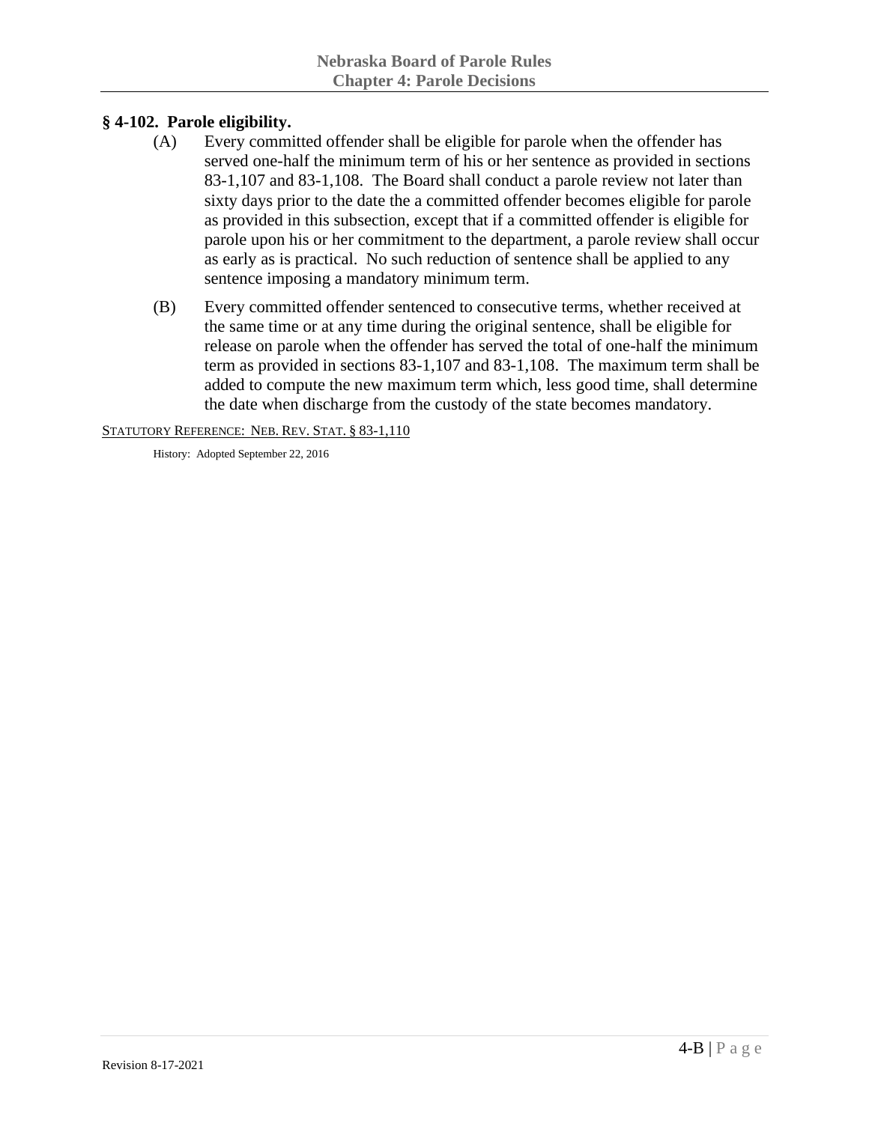# **§ 4-102. Parole eligibility.**

- (A) Every committed offender shall be eligible for parole when the offender has served one-half the minimum term of his or her sentence as provided in sections 83-1,107 and 83-1,108. The Board shall conduct a parole review not later than sixty days prior to the date the a committed offender becomes eligible for parole as provided in this subsection, except that if a committed offender is eligible for parole upon his or her commitment to the department, a parole review shall occur as early as is practical. No such reduction of sentence shall be applied to any sentence imposing a mandatory minimum term.
- (B) Every committed offender sentenced to consecutive terms, whether received at the same time or at any time during the original sentence, shall be eligible for release on parole when the offender has served the total of one-half the minimum term as provided in sections 83-1,107 and 83-1,108. The maximum term shall be added to compute the new maximum term which, less good time, shall determine the date when discharge from the custody of the state becomes mandatory.

STATUTORY REFERENCE: NEB. REV. STAT. § 83-1,110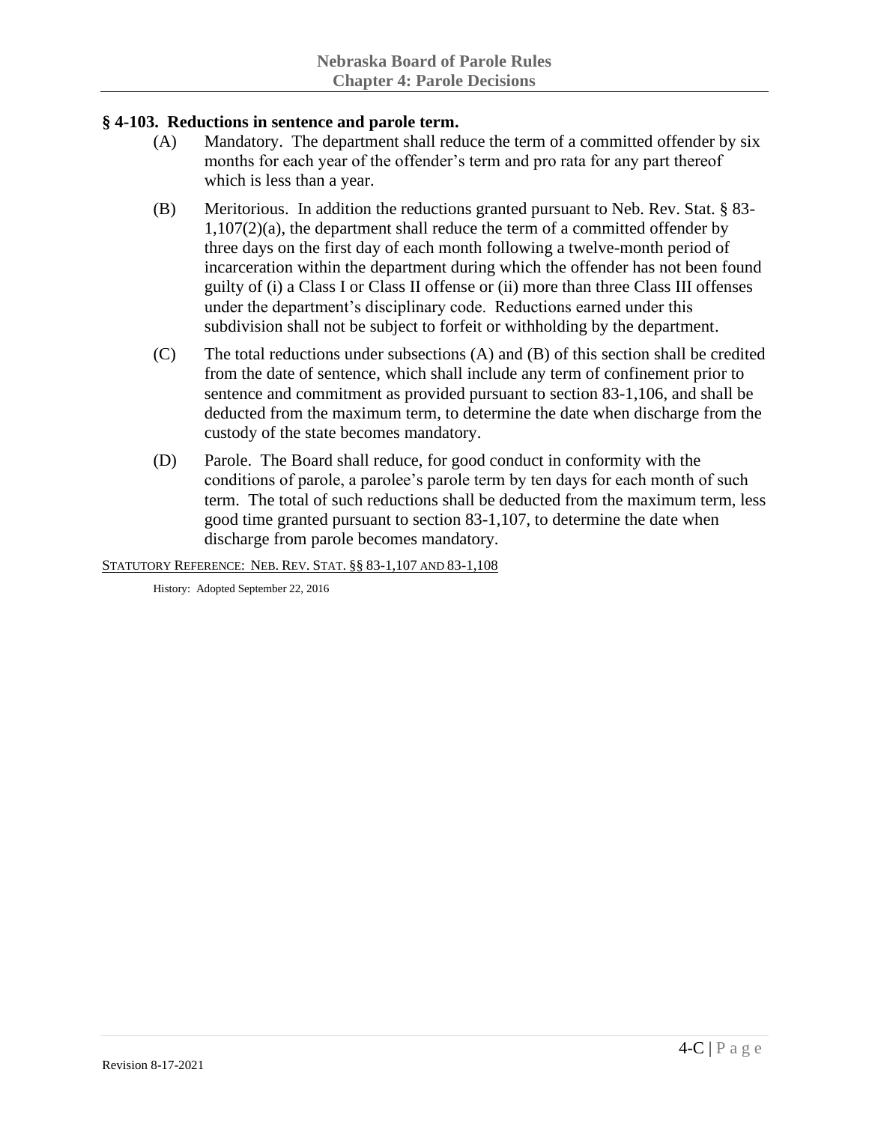# **§ 4-103. Reductions in sentence and parole term.**

- (A) Mandatory. The department shall reduce the term of a committed offender by six months for each year of the offender's term and pro rata for any part thereof which is less than a year.
- (B) Meritorious. In addition the reductions granted pursuant to Neb. Rev. Stat. § 83- 1,107(2)(a), the department shall reduce the term of a committed offender by three days on the first day of each month following a twelve-month period of incarceration within the department during which the offender has not been found guilty of (i) a Class I or Class II offense or (ii) more than three Class III offenses under the department's disciplinary code. Reductions earned under this subdivision shall not be subject to forfeit or withholding by the department.
- (C) The total reductions under subsections (A) and (B) of this section shall be credited from the date of sentence, which shall include any term of confinement prior to sentence and commitment as provided pursuant to section 83-1,106, and shall be deducted from the maximum term, to determine the date when discharge from the custody of the state becomes mandatory.
- (D) Parole. The Board shall reduce, for good conduct in conformity with the conditions of parole, a parolee's parole term by ten days for each month of such term. The total of such reductions shall be deducted from the maximum term, less good time granted pursuant to section 83-1,107, to determine the date when discharge from parole becomes mandatory.

STATUTORY REFERENCE: NEB. REV. STAT. §§ 83-1,107 AND 83-1,108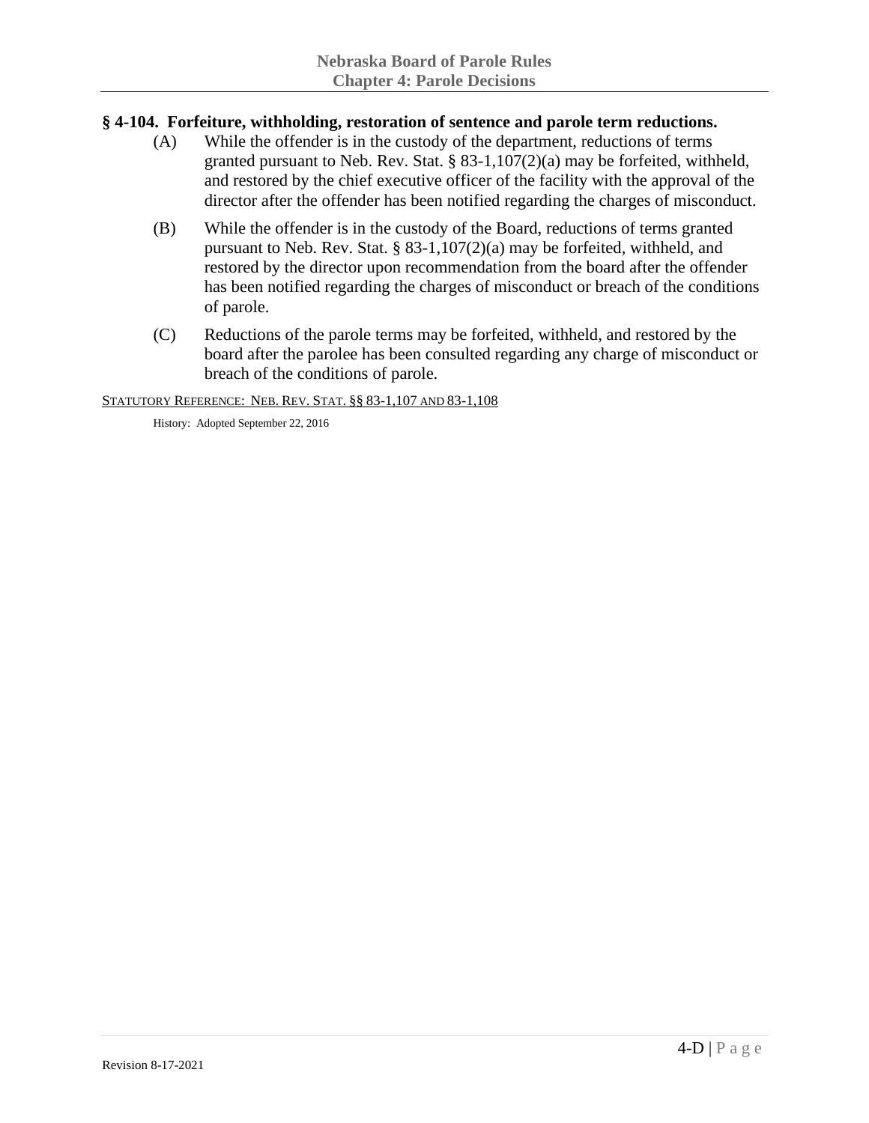### **§ 4-104. Forfeiture, withholding, restoration of sentence and parole term reductions.**

- (A) While the offender is in the custody of the department, reductions of terms granted pursuant to Neb. Rev. Stat. § 83-1,107(2)(a) may be forfeited, withheld, and restored by the chief executive officer of the facility with the approval of the director after the offender has been notified regarding the charges of misconduct.
- (B) While the offender is in the custody of the Board, reductions of terms granted pursuant to Neb. Rev. Stat. § 83-1,107(2)(a) may be forfeited, withheld, and restored by the director upon recommendation from the board after the offender has been notified regarding the charges of misconduct or breach of the conditions of parole.
- (C) Reductions of the parole terms may be forfeited, withheld, and restored by the board after the parolee has been consulted regarding any charge of misconduct or breach of the conditions of parole.

STATUTORY REFERENCE: NEB. REV. STAT. §§ 83-1,107 AND 83-1,108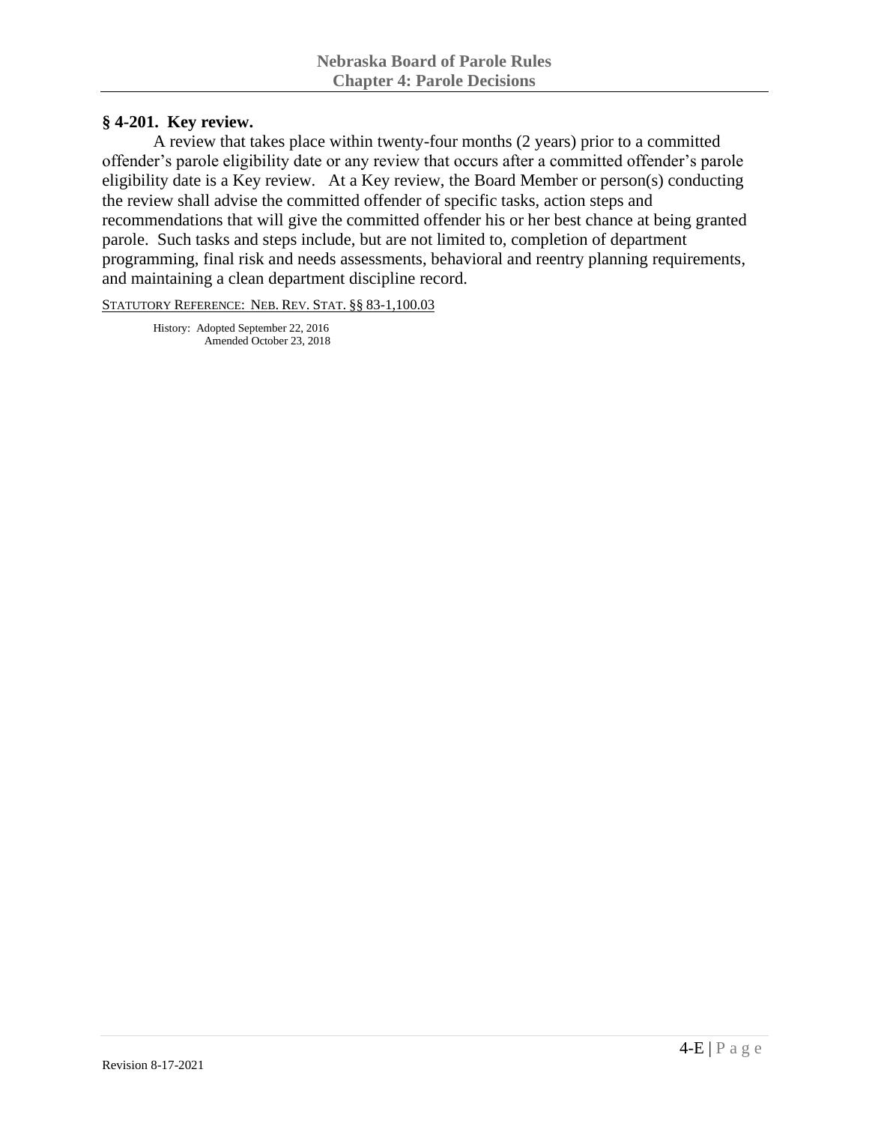### **§ 4-201. Key review.**

A review that takes place within twenty-four months (2 years) prior to a committed offender's parole eligibility date or any review that occurs after a committed offender's parole eligibility date is a Key review. At a Key review, the Board Member or person(s) conducting the review shall advise the committed offender of specific tasks, action steps and recommendations that will give the committed offender his or her best chance at being granted parole. Such tasks and steps include, but are not limited to, completion of department programming, final risk and needs assessments, behavioral and reentry planning requirements, and maintaining a clean department discipline record.

STATUTORY REFERENCE: NEB. REV. STAT. §§ 83-1,100.03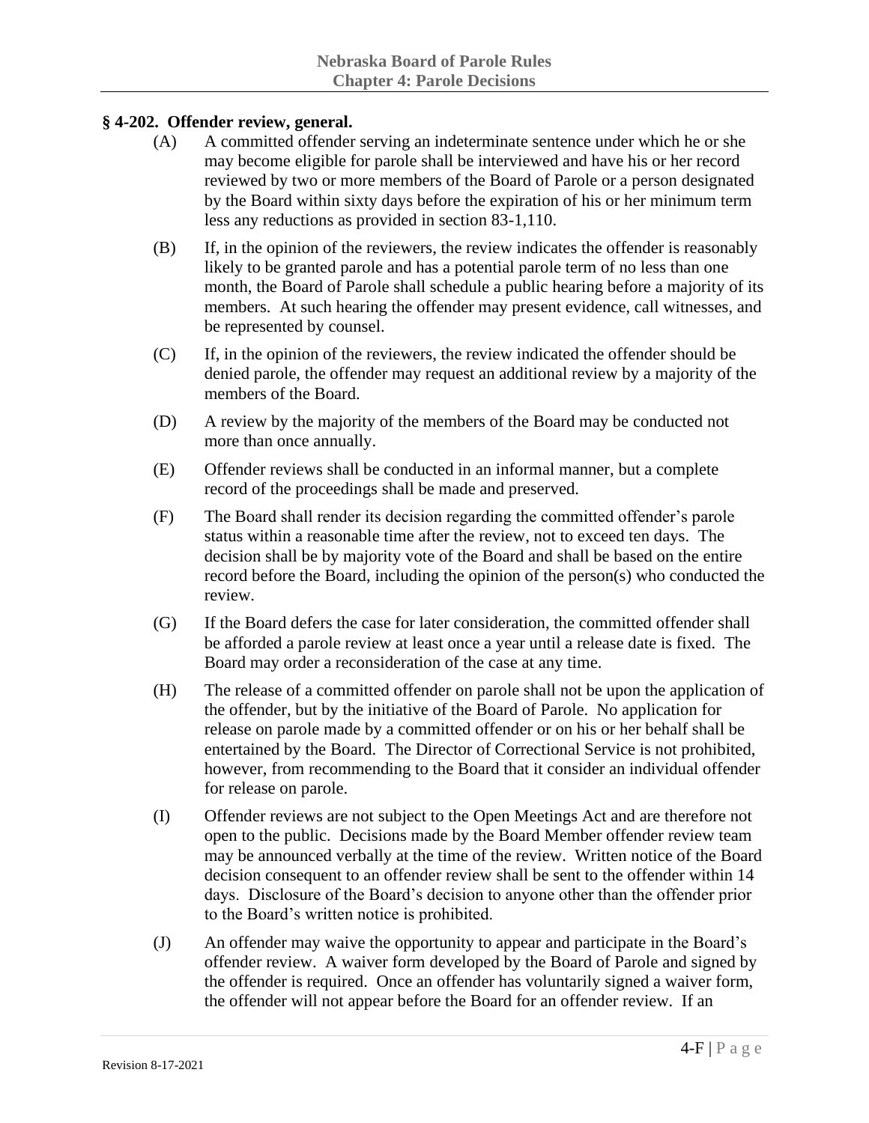# **§ 4-202. Offender review, general.**

- (A) A committed offender serving an indeterminate sentence under which he or she may become eligible for parole shall be interviewed and have his or her record reviewed by two or more members of the Board of Parole or a person designated by the Board within sixty days before the expiration of his or her minimum term less any reductions as provided in section 83-1,110.
- (B) If, in the opinion of the reviewers, the review indicates the offender is reasonably likely to be granted parole and has a potential parole term of no less than one month, the Board of Parole shall schedule a public hearing before a majority of its members. At such hearing the offender may present evidence, call witnesses, and be represented by counsel.
- (C) If, in the opinion of the reviewers, the review indicated the offender should be denied parole, the offender may request an additional review by a majority of the members of the Board.
- (D) A review by the majority of the members of the Board may be conducted not more than once annually.
- (E) Offender reviews shall be conducted in an informal manner, but a complete record of the proceedings shall be made and preserved.
- (F) The Board shall render its decision regarding the committed offender's parole status within a reasonable time after the review, not to exceed ten days. The decision shall be by majority vote of the Board and shall be based on the entire record before the Board, including the opinion of the person(s) who conducted the review.
- (G) If the Board defers the case for later consideration, the committed offender shall be afforded a parole review at least once a year until a release date is fixed. The Board may order a reconsideration of the case at any time.
- (H) The release of a committed offender on parole shall not be upon the application of the offender, but by the initiative of the Board of Parole. No application for release on parole made by a committed offender or on his or her behalf shall be entertained by the Board. The Director of Correctional Service is not prohibited, however, from recommending to the Board that it consider an individual offender for release on parole.
- (I) Offender reviews are not subject to the Open Meetings Act and are therefore not open to the public. Decisions made by the Board Member offender review team may be announced verbally at the time of the review. Written notice of the Board decision consequent to an offender review shall be sent to the offender within 14 days. Disclosure of the Board's decision to anyone other than the offender prior to the Board's written notice is prohibited.
- (J) An offender may waive the opportunity to appear and participate in the Board's offender review. A waiver form developed by the Board of Parole and signed by the offender is required. Once an offender has voluntarily signed a waiver form, the offender will not appear before the Board for an offender review. If an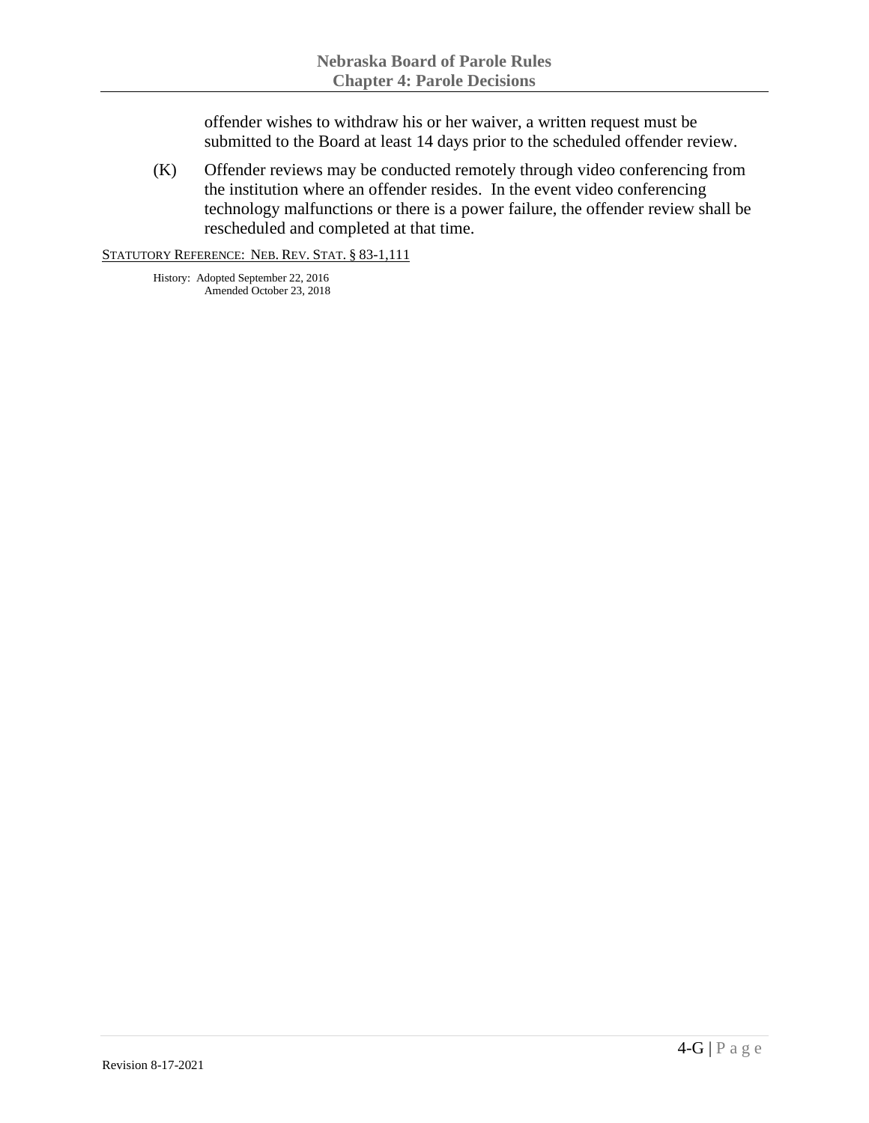offender wishes to withdraw his or her waiver, a written request must be submitted to the Board at least 14 days prior to the scheduled offender review.

(K) Offender reviews may be conducted remotely through video conferencing from the institution where an offender resides. In the event video conferencing technology malfunctions or there is a power failure, the offender review shall be rescheduled and completed at that time.

STATUTORY REFERENCE: NEB. REV. STAT. § 83-1,111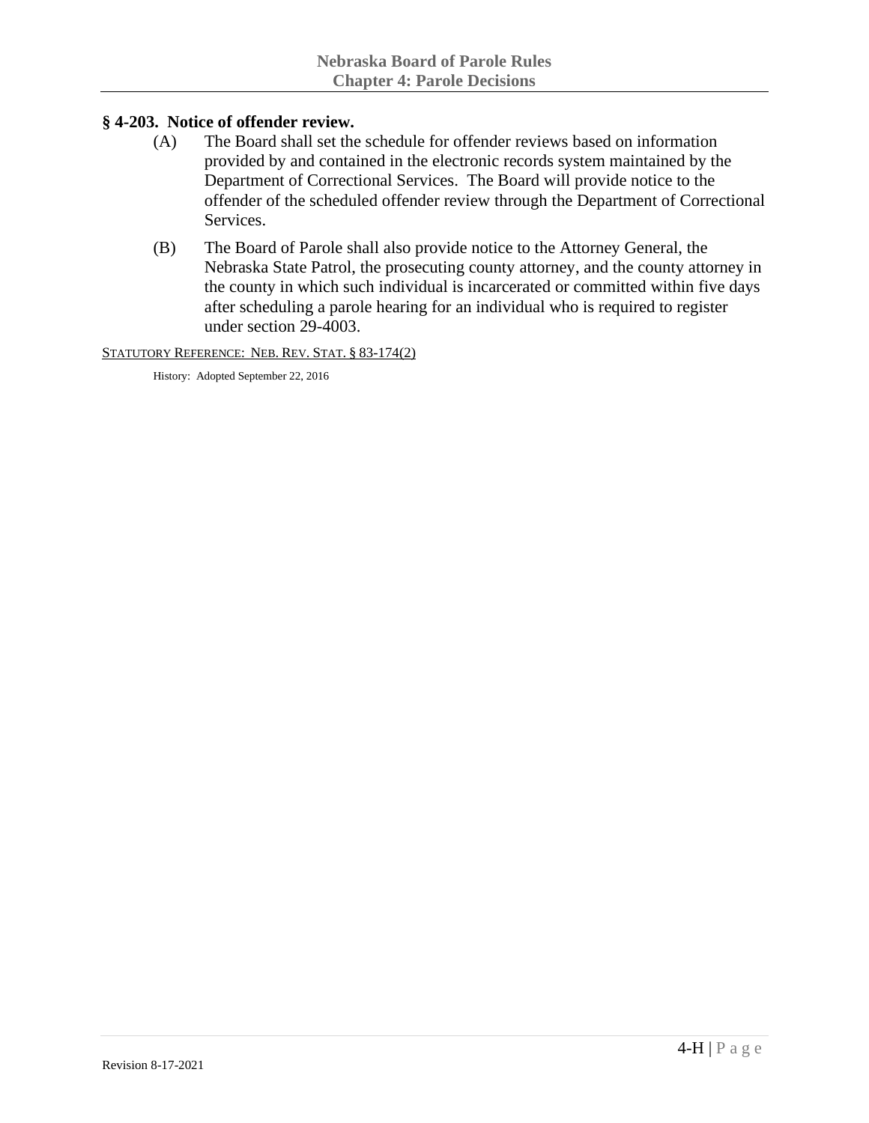## **§ 4-203. Notice of offender review.**

- (A) The Board shall set the schedule for offender reviews based on information provided by and contained in the electronic records system maintained by the Department of Correctional Services. The Board will provide notice to the offender of the scheduled offender review through the Department of Correctional Services.
- (B) The Board of Parole shall also provide notice to the Attorney General, the Nebraska State Patrol, the prosecuting county attorney, and the county attorney in the county in which such individual is incarcerated or committed within five days after scheduling a parole hearing for an individual who is required to register under section 29-4003.

STATUTORY REFERENCE: NEB. REV. STAT. § 83-174(2)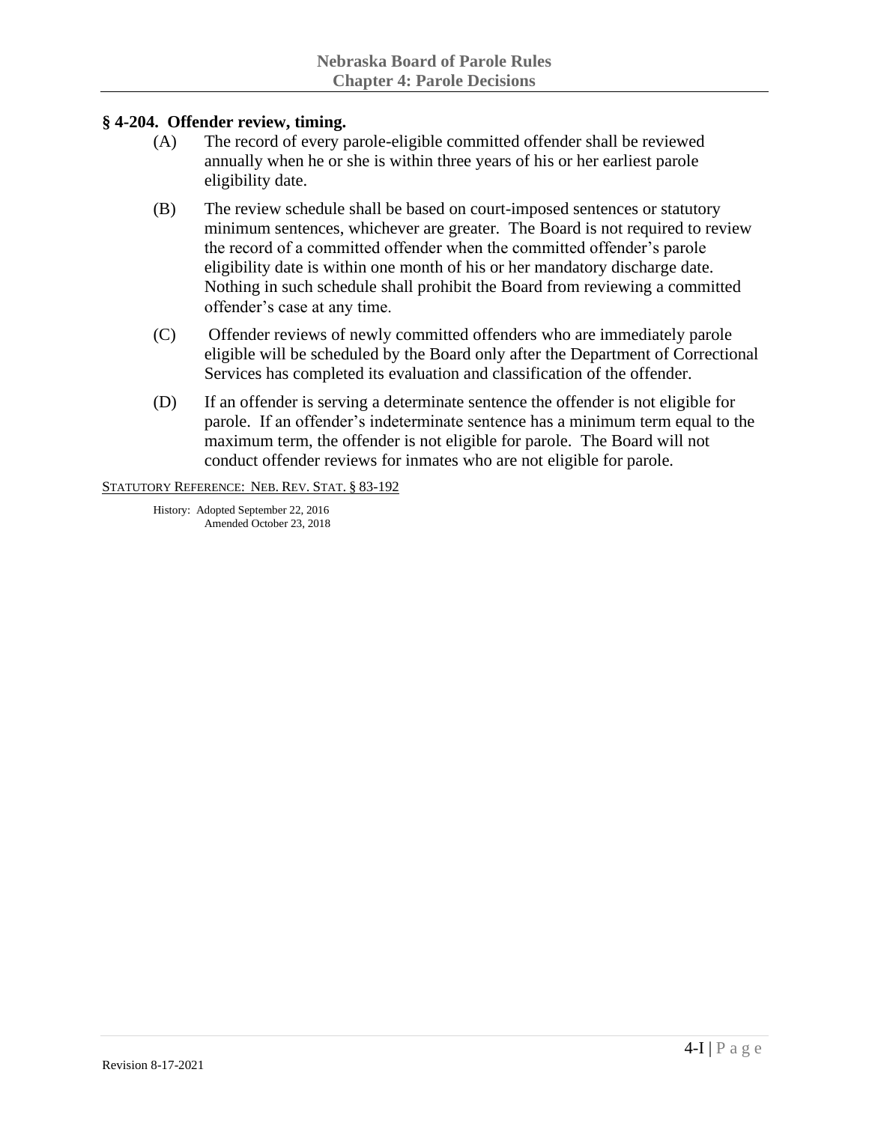#### **§ 4-204. Offender review, timing.**

- (A) The record of every parole-eligible committed offender shall be reviewed annually when he or she is within three years of his or her earliest parole eligibility date.
- (B) The review schedule shall be based on court-imposed sentences or statutory minimum sentences, whichever are greater. The Board is not required to review the record of a committed offender when the committed offender's parole eligibility date is within one month of his or her mandatory discharge date. Nothing in such schedule shall prohibit the Board from reviewing a committed offender's case at any time.
- (C) Offender reviews of newly committed offenders who are immediately parole eligible will be scheduled by the Board only after the Department of Correctional Services has completed its evaluation and classification of the offender.
- (D) If an offender is serving a determinate sentence the offender is not eligible for parole. If an offender's indeterminate sentence has a minimum term equal to the maximum term, the offender is not eligible for parole. The Board will not conduct offender reviews for inmates who are not eligible for parole.

STATUTORY REFERENCE: NEB. REV. STAT. § 83-192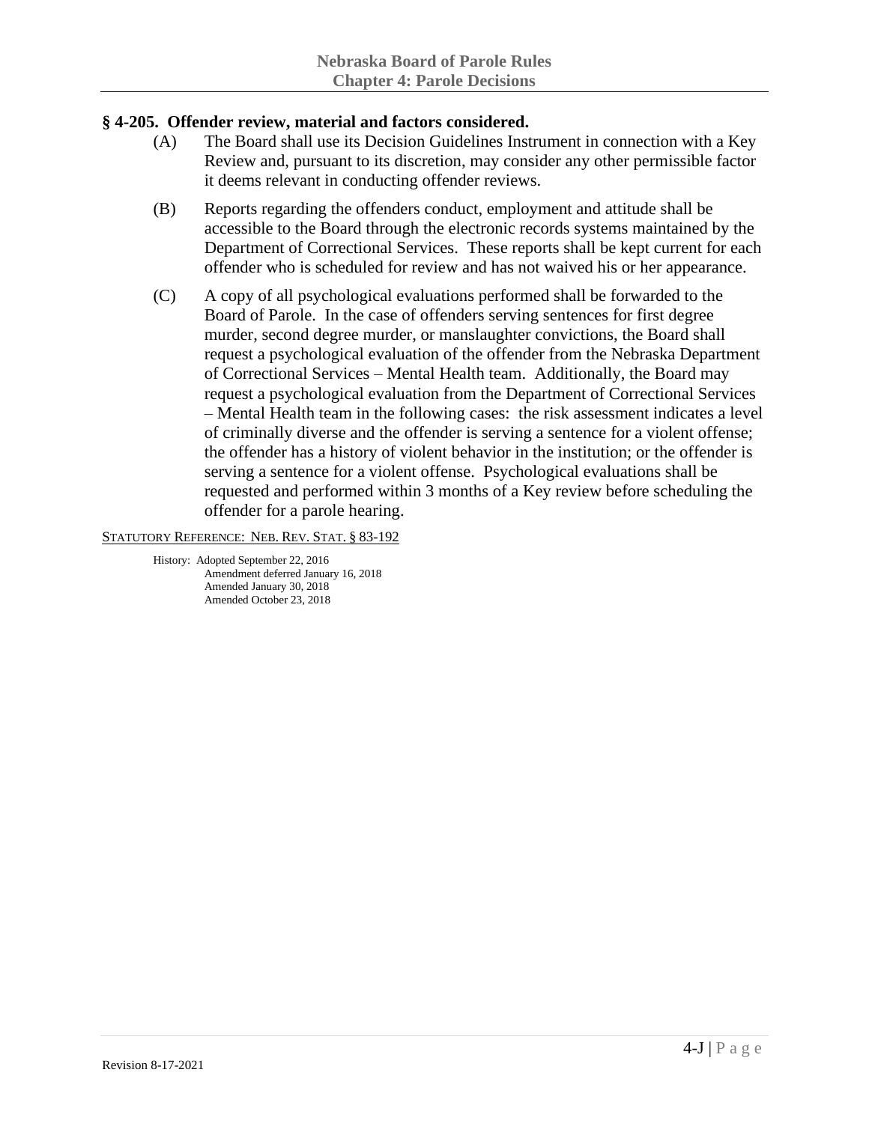## **§ 4-205. Offender review, material and factors considered.**

- (A) The Board shall use its Decision Guidelines Instrument in connection with a Key Review and, pursuant to its discretion, may consider any other permissible factor it deems relevant in conducting offender reviews.
- (B) Reports regarding the offenders conduct, employment and attitude shall be accessible to the Board through the electronic records systems maintained by the Department of Correctional Services. These reports shall be kept current for each offender who is scheduled for review and has not waived his or her appearance.
- (C) A copy of all psychological evaluations performed shall be forwarded to the Board of Parole. In the case of offenders serving sentences for first degree murder, second degree murder, or manslaughter convictions, the Board shall request a psychological evaluation of the offender from the Nebraska Department of Correctional Services – Mental Health team. Additionally, the Board may request a psychological evaluation from the Department of Correctional Services – Mental Health team in the following cases: the risk assessment indicates a level of criminally diverse and the offender is serving a sentence for a violent offense; the offender has a history of violent behavior in the institution; or the offender is serving a sentence for a violent offense. Psychological evaluations shall be requested and performed within 3 months of a Key review before scheduling the offender for a parole hearing.

STATUTORY REFERENCE: NEB. REV. STAT. § 83-192

History: Adopted September 22, 2016 Amendment deferred January 16, 2018 Amended January 30, 2018 Amended October 23, 2018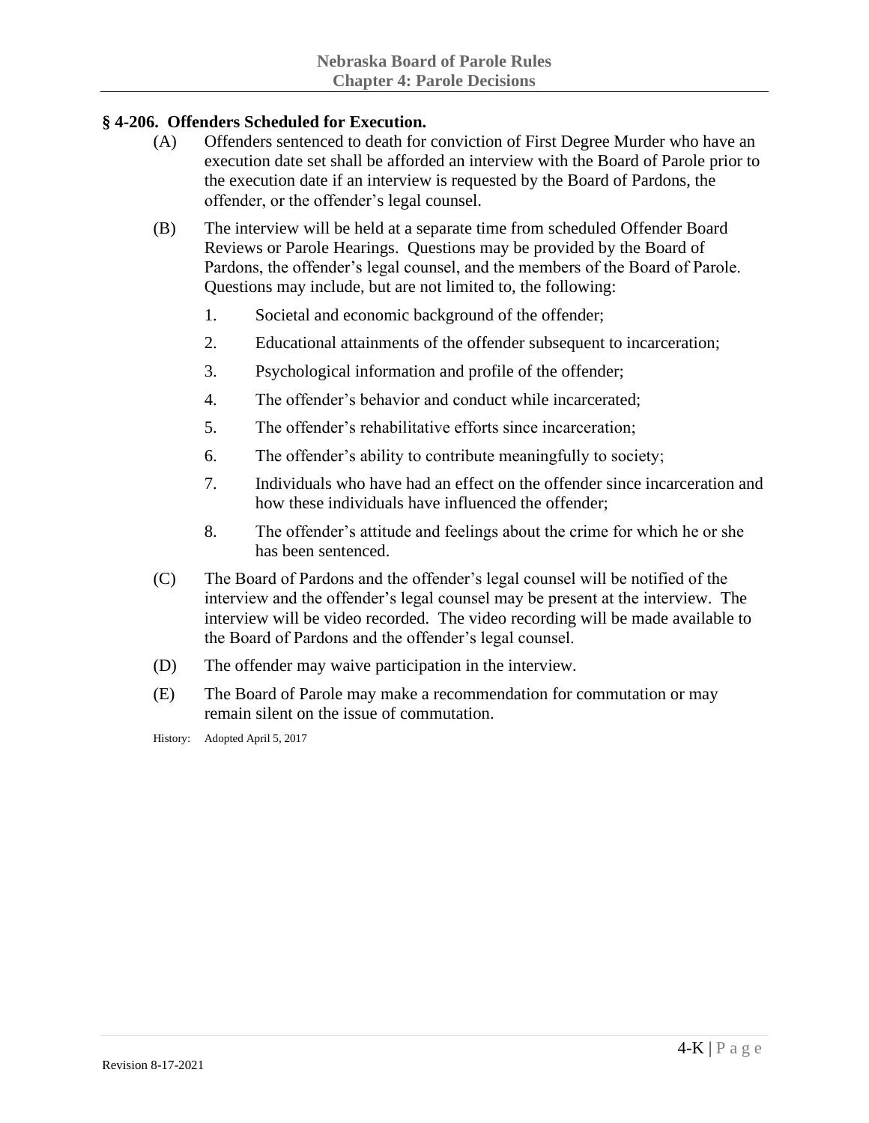# **§ 4-206. Offenders Scheduled for Execution.**

- (A) Offenders sentenced to death for conviction of First Degree Murder who have an execution date set shall be afforded an interview with the Board of Parole prior to the execution date if an interview is requested by the Board of Pardons, the offender, or the offender's legal counsel.
- (B) The interview will be held at a separate time from scheduled Offender Board Reviews or Parole Hearings. Questions may be provided by the Board of Pardons, the offender's legal counsel, and the members of the Board of Parole. Questions may include, but are not limited to, the following:
	- 1. Societal and economic background of the offender;
	- 2. Educational attainments of the offender subsequent to incarceration;
	- 3. Psychological information and profile of the offender;
	- 4. The offender's behavior and conduct while incarcerated;
	- 5. The offender's rehabilitative efforts since incarceration;
	- 6. The offender's ability to contribute meaningfully to society;
	- 7. Individuals who have had an effect on the offender since incarceration and how these individuals have influenced the offender;
	- 8. The offender's attitude and feelings about the crime for which he or she has been sentenced.
- (C) The Board of Pardons and the offender's legal counsel will be notified of the interview and the offender's legal counsel may be present at the interview. The interview will be video recorded. The video recording will be made available to the Board of Pardons and the offender's legal counsel.
- (D) The offender may waive participation in the interview.
- (E) The Board of Parole may make a recommendation for commutation or may remain silent on the issue of commutation.

History: Adopted April 5, 2017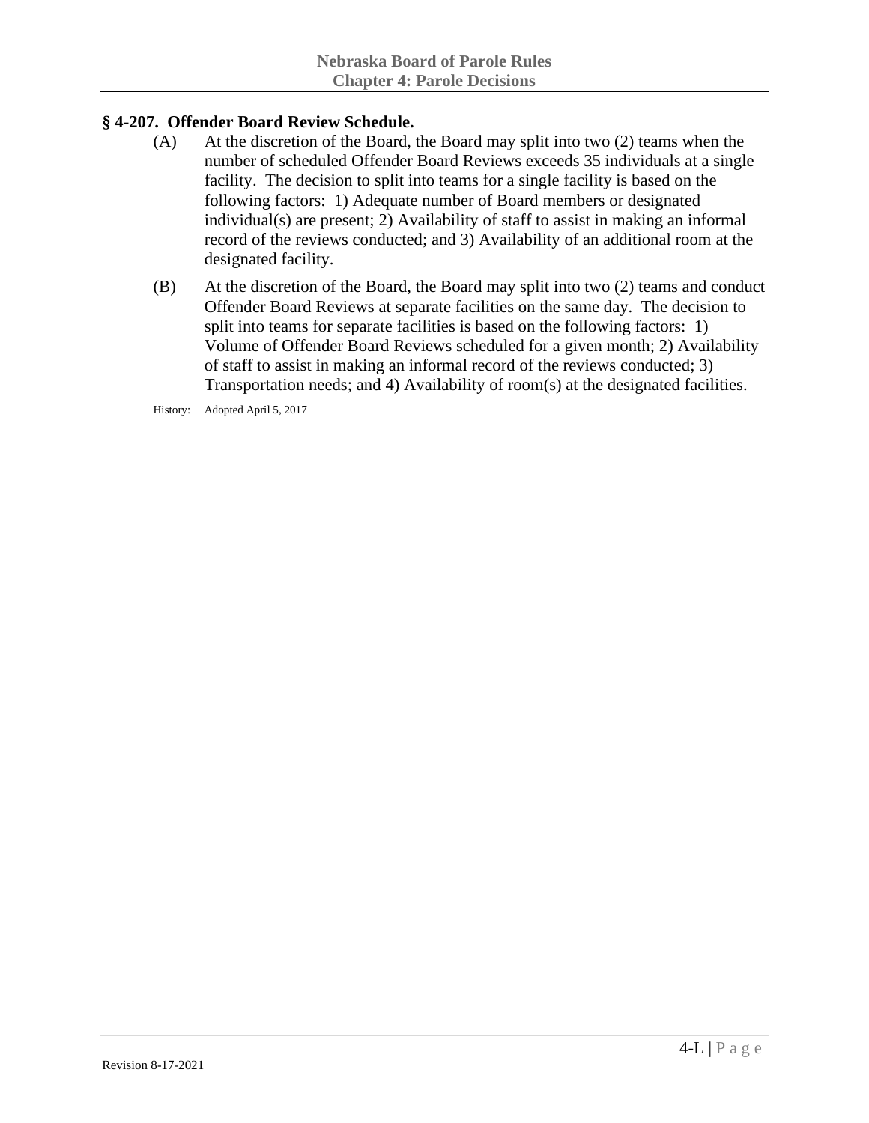# **§ 4-207. Offender Board Review Schedule.**

- (A) At the discretion of the Board, the Board may split into two (2) teams when the number of scheduled Offender Board Reviews exceeds 35 individuals at a single facility. The decision to split into teams for a single facility is based on the following factors: 1) Adequate number of Board members or designated individual(s) are present; 2) Availability of staff to assist in making an informal record of the reviews conducted; and 3) Availability of an additional room at the designated facility.
- (B) At the discretion of the Board, the Board may split into two (2) teams and conduct Offender Board Reviews at separate facilities on the same day. The decision to split into teams for separate facilities is based on the following factors: 1) Volume of Offender Board Reviews scheduled for a given month; 2) Availability of staff to assist in making an informal record of the reviews conducted; 3) Transportation needs; and 4) Availability of room(s) at the designated facilities.

History: Adopted April 5, 2017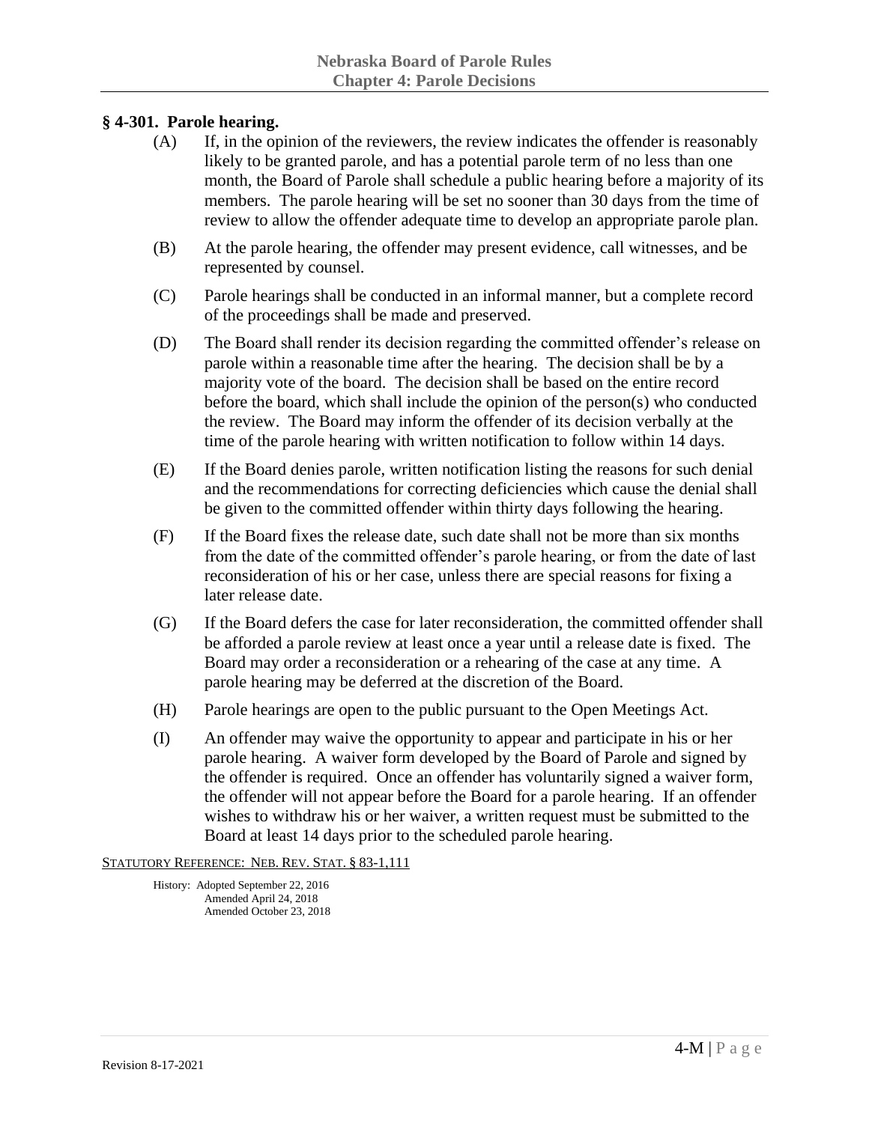## **§ 4-301. Parole hearing.**

- (A) If, in the opinion of the reviewers, the review indicates the offender is reasonably likely to be granted parole, and has a potential parole term of no less than one month, the Board of Parole shall schedule a public hearing before a majority of its members. The parole hearing will be set no sooner than 30 days from the time of review to allow the offender adequate time to develop an appropriate parole plan.
- (B) At the parole hearing, the offender may present evidence, call witnesses, and be represented by counsel.
- (C) Parole hearings shall be conducted in an informal manner, but a complete record of the proceedings shall be made and preserved.
- (D) The Board shall render its decision regarding the committed offender's release on parole within a reasonable time after the hearing. The decision shall be by a majority vote of the board. The decision shall be based on the entire record before the board, which shall include the opinion of the person(s) who conducted the review. The Board may inform the offender of its decision verbally at the time of the parole hearing with written notification to follow within 14 days.
- (E) If the Board denies parole, written notification listing the reasons for such denial and the recommendations for correcting deficiencies which cause the denial shall be given to the committed offender within thirty days following the hearing.
- (F) If the Board fixes the release date, such date shall not be more than six months from the date of the committed offender's parole hearing, or from the date of last reconsideration of his or her case, unless there are special reasons for fixing a later release date.
- (G) If the Board defers the case for later reconsideration, the committed offender shall be afforded a parole review at least once a year until a release date is fixed. The Board may order a reconsideration or a rehearing of the case at any time. A parole hearing may be deferred at the discretion of the Board.
- (H) Parole hearings are open to the public pursuant to the Open Meetings Act.
- (I) An offender may waive the opportunity to appear and participate in his or her parole hearing. A waiver form developed by the Board of Parole and signed by the offender is required. Once an offender has voluntarily signed a waiver form, the offender will not appear before the Board for a parole hearing. If an offender wishes to withdraw his or her waiver, a written request must be submitted to the Board at least 14 days prior to the scheduled parole hearing.

STATUTORY REFERENCE: NEB. REV. STAT. § 83-1,111

History: Adopted September 22, 2016 Amended April 24, 2018 Amended October 23, 2018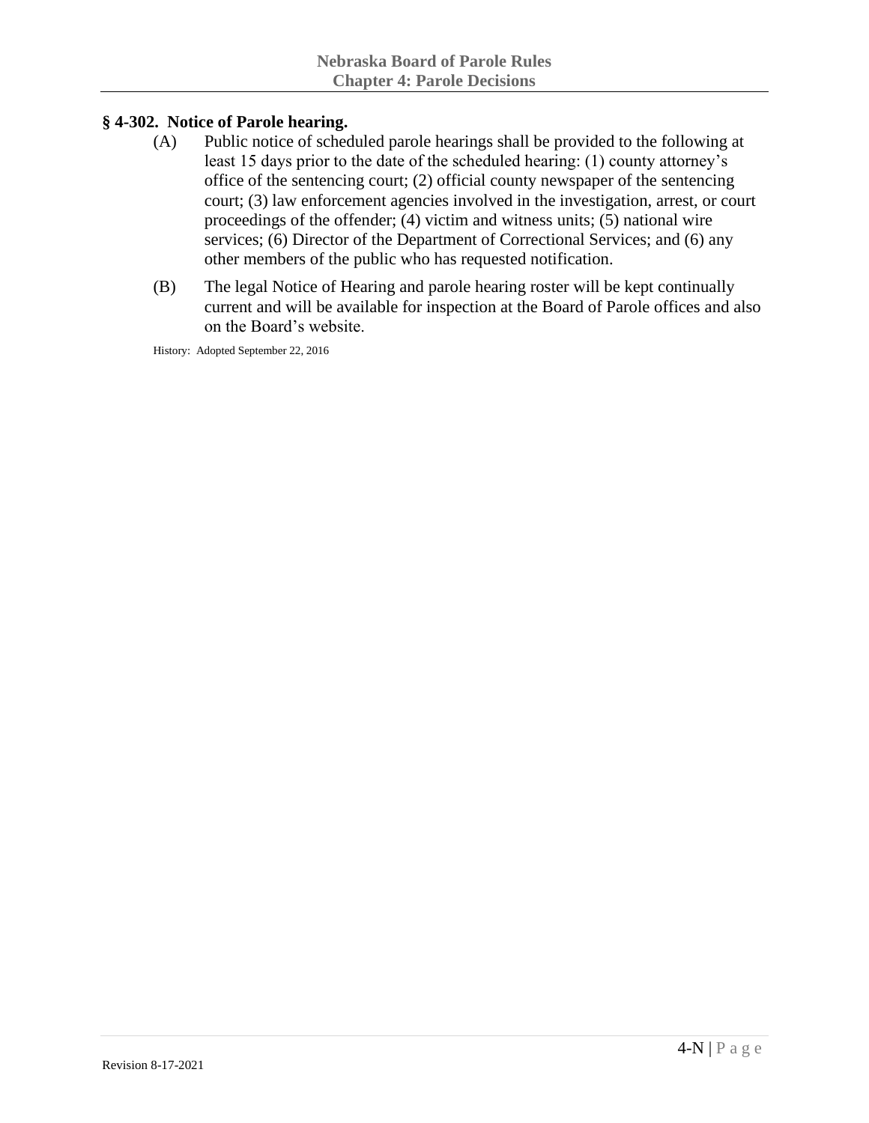# **§ 4-302. Notice of Parole hearing.**

- (A) Public notice of scheduled parole hearings shall be provided to the following at least 15 days prior to the date of the scheduled hearing: (1) county attorney's office of the sentencing court; (2) official county newspaper of the sentencing court; (3) law enforcement agencies involved in the investigation, arrest, or court proceedings of the offender; (4) victim and witness units; (5) national wire services; (6) Director of the Department of Correctional Services; and (6) any other members of the public who has requested notification.
- (B) The legal Notice of Hearing and parole hearing roster will be kept continually current and will be available for inspection at the Board of Parole offices and also on the Board's website.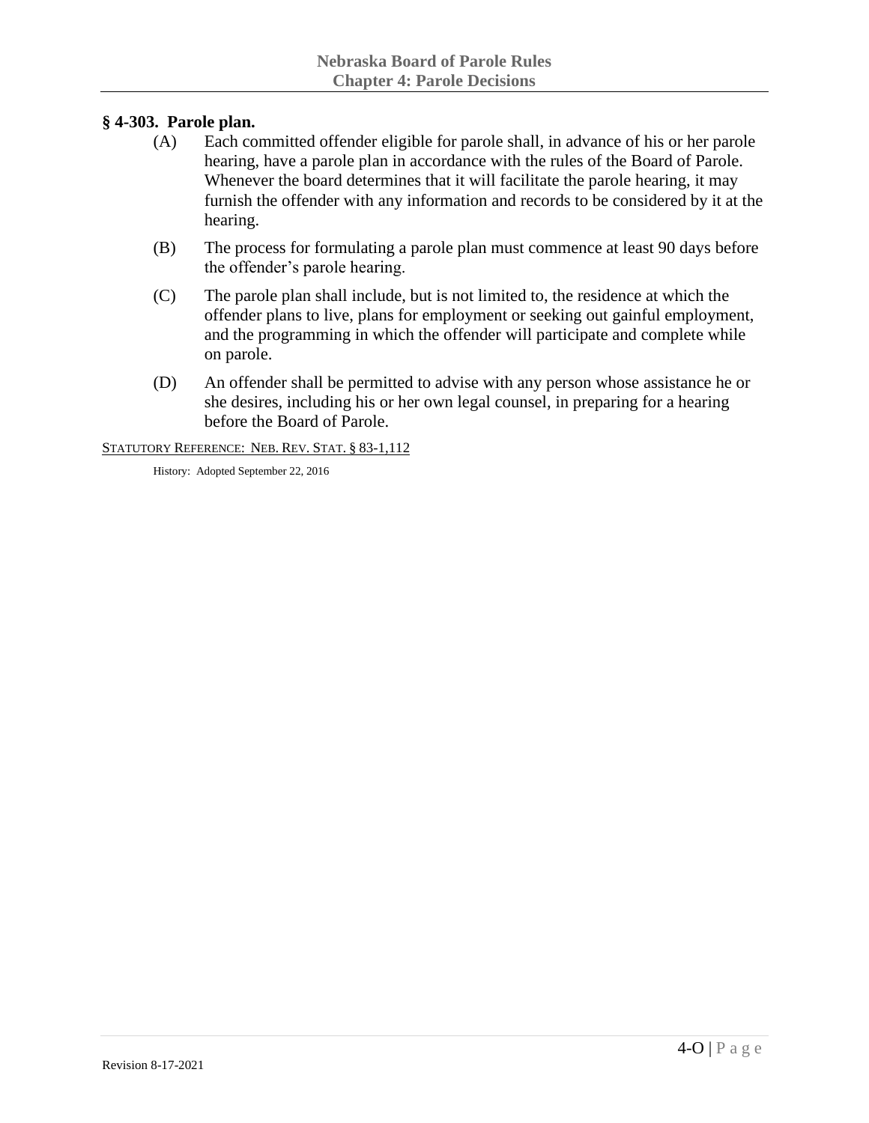# **§ 4-303. Parole plan.**

- (A) Each committed offender eligible for parole shall, in advance of his or her parole hearing, have a parole plan in accordance with the rules of the Board of Parole. Whenever the board determines that it will facilitate the parole hearing, it may furnish the offender with any information and records to be considered by it at the hearing.
- (B) The process for formulating a parole plan must commence at least 90 days before the offender's parole hearing.
- (C) The parole plan shall include, but is not limited to, the residence at which the offender plans to live, plans for employment or seeking out gainful employment, and the programming in which the offender will participate and complete while on parole.
- (D) An offender shall be permitted to advise with any person whose assistance he or she desires, including his or her own legal counsel, in preparing for a hearing before the Board of Parole.

STATUTORY REFERENCE: NEB. REV. STAT. § 83-1,112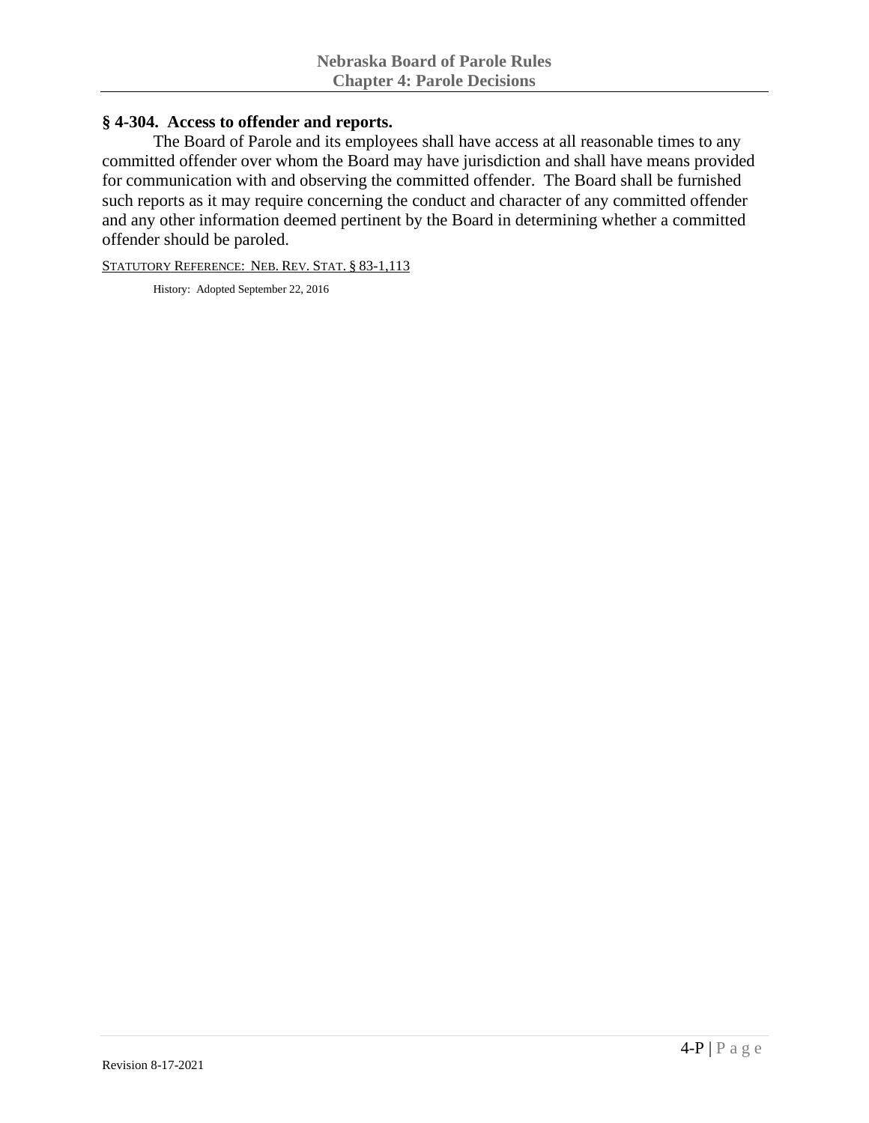#### **§ 4-304. Access to offender and reports.**

The Board of Parole and its employees shall have access at all reasonable times to any committed offender over whom the Board may have jurisdiction and shall have means provided for communication with and observing the committed offender. The Board shall be furnished such reports as it may require concerning the conduct and character of any committed offender and any other information deemed pertinent by the Board in determining whether a committed offender should be paroled.

STATUTORY REFERENCE: NEB. REV. STAT. § 83-1,113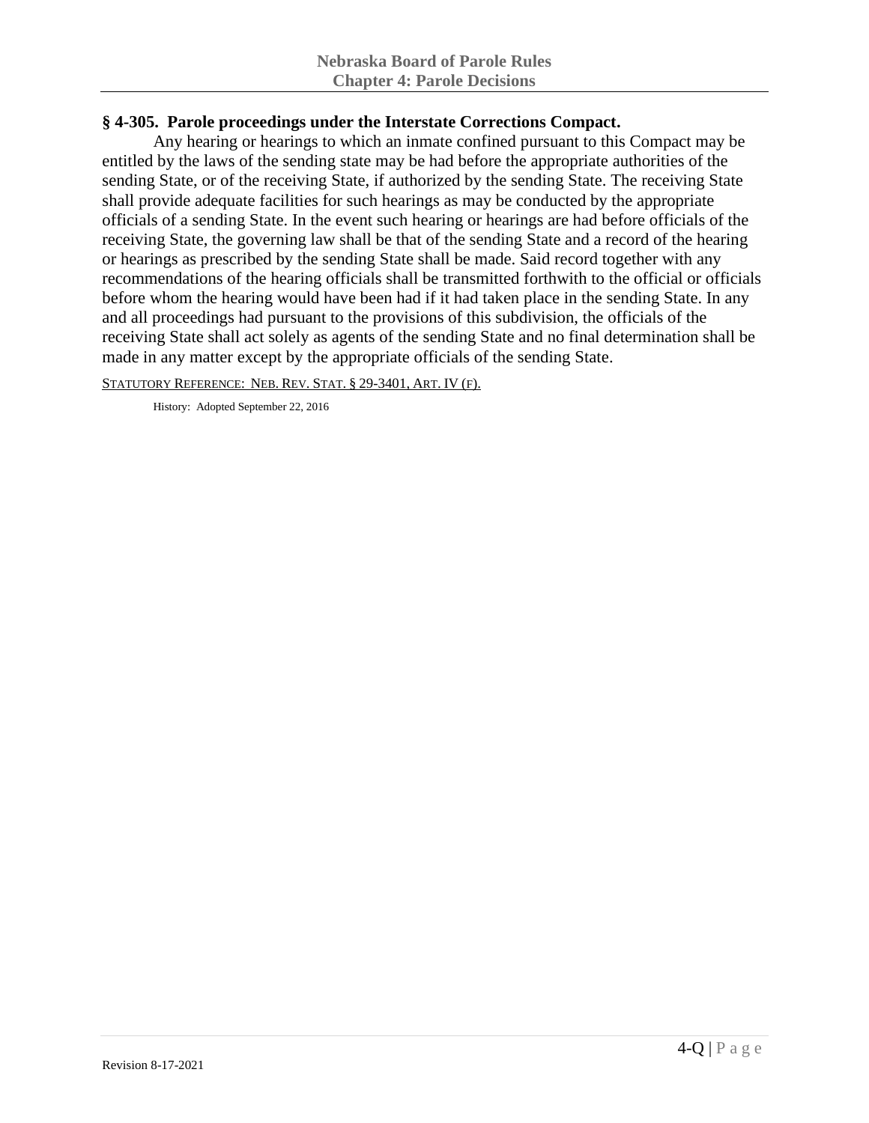# **§ 4-305. Parole proceedings under the Interstate Corrections Compact.**

Any hearing or hearings to which an inmate confined pursuant to this Compact may be entitled by the laws of the sending state may be had before the appropriate authorities of the sending State, or of the receiving State, if authorized by the sending State. The receiving State shall provide adequate facilities for such hearings as may be conducted by the appropriate officials of a sending State. In the event such hearing or hearings are had before officials of the receiving State, the governing law shall be that of the sending State and a record of the hearing or hearings as prescribed by the sending State shall be made. Said record together with any recommendations of the hearing officials shall be transmitted forthwith to the official or officials before whom the hearing would have been had if it had taken place in the sending State. In any and all proceedings had pursuant to the provisions of this subdivision, the officials of the receiving State shall act solely as agents of the sending State and no final determination shall be made in any matter except by the appropriate officials of the sending State.

STATUTORY REFERENCE: NEB. REV. STAT. § 29-3401, ART. IV (F).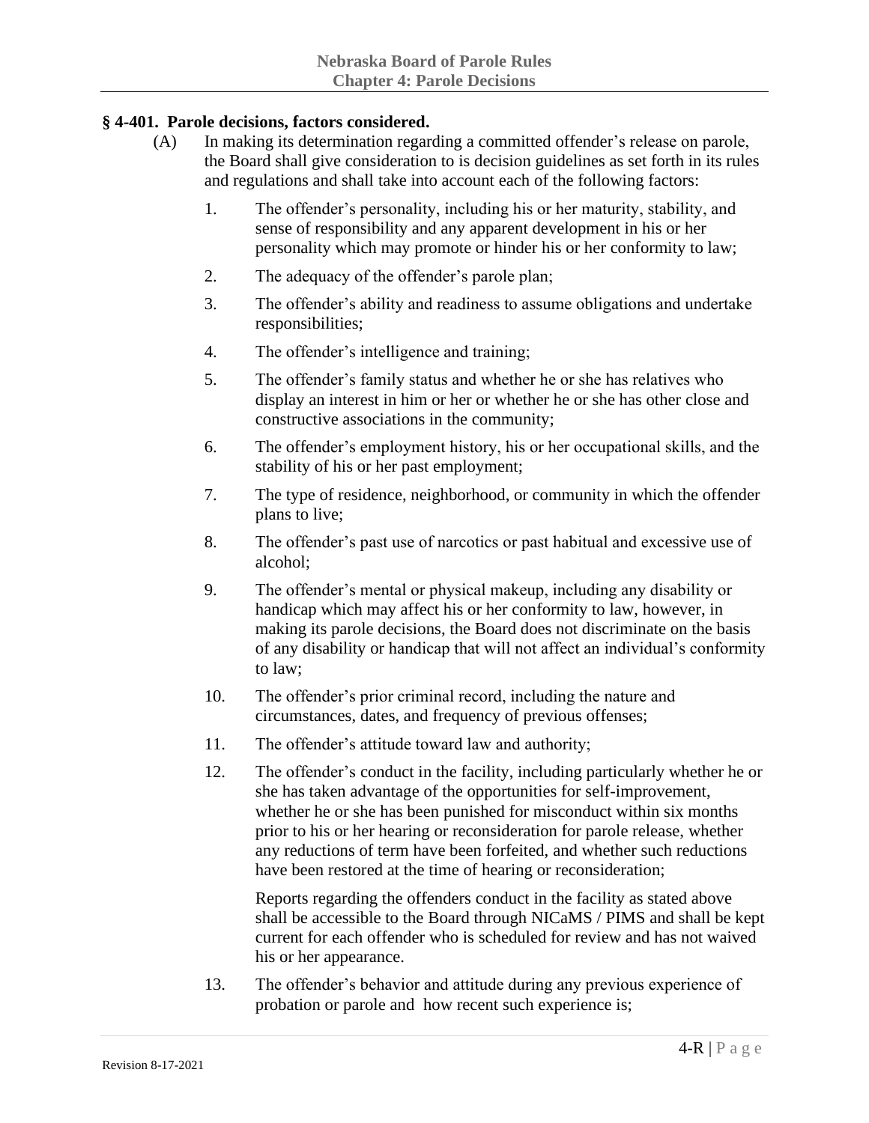# **§ 4-401. Parole decisions, factors considered.**

- (A) In making its determination regarding a committed offender's release on parole, the Board shall give consideration to is decision guidelines as set forth in its rules and regulations and shall take into account each of the following factors:
	- 1. The offender's personality, including his or her maturity, stability, and sense of responsibility and any apparent development in his or her personality which may promote or hinder his or her conformity to law;
	- 2. The adequacy of the offender's parole plan;
	- 3. The offender's ability and readiness to assume obligations and undertake responsibilities;
	- 4. The offender's intelligence and training;
	- 5. The offender's family status and whether he or she has relatives who display an interest in him or her or whether he or she has other close and constructive associations in the community;
	- 6. The offender's employment history, his or her occupational skills, and the stability of his or her past employment;
	- 7. The type of residence, neighborhood, or community in which the offender plans to live;
	- 8. The offender's past use of narcotics or past habitual and excessive use of alcohol;
	- 9. The offender's mental or physical makeup, including any disability or handicap which may affect his or her conformity to law, however, in making its parole decisions, the Board does not discriminate on the basis of any disability or handicap that will not affect an individual's conformity to law;
	- 10. The offender's prior criminal record, including the nature and circumstances, dates, and frequency of previous offenses;
	- 11. The offender's attitude toward law and authority;
	- 12. The offender's conduct in the facility, including particularly whether he or she has taken advantage of the opportunities for self-improvement, whether he or she has been punished for misconduct within six months prior to his or her hearing or reconsideration for parole release, whether any reductions of term have been forfeited, and whether such reductions have been restored at the time of hearing or reconsideration;

Reports regarding the offenders conduct in the facility as stated above shall be accessible to the Board through NICaMS / PIMS and shall be kept current for each offender who is scheduled for review and has not waived his or her appearance.

13. The offender's behavior and attitude during any previous experience of probation or parole and how recent such experience is;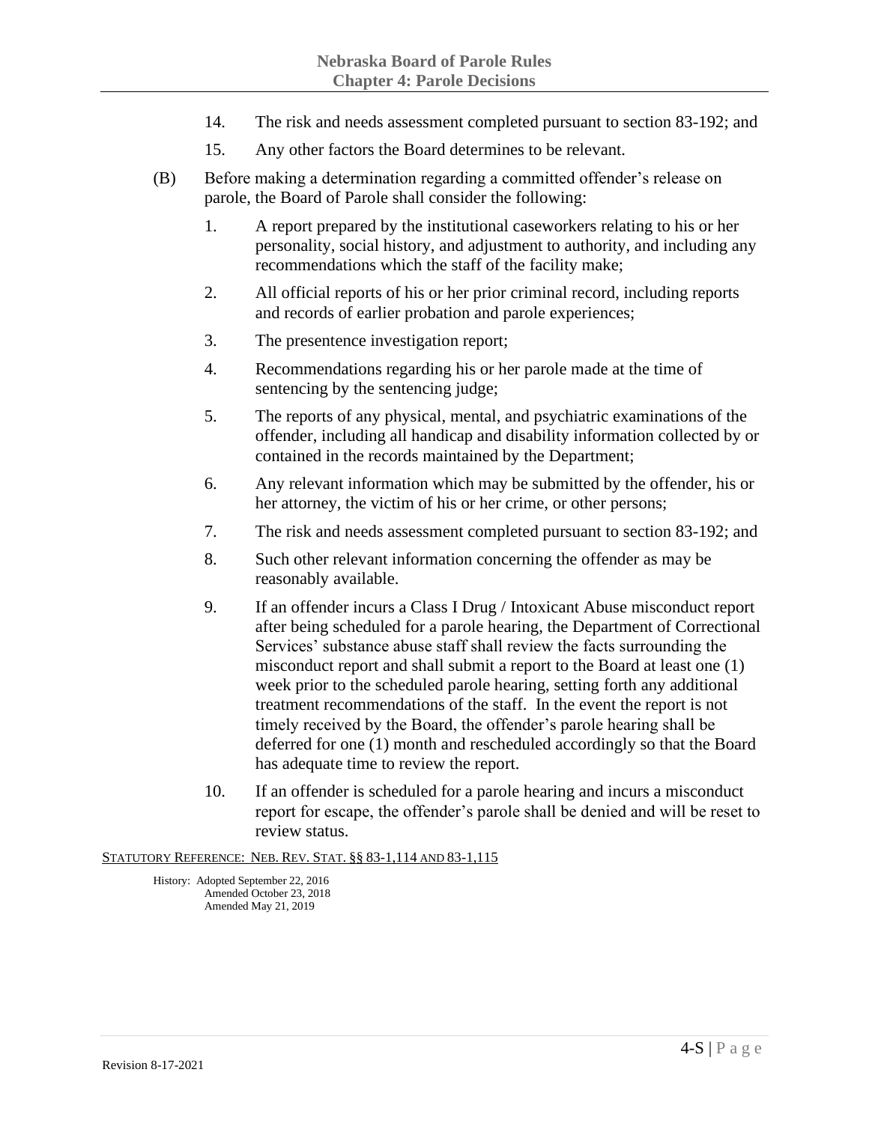- 14. The risk and needs assessment completed pursuant to section 83-192; and
- 15. Any other factors the Board determines to be relevant.
- (B) Before making a determination regarding a committed offender's release on parole, the Board of Parole shall consider the following:
	- 1. A report prepared by the institutional caseworkers relating to his or her personality, social history, and adjustment to authority, and including any recommendations which the staff of the facility make;
	- 2. All official reports of his or her prior criminal record, including reports and records of earlier probation and parole experiences;
	- 3. The presentence investigation report;
	- 4. Recommendations regarding his or her parole made at the time of sentencing by the sentencing judge;
	- 5. The reports of any physical, mental, and psychiatric examinations of the offender, including all handicap and disability information collected by or contained in the records maintained by the Department;
	- 6. Any relevant information which may be submitted by the offender, his or her attorney, the victim of his or her crime, or other persons;
	- 7. The risk and needs assessment completed pursuant to section 83-192; and
	- 8. Such other relevant information concerning the offender as may be reasonably available.
	- 9. If an offender incurs a Class I Drug / Intoxicant Abuse misconduct report after being scheduled for a parole hearing, the Department of Correctional Services' substance abuse staff shall review the facts surrounding the misconduct report and shall submit a report to the Board at least one (1) week prior to the scheduled parole hearing, setting forth any additional treatment recommendations of the staff. In the event the report is not timely received by the Board, the offender's parole hearing shall be deferred for one (1) month and rescheduled accordingly so that the Board has adequate time to review the report.
	- 10. If an offender is scheduled for a parole hearing and incurs a misconduct report for escape, the offender's parole shall be denied and will be reset to review status.

#### STATUTORY REFERENCE: NEB. REV. STAT. §§ 83-1,114 AND 83-1,115

History: Adopted September 22, 2016 Amended October 23, 2018 Amended May 21, 2019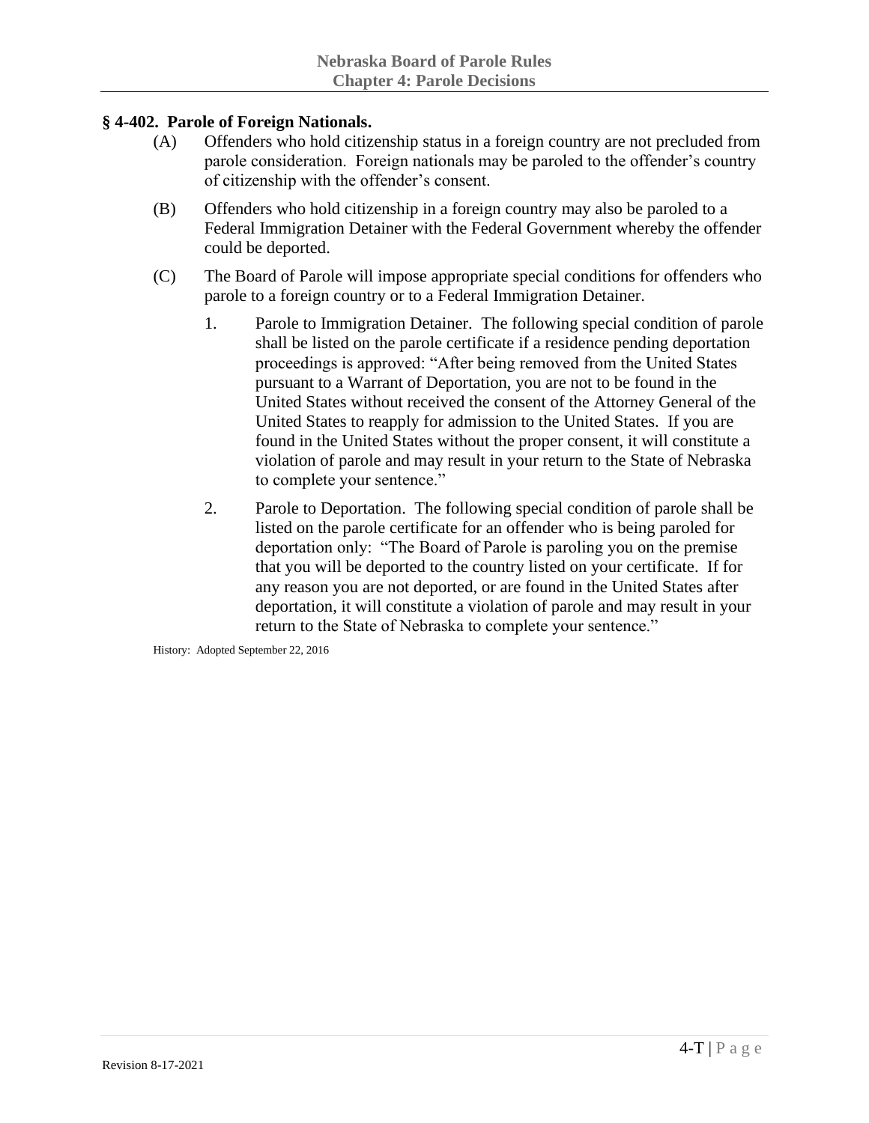### **§ 4-402. Parole of Foreign Nationals.**

- (A) Offenders who hold citizenship status in a foreign country are not precluded from parole consideration. Foreign nationals may be paroled to the offender's country of citizenship with the offender's consent.
- (B) Offenders who hold citizenship in a foreign country may also be paroled to a Federal Immigration Detainer with the Federal Government whereby the offender could be deported.
- (C) The Board of Parole will impose appropriate special conditions for offenders who parole to a foreign country or to a Federal Immigration Detainer.
	- 1. Parole to Immigration Detainer. The following special condition of parole shall be listed on the parole certificate if a residence pending deportation proceedings is approved: "After being removed from the United States pursuant to a Warrant of Deportation, you are not to be found in the United States without received the consent of the Attorney General of the United States to reapply for admission to the United States. If you are found in the United States without the proper consent, it will constitute a violation of parole and may result in your return to the State of Nebraska to complete your sentence."
	- 2. Parole to Deportation. The following special condition of parole shall be listed on the parole certificate for an offender who is being paroled for deportation only: "The Board of Parole is paroling you on the premise that you will be deported to the country listed on your certificate. If for any reason you are not deported, or are found in the United States after deportation, it will constitute a violation of parole and may result in your return to the State of Nebraska to complete your sentence."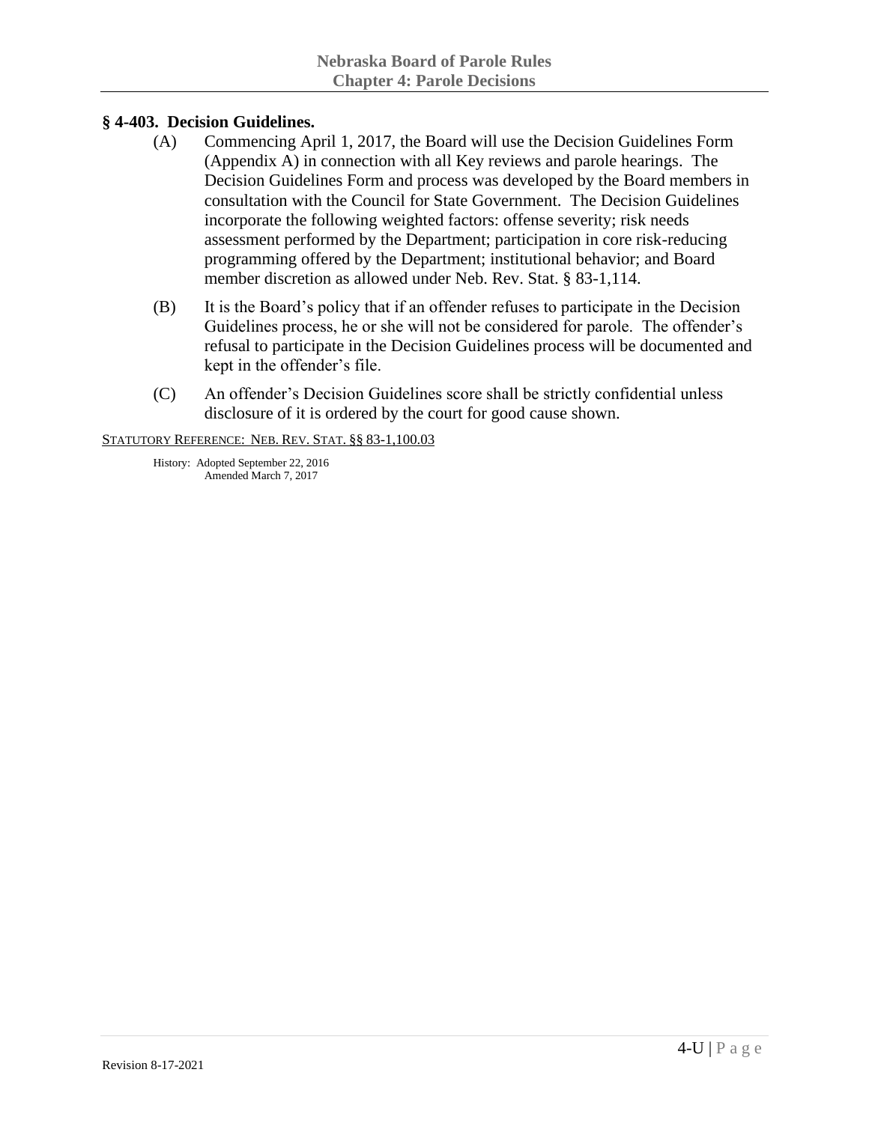## **§ 4-403. Decision Guidelines.**

- (A) Commencing April 1, 2017, the Board will use the Decision Guidelines Form (Appendix A) in connection with all Key reviews and parole hearings. The Decision Guidelines Form and process was developed by the Board members in consultation with the Council for State Government. The Decision Guidelines incorporate the following weighted factors: offense severity; risk needs assessment performed by the Department; participation in core risk-reducing programming offered by the Department; institutional behavior; and Board member discretion as allowed under Neb. Rev. Stat. § 83-1,114.
- (B) It is the Board's policy that if an offender refuses to participate in the Decision Guidelines process, he or she will not be considered for parole. The offender's refusal to participate in the Decision Guidelines process will be documented and kept in the offender's file.
- (C) An offender's Decision Guidelines score shall be strictly confidential unless disclosure of it is ordered by the court for good cause shown.

STATUTORY REFERENCE: NEB. REV. STAT. §§ 83-1,100.03

History: Adopted September 22, 2016 Amended March 7, 2017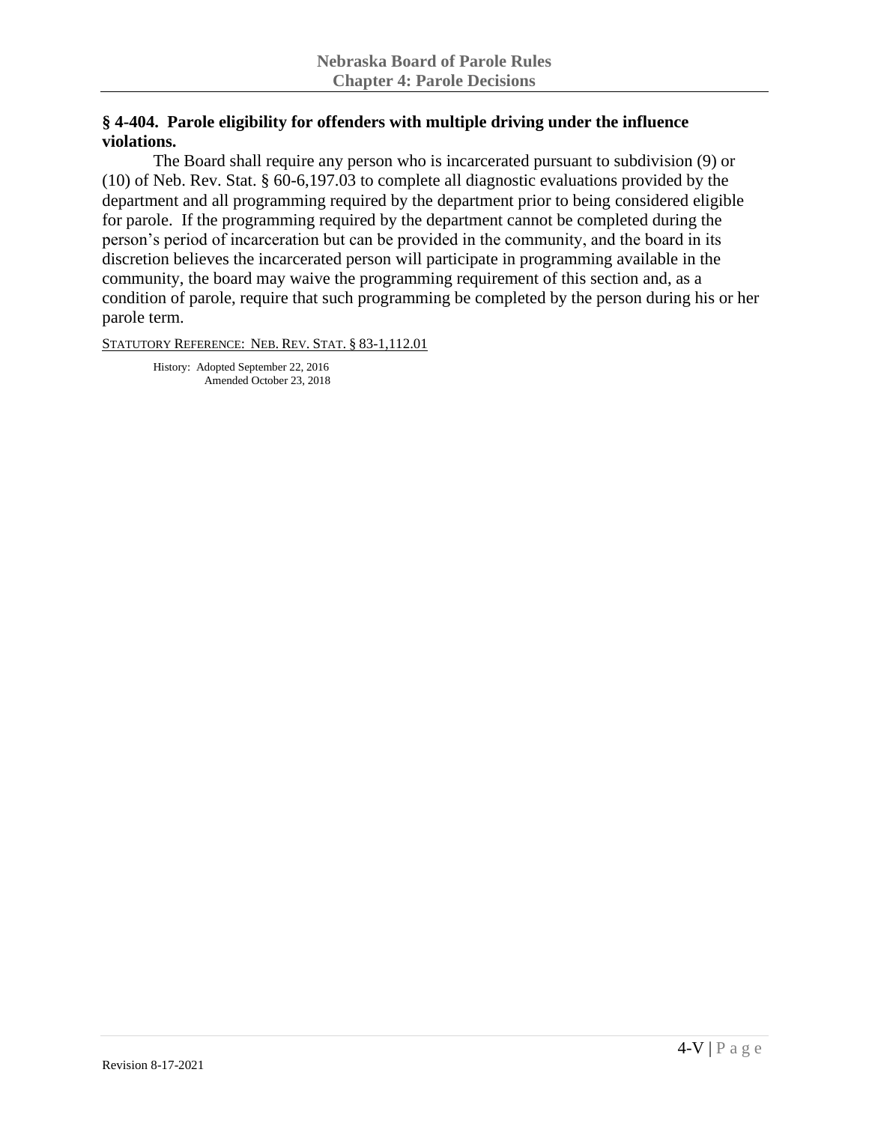# **§ 4-404. Parole eligibility for offenders with multiple driving under the influence violations.**

The Board shall require any person who is incarcerated pursuant to subdivision (9) or (10) of Neb. Rev. Stat. § 60-6,197.03 to complete all diagnostic evaluations provided by the department and all programming required by the department prior to being considered eligible for parole. If the programming required by the department cannot be completed during the person's period of incarceration but can be provided in the community, and the board in its discretion believes the incarcerated person will participate in programming available in the community, the board may waive the programming requirement of this section and, as a condition of parole, require that such programming be completed by the person during his or her parole term.

STATUTORY REFERENCE: NEB. REV. STAT. § 83-1,112.01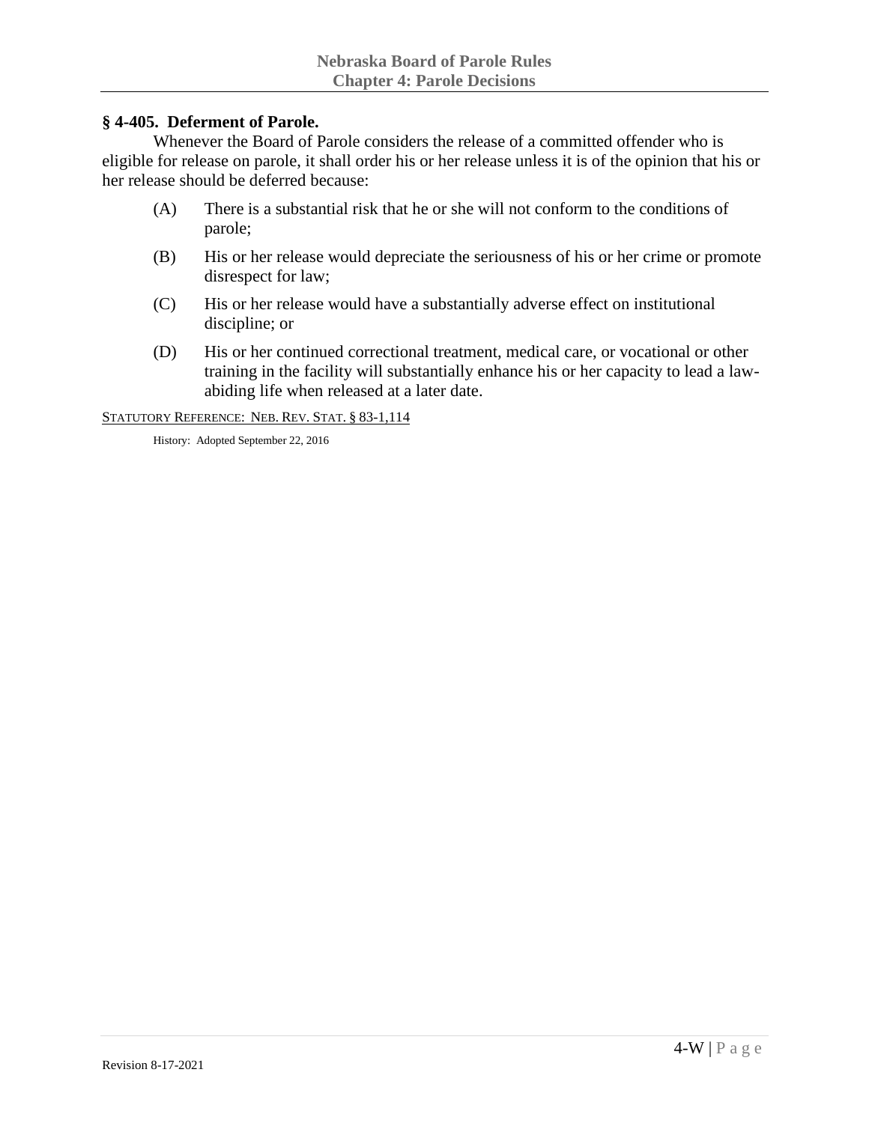#### **§ 4-405. Deferment of Parole.**

Whenever the Board of Parole considers the release of a committed offender who is eligible for release on parole, it shall order his or her release unless it is of the opinion that his or her release should be deferred because:

- (A) There is a substantial risk that he or she will not conform to the conditions of parole;
- (B) His or her release would depreciate the seriousness of his or her crime or promote disrespect for law;
- (C) His or her release would have a substantially adverse effect on institutional discipline; or
- (D) His or her continued correctional treatment, medical care, or vocational or other training in the facility will substantially enhance his or her capacity to lead a lawabiding life when released at a later date.

STATUTORY REFERENCE: NEB. REV. STAT. § 83-1,114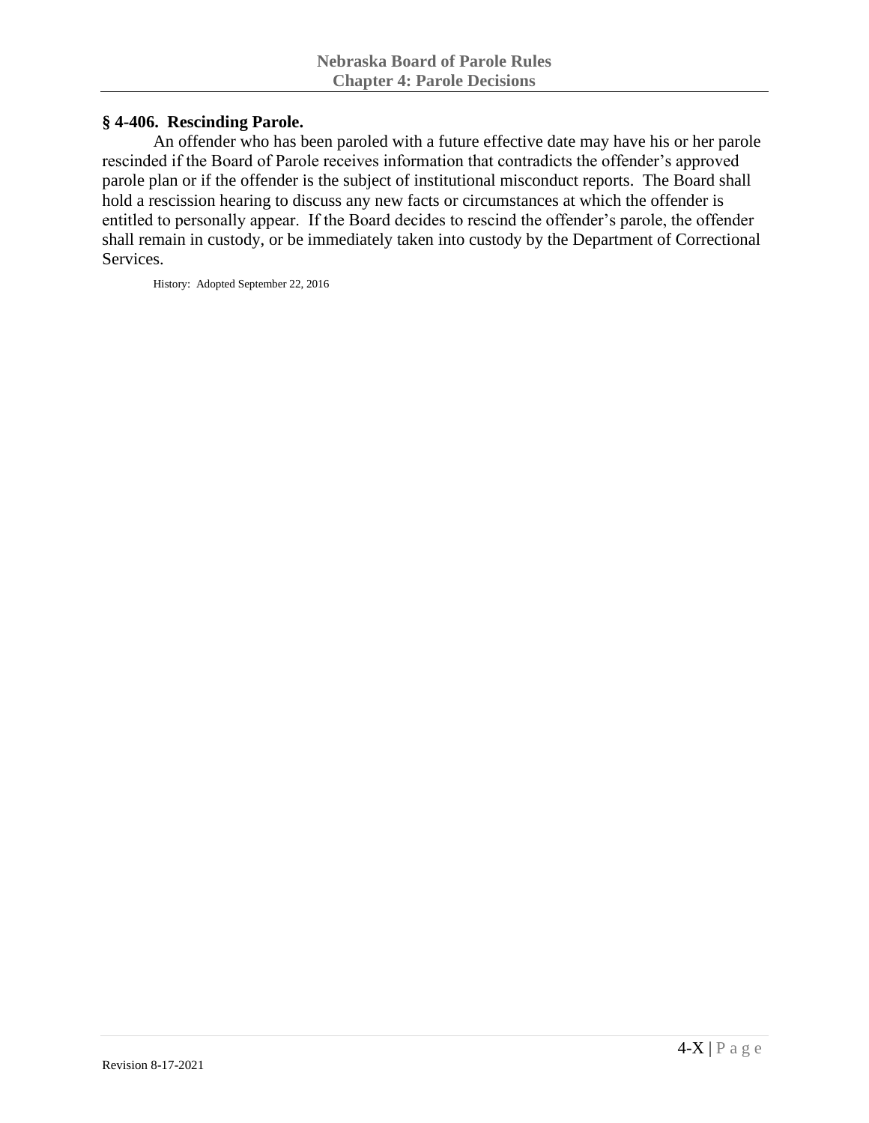### **§ 4-406. Rescinding Parole.**

An offender who has been paroled with a future effective date may have his or her parole rescinded if the Board of Parole receives information that contradicts the offender's approved parole plan or if the offender is the subject of institutional misconduct reports. The Board shall hold a rescission hearing to discuss any new facts or circumstances at which the offender is entitled to personally appear. If the Board decides to rescind the offender's parole, the offender shall remain in custody, or be immediately taken into custody by the Department of Correctional Services.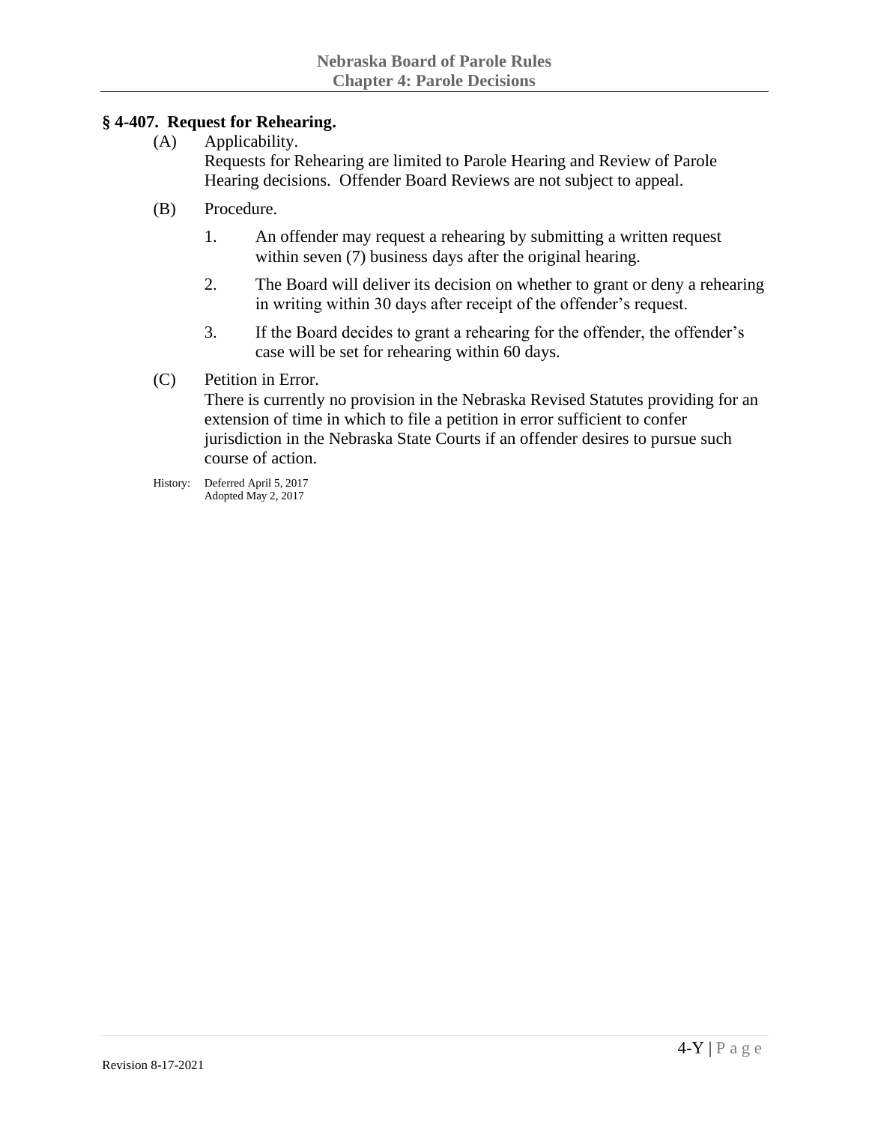## **§ 4-407. Request for Rehearing.**

- (A) Applicability. Requests for Rehearing are limited to Parole Hearing and Review of Parole Hearing decisions. Offender Board Reviews are not subject to appeal.
- (B) Procedure.
	- 1. An offender may request a rehearing by submitting a written request within seven (7) business days after the original hearing.
	- 2. The Board will deliver its decision on whether to grant or deny a rehearing in writing within 30 days after receipt of the offender's request.
	- 3. If the Board decides to grant a rehearing for the offender, the offender's case will be set for rehearing within 60 days.
- (C) Petition in Error.

There is currently no provision in the Nebraska Revised Statutes providing for an extension of time in which to file a petition in error sufficient to confer jurisdiction in the Nebraska State Courts if an offender desires to pursue such course of action.

History: Deferred April 5, 2017 Adopted May 2, 2017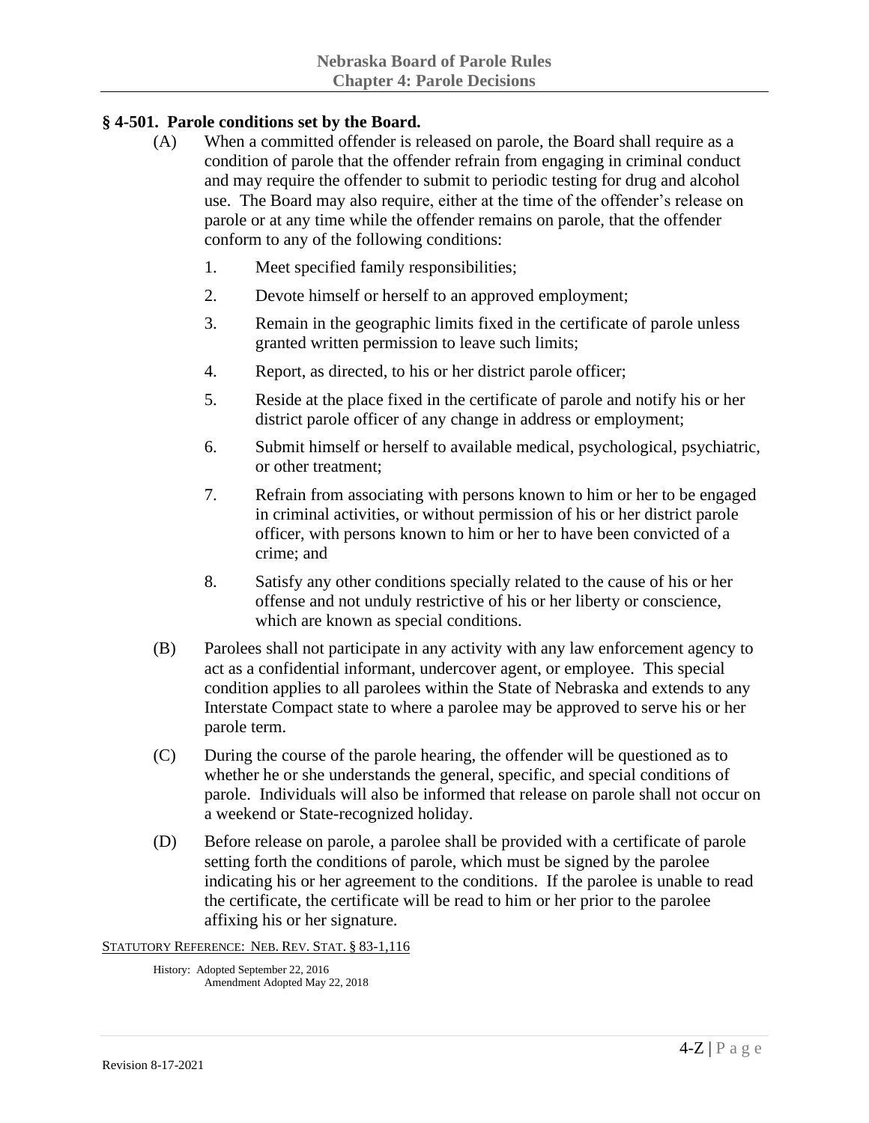# **§ 4-501. Parole conditions set by the Board.**

- (A) When a committed offender is released on parole, the Board shall require as a condition of parole that the offender refrain from engaging in criminal conduct and may require the offender to submit to periodic testing for drug and alcohol use. The Board may also require, either at the time of the offender's release on parole or at any time while the offender remains on parole, that the offender conform to any of the following conditions:
	- 1. Meet specified family responsibilities;
	- 2. Devote himself or herself to an approved employment;
	- 3. Remain in the geographic limits fixed in the certificate of parole unless granted written permission to leave such limits;
	- 4. Report, as directed, to his or her district parole officer;
	- 5. Reside at the place fixed in the certificate of parole and notify his or her district parole officer of any change in address or employment;
	- 6. Submit himself or herself to available medical, psychological, psychiatric, or other treatment;
	- 7. Refrain from associating with persons known to him or her to be engaged in criminal activities, or without permission of his or her district parole officer, with persons known to him or her to have been convicted of a crime; and
	- 8. Satisfy any other conditions specially related to the cause of his or her offense and not unduly restrictive of his or her liberty or conscience, which are known as special conditions.
- (B) Parolees shall not participate in any activity with any law enforcement agency to act as a confidential informant, undercover agent, or employee. This special condition applies to all parolees within the State of Nebraska and extends to any Interstate Compact state to where a parolee may be approved to serve his or her parole term.
- (C) During the course of the parole hearing, the offender will be questioned as to whether he or she understands the general, specific, and special conditions of parole. Individuals will also be informed that release on parole shall not occur on a weekend or State-recognized holiday.
- (D) Before release on parole, a parolee shall be provided with a certificate of parole setting forth the conditions of parole, which must be signed by the parolee indicating his or her agreement to the conditions. If the parolee is unable to read the certificate, the certificate will be read to him or her prior to the parolee affixing his or her signature.

STATUTORY REFERENCE: NEB. REV. STAT. § 83-1,116

History: Adopted September 22, 2016 Amendment Adopted May 22, 2018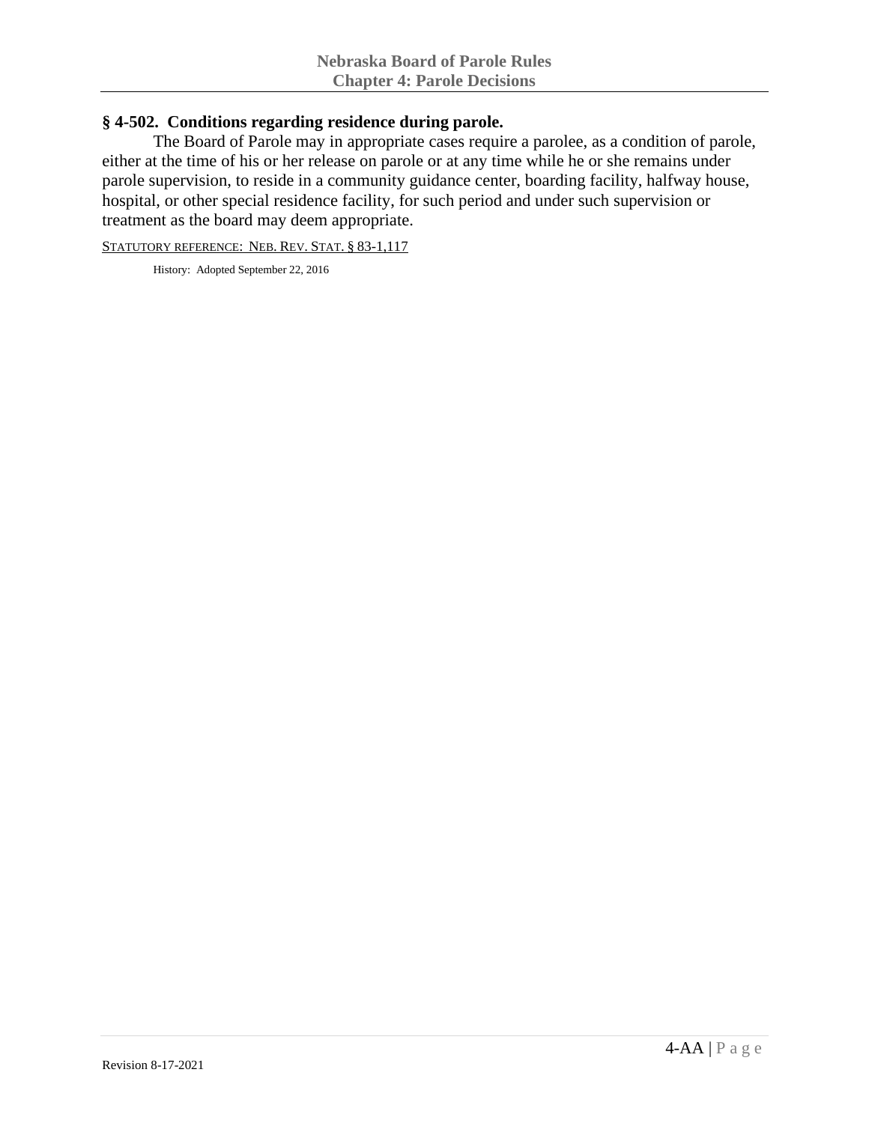### **§ 4-502. Conditions regarding residence during parole.**

The Board of Parole may in appropriate cases require a parolee, as a condition of parole, either at the time of his or her release on parole or at any time while he or she remains under parole supervision, to reside in a community guidance center, boarding facility, halfway house, hospital, or other special residence facility, for such period and under such supervision or treatment as the board may deem appropriate.

STATUTORY REFERENCE: NEB. REV. STAT. § 83-1,117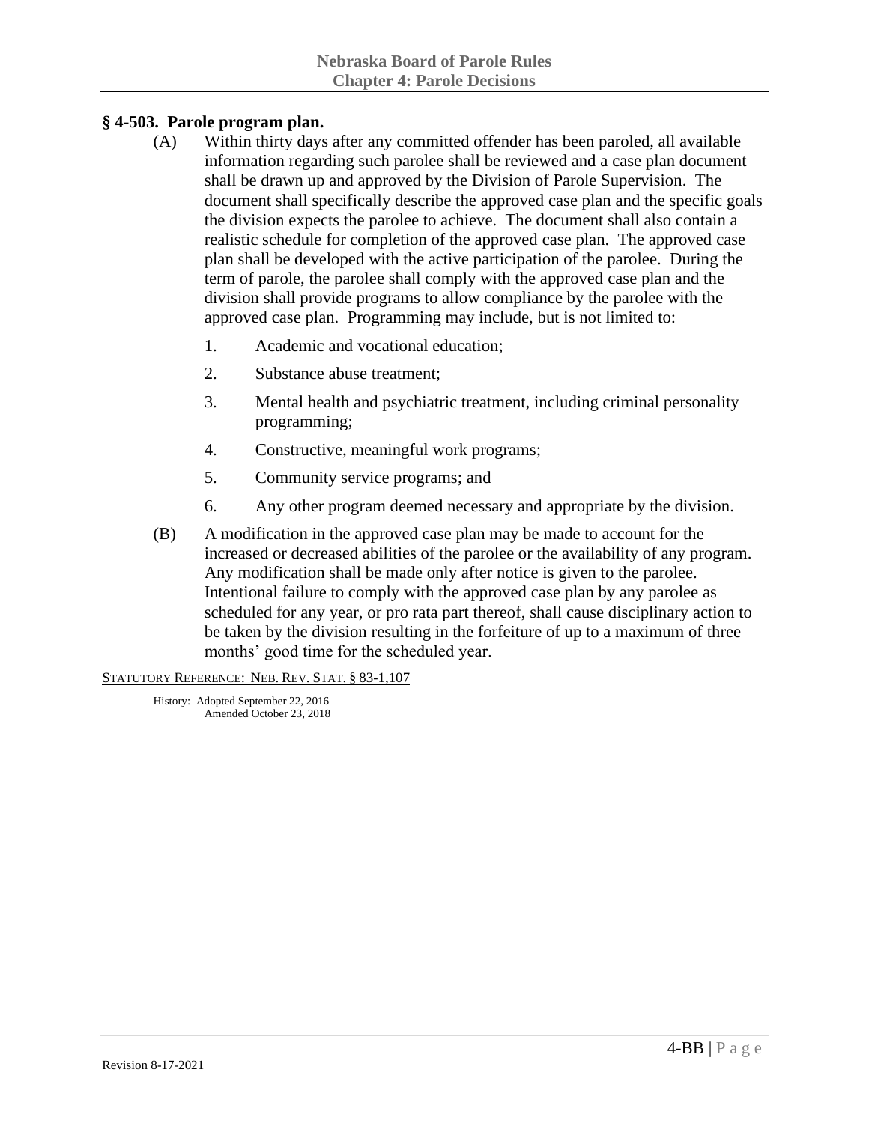# **§ 4-503. Parole program plan.**

- (A) Within thirty days after any committed offender has been paroled, all available information regarding such parolee shall be reviewed and a case plan document shall be drawn up and approved by the Division of Parole Supervision. The document shall specifically describe the approved case plan and the specific goals the division expects the parolee to achieve. The document shall also contain a realistic schedule for completion of the approved case plan. The approved case plan shall be developed with the active participation of the parolee. During the term of parole, the parolee shall comply with the approved case plan and the division shall provide programs to allow compliance by the parolee with the approved case plan. Programming may include, but is not limited to:
	- 1. Academic and vocational education;
	- 2. Substance abuse treatment;
	- 3. Mental health and psychiatric treatment, including criminal personality programming;
	- 4. Constructive, meaningful work programs;
	- 5. Community service programs; and
	- 6. Any other program deemed necessary and appropriate by the division.
- (B) A modification in the approved case plan may be made to account for the increased or decreased abilities of the parolee or the availability of any program. Any modification shall be made only after notice is given to the parolee. Intentional failure to comply with the approved case plan by any parolee as scheduled for any year, or pro rata part thereof, shall cause disciplinary action to be taken by the division resulting in the forfeiture of up to a maximum of three months' good time for the scheduled year.

STATUTORY REFERENCE: NEB. REV. STAT. § 83-1,107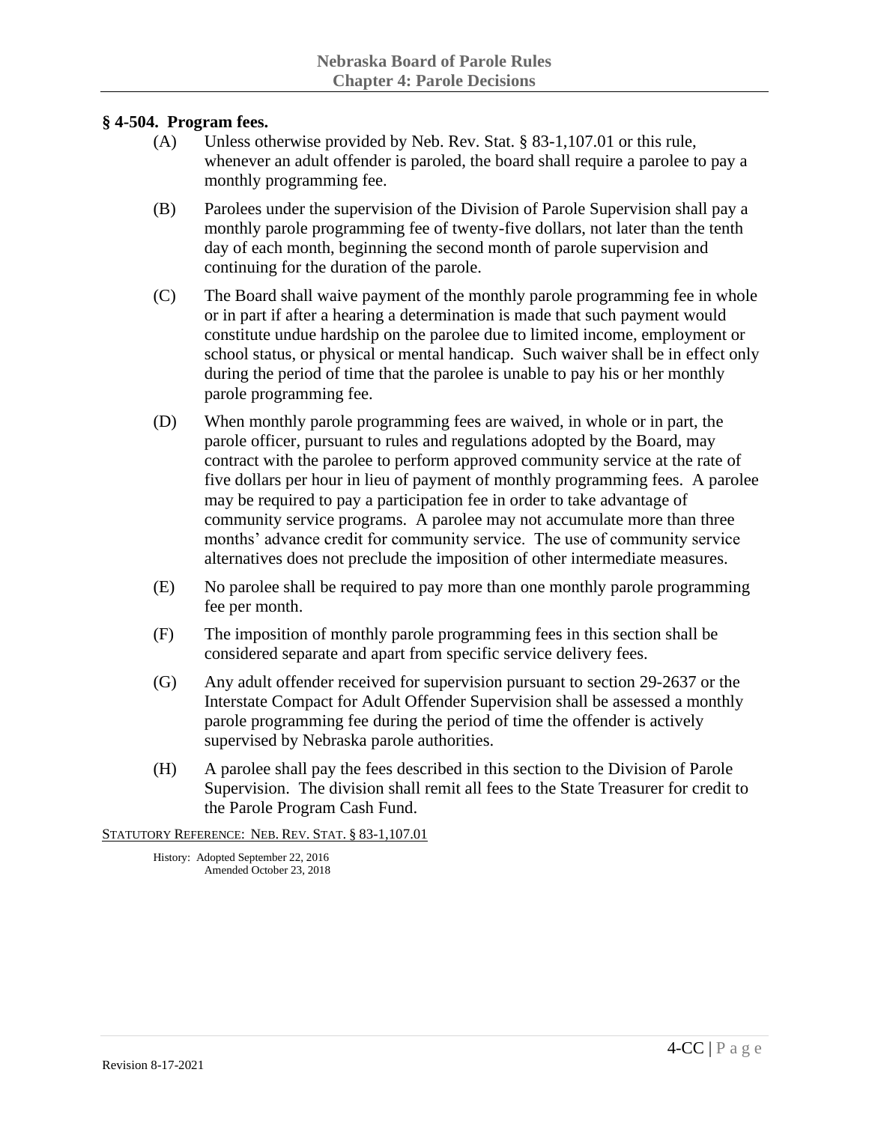#### **§ 4-504. Program fees.**

- (A) Unless otherwise provided by Neb. Rev. Stat. § 83-1,107.01 or this rule, whenever an adult offender is paroled, the board shall require a parolee to pay a monthly programming fee.
- (B) Parolees under the supervision of the Division of Parole Supervision shall pay a monthly parole programming fee of twenty-five dollars, not later than the tenth day of each month, beginning the second month of parole supervision and continuing for the duration of the parole.
- (C) The Board shall waive payment of the monthly parole programming fee in whole or in part if after a hearing a determination is made that such payment would constitute undue hardship on the parolee due to limited income, employment or school status, or physical or mental handicap. Such waiver shall be in effect only during the period of time that the parolee is unable to pay his or her monthly parole programming fee.
- (D) When monthly parole programming fees are waived, in whole or in part, the parole officer, pursuant to rules and regulations adopted by the Board, may contract with the parolee to perform approved community service at the rate of five dollars per hour in lieu of payment of monthly programming fees. A parolee may be required to pay a participation fee in order to take advantage of community service programs. A parolee may not accumulate more than three months' advance credit for community service. The use of community service alternatives does not preclude the imposition of other intermediate measures.
- (E) No parolee shall be required to pay more than one monthly parole programming fee per month.
- (F) The imposition of monthly parole programming fees in this section shall be considered separate and apart from specific service delivery fees.
- (G) Any adult offender received for supervision pursuant to section 29-2637 or the Interstate Compact for Adult Offender Supervision shall be assessed a monthly parole programming fee during the period of time the offender is actively supervised by Nebraska parole authorities.
- (H) A parolee shall pay the fees described in this section to the Division of Parole Supervision. The division shall remit all fees to the State Treasurer for credit to the Parole Program Cash Fund.

STATUTORY REFERENCE: NEB. REV. STAT. § 83-1,107.01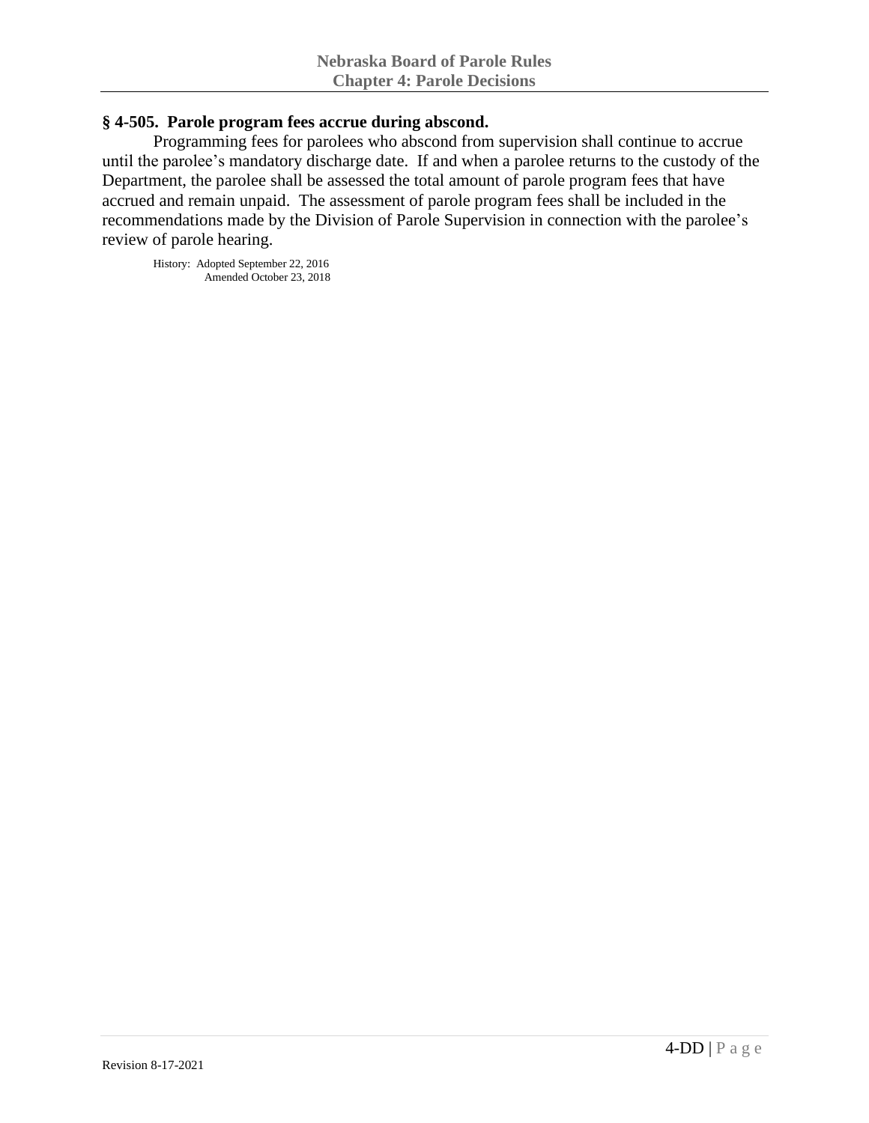#### **§ 4-505. Parole program fees accrue during abscond.**

Programming fees for parolees who abscond from supervision shall continue to accrue until the parolee's mandatory discharge date. If and when a parolee returns to the custody of the Department, the parolee shall be assessed the total amount of parole program fees that have accrued and remain unpaid. The assessment of parole program fees shall be included in the recommendations made by the Division of Parole Supervision in connection with the parolee's review of parole hearing.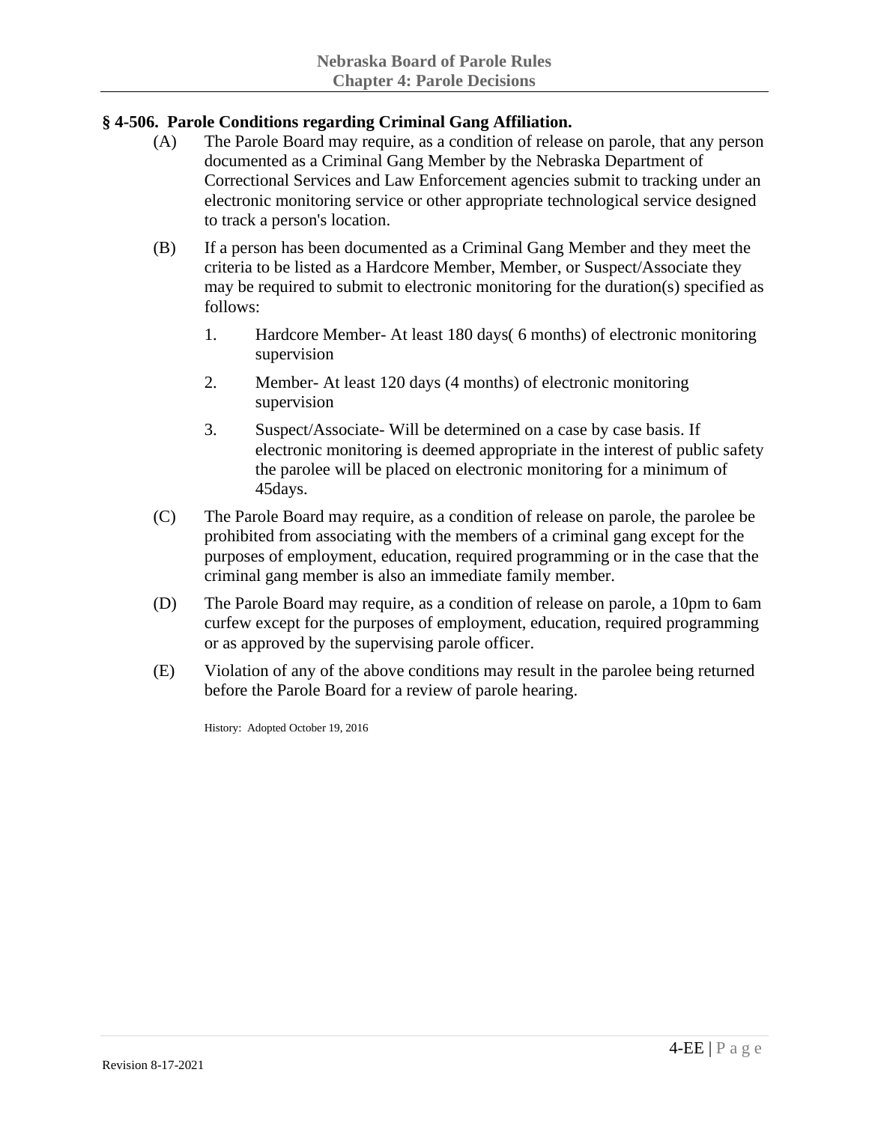# **§ 4-506. Parole Conditions regarding Criminal Gang Affiliation.**

- (A) The Parole Board may require, as a condition of release on parole, that any person documented as a Criminal Gang Member by the Nebraska Department of Correctional Services and Law Enforcement agencies submit to tracking under an electronic monitoring service or other appropriate technological service designed to track a person's location.
- (B) If a person has been documented as a Criminal Gang Member and they meet the criteria to be listed as a Hardcore Member, Member, or Suspect/Associate they may be required to submit to electronic monitoring for the duration(s) specified as follows:
	- 1. Hardcore Member- At least 180 days( 6 months) of electronic monitoring supervision
	- 2. Member- At least 120 days (4 months) of electronic monitoring supervision
	- 3. Suspect/Associate- Will be determined on a case by case basis. If electronic monitoring is deemed appropriate in the interest of public safety the parolee will be placed on electronic monitoring for a minimum of 45days.
- (C) The Parole Board may require, as a condition of release on parole, the parolee be prohibited from associating with the members of a criminal gang except for the purposes of employment, education, required programming or in the case that the criminal gang member is also an immediate family member.
- (D) The Parole Board may require, as a condition of release on parole, a 10pm to 6am curfew except for the purposes of employment, education, required programming or as approved by the supervising parole officer.
- (E) Violation of any of the above conditions may result in the parolee being returned before the Parole Board for a review of parole hearing.

History: Adopted October 19, 2016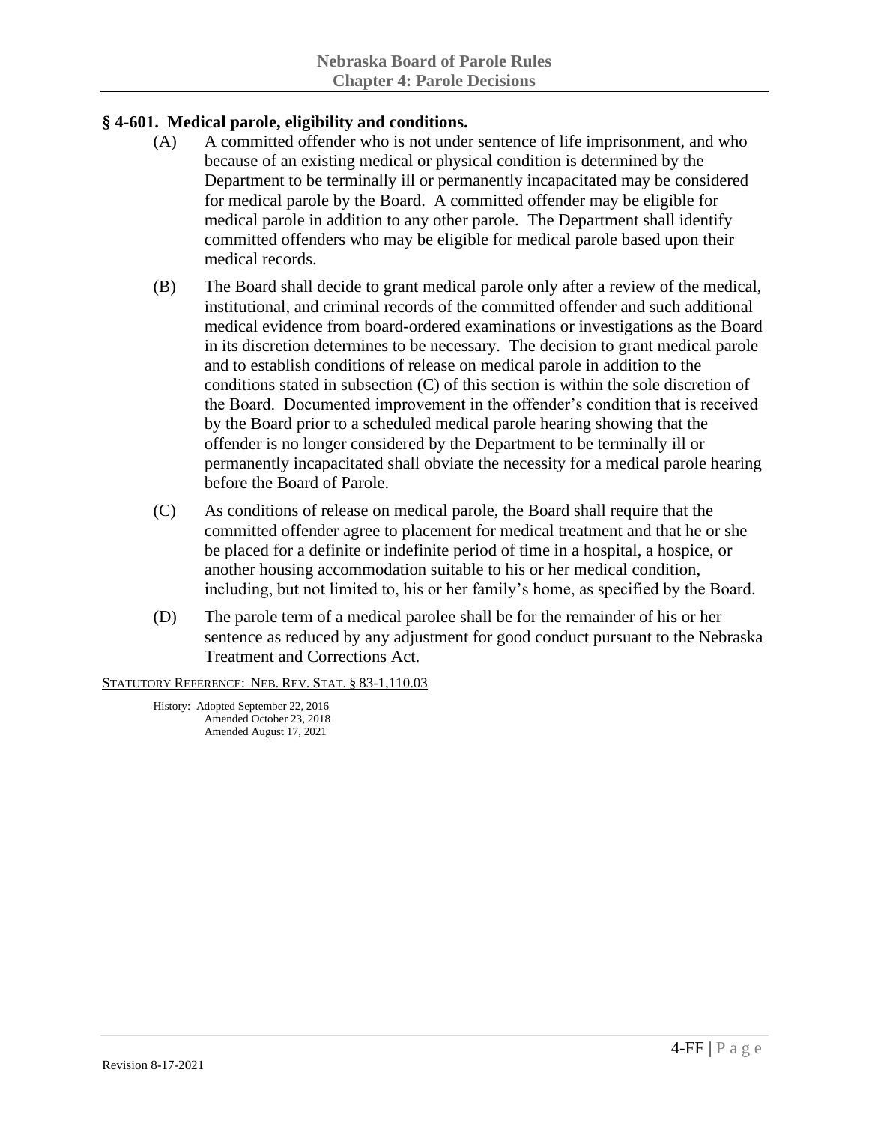# **§ 4-601. Medical parole, eligibility and conditions.**

- (A) A committed offender who is not under sentence of life imprisonment, and who because of an existing medical or physical condition is determined by the Department to be terminally ill or permanently incapacitated may be considered for medical parole by the Board. A committed offender may be eligible for medical parole in addition to any other parole. The Department shall identify committed offenders who may be eligible for medical parole based upon their medical records.
- (B) The Board shall decide to grant medical parole only after a review of the medical, institutional, and criminal records of the committed offender and such additional medical evidence from board-ordered examinations or investigations as the Board in its discretion determines to be necessary. The decision to grant medical parole and to establish conditions of release on medical parole in addition to the conditions stated in subsection (C) of this section is within the sole discretion of the Board. Documented improvement in the offender's condition that is received by the Board prior to a scheduled medical parole hearing showing that the offender is no longer considered by the Department to be terminally ill or permanently incapacitated shall obviate the necessity for a medical parole hearing before the Board of Parole.
- (C) As conditions of release on medical parole, the Board shall require that the committed offender agree to placement for medical treatment and that he or she be placed for a definite or indefinite period of time in a hospital, a hospice, or another housing accommodation suitable to his or her medical condition, including, but not limited to, his or her family's home, as specified by the Board.
- (D) The parole term of a medical parolee shall be for the remainder of his or her sentence as reduced by any adjustment for good conduct pursuant to the Nebraska Treatment and Corrections Act.

STATUTORY REFERENCE: NEB. REV. STAT. § 83-1,110.03

History: Adopted September 22, 2016 Amended October 23, 2018 Amended August 17, 2021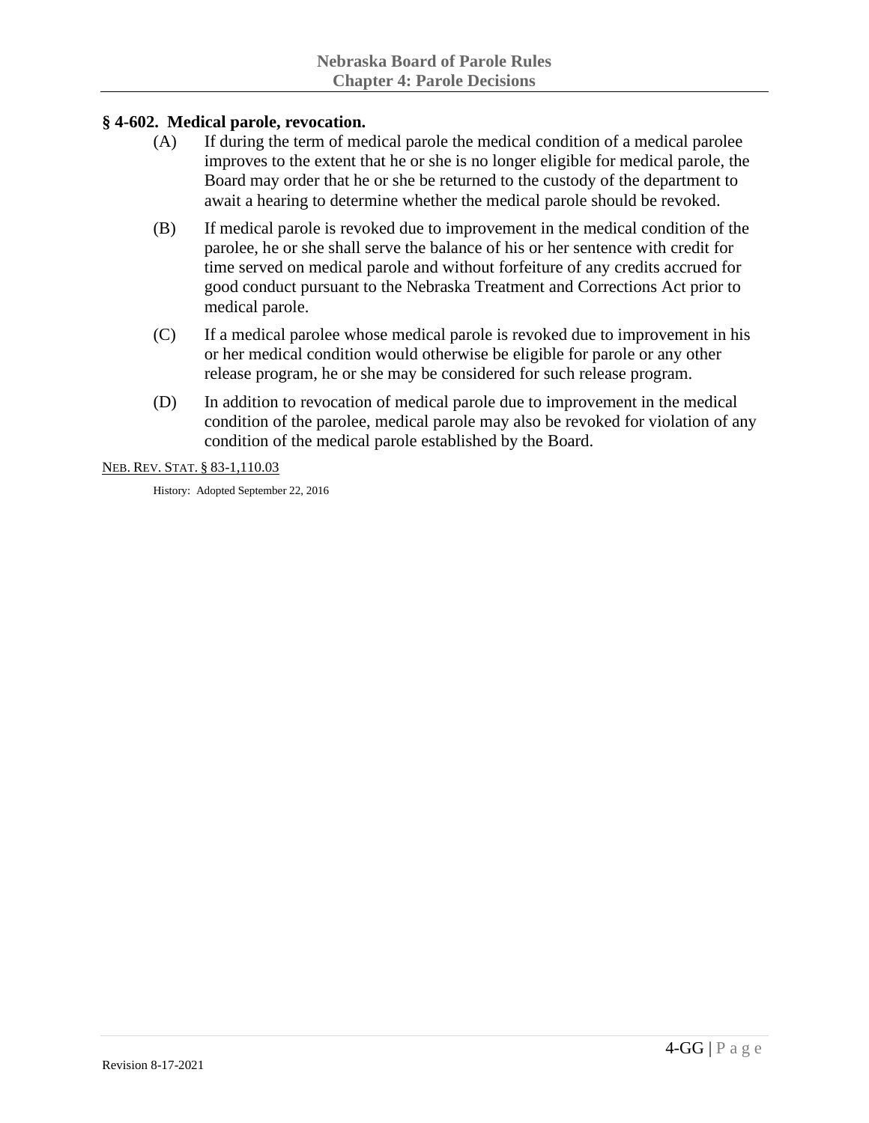## **§ 4-602. Medical parole, revocation.**

- (A) If during the term of medical parole the medical condition of a medical parolee improves to the extent that he or she is no longer eligible for medical parole, the Board may order that he or she be returned to the custody of the department to await a hearing to determine whether the medical parole should be revoked.
- (B) If medical parole is revoked due to improvement in the medical condition of the parolee, he or she shall serve the balance of his or her sentence with credit for time served on medical parole and without forfeiture of any credits accrued for good conduct pursuant to the Nebraska Treatment and Corrections Act prior to medical parole.
- (C) If a medical parolee whose medical parole is revoked due to improvement in his or her medical condition would otherwise be eligible for parole or any other release program, he or she may be considered for such release program.
- (D) In addition to revocation of medical parole due to improvement in the medical condition of the parolee, medical parole may also be revoked for violation of any condition of the medical parole established by the Board.

NEB. REV. STAT. § 83-1,110.03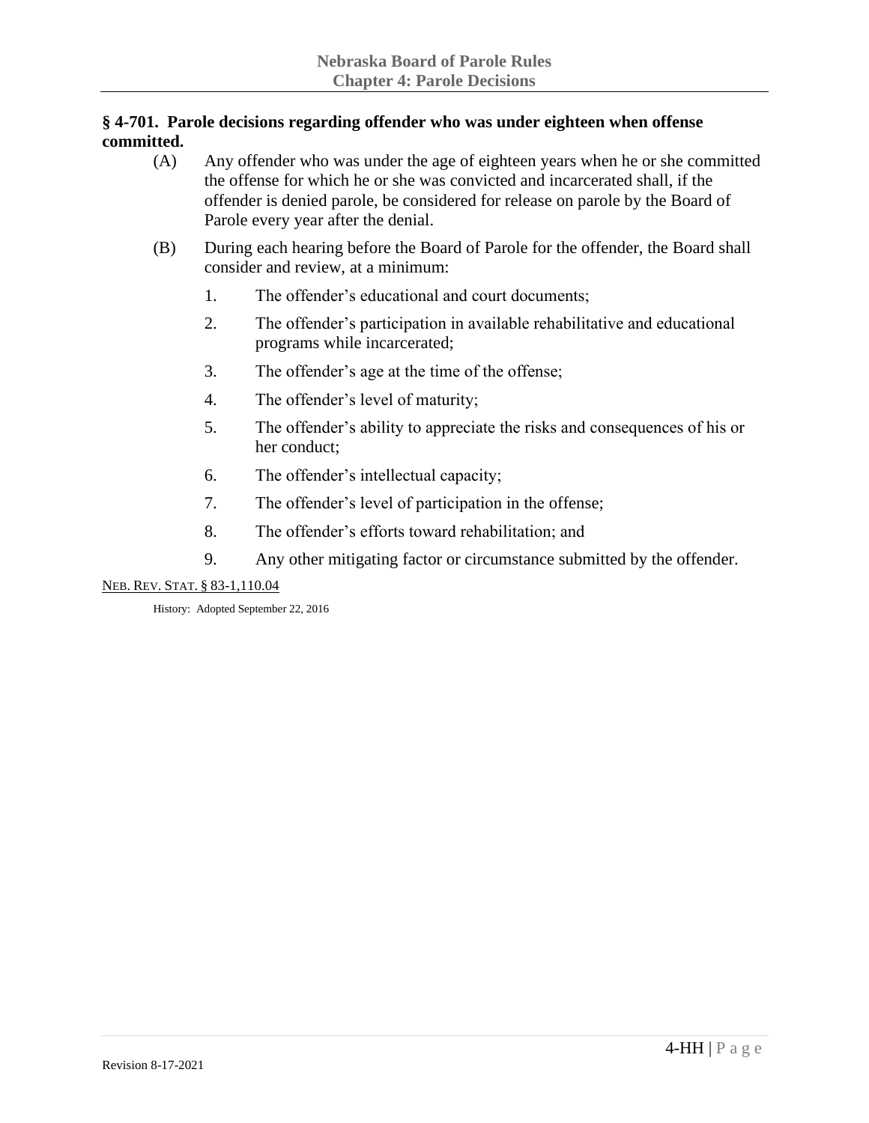## **§ 4-701. Parole decisions regarding offender who was under eighteen when offense committed.**

- (A) Any offender who was under the age of eighteen years when he or she committed the offense for which he or she was convicted and incarcerated shall, if the offender is denied parole, be considered for release on parole by the Board of Parole every year after the denial.
- (B) During each hearing before the Board of Parole for the offender, the Board shall consider and review, at a minimum:
	- 1. The offender's educational and court documents;
	- 2. The offender's participation in available rehabilitative and educational programs while incarcerated;
	- 3. The offender's age at the time of the offense;
	- 4. The offender's level of maturity;
	- 5. The offender's ability to appreciate the risks and consequences of his or her conduct;
	- 6. The offender's intellectual capacity;
	- 7. The offender's level of participation in the offense;
	- 8. The offender's efforts toward rehabilitation; and
	- 9. Any other mitigating factor or circumstance submitted by the offender.

NEB. REV. STAT. § 83-1,110.04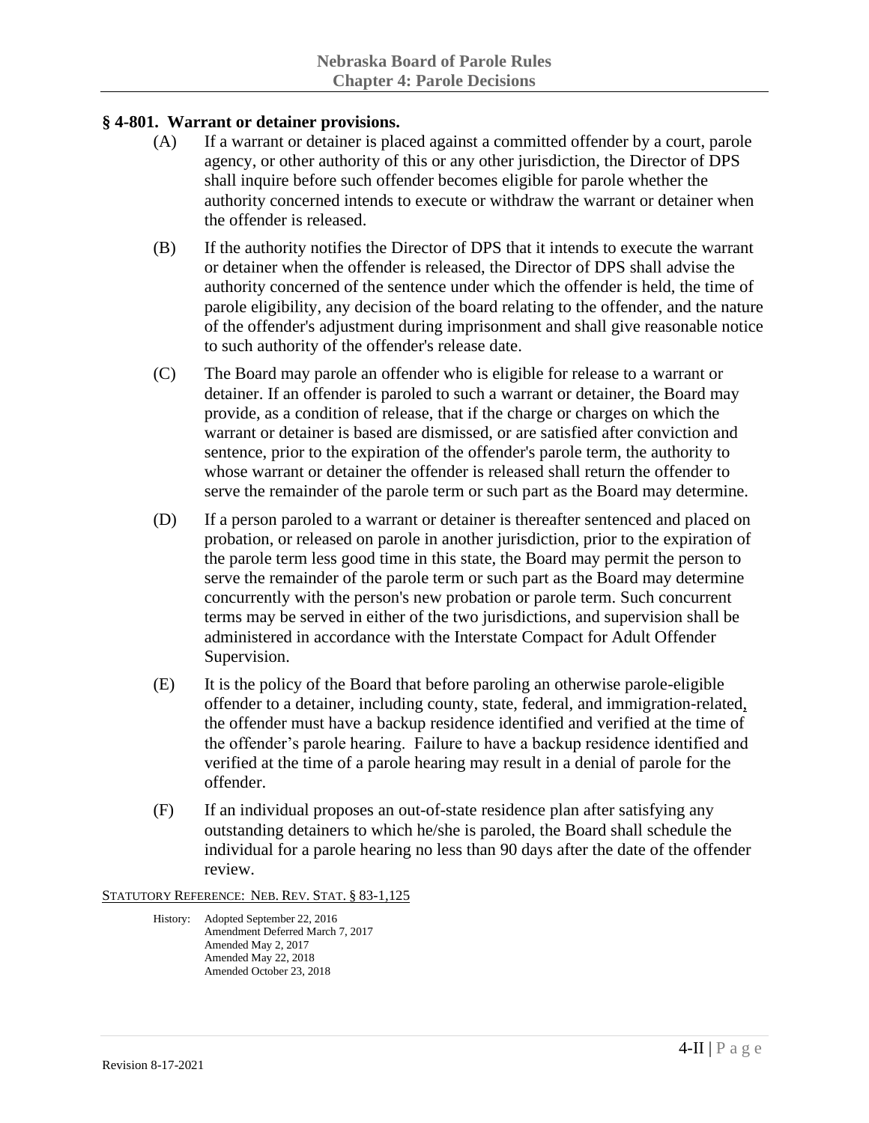## **§ 4-801. Warrant or detainer provisions.**

- (A) If a warrant or detainer is placed against a committed offender by a court, parole agency, or other authority of this or any other jurisdiction, the Director of DPS shall inquire before such offender becomes eligible for parole whether the authority concerned intends to execute or withdraw the warrant or detainer when the offender is released.
- (B) If the authority notifies the Director of DPS that it intends to execute the warrant or detainer when the offender is released, the Director of DPS shall advise the authority concerned of the sentence under which the offender is held, the time of parole eligibility, any decision of the board relating to the offender, and the nature of the offender's adjustment during imprisonment and shall give reasonable notice to such authority of the offender's release date.
- (C) The Board may parole an offender who is eligible for release to a warrant or detainer. If an offender is paroled to such a warrant or detainer, the Board may provide, as a condition of release, that if the charge or charges on which the warrant or detainer is based are dismissed, or are satisfied after conviction and sentence, prior to the expiration of the offender's parole term, the authority to whose warrant or detainer the offender is released shall return the offender to serve the remainder of the parole term or such part as the Board may determine.
- (D) If a person paroled to a warrant or detainer is thereafter sentenced and placed on probation, or released on parole in another jurisdiction, prior to the expiration of the parole term less good time in this state, the Board may permit the person to serve the remainder of the parole term or such part as the Board may determine concurrently with the person's new probation or parole term. Such concurrent terms may be served in either of the two jurisdictions, and supervision shall be administered in accordance with the Interstate Compact for Adult Offender Supervision.
- (E) It is the policy of the Board that before paroling an otherwise parole-eligible offender to a detainer, including county, state, federal, and immigration-related, the offender must have a backup residence identified and verified at the time of the offender's parole hearing. Failure to have a backup residence identified and verified at the time of a parole hearing may result in a denial of parole for the offender.
- (F) If an individual proposes an out-of-state residence plan after satisfying any outstanding detainers to which he/she is paroled, the Board shall schedule the individual for a parole hearing no less than 90 days after the date of the offender review.

STATUTORY REFERENCE: NEB. REV. STAT. § 83-1,125

History: Adopted September 22, 2016 Amendment Deferred March 7, 2017 Amended May 2, 2017 Amended May 22, 2018 Amended October 23, 2018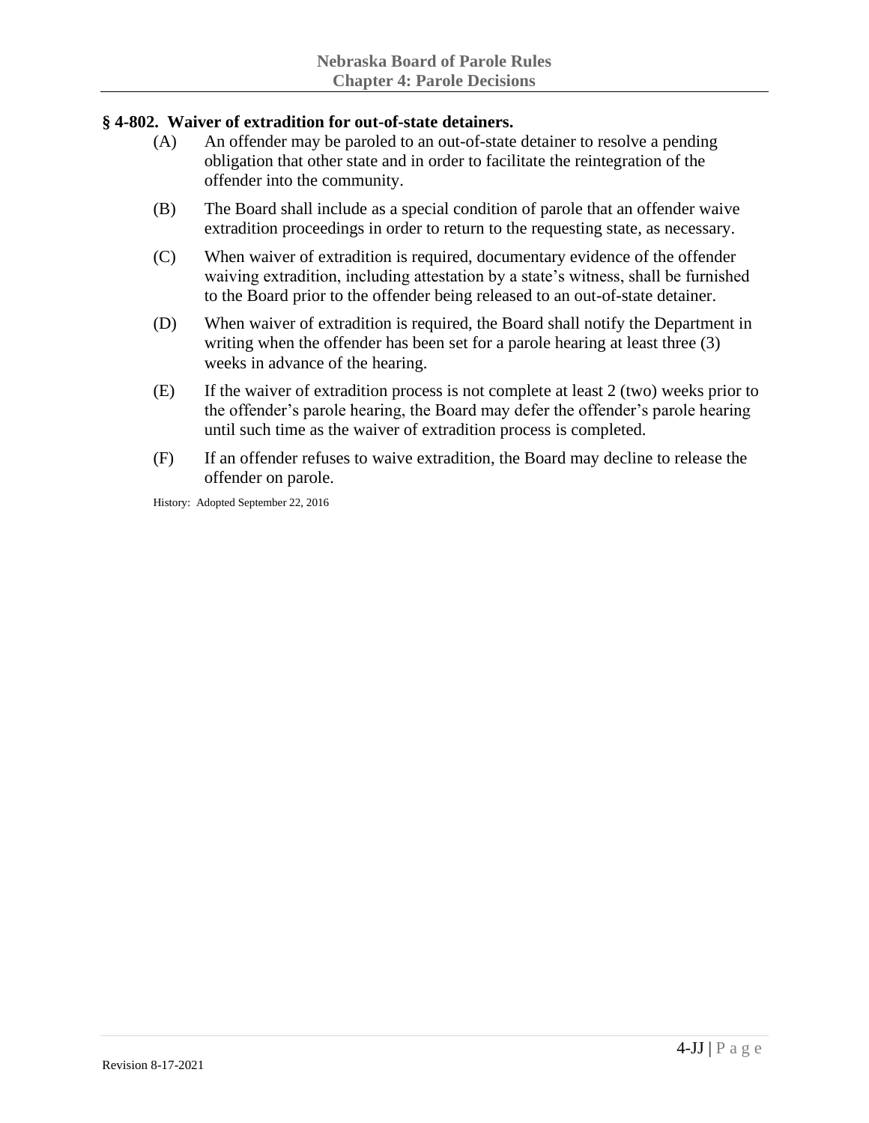## **§ 4-802. Waiver of extradition for out-of-state detainers.**

- (A) An offender may be paroled to an out-of-state detainer to resolve a pending obligation that other state and in order to facilitate the reintegration of the offender into the community.
- (B) The Board shall include as a special condition of parole that an offender waive extradition proceedings in order to return to the requesting state, as necessary.
- (C) When waiver of extradition is required, documentary evidence of the offender waiving extradition, including attestation by a state's witness, shall be furnished to the Board prior to the offender being released to an out-of-state detainer.
- (D) When waiver of extradition is required, the Board shall notify the Department in writing when the offender has been set for a parole hearing at least three (3) weeks in advance of the hearing.
- (E) If the waiver of extradition process is not complete at least 2 (two) weeks prior to the offender's parole hearing, the Board may defer the offender's parole hearing until such time as the waiver of extradition process is completed.
- (F) If an offender refuses to waive extradition, the Board may decline to release the offender on parole.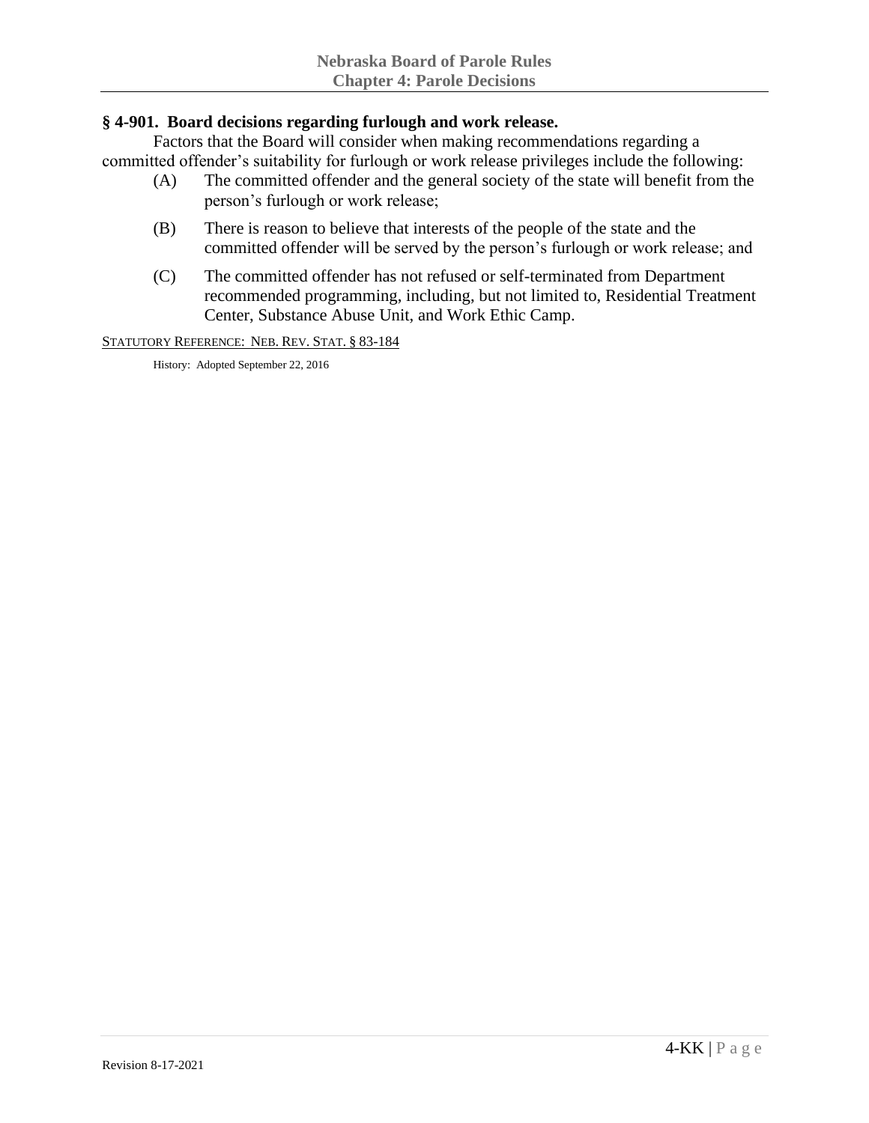### **§ 4-901. Board decisions regarding furlough and work release.**

Factors that the Board will consider when making recommendations regarding a committed offender's suitability for furlough or work release privileges include the following:

- (A) The committed offender and the general society of the state will benefit from the person's furlough or work release;
- (B) There is reason to believe that interests of the people of the state and the committed offender will be served by the person's furlough or work release; and
- (C) The committed offender has not refused or self-terminated from Department recommended programming, including, but not limited to, Residential Treatment Center, Substance Abuse Unit, and Work Ethic Camp.

STATUTORY REFERENCE: NEB. REV. STAT. § 83-184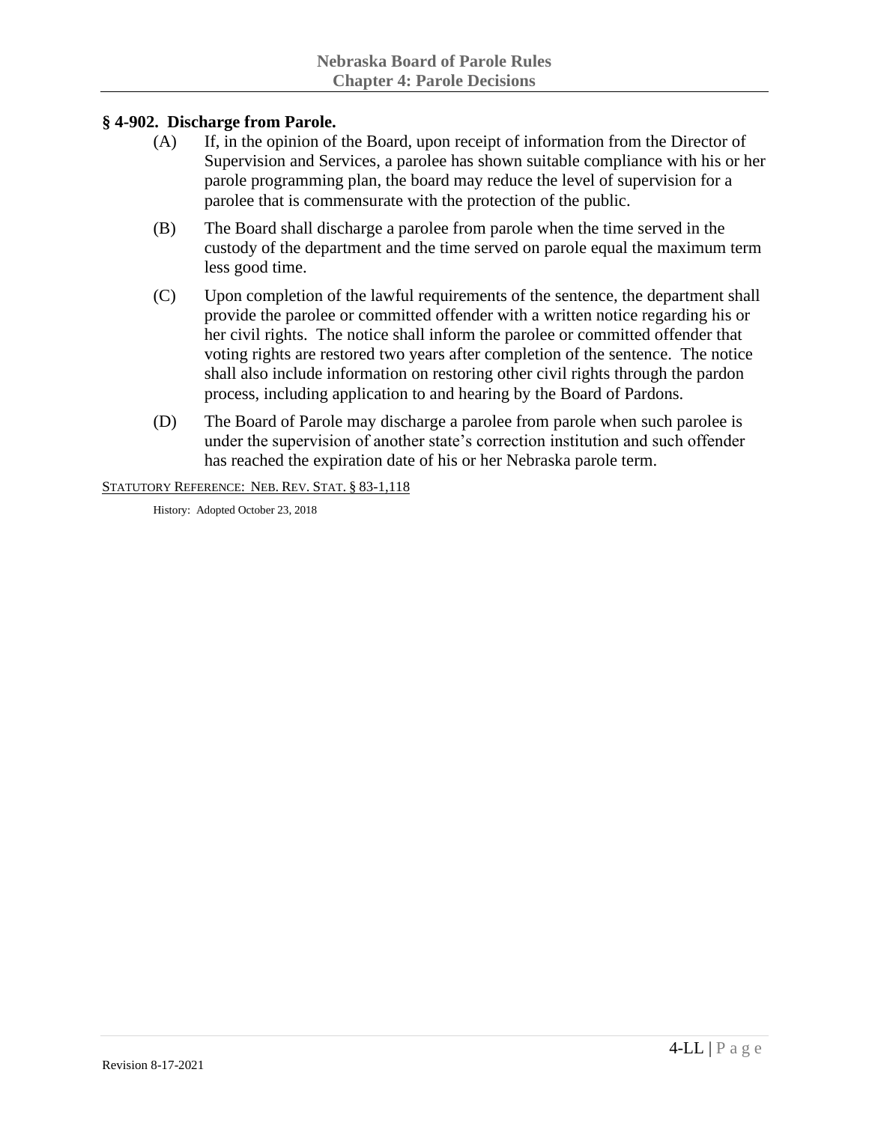## **§ 4-902. Discharge from Parole.**

- (A) If, in the opinion of the Board, upon receipt of information from the Director of Supervision and Services, a parolee has shown suitable compliance with his or her parole programming plan, the board may reduce the level of supervision for a parolee that is commensurate with the protection of the public.
- (B) The Board shall discharge a parolee from parole when the time served in the custody of the department and the time served on parole equal the maximum term less good time.
- (C) Upon completion of the lawful requirements of the sentence, the department shall provide the parolee or committed offender with a written notice regarding his or her civil rights. The notice shall inform the parolee or committed offender that voting rights are restored two years after completion of the sentence. The notice shall also include information on restoring other civil rights through the pardon process, including application to and hearing by the Board of Pardons.
- (D) The Board of Parole may discharge a parolee from parole when such parolee is under the supervision of another state's correction institution and such offender has reached the expiration date of his or her Nebraska parole term.

#### STATUTORY REFERENCE: NEB. REV. STAT. § 83-1,118

History: Adopted October 23, 2018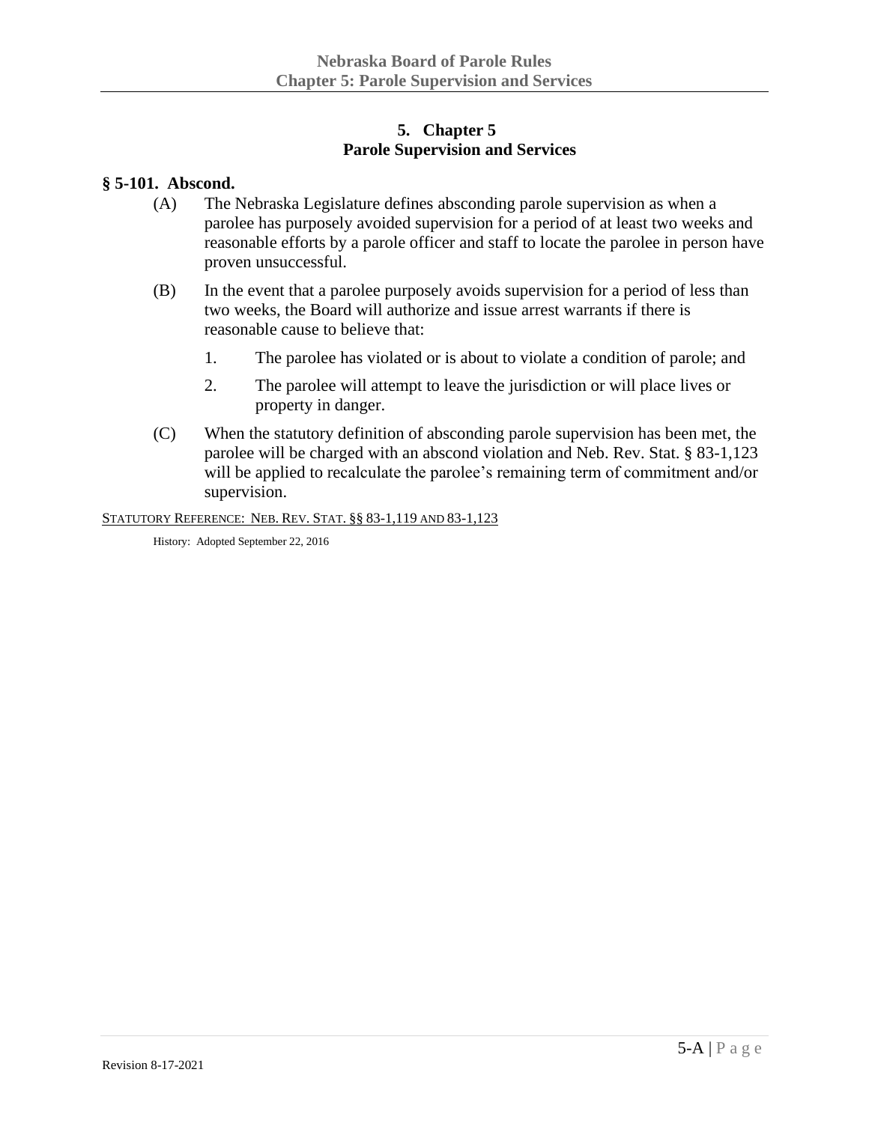## **5. Chapter 5 Parole Supervision and Services**

#### **§ 5-101. Abscond.**

- (A) The Nebraska Legislature defines absconding parole supervision as when a parolee has purposely avoided supervision for a period of at least two weeks and reasonable efforts by a parole officer and staff to locate the parolee in person have proven unsuccessful.
- (B) In the event that a parolee purposely avoids supervision for a period of less than two weeks, the Board will authorize and issue arrest warrants if there is reasonable cause to believe that:
	- 1. The parolee has violated or is about to violate a condition of parole; and
	- 2. The parolee will attempt to leave the jurisdiction or will place lives or property in danger.
- (C) When the statutory definition of absconding parole supervision has been met, the parolee will be charged with an abscond violation and Neb. Rev. Stat. § 83-1,123 will be applied to recalculate the parolee's remaining term of commitment and/or supervision.

STATUTORY REFERENCE: NEB. REV. STAT. §§ 83-1,119 AND 83-1,123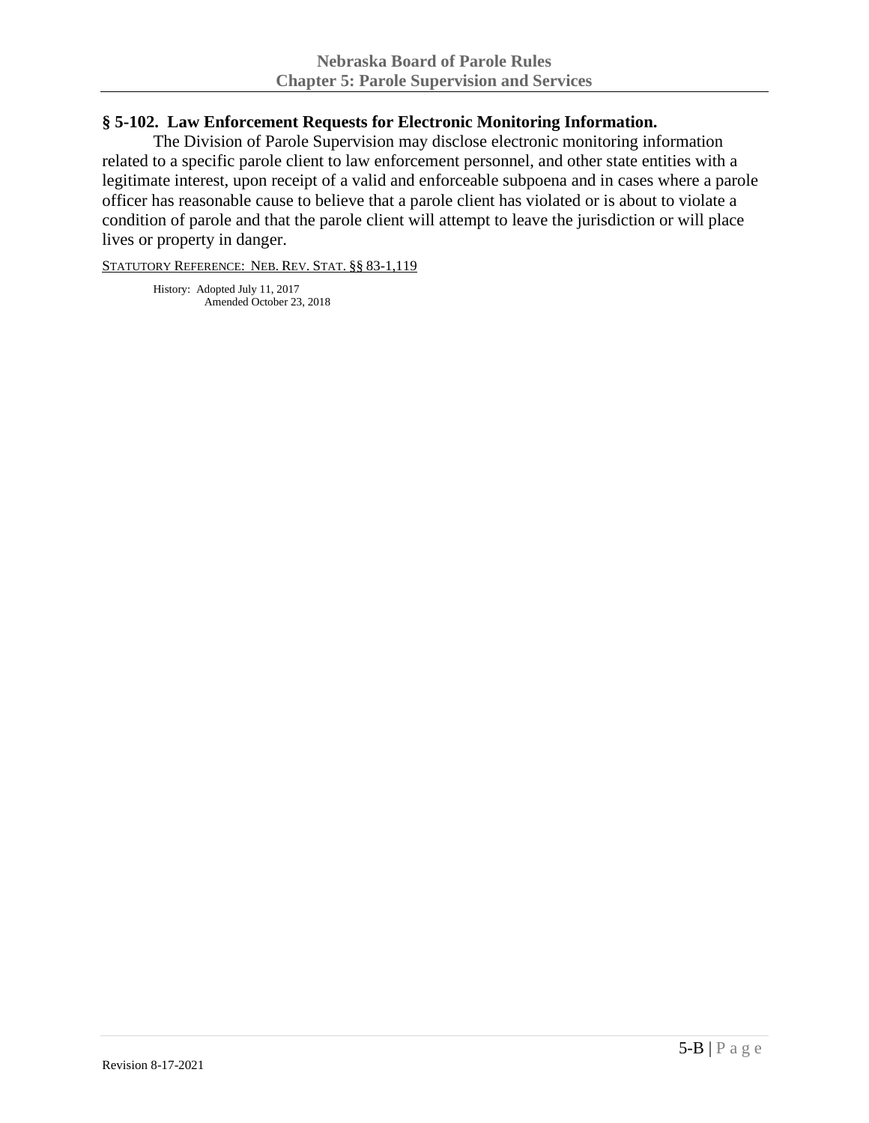#### **§ 5-102. Law Enforcement Requests for Electronic Monitoring Information.**

The Division of Parole Supervision may disclose electronic monitoring information related to a specific parole client to law enforcement personnel, and other state entities with a legitimate interest, upon receipt of a valid and enforceable subpoena and in cases where a parole officer has reasonable cause to believe that a parole client has violated or is about to violate a condition of parole and that the parole client will attempt to leave the jurisdiction or will place lives or property in danger.

STATUTORY REFERENCE: NEB. REV. STAT. §§ 83-1,119

History: Adopted July 11, 2017 Amended October 23, 2018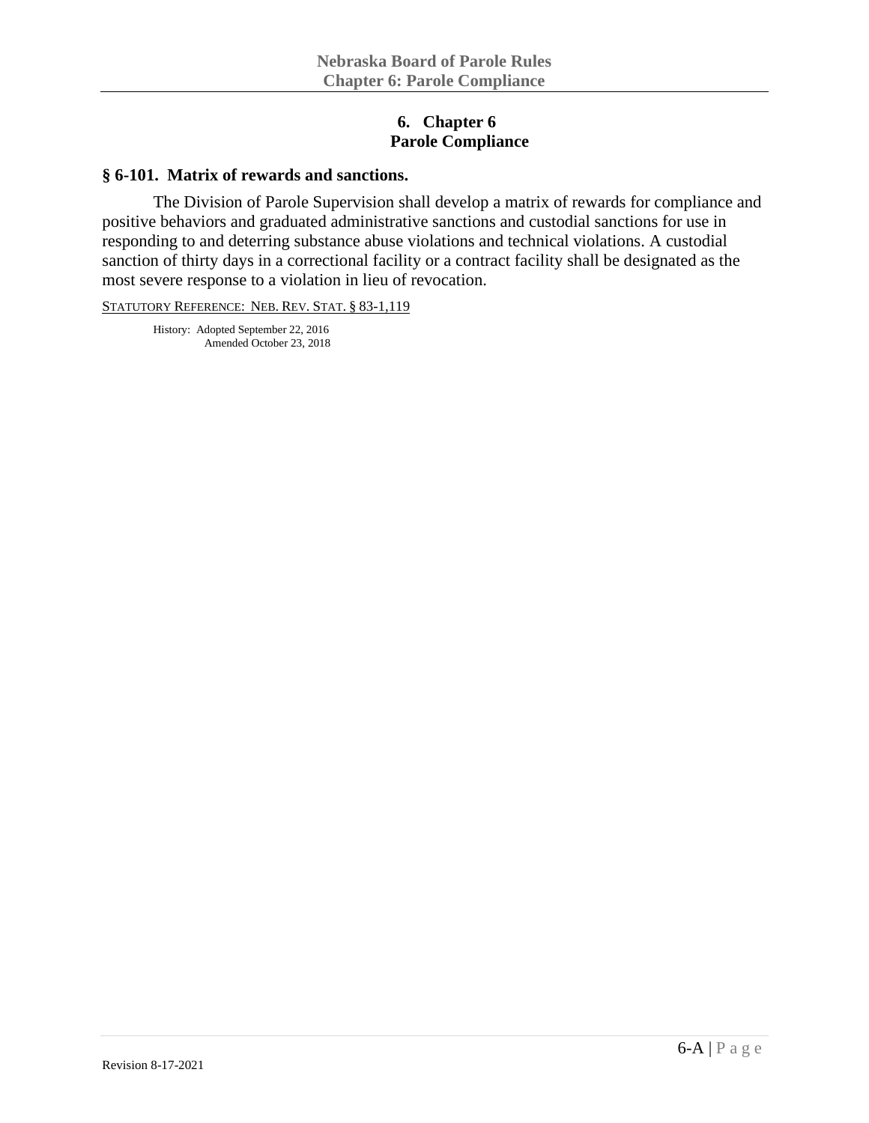### **6. Chapter 6 Parole Compliance**

#### **§ 6-101. Matrix of rewards and sanctions.**

The Division of Parole Supervision shall develop a matrix of rewards for compliance and positive behaviors and graduated administrative sanctions and custodial sanctions for use in responding to and deterring substance abuse violations and technical violations. A custodial sanction of thirty days in a correctional facility or a contract facility shall be designated as the most severe response to a violation in lieu of revocation.

STATUTORY REFERENCE: NEB. REV. STAT. § 83-1,119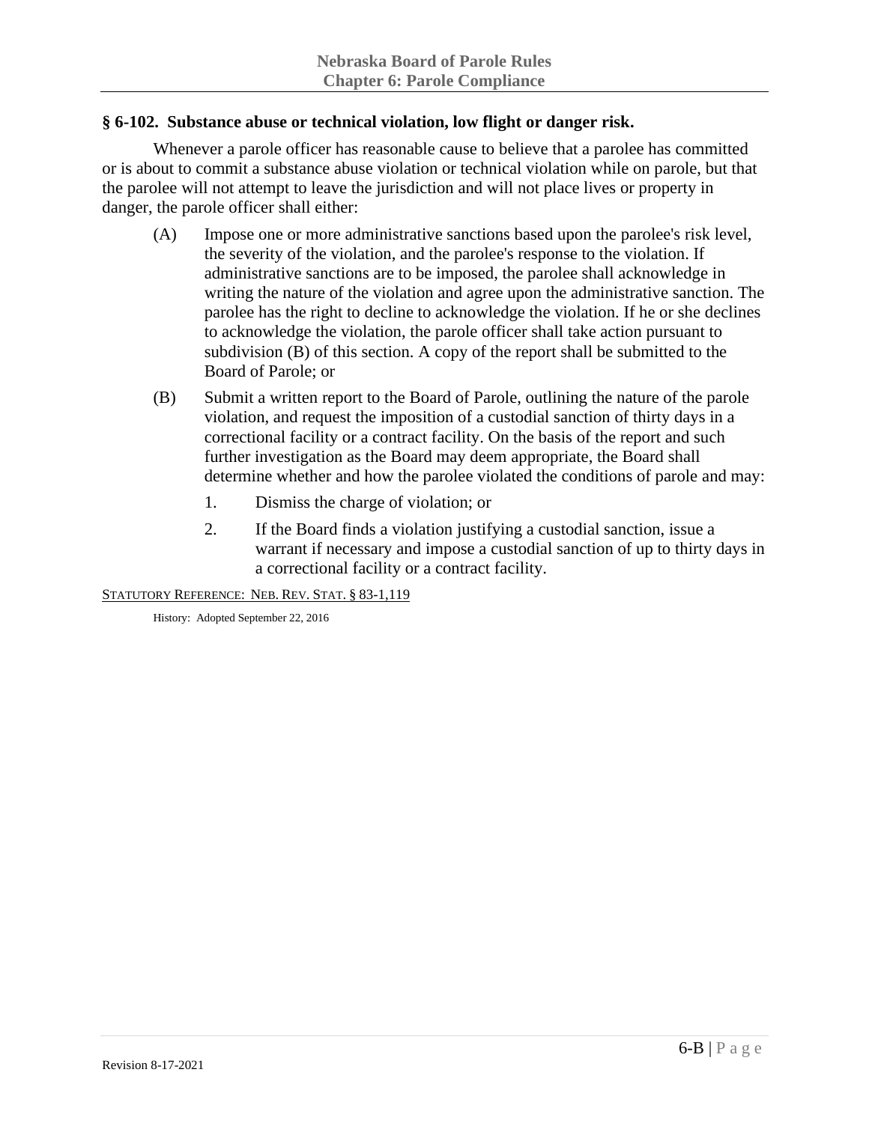## **§ 6-102. Substance abuse or technical violation, low flight or danger risk.**

Whenever a parole officer has reasonable cause to believe that a parolee has committed or is about to commit a substance abuse violation or technical violation while on parole, but that the parolee will not attempt to leave the jurisdiction and will not place lives or property in danger, the parole officer shall either:

- (A) Impose one or more administrative sanctions based upon the parolee's risk level, the severity of the violation, and the parolee's response to the violation. If administrative sanctions are to be imposed, the parolee shall acknowledge in writing the nature of the violation and agree upon the administrative sanction. The parolee has the right to decline to acknowledge the violation. If he or she declines to acknowledge the violation, the parole officer shall take action pursuant to subdivision (B) of this section. A copy of the report shall be submitted to the Board of Parole; or
- (B) Submit a written report to the Board of Parole, outlining the nature of the parole violation, and request the imposition of a custodial sanction of thirty days in a correctional facility or a contract facility. On the basis of the report and such further investigation as the Board may deem appropriate, the Board shall determine whether and how the parolee violated the conditions of parole and may:
	- 1. Dismiss the charge of violation; or
	- 2. If the Board finds a violation justifying a custodial sanction, issue a warrant if necessary and impose a custodial sanction of up to thirty days in a correctional facility or a contract facility.

STATUTORY REFERENCE: NEB. REV. STAT. § 83-1,119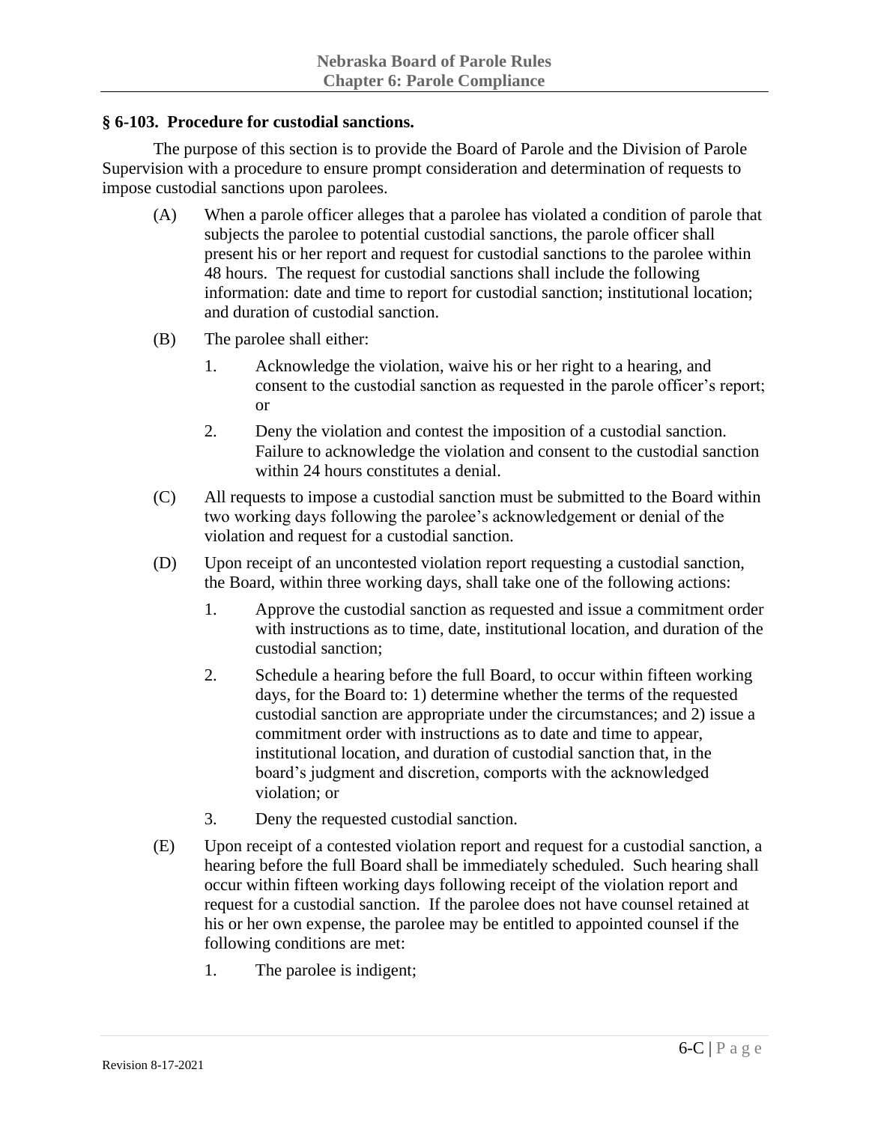#### **§ 6-103. Procedure for custodial sanctions.**

The purpose of this section is to provide the Board of Parole and the Division of Parole Supervision with a procedure to ensure prompt consideration and determination of requests to impose custodial sanctions upon parolees.

- (A) When a parole officer alleges that a parolee has violated a condition of parole that subjects the parolee to potential custodial sanctions, the parole officer shall present his or her report and request for custodial sanctions to the parolee within 48 hours. The request for custodial sanctions shall include the following information: date and time to report for custodial sanction; institutional location; and duration of custodial sanction.
- (B) The parolee shall either:
	- 1. Acknowledge the violation, waive his or her right to a hearing, and consent to the custodial sanction as requested in the parole officer's report; or
	- 2. Deny the violation and contest the imposition of a custodial sanction. Failure to acknowledge the violation and consent to the custodial sanction within 24 hours constitutes a denial.
- (C) All requests to impose a custodial sanction must be submitted to the Board within two working days following the parolee's acknowledgement or denial of the violation and request for a custodial sanction.
- (D) Upon receipt of an uncontested violation report requesting a custodial sanction, the Board, within three working days, shall take one of the following actions:
	- 1. Approve the custodial sanction as requested and issue a commitment order with instructions as to time, date, institutional location, and duration of the custodial sanction;
	- 2. Schedule a hearing before the full Board, to occur within fifteen working days, for the Board to: 1) determine whether the terms of the requested custodial sanction are appropriate under the circumstances; and 2) issue a commitment order with instructions as to date and time to appear, institutional location, and duration of custodial sanction that, in the board's judgment and discretion, comports with the acknowledged violation; or
	- 3. Deny the requested custodial sanction.
- (E) Upon receipt of a contested violation report and request for a custodial sanction, a hearing before the full Board shall be immediately scheduled. Such hearing shall occur within fifteen working days following receipt of the violation report and request for a custodial sanction. If the parolee does not have counsel retained at his or her own expense, the parolee may be entitled to appointed counsel if the following conditions are met:
	- 1. The parolee is indigent;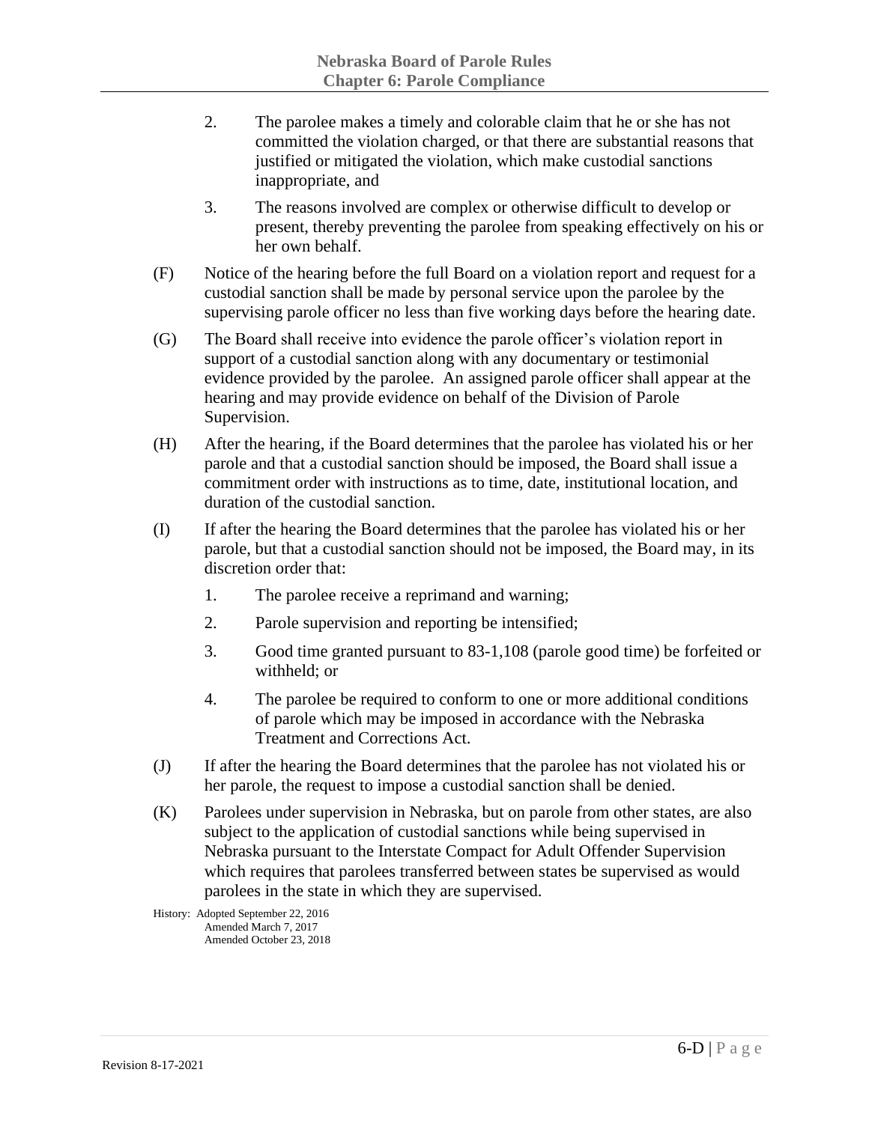- 2. The parolee makes a timely and colorable claim that he or she has not committed the violation charged, or that there are substantial reasons that justified or mitigated the violation, which make custodial sanctions inappropriate, and
- 3. The reasons involved are complex or otherwise difficult to develop or present, thereby preventing the parolee from speaking effectively on his or her own behalf.
- (F) Notice of the hearing before the full Board on a violation report and request for a custodial sanction shall be made by personal service upon the parolee by the supervising parole officer no less than five working days before the hearing date.
- (G) The Board shall receive into evidence the parole officer's violation report in support of a custodial sanction along with any documentary or testimonial evidence provided by the parolee. An assigned parole officer shall appear at the hearing and may provide evidence on behalf of the Division of Parole Supervision.
- (H) After the hearing, if the Board determines that the parolee has violated his or her parole and that a custodial sanction should be imposed, the Board shall issue a commitment order with instructions as to time, date, institutional location, and duration of the custodial sanction.
- (I) If after the hearing the Board determines that the parolee has violated his or her parole, but that a custodial sanction should not be imposed, the Board may, in its discretion order that:
	- 1. The parolee receive a reprimand and warning;
	- 2. Parole supervision and reporting be intensified;
	- 3. Good time granted pursuant to 83-1,108 (parole good time) be forfeited or withheld; or
	- 4. The parolee be required to conform to one or more additional conditions of parole which may be imposed in accordance with the Nebraska Treatment and Corrections Act.
- (J) If after the hearing the Board determines that the parolee has not violated his or her parole, the request to impose a custodial sanction shall be denied.
- (K) Parolees under supervision in Nebraska, but on parole from other states, are also subject to the application of custodial sanctions while being supervised in Nebraska pursuant to the Interstate Compact for Adult Offender Supervision which requires that parolees transferred between states be supervised as would parolees in the state in which they are supervised.

History: Adopted September 22, 2016 Amended March 7, 2017 Amended October 23, 2018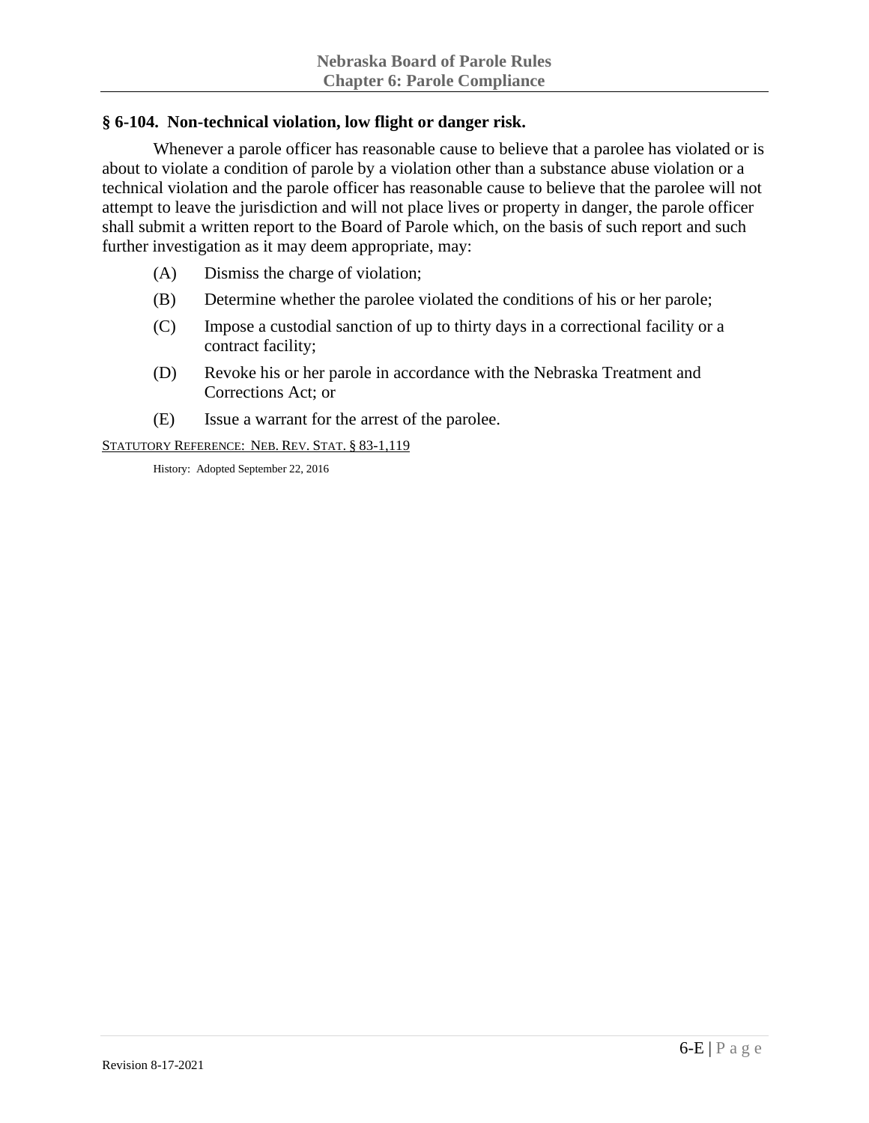## **§ 6-104. Non-technical violation, low flight or danger risk.**

Whenever a parole officer has reasonable cause to believe that a parolee has violated or is about to violate a condition of parole by a violation other than a substance abuse violation or a technical violation and the parole officer has reasonable cause to believe that the parolee will not attempt to leave the jurisdiction and will not place lives or property in danger, the parole officer shall submit a written report to the Board of Parole which, on the basis of such report and such further investigation as it may deem appropriate, may:

- (A) Dismiss the charge of violation;
- (B) Determine whether the parolee violated the conditions of his or her parole;
- (C) Impose a custodial sanction of up to thirty days in a correctional facility or a contract facility;
- (D) Revoke his or her parole in accordance with the Nebraska Treatment and Corrections Act; or
- (E) Issue a warrant for the arrest of the parolee.

STATUTORY REFERENCE: NEB. REV. STAT. § 83-1,119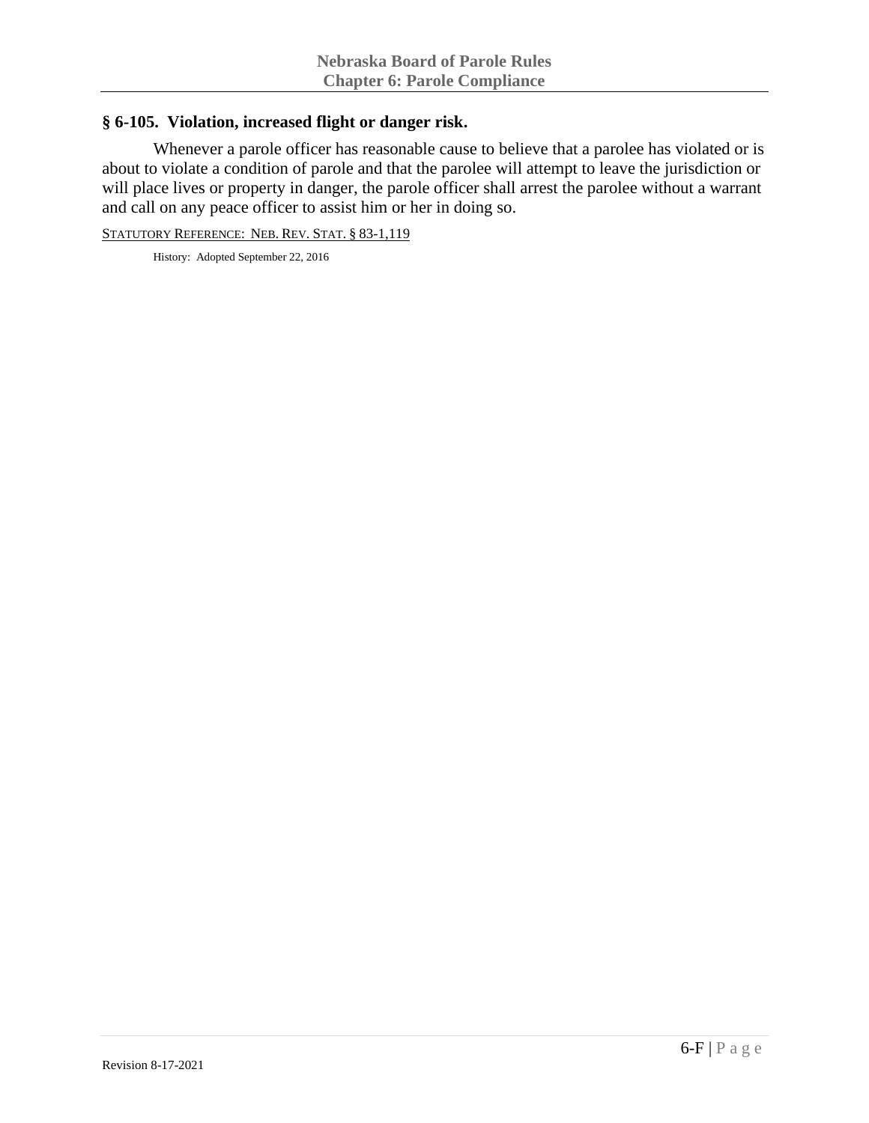### **§ 6-105. Violation, increased flight or danger risk.**

Whenever a parole officer has reasonable cause to believe that a parolee has violated or is about to violate a condition of parole and that the parolee will attempt to leave the jurisdiction or will place lives or property in danger, the parole officer shall arrest the parolee without a warrant and call on any peace officer to assist him or her in doing so.

STATUTORY REFERENCE: NEB. REV. STAT. § 83-1,119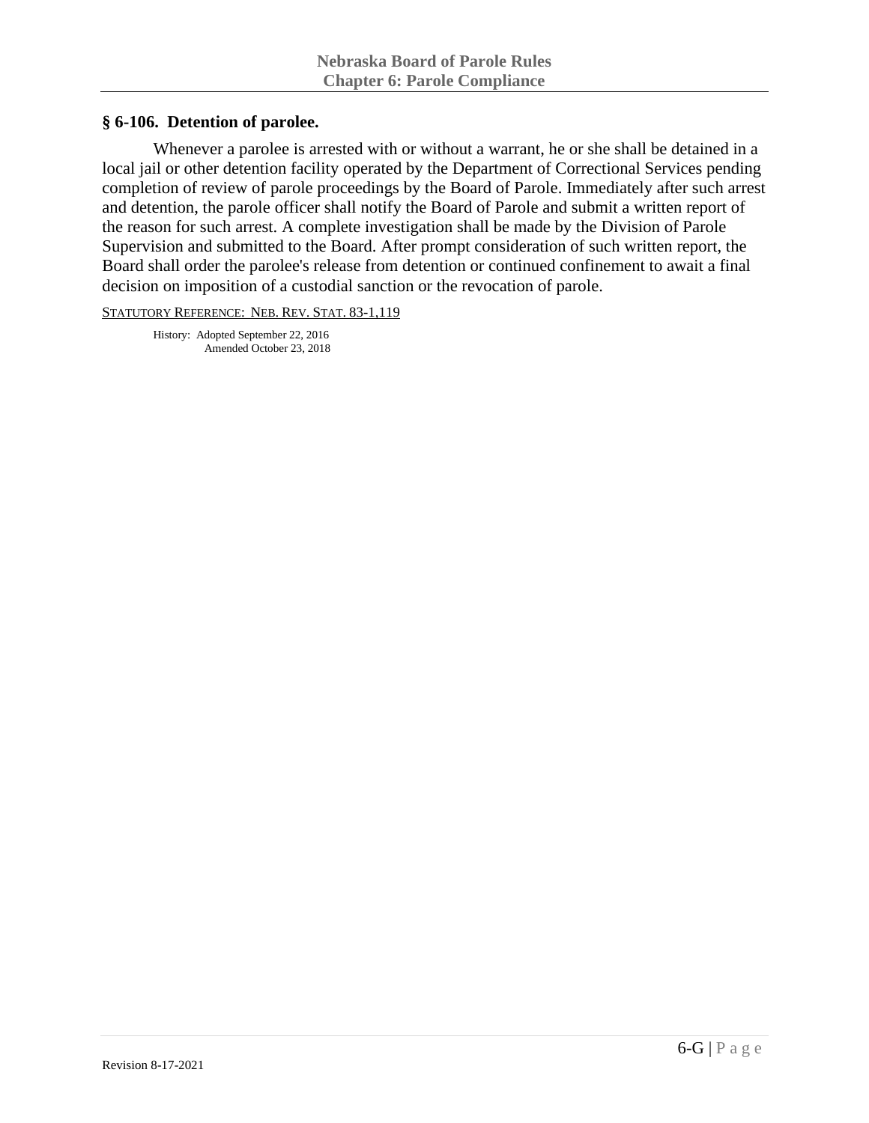#### **§ 6-106. Detention of parolee.**

Whenever a parolee is arrested with or without a warrant, he or she shall be detained in a local jail or other detention facility operated by the Department of Correctional Services pending completion of review of parole proceedings by the Board of Parole. Immediately after such arrest and detention, the parole officer shall notify the Board of Parole and submit a written report of the reason for such arrest. A complete investigation shall be made by the Division of Parole Supervision and submitted to the Board. After prompt consideration of such written report, the Board shall order the parolee's release from detention or continued confinement to await a final decision on imposition of a custodial sanction or the revocation of parole.

STATUTORY REFERENCE: NEB. REV. STAT. 83-1,119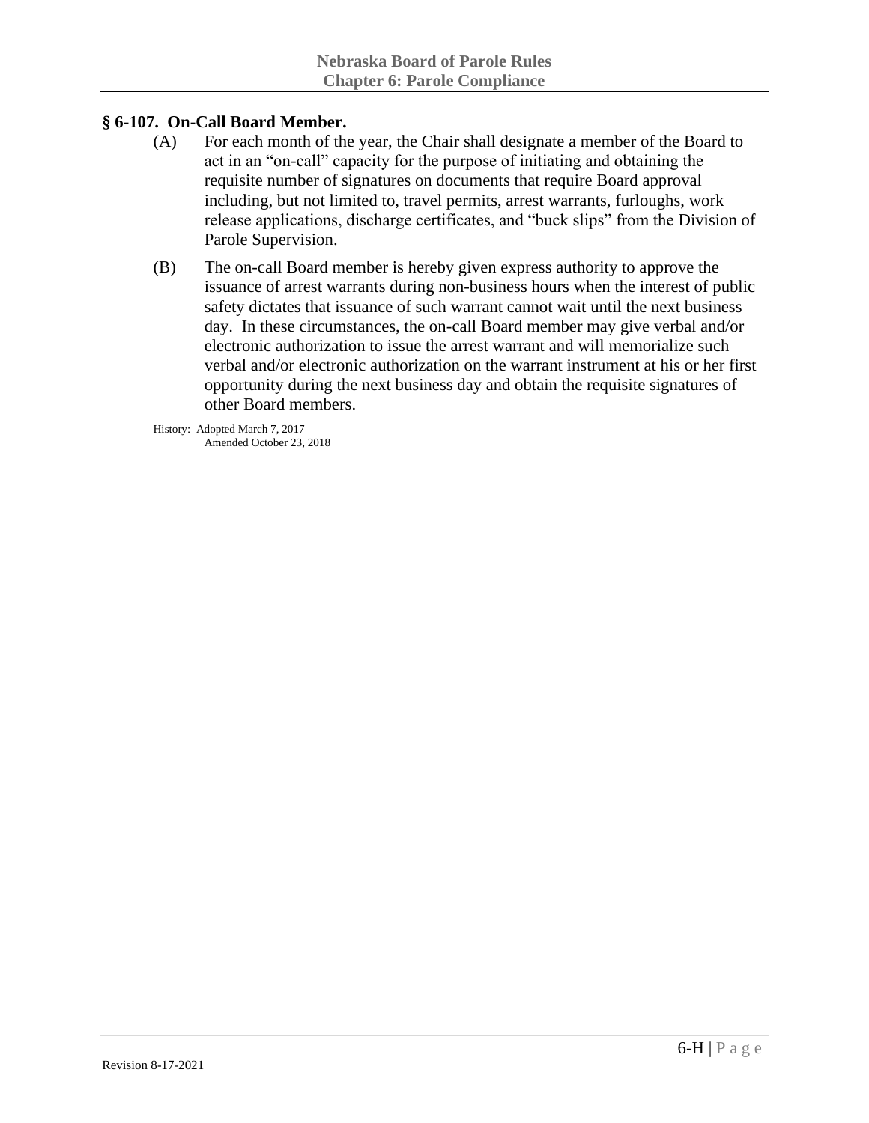## **§ 6-107. On-Call Board Member.**

- (A) For each month of the year, the Chair shall designate a member of the Board to act in an "on-call" capacity for the purpose of initiating and obtaining the requisite number of signatures on documents that require Board approval including, but not limited to, travel permits, arrest warrants, furloughs, work release applications, discharge certificates, and "buck slips" from the Division of Parole Supervision.
- (B) The on-call Board member is hereby given express authority to approve the issuance of arrest warrants during non-business hours when the interest of public safety dictates that issuance of such warrant cannot wait until the next business day. In these circumstances, the on-call Board member may give verbal and/or electronic authorization to issue the arrest warrant and will memorialize such verbal and/or electronic authorization on the warrant instrument at his or her first opportunity during the next business day and obtain the requisite signatures of other Board members.

History: Adopted March 7, 2017 Amended October 23, 2018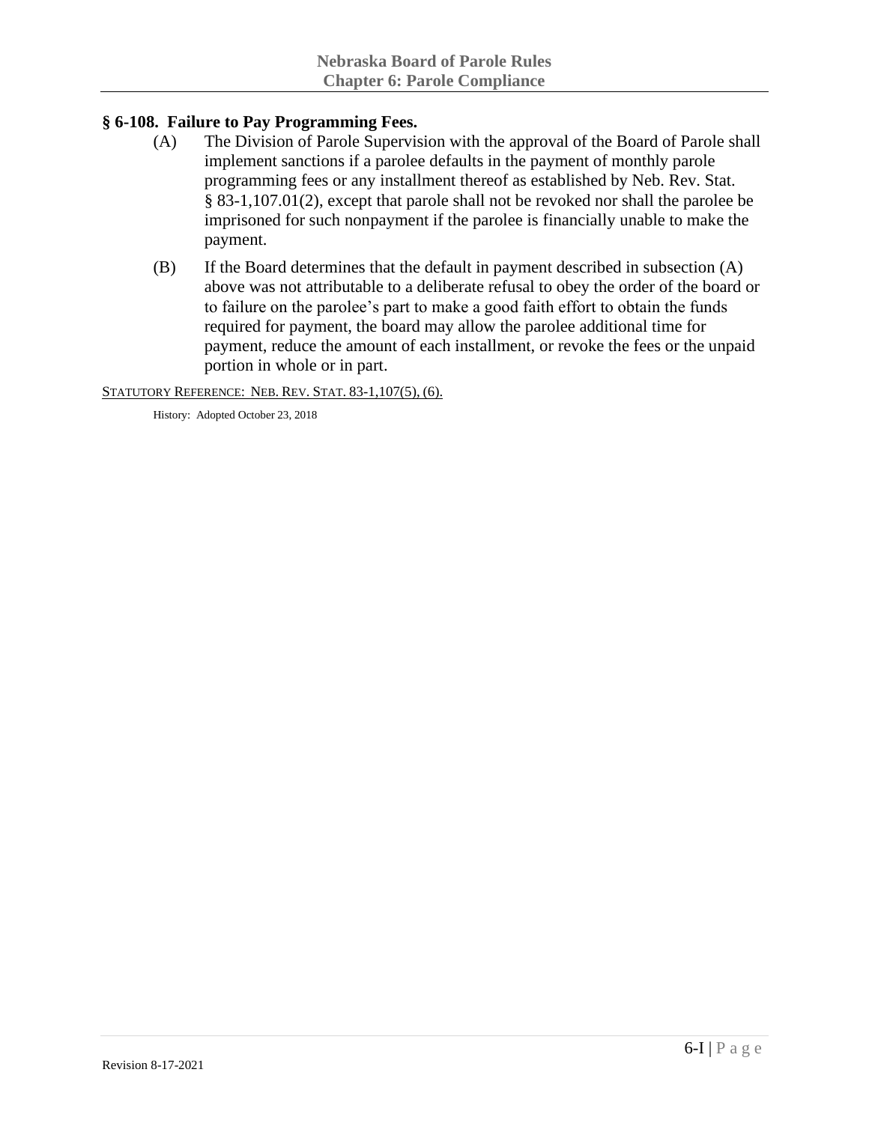# **§ 6-108. Failure to Pay Programming Fees.**

- (A) The Division of Parole Supervision with the approval of the Board of Parole shall implement sanctions if a parolee defaults in the payment of monthly parole programming fees or any installment thereof as established by Neb. Rev. Stat. § 83-1,107.01(2), except that parole shall not be revoked nor shall the parolee be imprisoned for such nonpayment if the parolee is financially unable to make the payment.
- (B) If the Board determines that the default in payment described in subsection (A) above was not attributable to a deliberate refusal to obey the order of the board or to failure on the parolee's part to make a good faith effort to obtain the funds required for payment, the board may allow the parolee additional time for payment, reduce the amount of each installment, or revoke the fees or the unpaid portion in whole or in part.

STATUTORY REFERENCE: NEB. REV. STAT. 83-1,107(5), (6).

History: Adopted October 23, 2018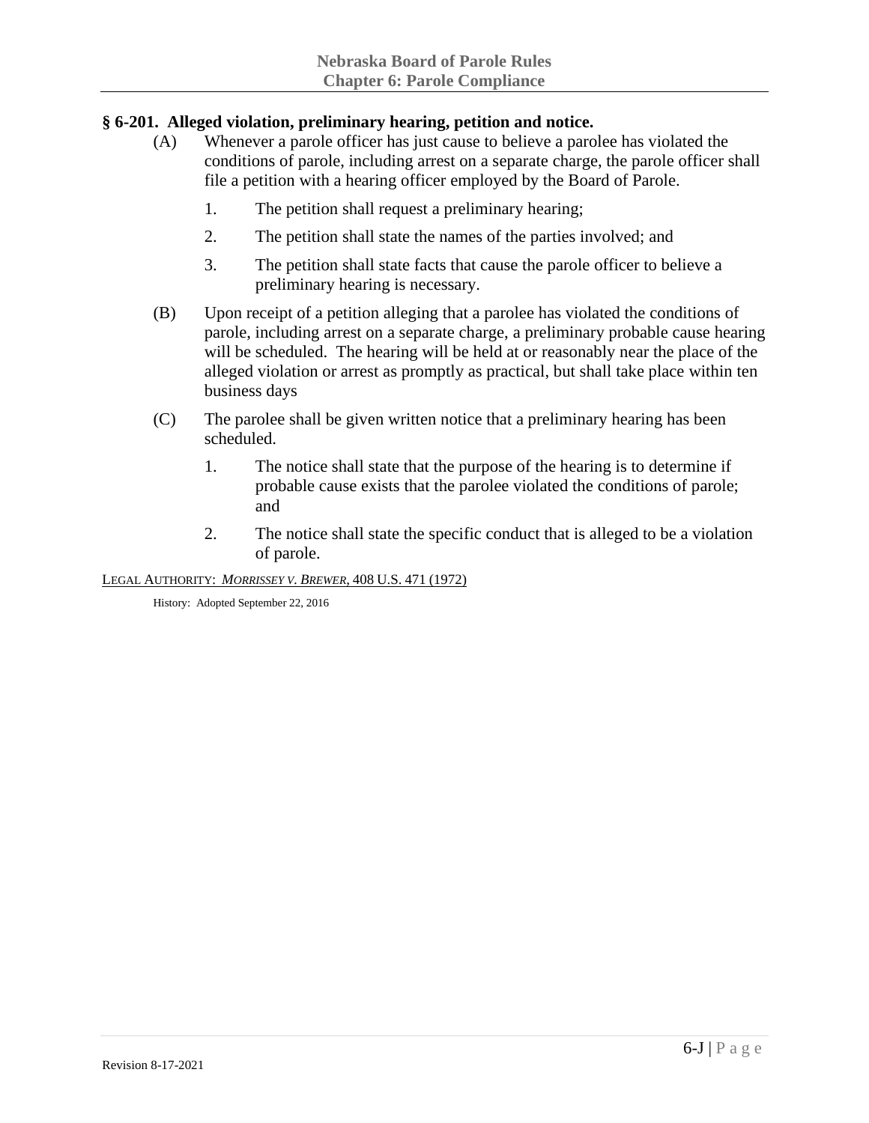# **§ 6-201. Alleged violation, preliminary hearing, petition and notice.**

- (A) Whenever a parole officer has just cause to believe a parolee has violated the conditions of parole, including arrest on a separate charge, the parole officer shall file a petition with a hearing officer employed by the Board of Parole.
	- 1. The petition shall request a preliminary hearing;
	- 2. The petition shall state the names of the parties involved; and
	- 3. The petition shall state facts that cause the parole officer to believe a preliminary hearing is necessary.
- (B) Upon receipt of a petition alleging that a parolee has violated the conditions of parole, including arrest on a separate charge, a preliminary probable cause hearing will be scheduled. The hearing will be held at or reasonably near the place of the alleged violation or arrest as promptly as practical, but shall take place within ten business days
- (C) The parolee shall be given written notice that a preliminary hearing has been scheduled.
	- 1. The notice shall state that the purpose of the hearing is to determine if probable cause exists that the parolee violated the conditions of parole; and
	- 2. The notice shall state the specific conduct that is alleged to be a violation of parole.

LEGAL AUTHORITY: *MORRISSEY V. BREWER*, 408 U.S. 471 (1972)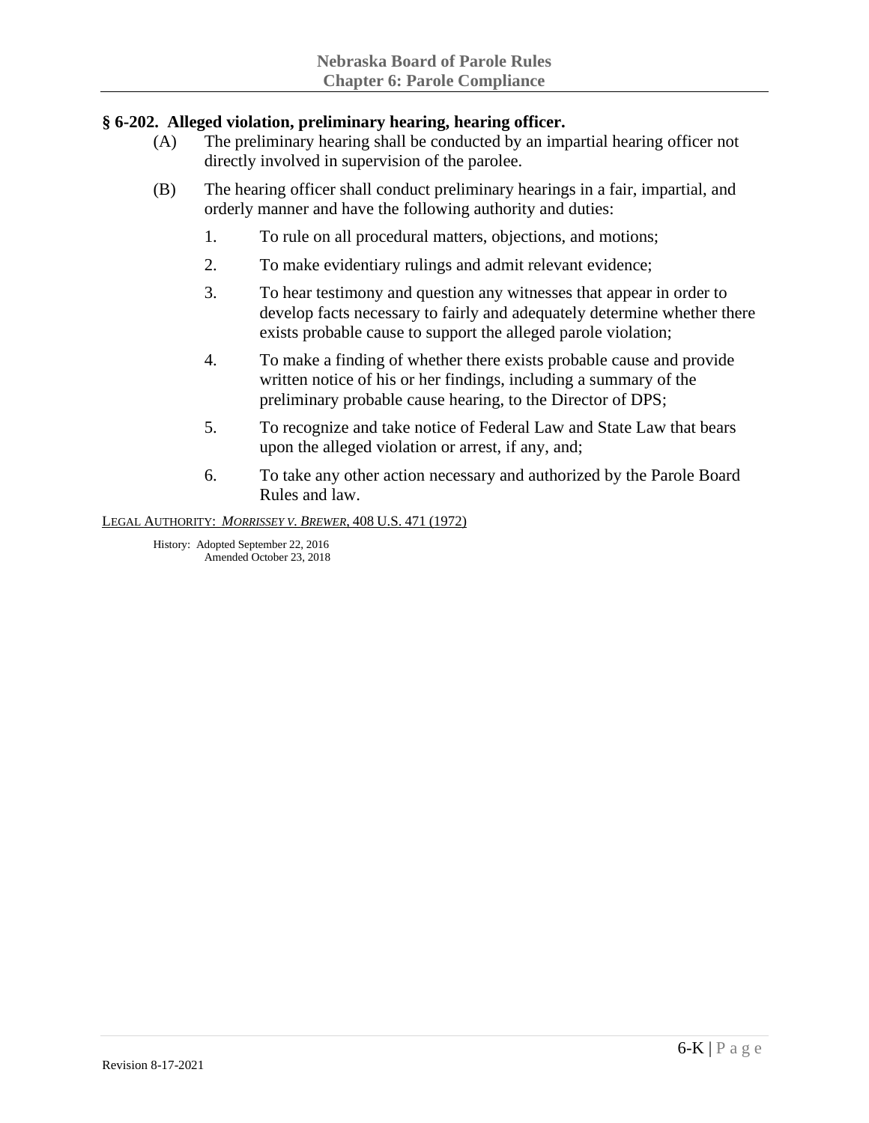# **§ 6-202. Alleged violation, preliminary hearing, hearing officer.**

- (A) The preliminary hearing shall be conducted by an impartial hearing officer not directly involved in supervision of the parolee.
- (B) The hearing officer shall conduct preliminary hearings in a fair, impartial, and orderly manner and have the following authority and duties:
	- 1. To rule on all procedural matters, objections, and motions;
	- 2. To make evidentiary rulings and admit relevant evidence;
	- 3. To hear testimony and question any witnesses that appear in order to develop facts necessary to fairly and adequately determine whether there exists probable cause to support the alleged parole violation;
	- 4. To make a finding of whether there exists probable cause and provide written notice of his or her findings, including a summary of the preliminary probable cause hearing, to the Director of DPS;
	- 5. To recognize and take notice of Federal Law and State Law that bears upon the alleged violation or arrest, if any, and;
	- 6. To take any other action necessary and authorized by the Parole Board Rules and law.

LEGAL AUTHORITY: *MORRISSEY V. BREWER*, 408 U.S. 471 (1972)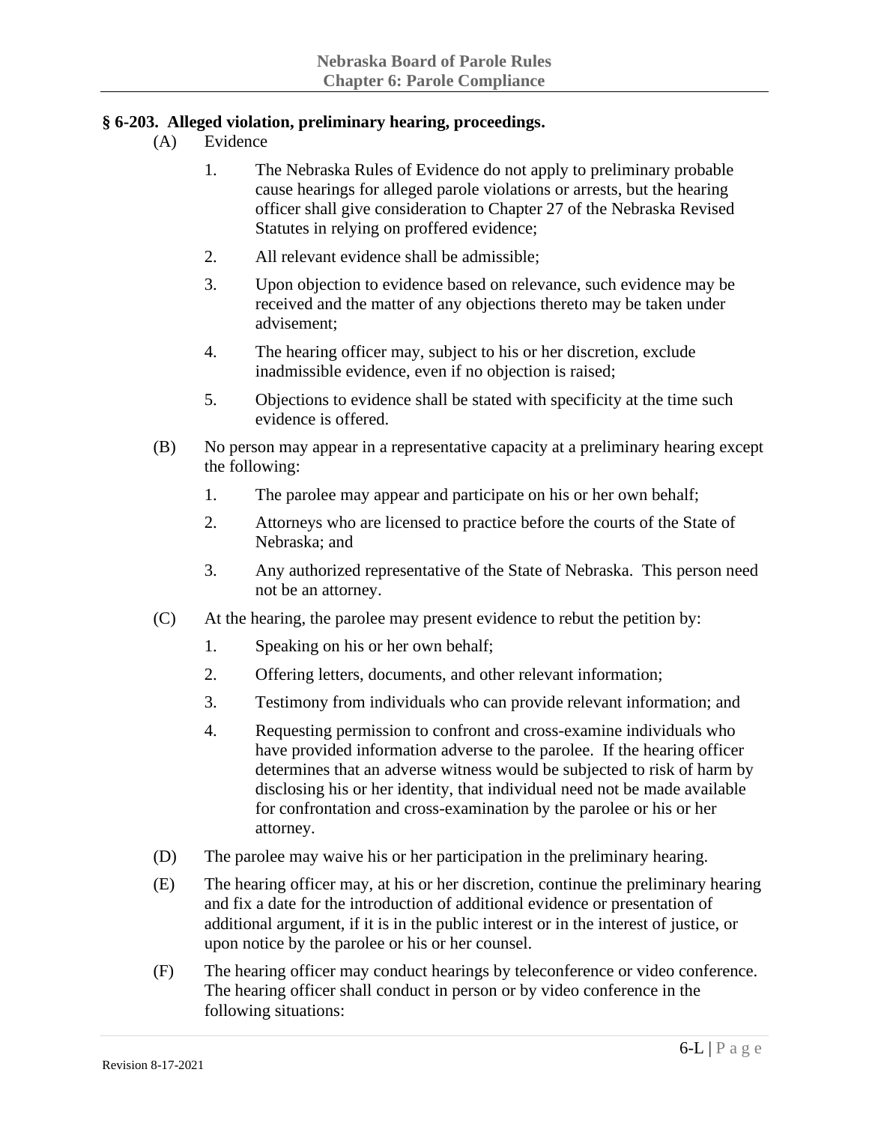# **§ 6-203. Alleged violation, preliminary hearing, proceedings.**

- (A) Evidence
	- 1. The Nebraska Rules of Evidence do not apply to preliminary probable cause hearings for alleged parole violations or arrests, but the hearing officer shall give consideration to Chapter 27 of the Nebraska Revised Statutes in relying on proffered evidence;
	- 2. All relevant evidence shall be admissible;
	- 3. Upon objection to evidence based on relevance, such evidence may be received and the matter of any objections thereto may be taken under advisement;
	- 4. The hearing officer may, subject to his or her discretion, exclude inadmissible evidence, even if no objection is raised;
	- 5. Objections to evidence shall be stated with specificity at the time such evidence is offered.
- (B) No person may appear in a representative capacity at a preliminary hearing except the following:
	- 1. The parolee may appear and participate on his or her own behalf;
	- 2. Attorneys who are licensed to practice before the courts of the State of Nebraska; and
	- 3. Any authorized representative of the State of Nebraska. This person need not be an attorney.
- (C) At the hearing, the parolee may present evidence to rebut the petition by:
	- 1. Speaking on his or her own behalf;
	- 2. Offering letters, documents, and other relevant information;
	- 3. Testimony from individuals who can provide relevant information; and
	- 4. Requesting permission to confront and cross-examine individuals who have provided information adverse to the parolee. If the hearing officer determines that an adverse witness would be subjected to risk of harm by disclosing his or her identity, that individual need not be made available for confrontation and cross-examination by the parolee or his or her attorney.
- (D) The parolee may waive his or her participation in the preliminary hearing.
- (E) The hearing officer may, at his or her discretion, continue the preliminary hearing and fix a date for the introduction of additional evidence or presentation of additional argument, if it is in the public interest or in the interest of justice, or upon notice by the parolee or his or her counsel.
- (F) The hearing officer may conduct hearings by teleconference or video conference. The hearing officer shall conduct in person or by video conference in the following situations: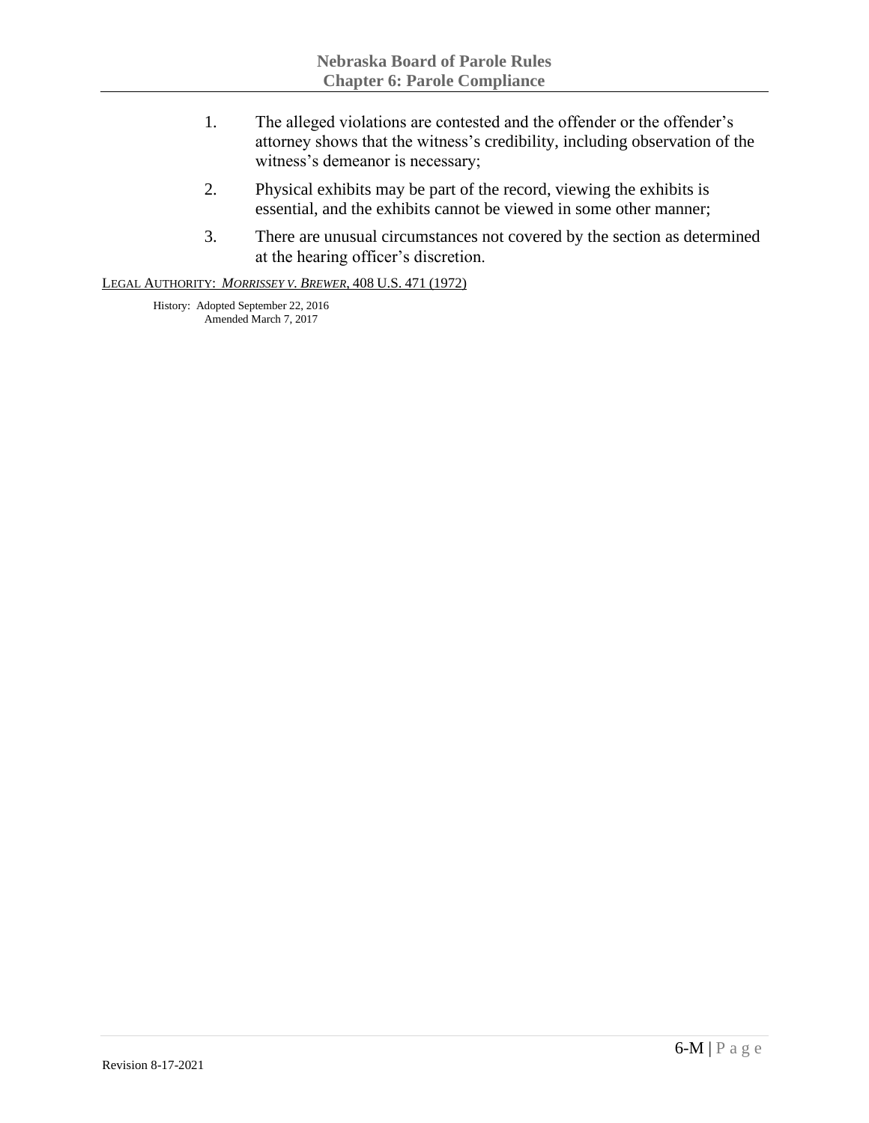- 1. The alleged violations are contested and the offender or the offender's attorney shows that the witness's credibility, including observation of the witness's demeanor is necessary;
- 2. Physical exhibits may be part of the record, viewing the exhibits is essential, and the exhibits cannot be viewed in some other manner;
- 3. There are unusual circumstances not covered by the section as determined at the hearing officer's discretion.

#### LEGAL AUTHORITY: *MORRISSEY V. BREWER*, 408 U.S. 471 (1972)

History: Adopted September 22, 2016 Amended March 7, 2017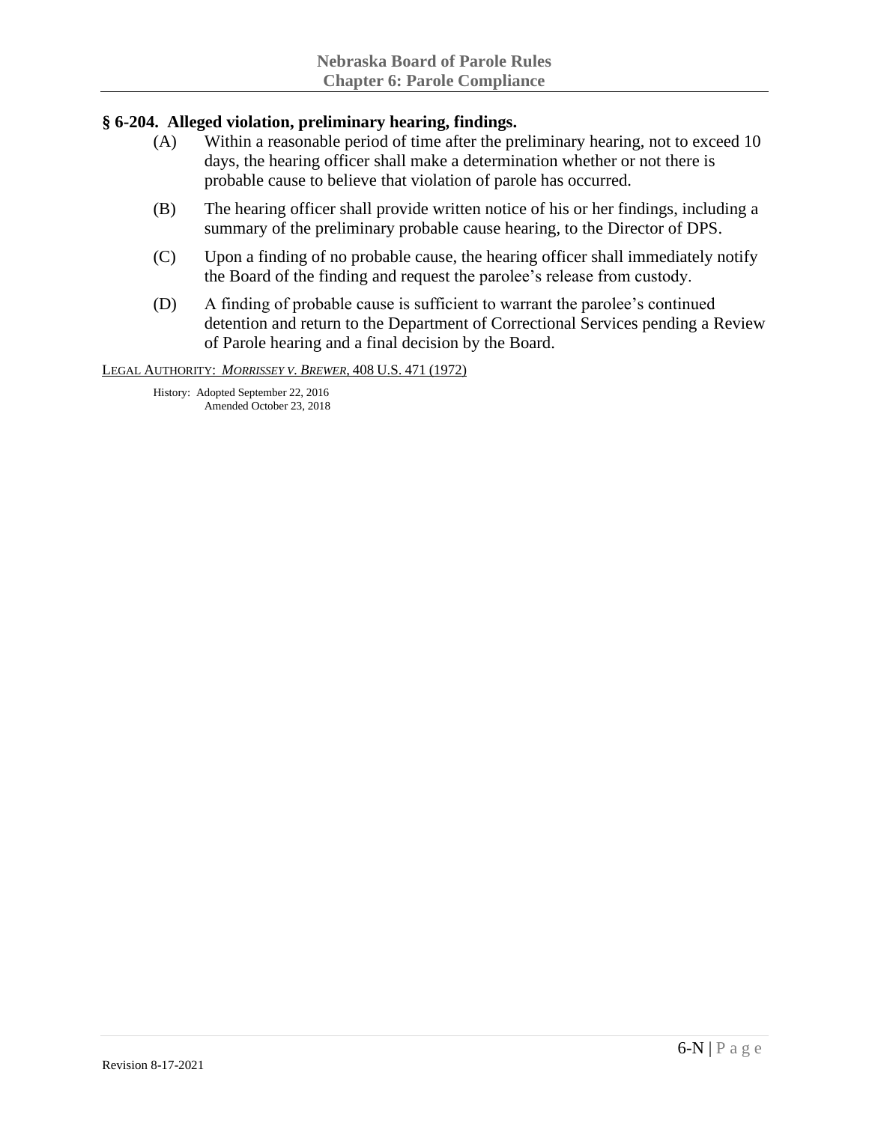## **§ 6-204. Alleged violation, preliminary hearing, findings.**

- (A) Within a reasonable period of time after the preliminary hearing, not to exceed 10 days, the hearing officer shall make a determination whether or not there is probable cause to believe that violation of parole has occurred.
- (B) The hearing officer shall provide written notice of his or her findings, including a summary of the preliminary probable cause hearing, to the Director of DPS.
- (C) Upon a finding of no probable cause, the hearing officer shall immediately notify the Board of the finding and request the parolee's release from custody.
- (D) A finding of probable cause is sufficient to warrant the parolee's continued detention and return to the Department of Correctional Services pending a Review of Parole hearing and a final decision by the Board.

LEGAL AUTHORITY: *MORRISSEY V. BREWER*, 408 U.S. 471 (1972)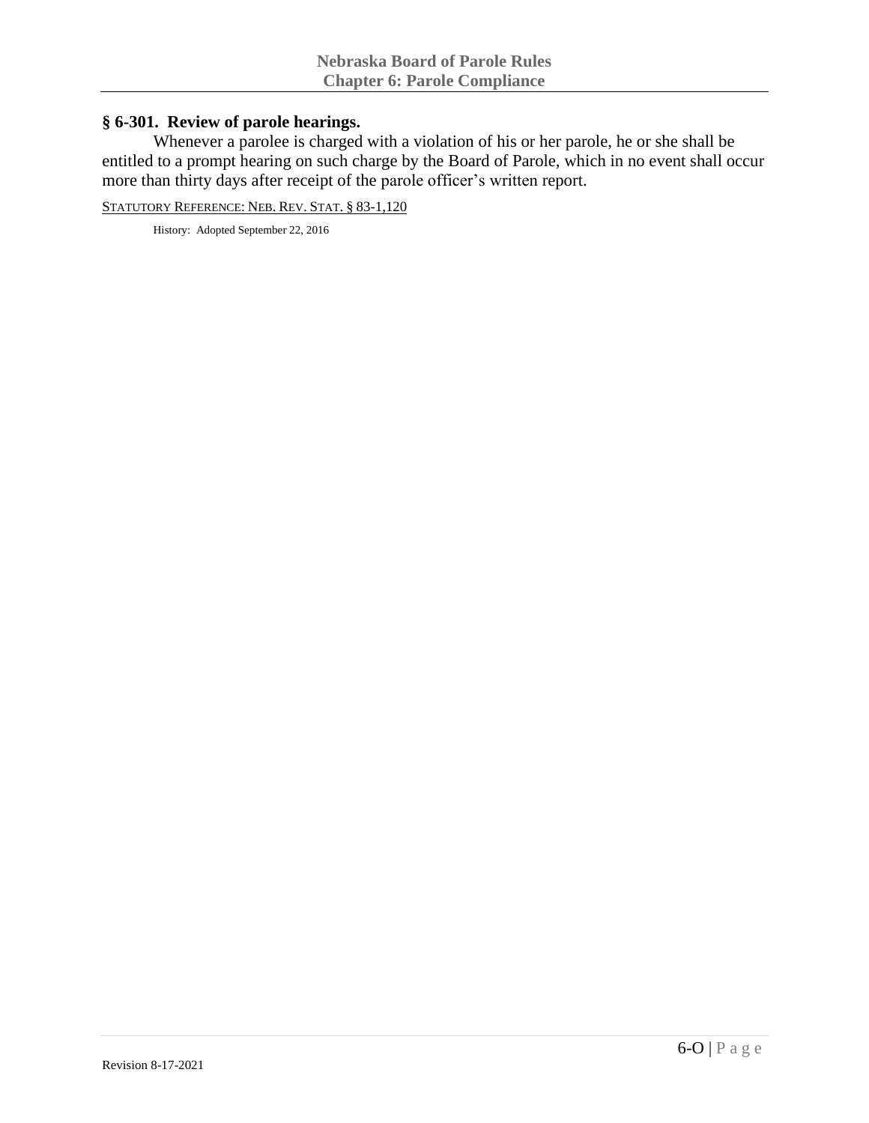#### **§ 6-301. Review of parole hearings.**

Whenever a parolee is charged with a violation of his or her parole, he or she shall be entitled to a prompt hearing on such charge by the Board of Parole, which in no event shall occur more than thirty days after receipt of the parole officer's written report.

STATUTORY REFERENCE: NEB. REV. STAT. § 83-1,120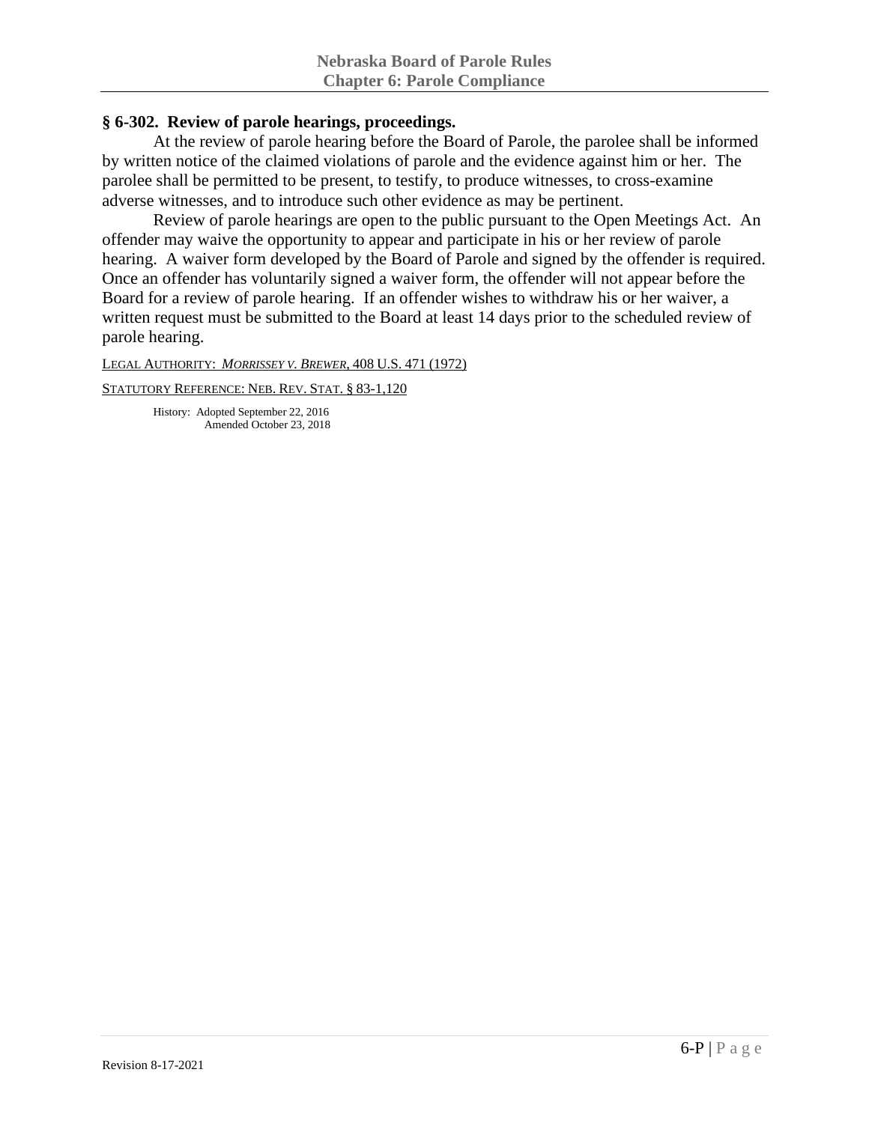## **§ 6-302. Review of parole hearings, proceedings.**

At the review of parole hearing before the Board of Parole, the parolee shall be informed by written notice of the claimed violations of parole and the evidence against him or her. The parolee shall be permitted to be present, to testify, to produce witnesses, to cross-examine adverse witnesses, and to introduce such other evidence as may be pertinent.

Review of parole hearings are open to the public pursuant to the Open Meetings Act. An offender may waive the opportunity to appear and participate in his or her review of parole hearing. A waiver form developed by the Board of Parole and signed by the offender is required. Once an offender has voluntarily signed a waiver form, the offender will not appear before the Board for a review of parole hearing. If an offender wishes to withdraw his or her waiver, a written request must be submitted to the Board at least 14 days prior to the scheduled review of parole hearing.

LEGAL AUTHORITY: *MORRISSEY V. BREWER*, 408 U.S. 471 (1972)

STATUTORY REFERENCE: NEB. REV. STAT. § 83-1,120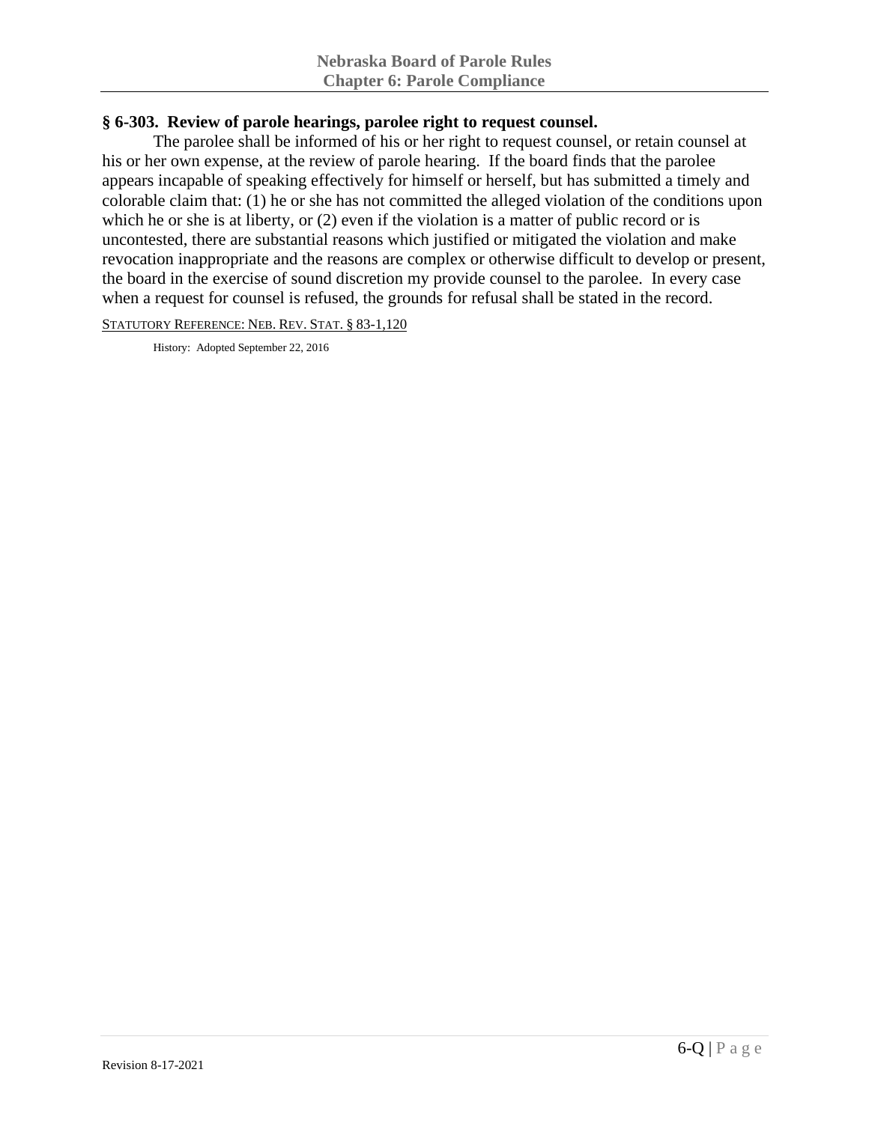### **§ 6-303. Review of parole hearings, parolee right to request counsel.**

The parolee shall be informed of his or her right to request counsel, or retain counsel at his or her own expense, at the review of parole hearing. If the board finds that the parolee appears incapable of speaking effectively for himself or herself, but has submitted a timely and colorable claim that: (1) he or she has not committed the alleged violation of the conditions upon which he or she is at liberty, or (2) even if the violation is a matter of public record or is uncontested, there are substantial reasons which justified or mitigated the violation and make revocation inappropriate and the reasons are complex or otherwise difficult to develop or present, the board in the exercise of sound discretion my provide counsel to the parolee. In every case when a request for counsel is refused, the grounds for refusal shall be stated in the record.

STATUTORY REFERENCE: NEB. REV. STAT. § 83-1,120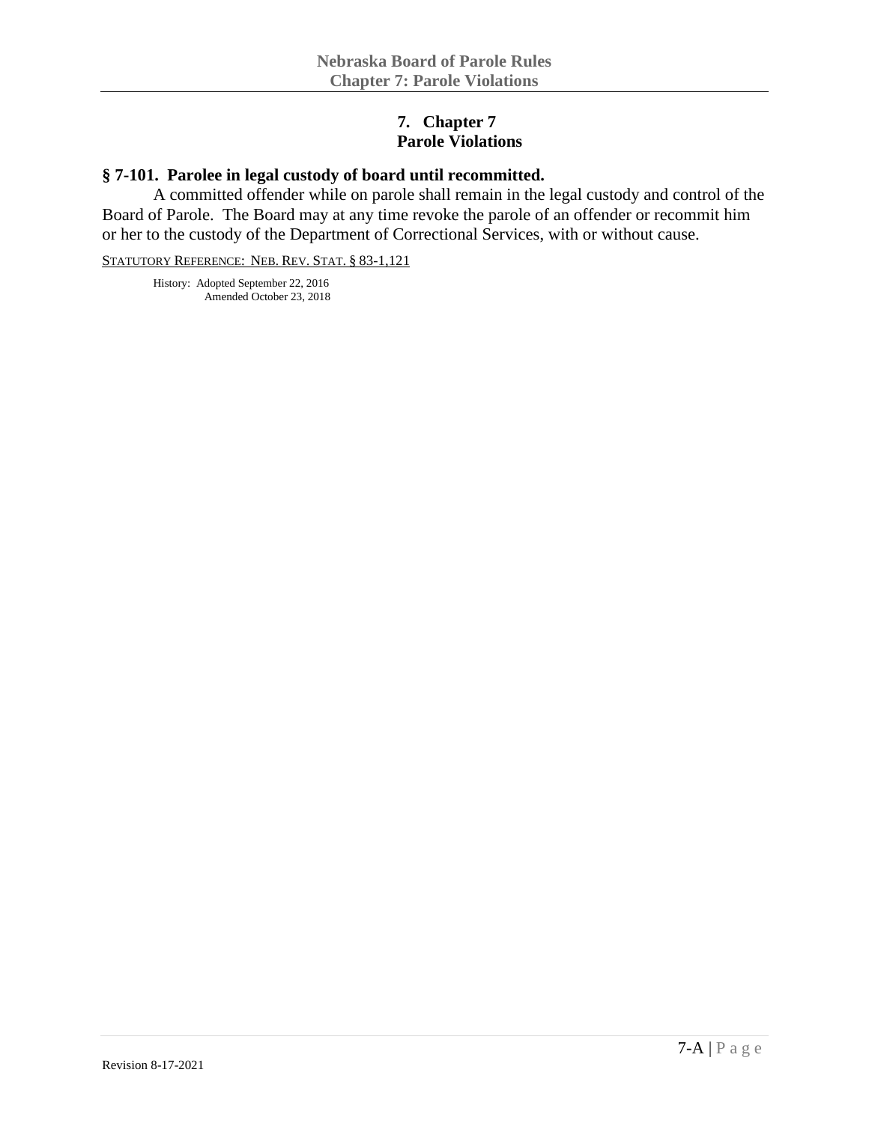## **7. Chapter 7 Parole Violations**

# **§ 7-101. Parolee in legal custody of board until recommitted.**

A committed offender while on parole shall remain in the legal custody and control of the Board of Parole. The Board may at any time revoke the parole of an offender or recommit him or her to the custody of the Department of Correctional Services, with or without cause.

STATUTORY REFERENCE: NEB. REV. STAT. § 83-1,121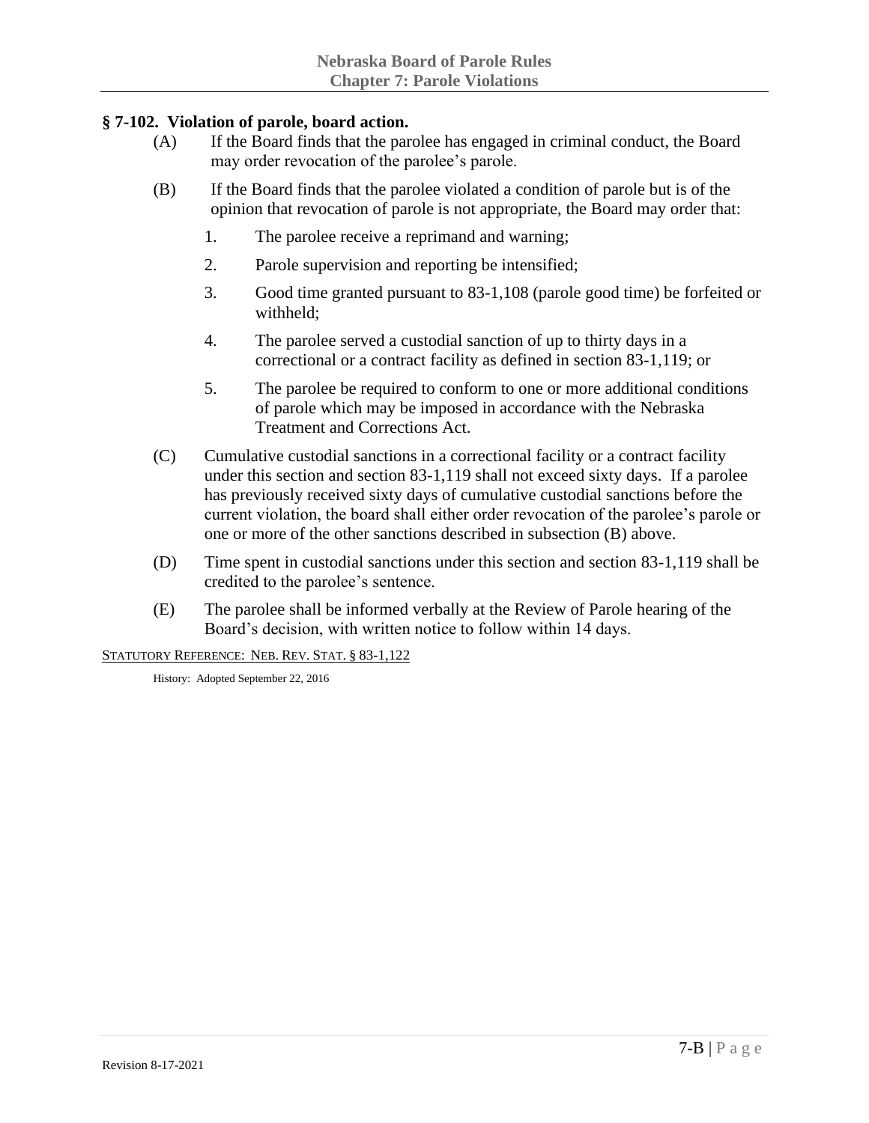## **§ 7-102. Violation of parole, board action.**

- (A) If the Board finds that the parolee has engaged in criminal conduct, the Board may order revocation of the parolee's parole.
- (B) If the Board finds that the parolee violated a condition of parole but is of the opinion that revocation of parole is not appropriate, the Board may order that:
	- 1. The parolee receive a reprimand and warning;
	- 2. Parole supervision and reporting be intensified;
	- 3. Good time granted pursuant to 83-1,108 (parole good time) be forfeited or withheld;
	- 4. The parolee served a custodial sanction of up to thirty days in a correctional or a contract facility as defined in section 83-1,119; or
	- 5. The parolee be required to conform to one or more additional conditions of parole which may be imposed in accordance with the Nebraska Treatment and Corrections Act.
- (C) Cumulative custodial sanctions in a correctional facility or a contract facility under this section and section 83-1,119 shall not exceed sixty days. If a parolee has previously received sixty days of cumulative custodial sanctions before the current violation, the board shall either order revocation of the parolee's parole or one or more of the other sanctions described in subsection (B) above.
- (D) Time spent in custodial sanctions under this section and section 83-1,119 shall be credited to the parolee's sentence.
- (E) The parolee shall be informed verbally at the Review of Parole hearing of the Board's decision, with written notice to follow within 14 days.

STATUTORY REFERENCE: NEB. REV. STAT. § 83-1,122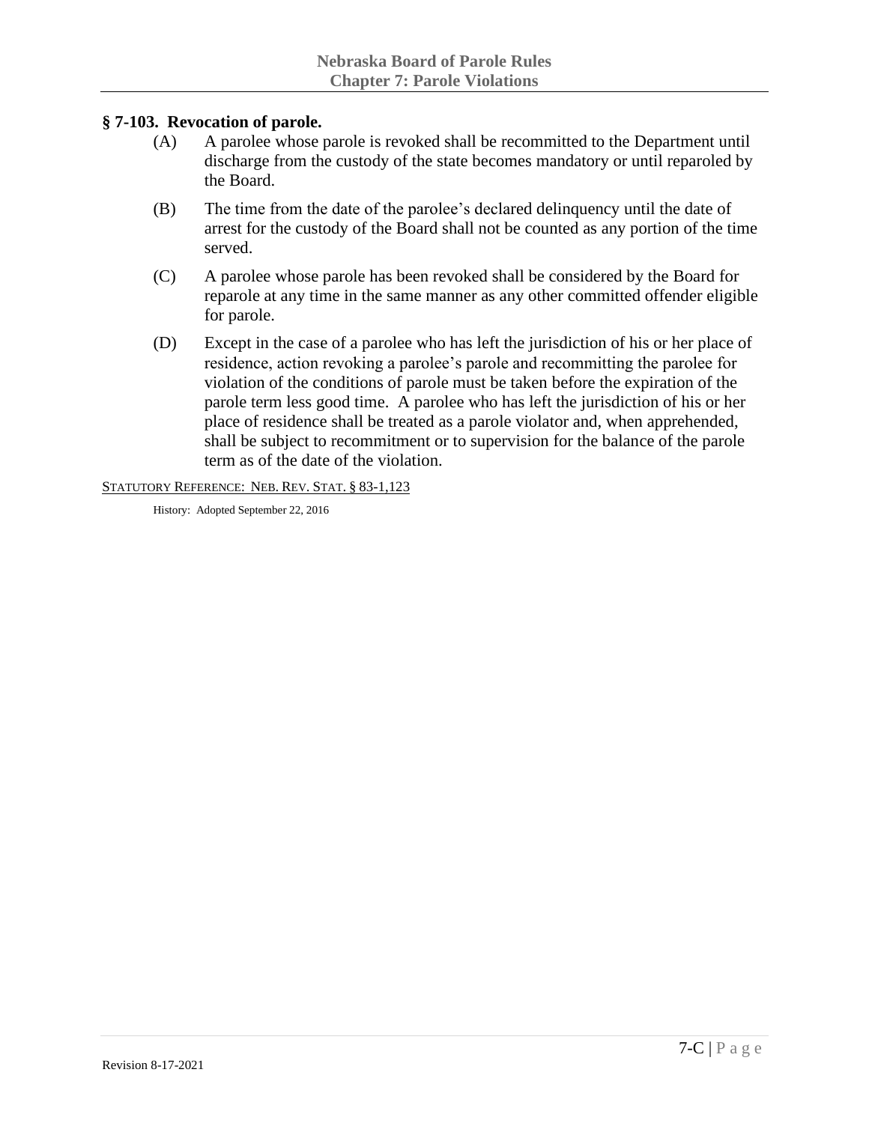#### **§ 7-103. Revocation of parole.**

- (A) A parolee whose parole is revoked shall be recommitted to the Department until discharge from the custody of the state becomes mandatory or until reparoled by the Board.
- (B) The time from the date of the parolee's declared delinquency until the date of arrest for the custody of the Board shall not be counted as any portion of the time served.
- (C) A parolee whose parole has been revoked shall be considered by the Board for reparole at any time in the same manner as any other committed offender eligible for parole.
- (D) Except in the case of a parolee who has left the jurisdiction of his or her place of residence, action revoking a parolee's parole and recommitting the parolee for violation of the conditions of parole must be taken before the expiration of the parole term less good time. A parolee who has left the jurisdiction of his or her place of residence shall be treated as a parole violator and, when apprehended, shall be subject to recommitment or to supervision for the balance of the parole term as of the date of the violation.

#### STATUTORY REFERENCE: NEB. REV. STAT. § 83-1,123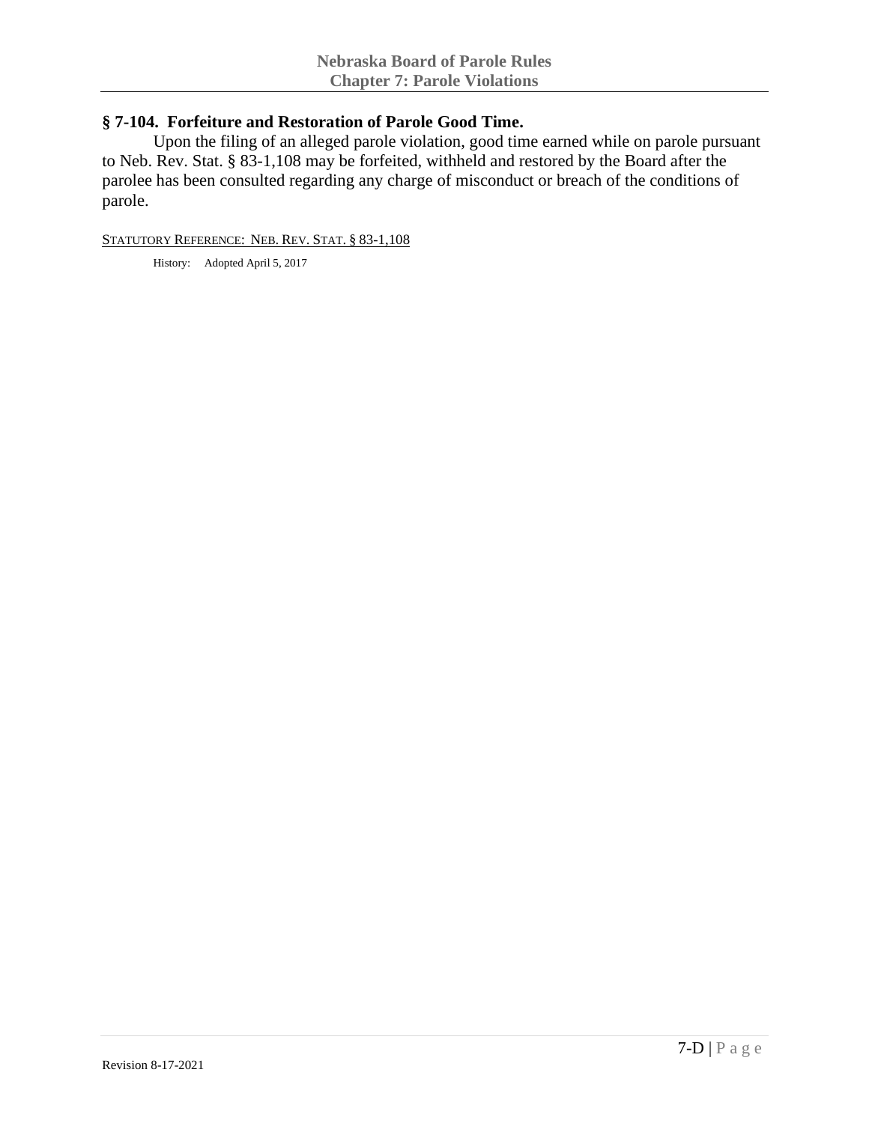### **§ 7-104. Forfeiture and Restoration of Parole Good Time.**

Upon the filing of an alleged parole violation, good time earned while on parole pursuant to Neb. Rev. Stat. § 83-1,108 may be forfeited, withheld and restored by the Board after the parolee has been consulted regarding any charge of misconduct or breach of the conditions of parole.

#### STATUTORY REFERENCE: NEB. REV. STAT. § 83-1,108

History: Adopted April 5, 2017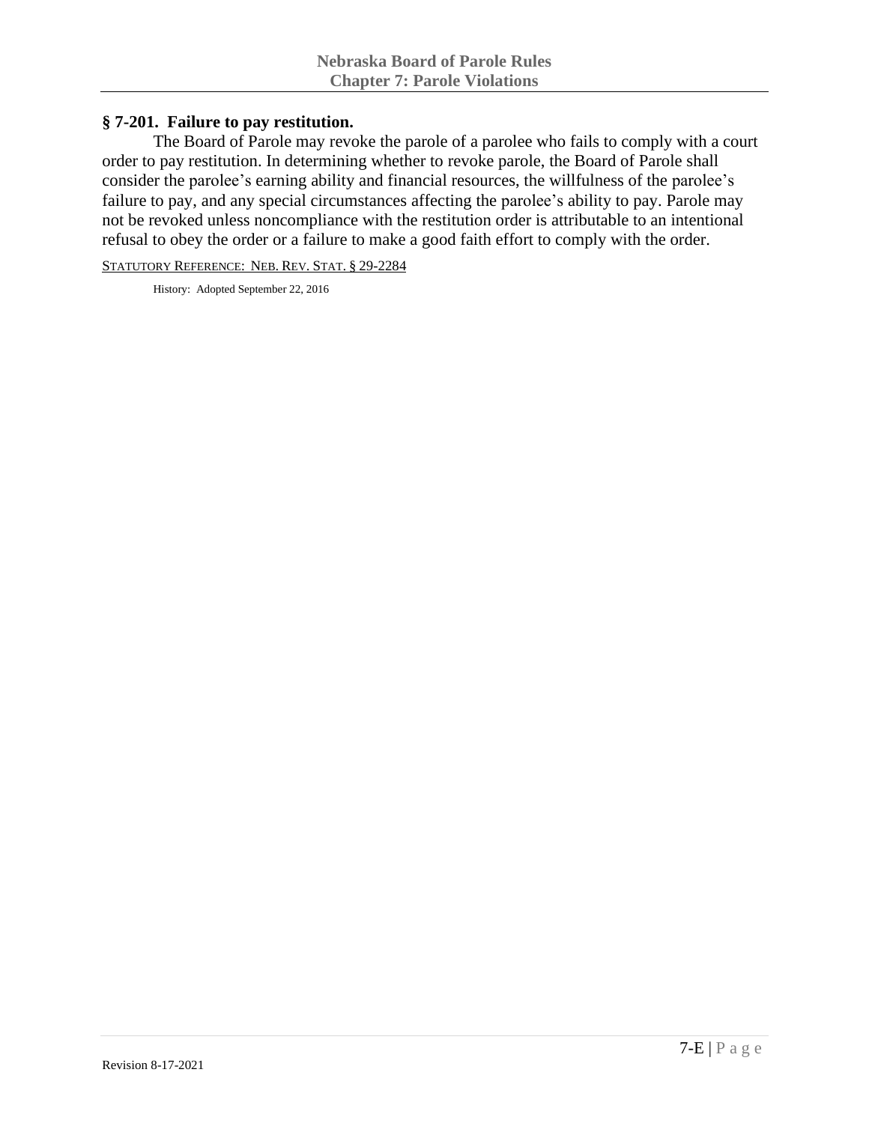### **§ 7-201. Failure to pay restitution.**

The Board of Parole may revoke the parole of a parolee who fails to comply with a court order to pay restitution. In determining whether to revoke parole, the Board of Parole shall consider the parolee's earning ability and financial resources, the willfulness of the parolee's failure to pay, and any special circumstances affecting the parolee's ability to pay. Parole may not be revoked unless noncompliance with the restitution order is attributable to an intentional refusal to obey the order or a failure to make a good faith effort to comply with the order.

STATUTORY REFERENCE: NEB. REV. STAT. § 29-2284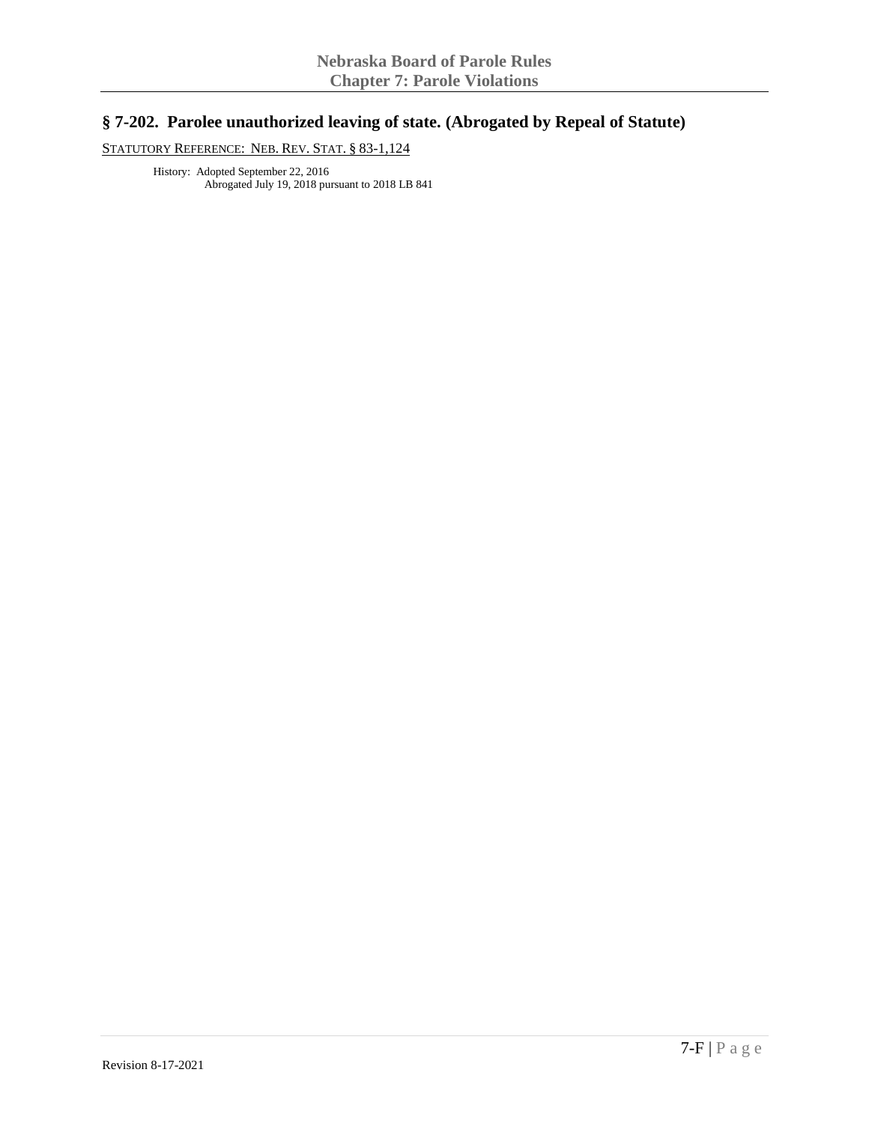# **§ 7-202. Parolee unauthorized leaving of state. (Abrogated by Repeal of Statute)**

STATUTORY REFERENCE: NEB. REV. STAT. § 83-1,124

History: Adopted September 22, 2016 Abrogated July 19, 2018 pursuant to 2018 LB 841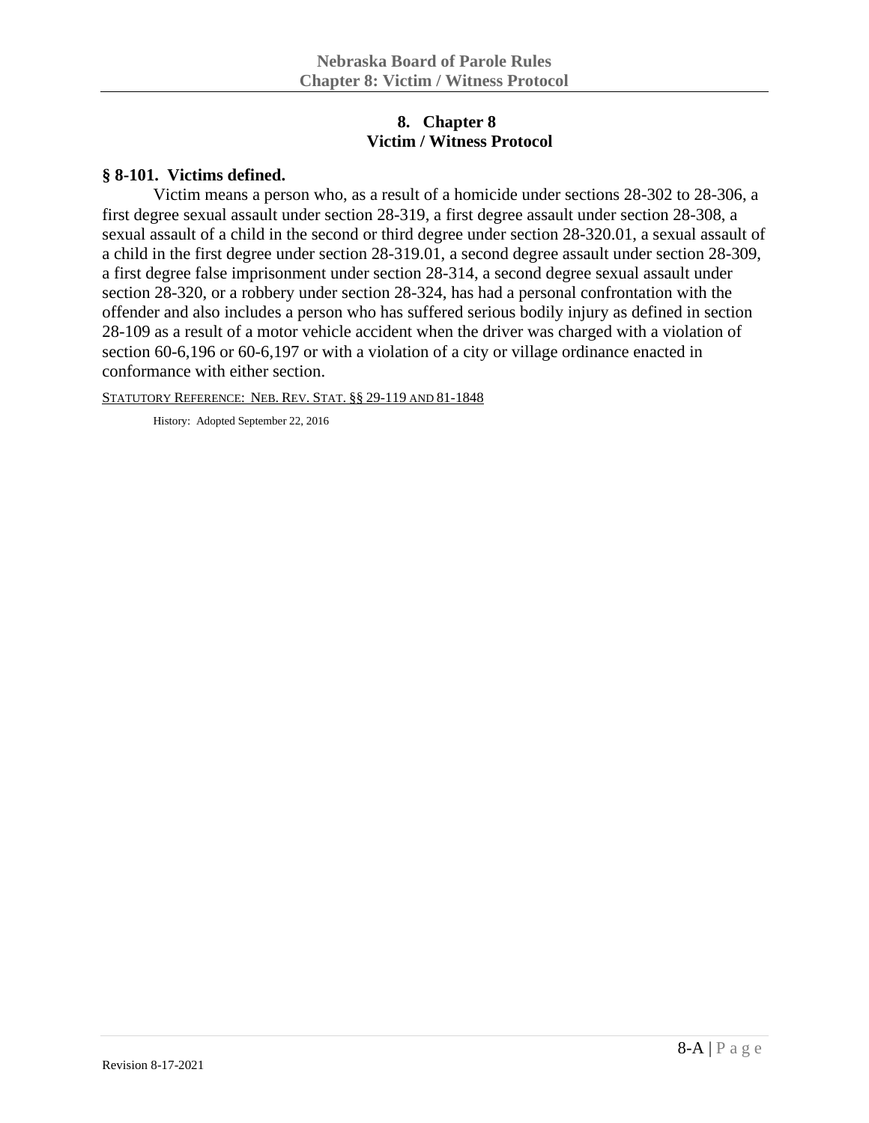## **8. Chapter 8 Victim / Witness Protocol**

#### **§ 8-101. Victims defined.**

Victim means a person who, as a result of a homicide under sections 28-302 to 28-306, a first degree sexual assault under section 28-319, a first degree assault under section 28-308, a sexual assault of a child in the second or third degree under section 28-320.01, a sexual assault of a child in the first degree under section 28-319.01, a second degree assault under section 28-309, a first degree false imprisonment under section 28-314, a second degree sexual assault under section 28-320, or a robbery under section 28-324, has had a personal confrontation with the offender and also includes a person who has suffered serious bodily injury as defined in section 28-109 as a result of a motor vehicle accident when the driver was charged with a violation of section 60-6,196 or 60-6,197 or with a violation of a city or village ordinance enacted in conformance with either section.

STATUTORY REFERENCE: NEB. REV. STAT. §§ 29-119 AND 81-1848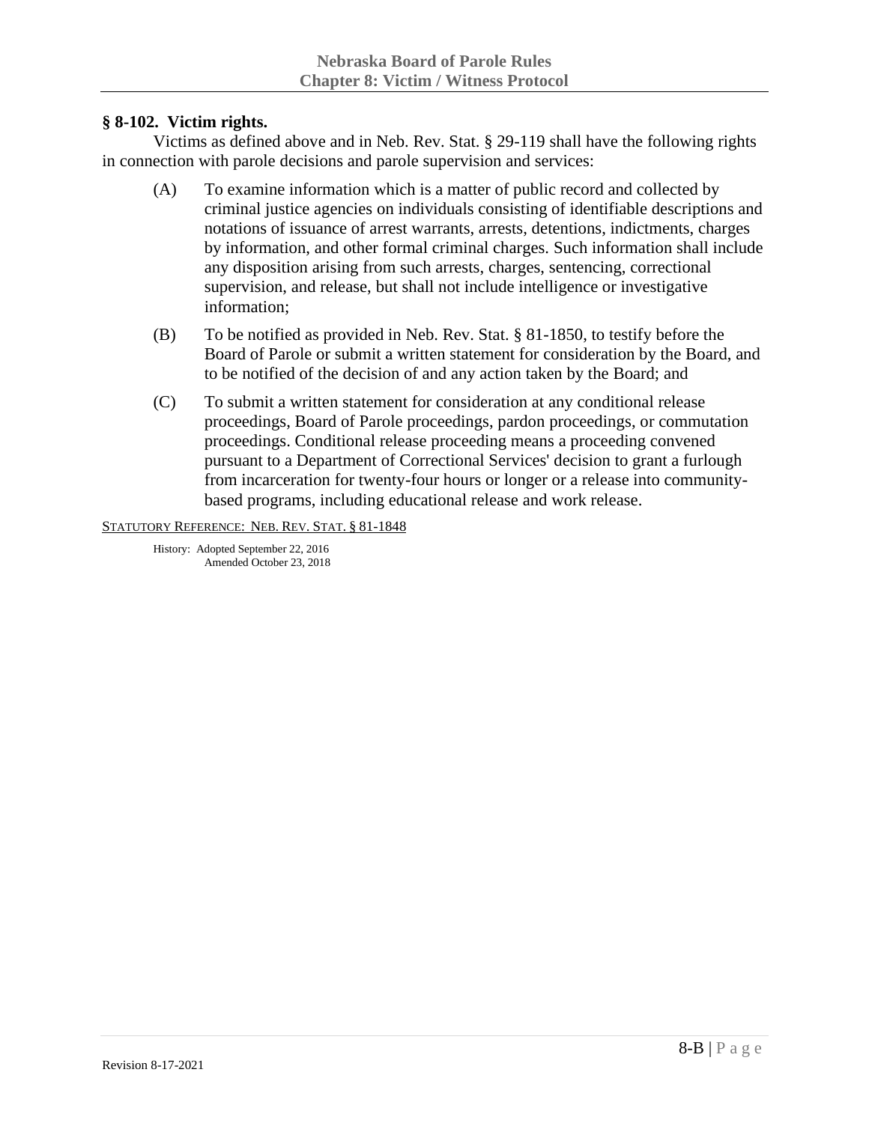## **§ 8-102. Victim rights.**

Victims as defined above and in Neb. Rev. Stat. § 29-119 shall have the following rights in connection with parole decisions and parole supervision and services:

- (A) To examine information which is a matter of public record and collected by criminal justice agencies on individuals consisting of identifiable descriptions and notations of issuance of arrest warrants, arrests, detentions, indictments, charges by information, and other formal criminal charges. Such information shall include any disposition arising from such arrests, charges, sentencing, correctional supervision, and release, but shall not include intelligence or investigative information;
- (B) To be notified as provided in Neb. Rev. Stat. § 81-1850, to testify before the Board of Parole or submit a written statement for consideration by the Board, and to be notified of the decision of and any action taken by the Board; and
- (C) To submit a written statement for consideration at any conditional release proceedings, Board of Parole proceedings, pardon proceedings, or commutation proceedings. Conditional release proceeding means a proceeding convened pursuant to a Department of Correctional Services' decision to grant a furlough from incarceration for twenty-four hours or longer or a release into communitybased programs, including educational release and work release.

#### STATUTORY REFERENCE: NEB. REV. STAT. § 81-1848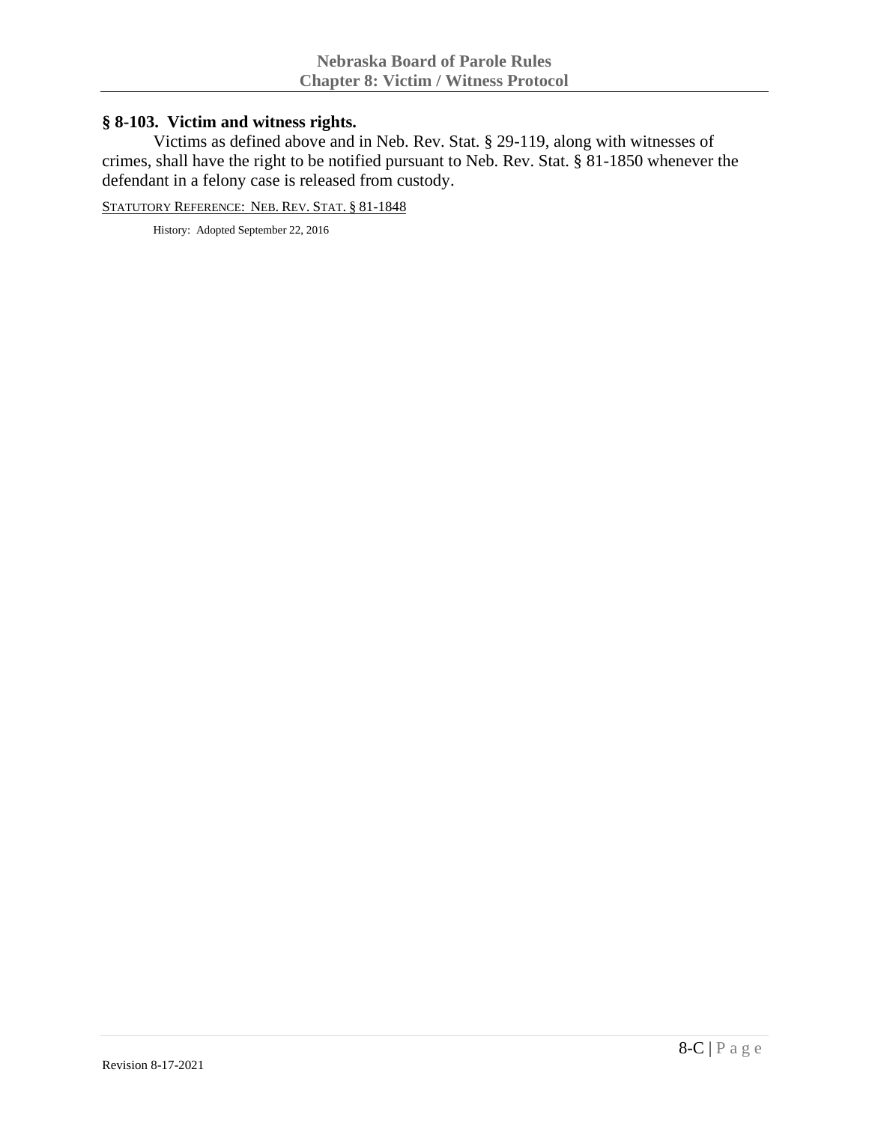# **§ 8-103. Victim and witness rights.**

Victims as defined above and in Neb. Rev. Stat. § 29-119, along with witnesses of crimes, shall have the right to be notified pursuant to Neb. Rev. Stat. § 81-1850 whenever the defendant in a felony case is released from custody.

STATUTORY REFERENCE: NEB. REV. STAT. § 81-1848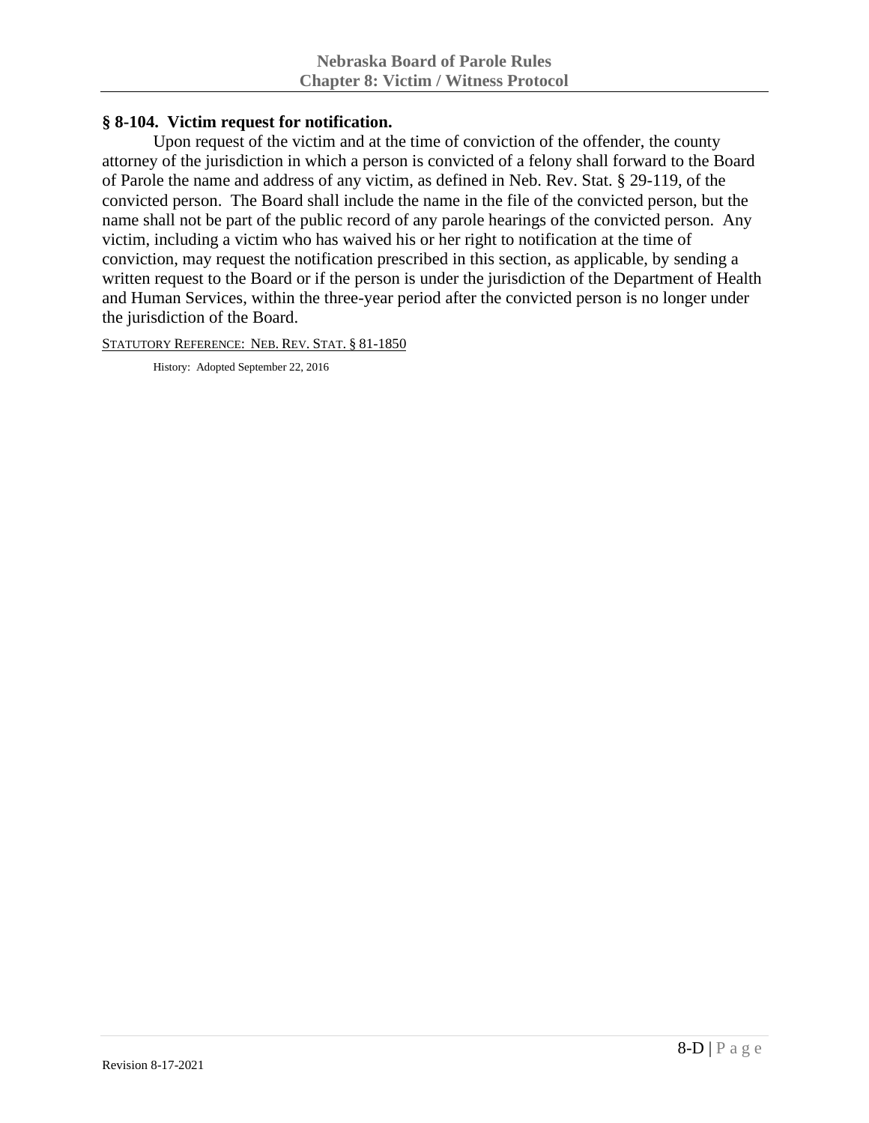## **§ 8-104. Victim request for notification.**

Upon request of the victim and at the time of conviction of the offender, the county attorney of the jurisdiction in which a person is convicted of a felony shall forward to the Board of Parole the name and address of any victim, as defined in Neb. Rev. Stat. § 29-119, of the convicted person. The Board shall include the name in the file of the convicted person, but the name shall not be part of the public record of any parole hearings of the convicted person. Any victim, including a victim who has waived his or her right to notification at the time of conviction, may request the notification prescribed in this section, as applicable, by sending a written request to the Board or if the person is under the jurisdiction of the Department of Health and Human Services, within the three-year period after the convicted person is no longer under the jurisdiction of the Board.

STATUTORY REFERENCE: NEB. REV. STAT. § 81-1850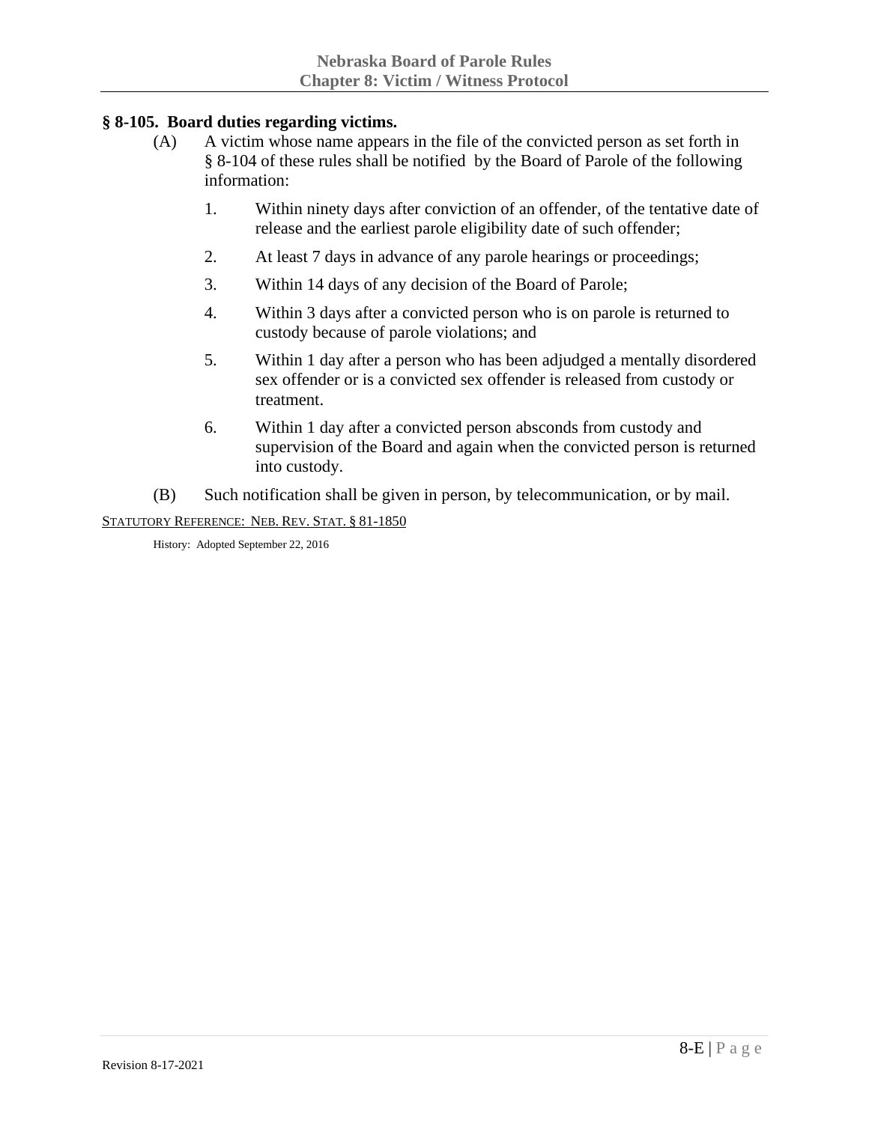## **§ 8-105. Board duties regarding victims.**

- (A) A victim whose name appears in the file of the convicted person as set forth in § 8-104 of these rules shall be notified by the Board of Parole of the following information:
	- 1. Within ninety days after conviction of an offender, of the tentative date of release and the earliest parole eligibility date of such offender;
	- 2. At least 7 days in advance of any parole hearings or proceedings;
	- 3. Within 14 days of any decision of the Board of Parole;
	- 4. Within 3 days after a convicted person who is on parole is returned to custody because of parole violations; and
	- 5. Within 1 day after a person who has been adjudged a mentally disordered sex offender or is a convicted sex offender is released from custody or treatment.
	- 6. Within 1 day after a convicted person absconds from custody and supervision of the Board and again when the convicted person is returned into custody.
- (B) Such notification shall be given in person, by telecommunication, or by mail.

STATUTORY REFERENCE: NEB. REV. STAT. § 81-1850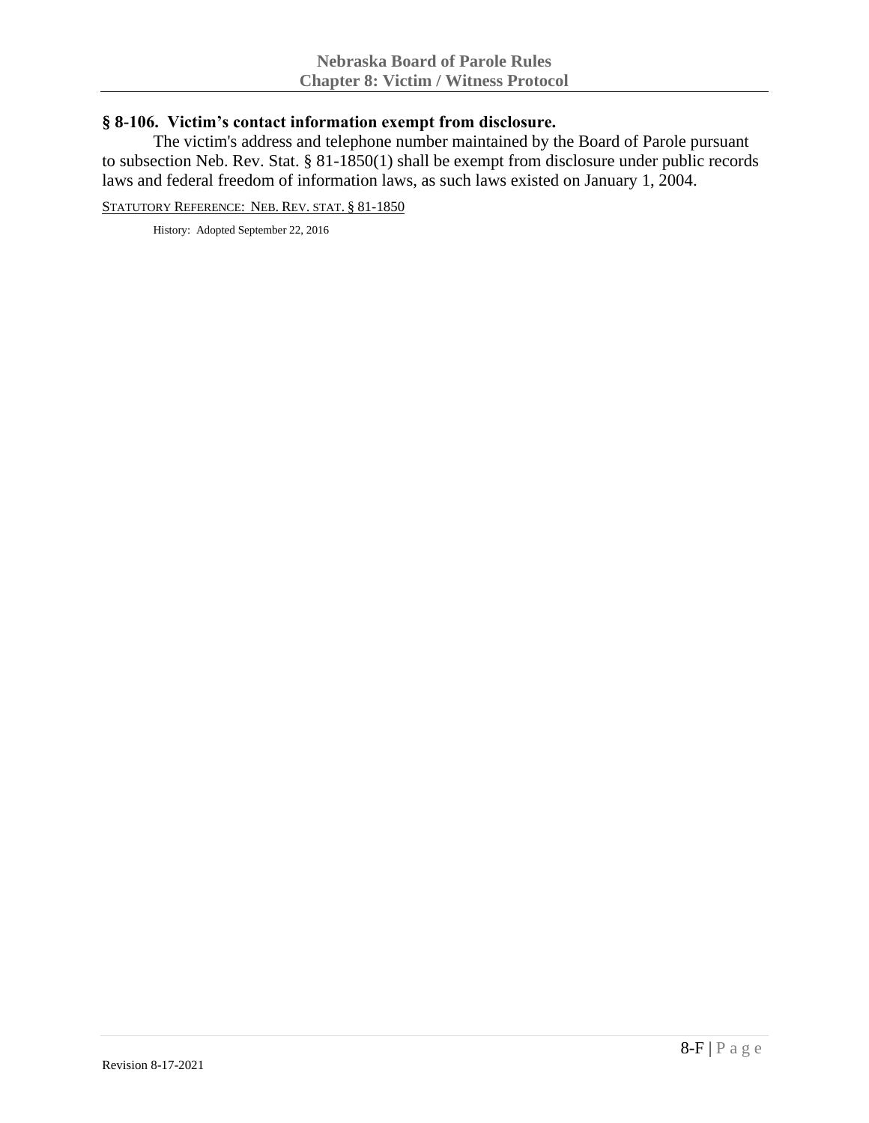#### **§ 8-106. Victim's contact information exempt from disclosure.**

The victim's address and telephone number maintained by the Board of Parole pursuant to subsection Neb. Rev. Stat. § 81-1850(1) shall be exempt from disclosure under public records laws and federal freedom of information laws, as such laws existed on January 1, 2004.

STATUTORY REFERENCE: NEB. REV. STAT. § 81-1850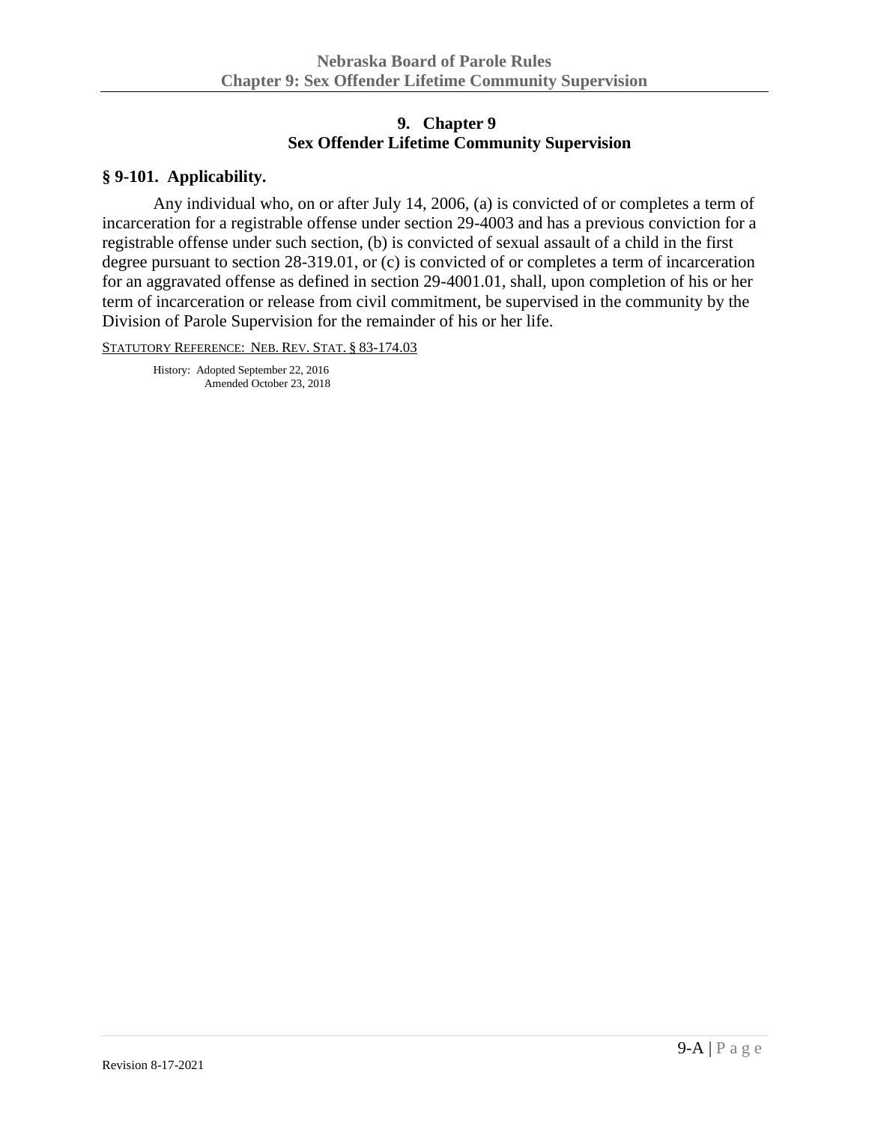# **9. Chapter 9 Sex Offender Lifetime Community Supervision**

#### **§ 9-101. Applicability.**

Any individual who, on or after July 14, 2006, (a) is convicted of or completes a term of incarceration for a registrable offense under section 29-4003 and has a previous conviction for a registrable offense under such section, (b) is convicted of sexual assault of a child in the first degree pursuant to section 28-319.01, or (c) is convicted of or completes a term of incarceration for an aggravated offense as defined in section 29-4001.01, shall, upon completion of his or her term of incarceration or release from civil commitment, be supervised in the community by the Division of Parole Supervision for the remainder of his or her life.

STATUTORY REFERENCE: NEB. REV. STAT. § 83-174.03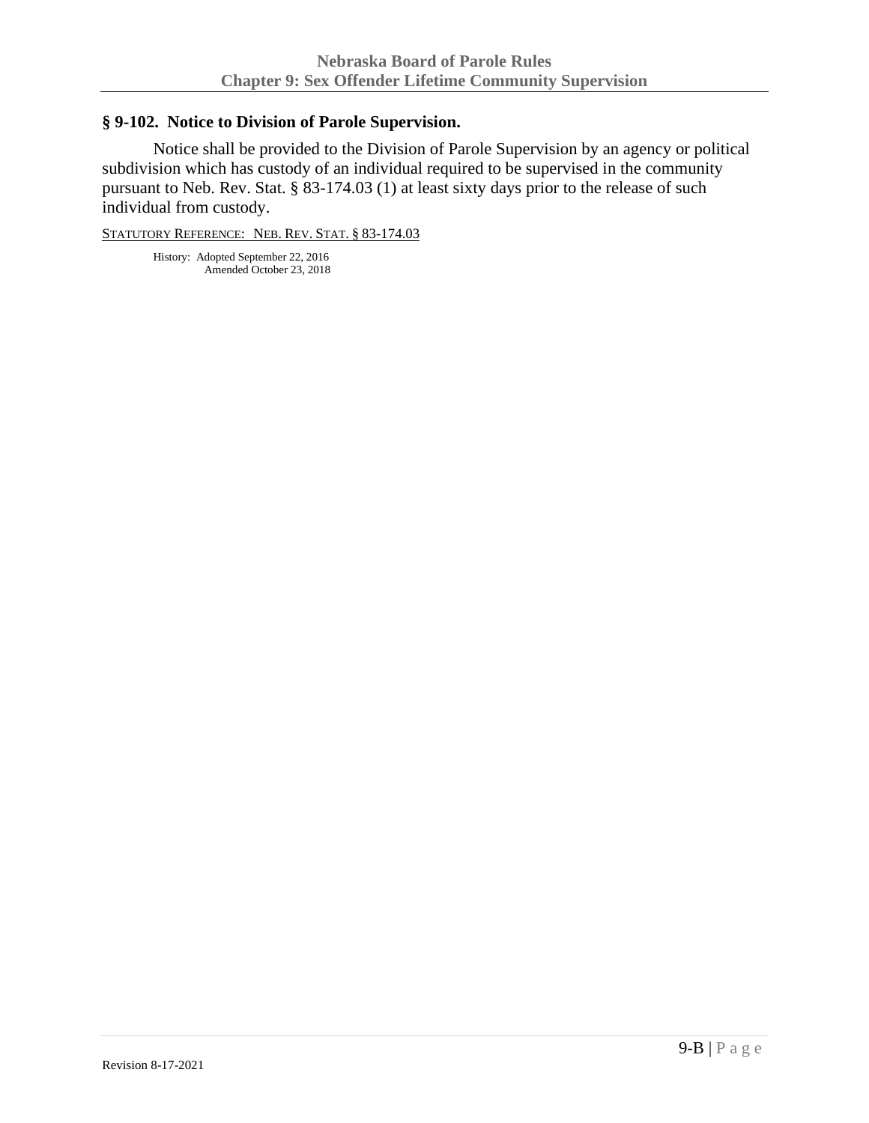## **§ 9-102. Notice to Division of Parole Supervision.**

Notice shall be provided to the Division of Parole Supervision by an agency or political subdivision which has custody of an individual required to be supervised in the community pursuant to Neb. Rev. Stat. § 83-174.03 (1) at least sixty days prior to the release of such individual from custody.

STATUTORY REFERENCE: NEB. REV. STAT. § 83-174.03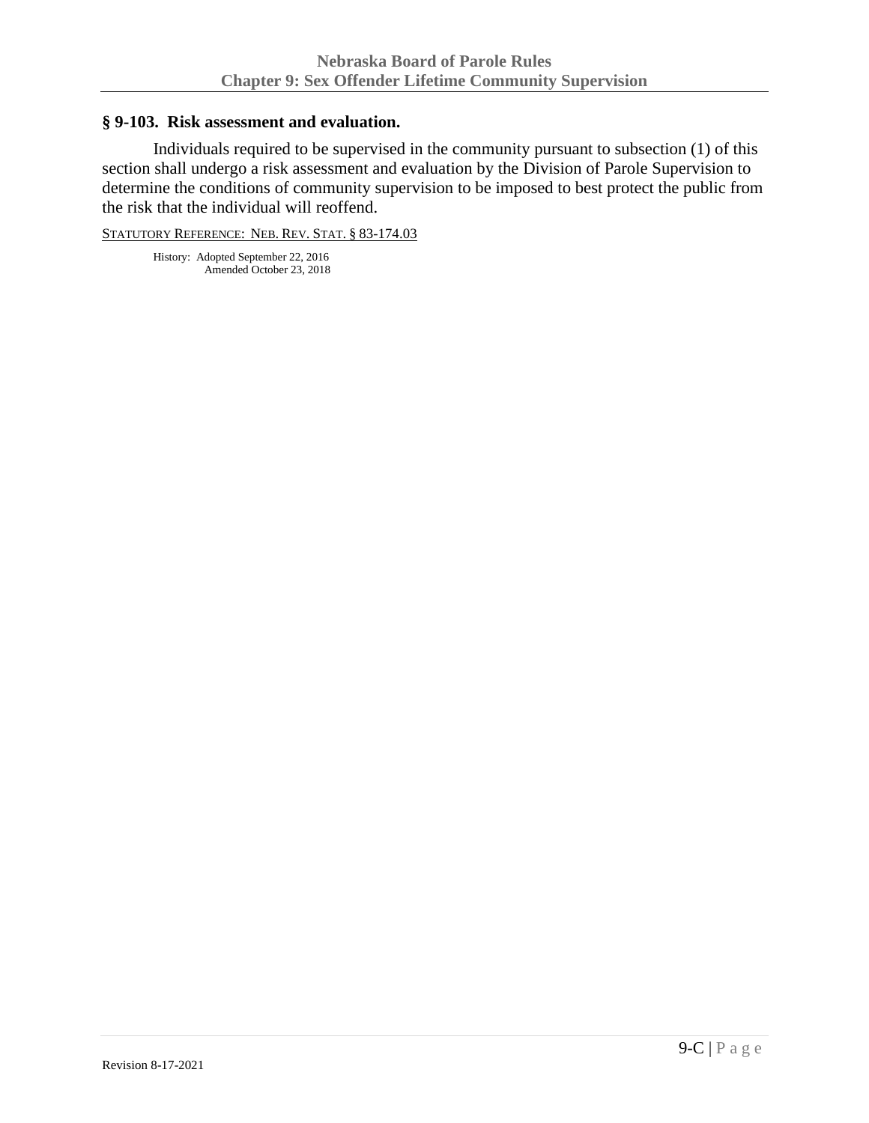#### **§ 9-103. Risk assessment and evaluation.**

Individuals required to be supervised in the community pursuant to subsection (1) of this section shall undergo a risk assessment and evaluation by the Division of Parole Supervision to determine the conditions of community supervision to be imposed to best protect the public from the risk that the individual will reoffend.

STATUTORY REFERENCE: NEB. REV. STAT. § 83-174.03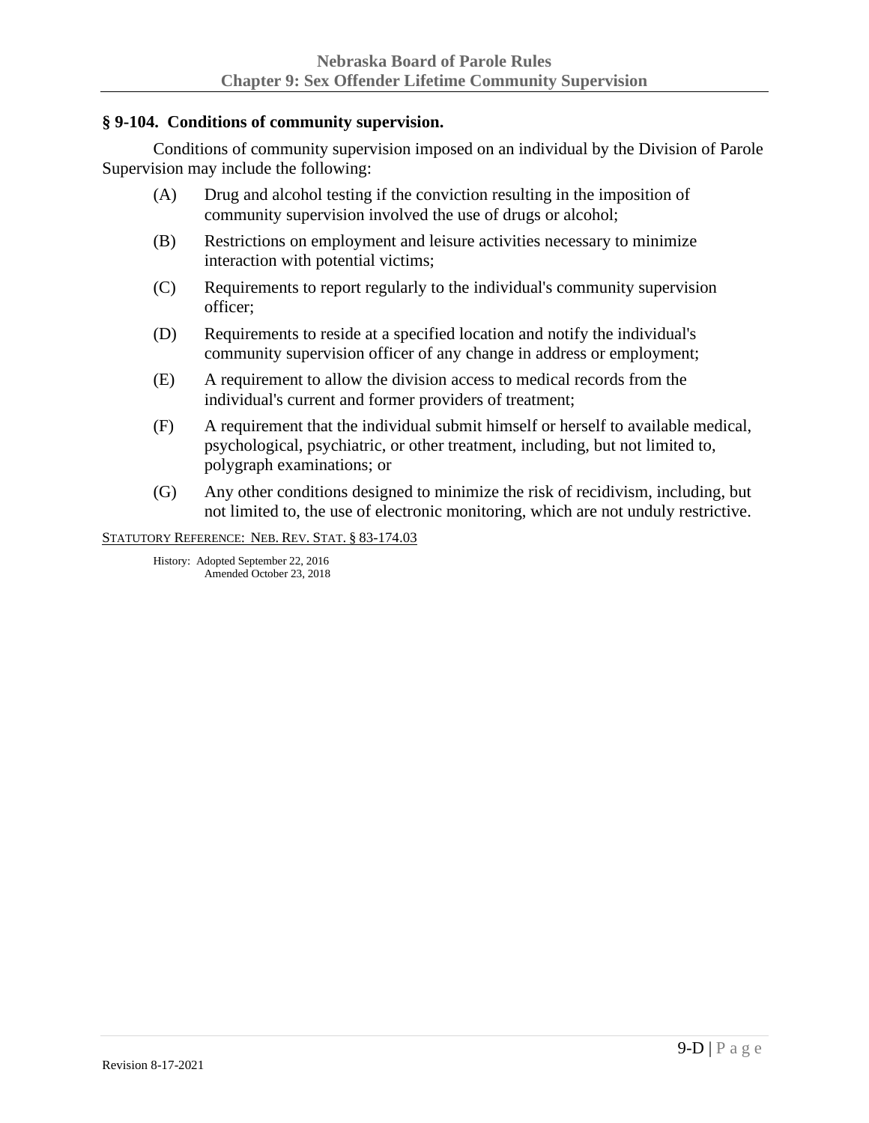## **§ 9-104. Conditions of community supervision.**

Conditions of community supervision imposed on an individual by the Division of Parole Supervision may include the following:

- (A) Drug and alcohol testing if the conviction resulting in the imposition of community supervision involved the use of drugs or alcohol;
- (B) Restrictions on employment and leisure activities necessary to minimize interaction with potential victims;
- (C) Requirements to report regularly to the individual's community supervision officer;
- (D) Requirements to reside at a specified location and notify the individual's community supervision officer of any change in address or employment;
- (E) A requirement to allow the division access to medical records from the individual's current and former providers of treatment;
- (F) A requirement that the individual submit himself or herself to available medical, psychological, psychiatric, or other treatment, including, but not limited to, polygraph examinations; or
- (G) Any other conditions designed to minimize the risk of recidivism, including, but not limited to, the use of electronic monitoring, which are not unduly restrictive.

STATUTORY REFERENCE: NEB. REV. STAT. § 83-174.03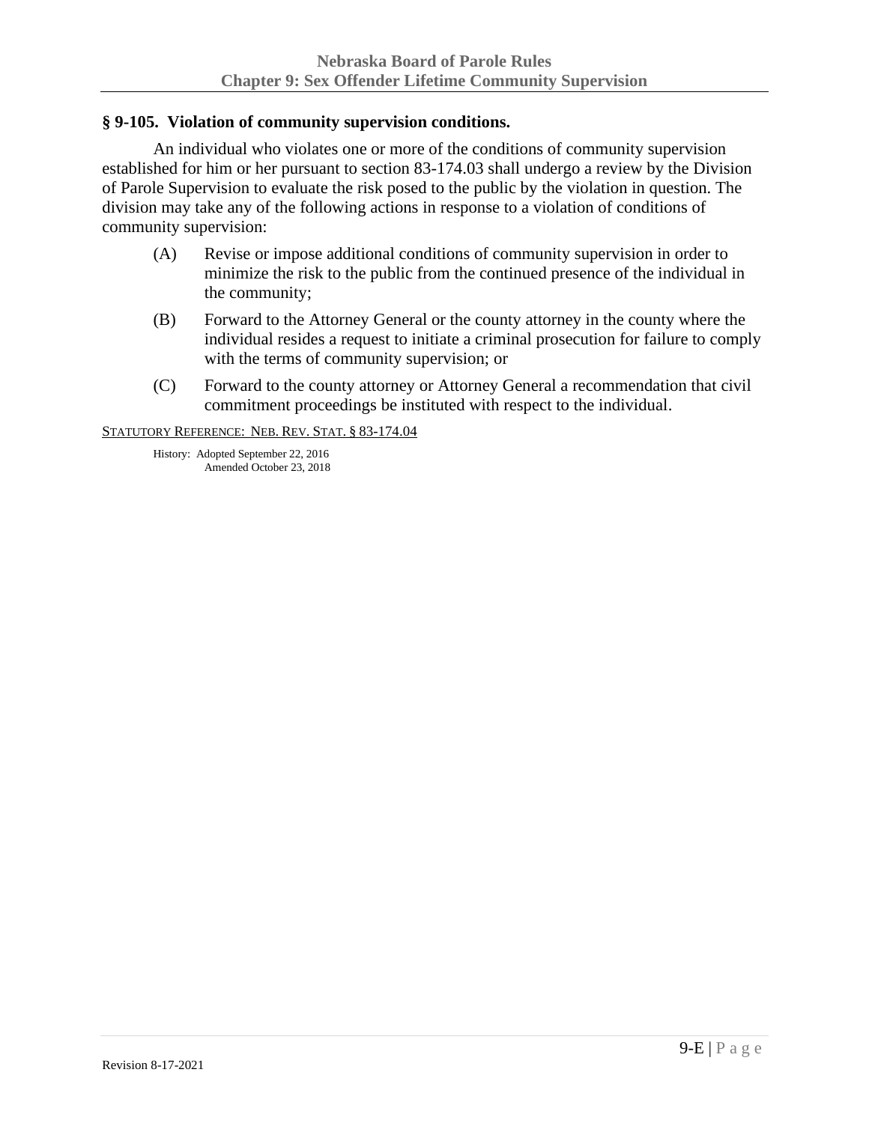## **§ 9-105. Violation of community supervision conditions.**

An individual who violates one or more of the conditions of community supervision established for him or her pursuant to section 83-174.03 shall undergo a review by the Division of Parole Supervision to evaluate the risk posed to the public by the violation in question. The division may take any of the following actions in response to a violation of conditions of community supervision:

- (A) Revise or impose additional conditions of community supervision in order to minimize the risk to the public from the continued presence of the individual in the community;
- (B) Forward to the Attorney General or the county attorney in the county where the individual resides a request to initiate a criminal prosecution for failure to comply with the terms of community supervision; or
- (C) Forward to the county attorney or Attorney General a recommendation that civil commitment proceedings be instituted with respect to the individual.

STATUTORY REFERENCE: NEB. REV. STAT. § 83-174.04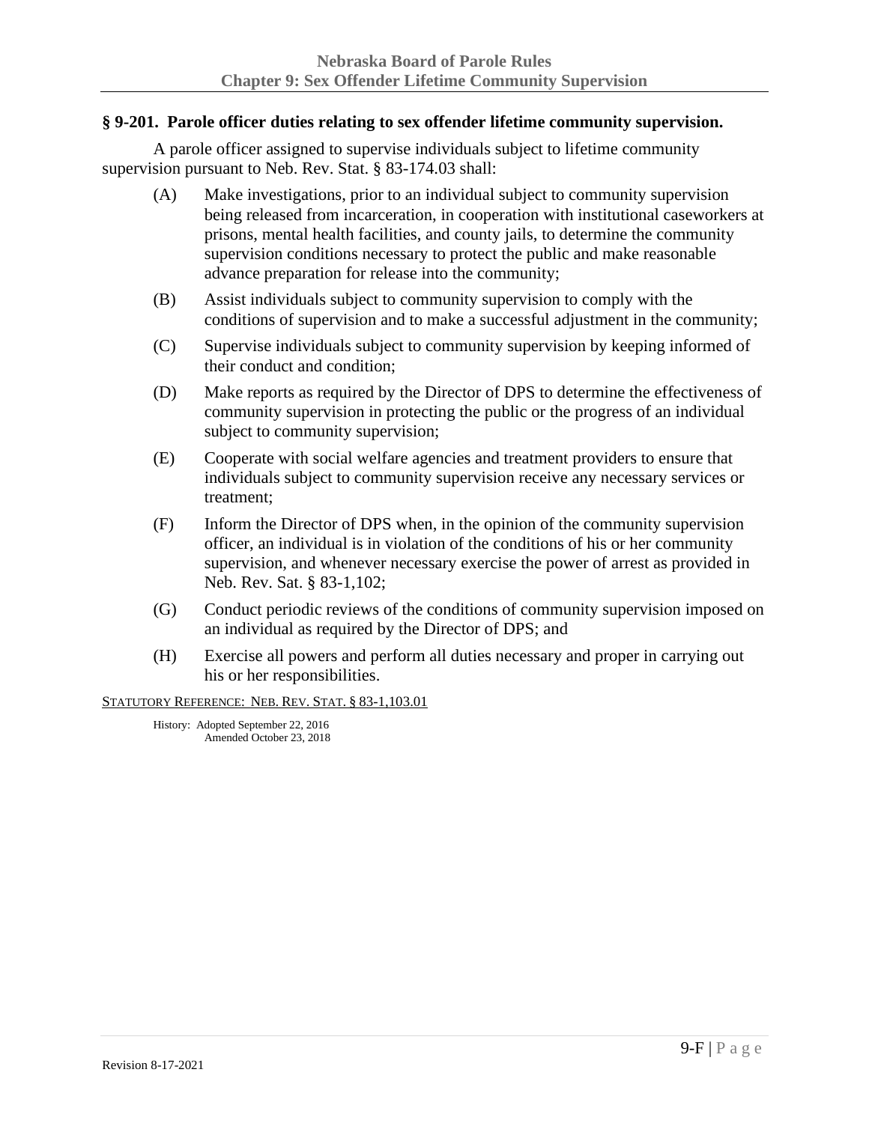#### **§ 9-201. Parole officer duties relating to sex offender lifetime community supervision.**

A parole officer assigned to supervise individuals subject to lifetime community supervision pursuant to Neb. Rev. Stat. § 83-174.03 shall:

- (A) Make investigations, prior to an individual subject to community supervision being released from incarceration, in cooperation with institutional caseworkers at prisons, mental health facilities, and county jails, to determine the community supervision conditions necessary to protect the public and make reasonable advance preparation for release into the community;
- (B) Assist individuals subject to community supervision to comply with the conditions of supervision and to make a successful adjustment in the community;
- (C) Supervise individuals subject to community supervision by keeping informed of their conduct and condition;
- (D) Make reports as required by the Director of DPS to determine the effectiveness of community supervision in protecting the public or the progress of an individual subject to community supervision;
- (E) Cooperate with social welfare agencies and treatment providers to ensure that individuals subject to community supervision receive any necessary services or treatment;
- (F) Inform the Director of DPS when, in the opinion of the community supervision officer, an individual is in violation of the conditions of his or her community supervision, and whenever necessary exercise the power of arrest as provided in Neb. Rev. Sat. § 83-1,102;
- (G) Conduct periodic reviews of the conditions of community supervision imposed on an individual as required by the Director of DPS; and
- (H) Exercise all powers and perform all duties necessary and proper in carrying out his or her responsibilities.

STATUTORY REFERENCE: NEB. REV. STAT. § 83-1,103.01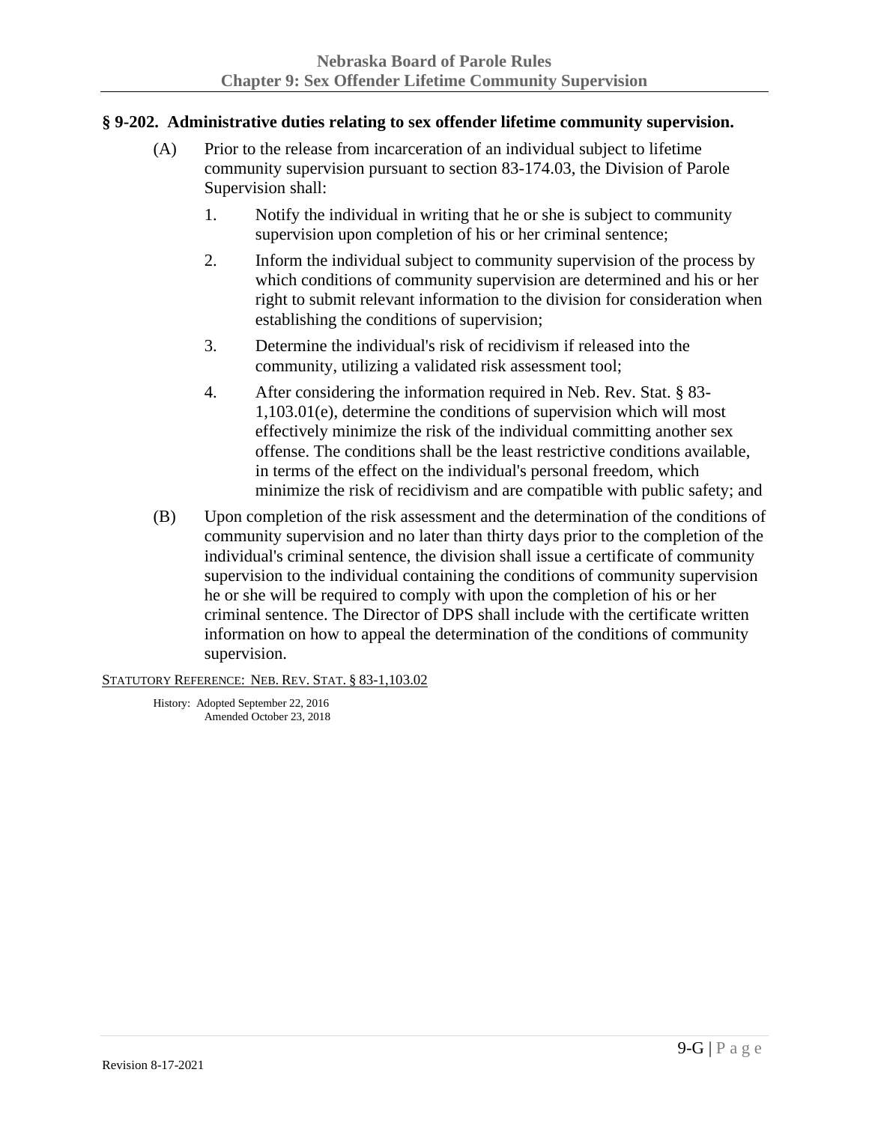## **§ 9-202. Administrative duties relating to sex offender lifetime community supervision.**

- (A) Prior to the release from incarceration of an individual subject to lifetime community supervision pursuant to section 83-174.03, the Division of Parole Supervision shall:
	- 1. Notify the individual in writing that he or she is subject to community supervision upon completion of his or her criminal sentence;
	- 2. Inform the individual subject to community supervision of the process by which conditions of community supervision are determined and his or her right to submit relevant information to the division for consideration when establishing the conditions of supervision;
	- 3. Determine the individual's risk of recidivism if released into the community, utilizing a validated risk assessment tool;
	- 4. After considering the information required in Neb. Rev. Stat. § 83- 1,103.01(e), determine the conditions of supervision which will most effectively minimize the risk of the individual committing another sex offense. The conditions shall be the least restrictive conditions available, in terms of the effect on the individual's personal freedom, which minimize the risk of recidivism and are compatible with public safety; and
- (B) Upon completion of the risk assessment and the determination of the conditions of community supervision and no later than thirty days prior to the completion of the individual's criminal sentence, the division shall issue a certificate of community supervision to the individual containing the conditions of community supervision he or she will be required to comply with upon the completion of his or her criminal sentence. The Director of DPS shall include with the certificate written information on how to appeal the determination of the conditions of community supervision.

STATUTORY REFERENCE: NEB. REV. STAT. § 83-1,103.02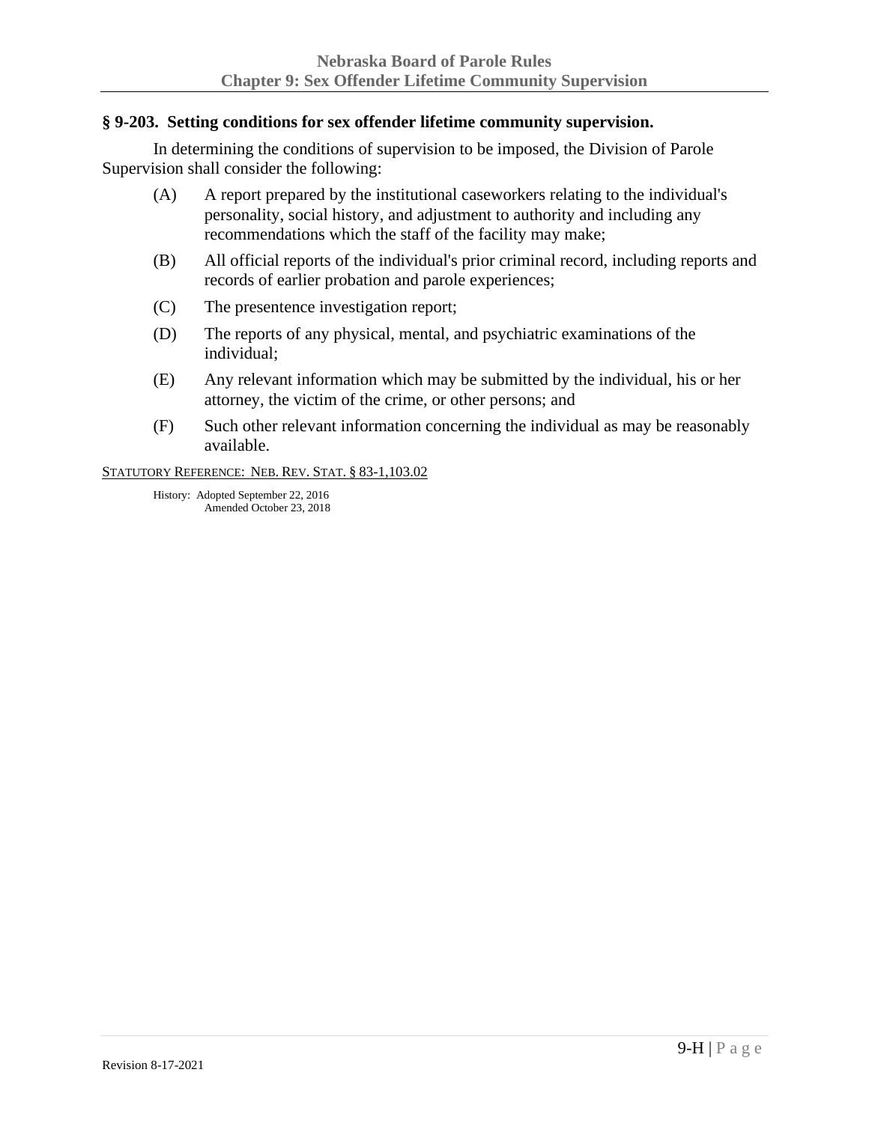#### **§ 9-203. Setting conditions for sex offender lifetime community supervision.**

In determining the conditions of supervision to be imposed, the Division of Parole Supervision shall consider the following:

- (A) A report prepared by the institutional caseworkers relating to the individual's personality, social history, and adjustment to authority and including any recommendations which the staff of the facility may make;
- (B) All official reports of the individual's prior criminal record, including reports and records of earlier probation and parole experiences;
- (C) The presentence investigation report;
- (D) The reports of any physical, mental, and psychiatric examinations of the individual;
- (E) Any relevant information which may be submitted by the individual, his or her attorney, the victim of the crime, or other persons; and
- (F) Such other relevant information concerning the individual as may be reasonably available.

STATUTORY REFERENCE: NEB. REV. STAT. § 83-1,103.02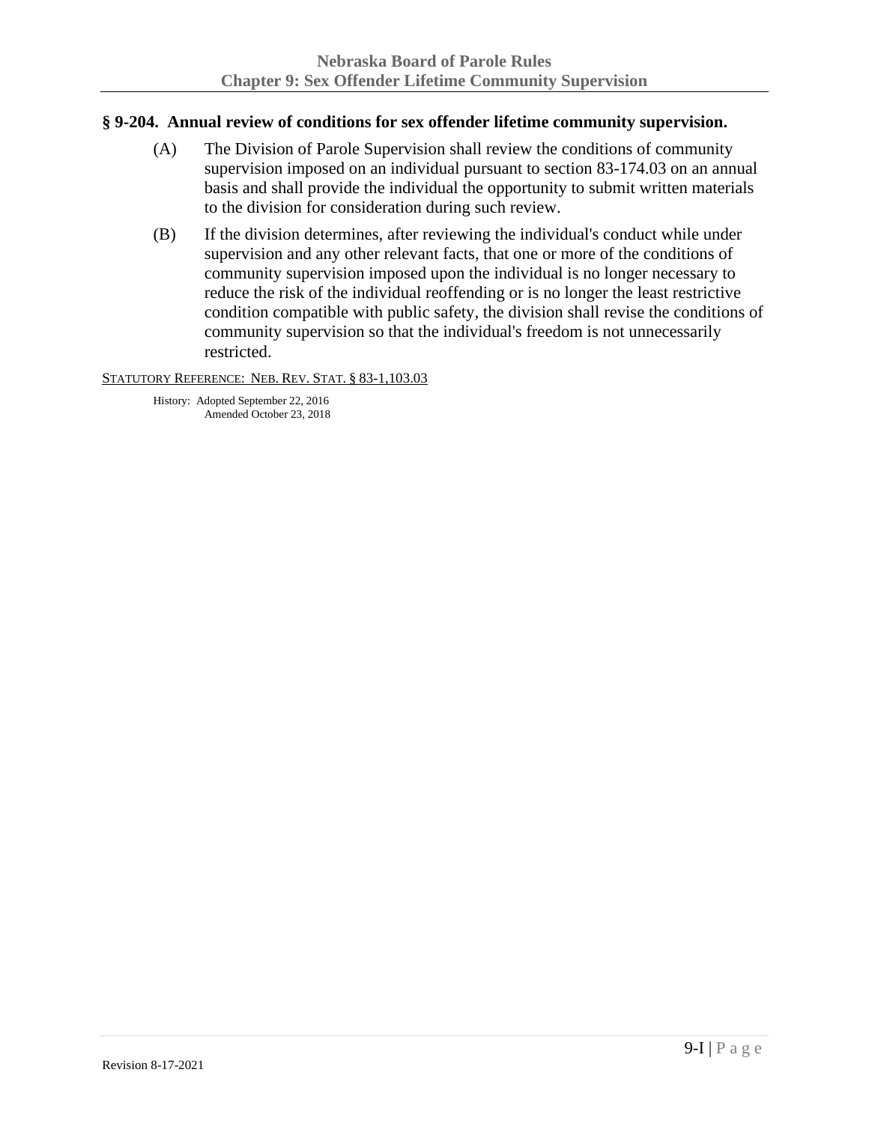#### **§ 9-204. Annual review of conditions for sex offender lifetime community supervision.**

- (A) The Division of Parole Supervision shall review the conditions of community supervision imposed on an individual pursuant to section 83-174.03 on an annual basis and shall provide the individual the opportunity to submit written materials to the division for consideration during such review.
- (B) If the division determines, after reviewing the individual's conduct while under supervision and any other relevant facts, that one or more of the conditions of community supervision imposed upon the individual is no longer necessary to reduce the risk of the individual reoffending or is no longer the least restrictive condition compatible with public safety, the division shall revise the conditions of community supervision so that the individual's freedom is not unnecessarily restricted.

#### STATUTORY REFERENCE: NEB. REV. STAT. § 83-1,103.03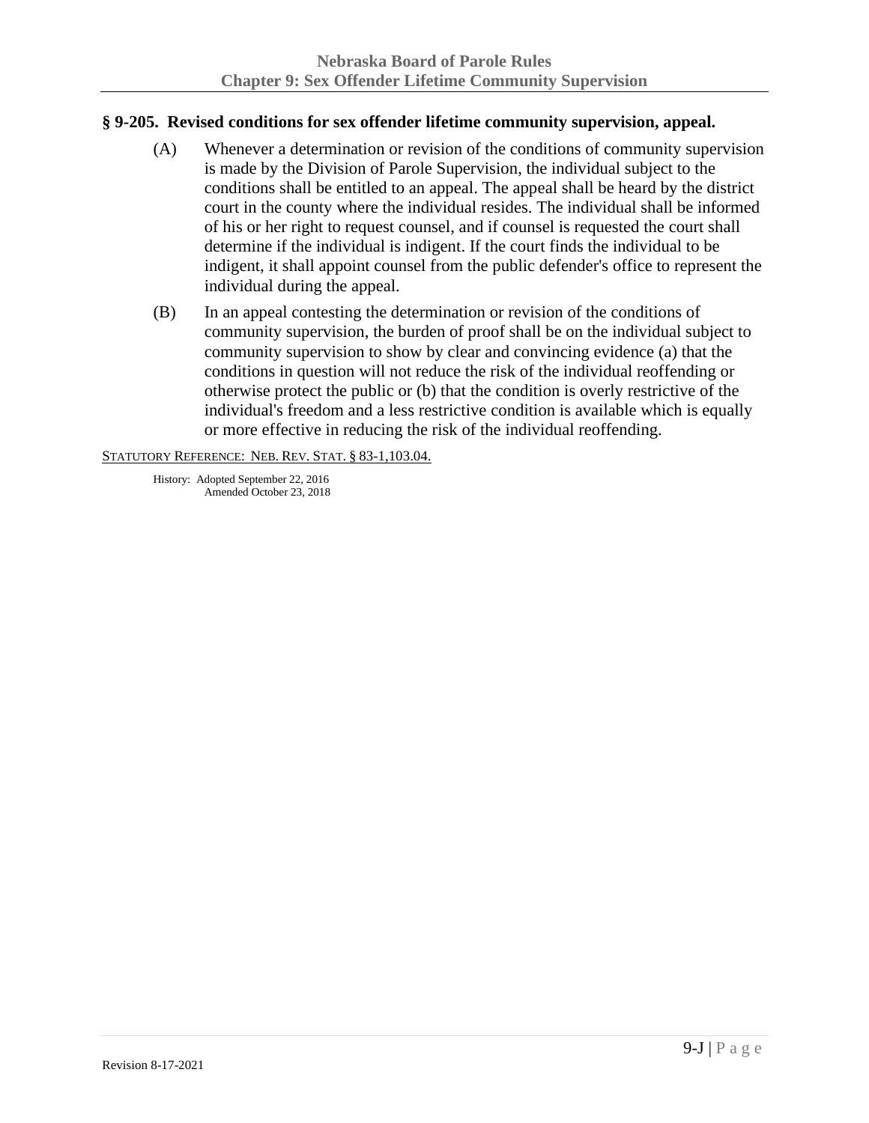## **§ 9-205. Revised conditions for sex offender lifetime community supervision, appeal.**

- (A) Whenever a determination or revision of the conditions of community supervision is made by the Division of Parole Supervision, the individual subject to the conditions shall be entitled to an appeal. The appeal shall be heard by the district court in the county where the individual resides. The individual shall be informed of his or her right to request counsel, and if counsel is requested the court shall determine if the individual is indigent. If the court finds the individual to be indigent, it shall appoint counsel from the public defender's office to represent the individual during the appeal.
- (B) In an appeal contesting the determination or revision of the conditions of community supervision, the burden of proof shall be on the individual subject to community supervision to show by clear and convincing evidence (a) that the conditions in question will not reduce the risk of the individual reoffending or otherwise protect the public or (b) that the condition is overly restrictive of the individual's freedom and a less restrictive condition is available which is equally or more effective in reducing the risk of the individual reoffending.

STATUTORY REFERENCE: NEB. REV. STAT. § 83-1,103.04.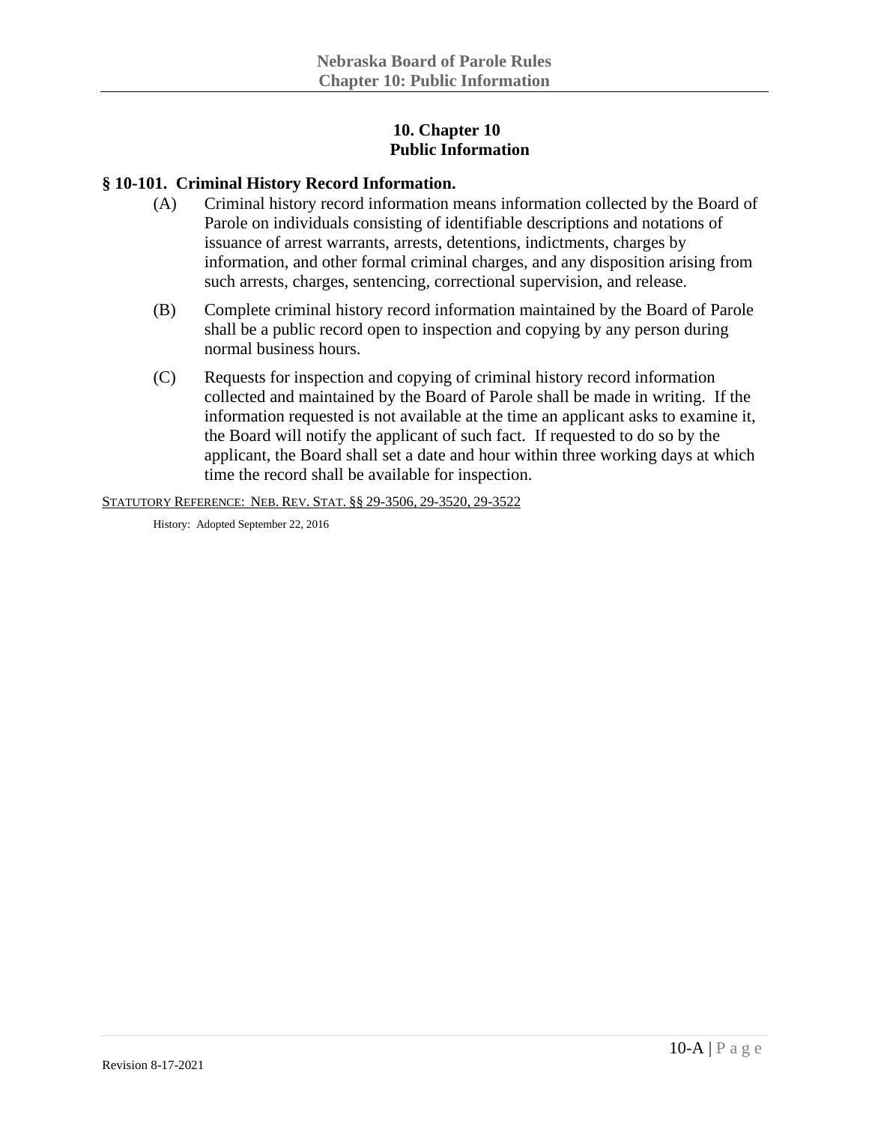## **10. Chapter 10 Public Information**

#### **§ 10-101. Criminal History Record Information.**

- (A) Criminal history record information means information collected by the Board of Parole on individuals consisting of identifiable descriptions and notations of issuance of arrest warrants, arrests, detentions, indictments, charges by information, and other formal criminal charges, and any disposition arising from such arrests, charges, sentencing, correctional supervision, and release.
- (B) Complete criminal history record information maintained by the Board of Parole shall be a public record open to inspection and copying by any person during normal business hours.
- (C) Requests for inspection and copying of criminal history record information collected and maintained by the Board of Parole shall be made in writing. If the information requested is not available at the time an applicant asks to examine it, the Board will notify the applicant of such fact. If requested to do so by the applicant, the Board shall set a date and hour within three working days at which time the record shall be available for inspection.

STATUTORY REFERENCE: NEB. REV. STAT. §§ 29-3506, 29-3520, 29-3522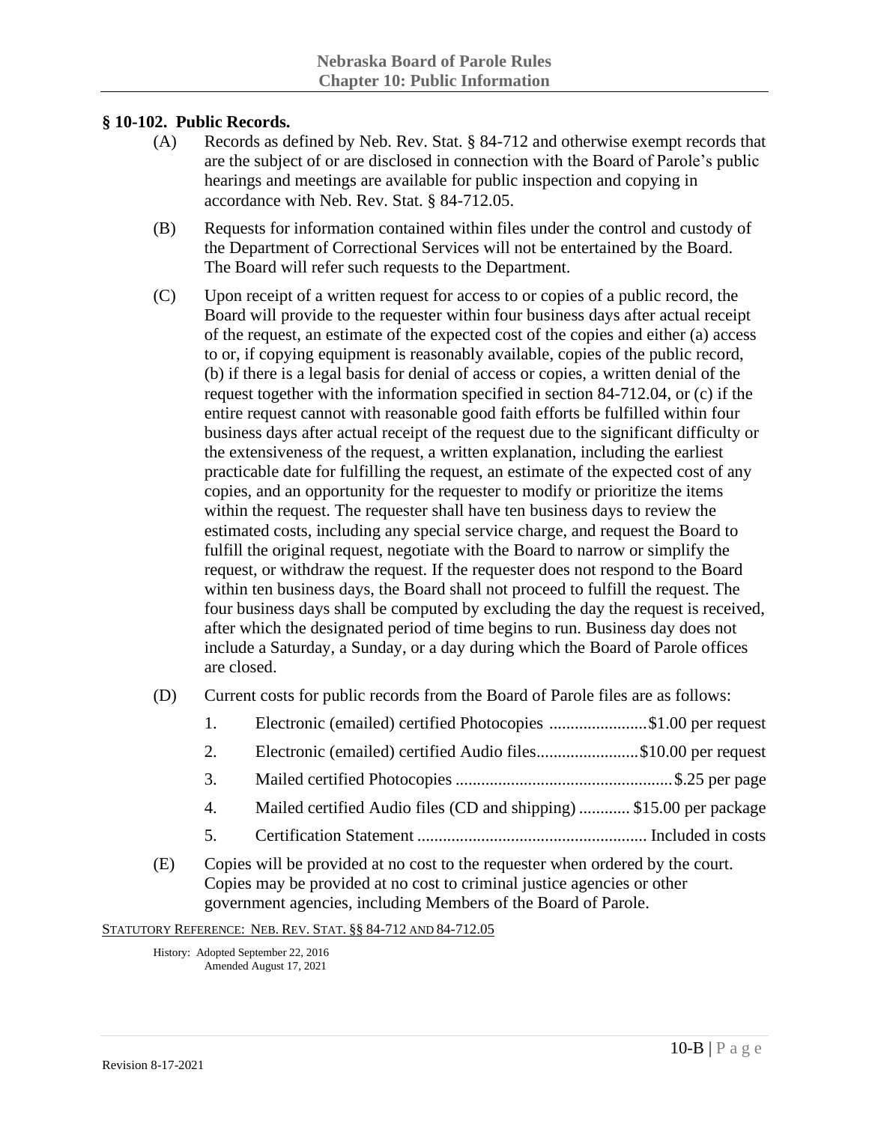#### **§ 10-102. Public Records.**

- (A) Records as defined by Neb. Rev. Stat. § 84-712 and otherwise exempt records that are the subject of or are disclosed in connection with the Board of Parole's public hearings and meetings are available for public inspection and copying in accordance with Neb. Rev. Stat. § 84-712.05.
- (B) Requests for information contained within files under the control and custody of the Department of Correctional Services will not be entertained by the Board. The Board will refer such requests to the Department.
- (C) Upon receipt of a written request for access to or copies of a public record, the Board will provide to the requester within four business days after actual receipt of the request, an estimate of the expected cost of the copies and either (a) access to or, if copying equipment is reasonably available, copies of the public record, (b) if there is a legal basis for denial of access or copies, a written denial of the request together with the information specified in section 84-712.04, or (c) if the entire request cannot with reasonable good faith efforts be fulfilled within four business days after actual receipt of the request due to the significant difficulty or the extensiveness of the request, a written explanation, including the earliest practicable date for fulfilling the request, an estimate of the expected cost of any copies, and an opportunity for the requester to modify or prioritize the items within the request. The requester shall have ten business days to review the estimated costs, including any special service charge, and request the Board to fulfill the original request, negotiate with the Board to narrow or simplify the request, or withdraw the request. If the requester does not respond to the Board within ten business days, the Board shall not proceed to fulfill the request. The four business days shall be computed by excluding the day the request is received, after which the designated period of time begins to run. Business day does not include a Saturday, a Sunday, or a day during which the Board of Parole offices are closed.
- (D) Current costs for public records from the Board of Parole files are as follows:
	- 1. Electronic (emailed) certified Photocopies .......................\$1.00 per request
	- 2. Electronic (emailed) certified Audio files........................\$10.00 per request
	- 3. Mailed certified Photocopies ...................................................\$.25 per page
	- 4. Mailed certified Audio files (CD and shipping) ............ \$15.00 per package
	- 5. Certification Statement ...................................................... Included in costs
- (E) Copies will be provided at no cost to the requester when ordered by the court. Copies may be provided at no cost to criminal justice agencies or other government agencies, including Members of the Board of Parole.

STATUTORY REFERENCE: NEB. REV. STAT. §§ 84-712 AND 84-712.05

History: Adopted September 22, 2016 Amended August 17, 2021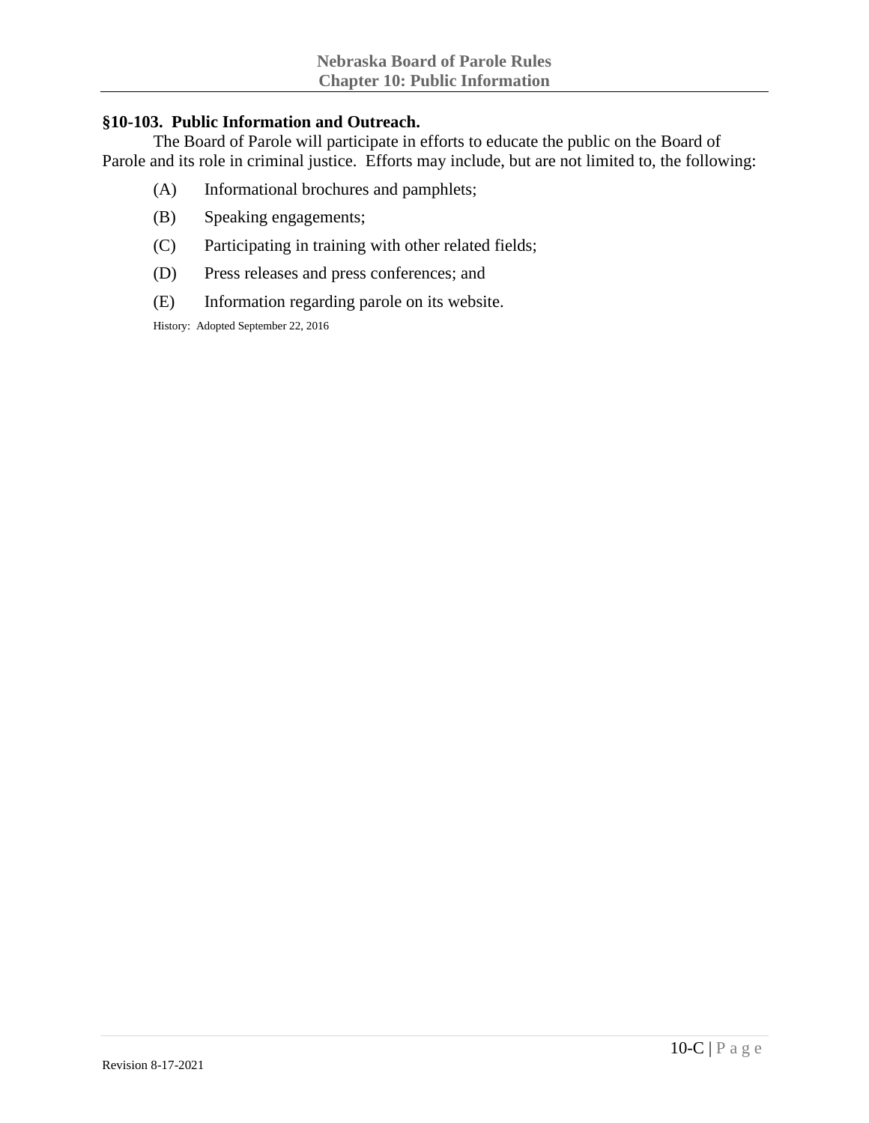#### **§10-103. Public Information and Outreach.**

The Board of Parole will participate in efforts to educate the public on the Board of Parole and its role in criminal justice. Efforts may include, but are not limited to, the following:

- (A) Informational brochures and pamphlets;
- (B) Speaking engagements;
- (C) Participating in training with other related fields;
- (D) Press releases and press conferences; and
- (E) Information regarding parole on its website.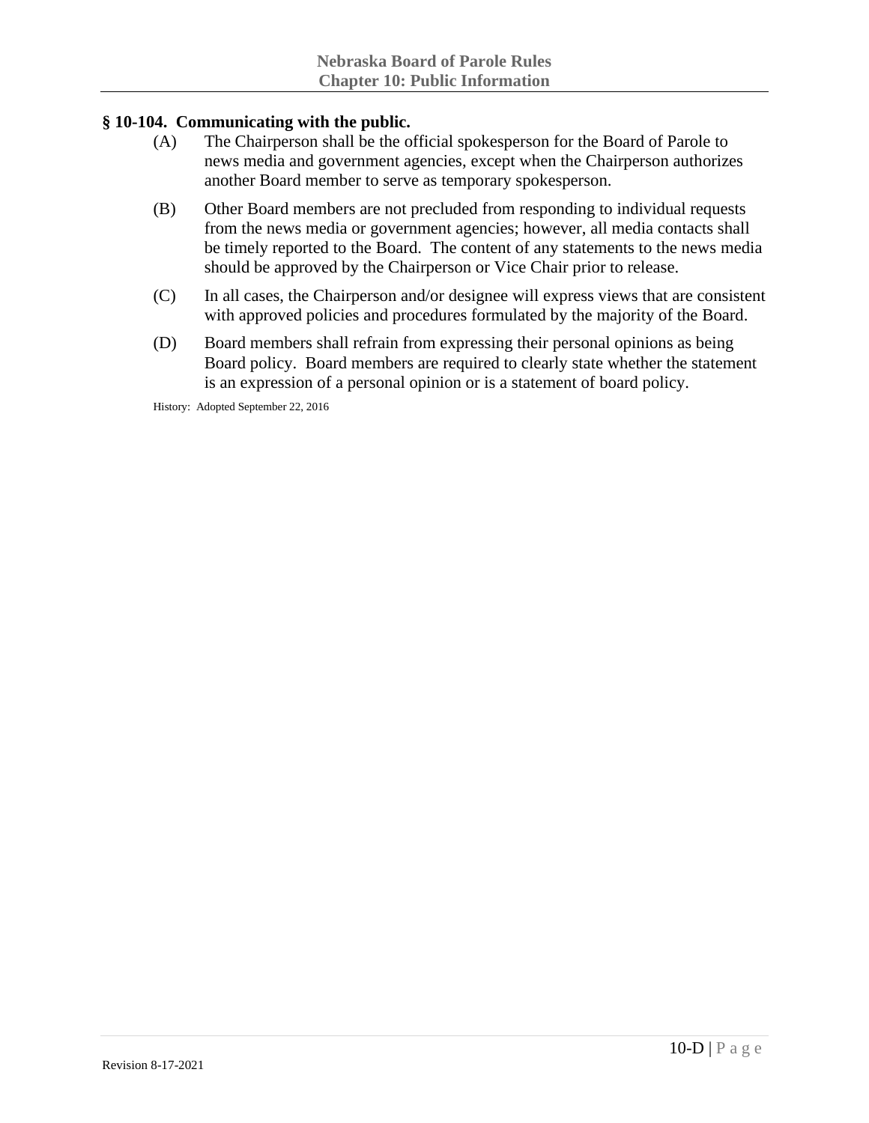## **§ 10-104. Communicating with the public.**

- (A) The Chairperson shall be the official spokesperson for the Board of Parole to news media and government agencies, except when the Chairperson authorizes another Board member to serve as temporary spokesperson.
- (B) Other Board members are not precluded from responding to individual requests from the news media or government agencies; however, all media contacts shall be timely reported to the Board. The content of any statements to the news media should be approved by the Chairperson or Vice Chair prior to release.
- (C) In all cases, the Chairperson and/or designee will express views that are consistent with approved policies and procedures formulated by the majority of the Board.
- (D) Board members shall refrain from expressing their personal opinions as being Board policy. Board members are required to clearly state whether the statement is an expression of a personal opinion or is a statement of board policy.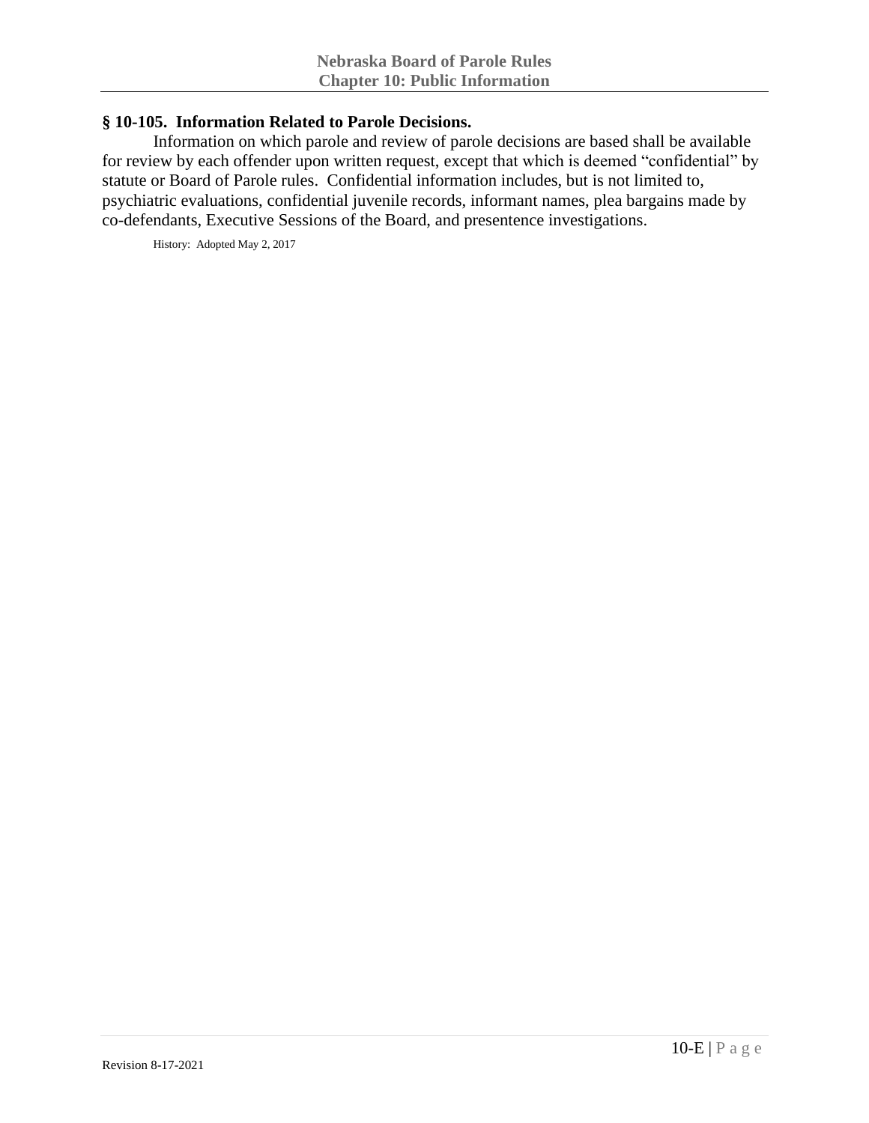## **§ 10-105. Information Related to Parole Decisions.**

Information on which parole and review of parole decisions are based shall be available for review by each offender upon written request, except that which is deemed "confidential" by statute or Board of Parole rules. Confidential information includes, but is not limited to, psychiatric evaluations, confidential juvenile records, informant names, plea bargains made by co-defendants, Executive Sessions of the Board, and presentence investigations.

History: Adopted May 2, 2017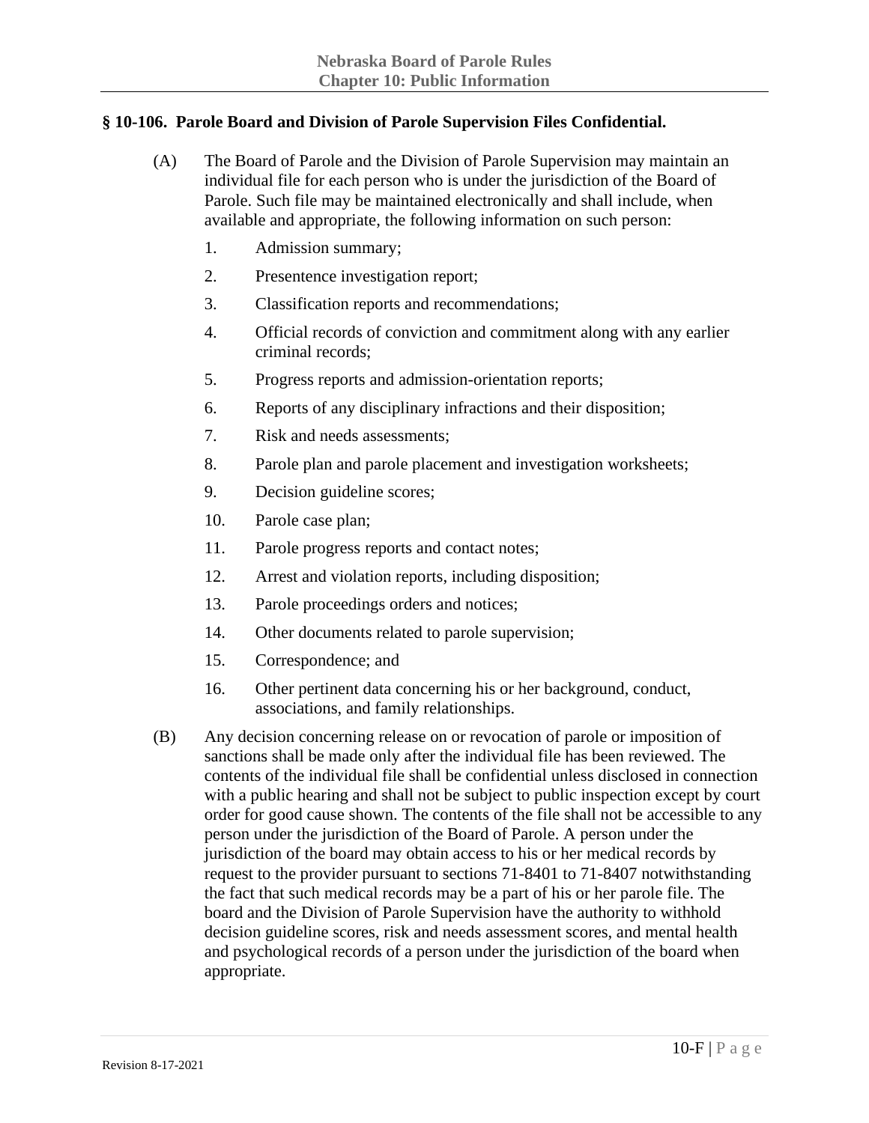## **§ 10-106. Parole Board and Division of Parole Supervision Files Confidential.**

- (A) The Board of Parole and the Division of Parole Supervision may maintain an individual file for each person who is under the jurisdiction of the Board of Parole. Such file may be maintained electronically and shall include, when available and appropriate, the following information on such person:
	- 1. Admission summary;
	- 2. Presentence investigation report;
	- 3. Classification reports and recommendations;
	- 4. Official records of conviction and commitment along with any earlier criminal records;
	- 5. Progress reports and admission-orientation reports;
	- 6. Reports of any disciplinary infractions and their disposition;
	- 7. Risk and needs assessments;
	- 8. Parole plan and parole placement and investigation worksheets;
	- 9. Decision guideline scores;
	- 10. Parole case plan;
	- 11. Parole progress reports and contact notes;
	- 12. Arrest and violation reports, including disposition;
	- 13. Parole proceedings orders and notices;
	- 14. Other documents related to parole supervision;
	- 15. Correspondence; and
	- 16. Other pertinent data concerning his or her background, conduct, associations, and family relationships.
- (B) Any decision concerning release on or revocation of parole or imposition of sanctions shall be made only after the individual file has been reviewed. The contents of the individual file shall be confidential unless disclosed in connection with a public hearing and shall not be subject to public inspection except by court order for good cause shown. The contents of the file shall not be accessible to any person under the jurisdiction of the Board of Parole. A person under the jurisdiction of the board may obtain access to his or her medical records by request to the provider pursuant to sections 71-8401 to 71-8407 notwithstanding the fact that such medical records may be a part of his or her parole file. The board and the Division of Parole Supervision have the authority to withhold decision guideline scores, risk and needs assessment scores, and mental health and psychological records of a person under the jurisdiction of the board when appropriate.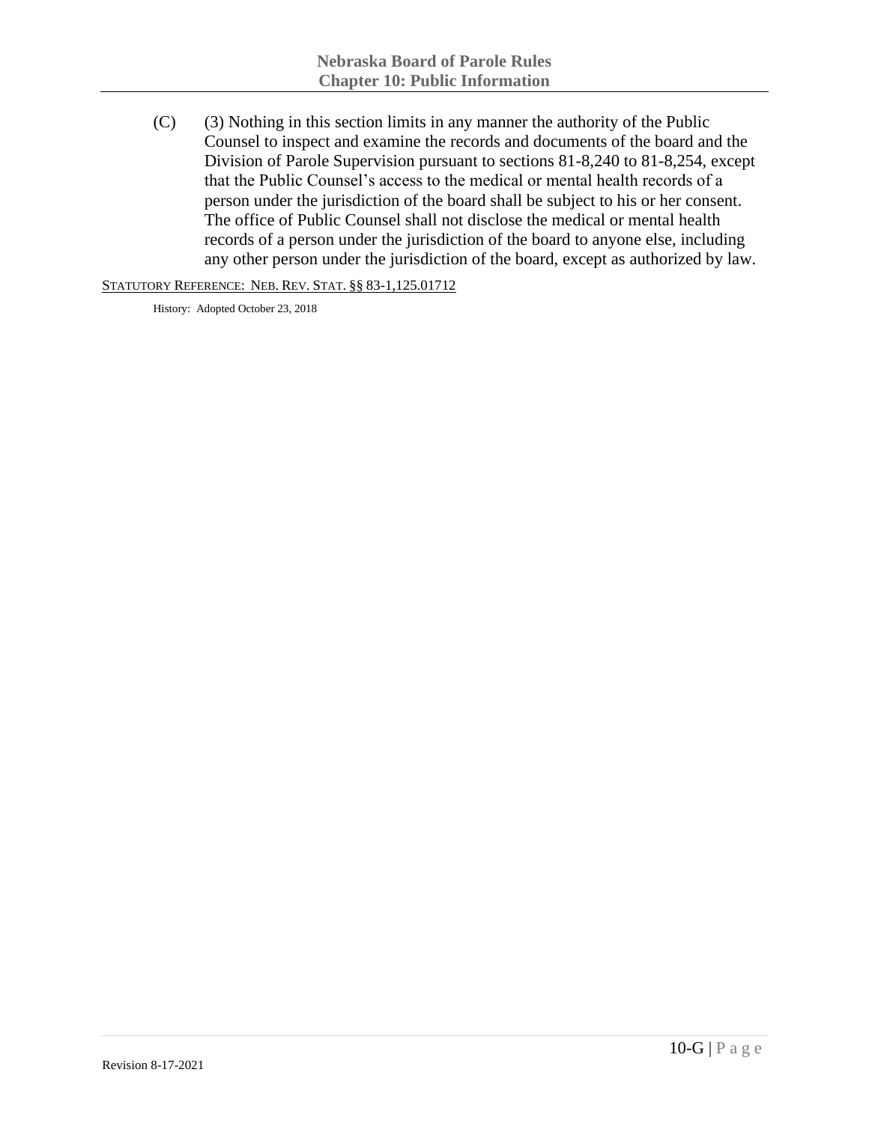(C) (3) Nothing in this section limits in any manner the authority of the Public Counsel to inspect and examine the records and documents of the board and the Division of Parole Supervision pursuant to sections 81-8,240 to 81-8,254, except that the Public Counsel's access to the medical or mental health records of a person under the jurisdiction of the board shall be subject to his or her consent. The office of Public Counsel shall not disclose the medical or mental health records of a person under the jurisdiction of the board to anyone else, including any other person under the jurisdiction of the board, except as authorized by law.

STATUTORY REFERENCE: NEB. REV. STAT. §§ 83-1,125.01712

History: Adopted October 23, 2018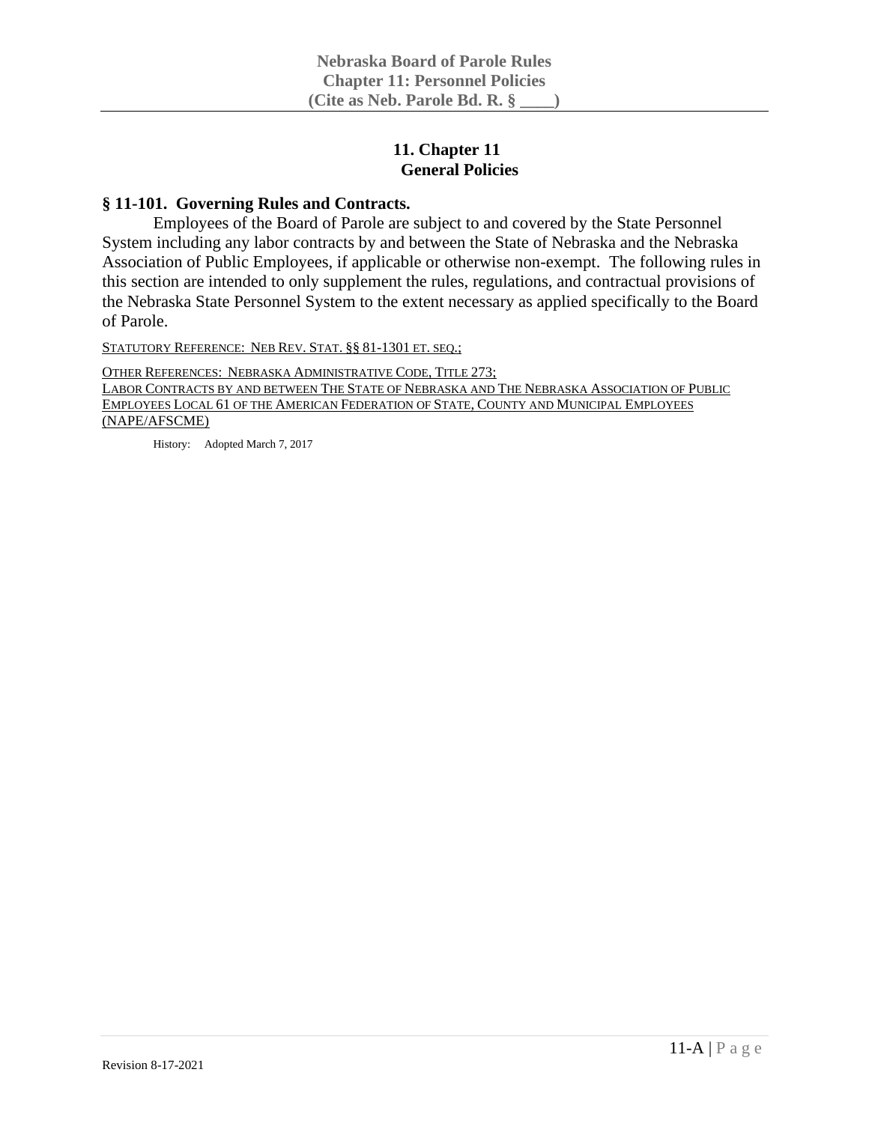## **11. Chapter 11 General Policies**

## **§ 11-101. Governing Rules and Contracts.**

Employees of the Board of Parole are subject to and covered by the State Personnel System including any labor contracts by and between the State of Nebraska and the Nebraska Association of Public Employees, if applicable or otherwise non-exempt. The following rules in this section are intended to only supplement the rules, regulations, and contractual provisions of the Nebraska State Personnel System to the extent necessary as applied specifically to the Board of Parole.

STATUTORY REFERENCE: NEB REV. STAT. §§ 81-1301 ET. SEQ.;

OTHER REFERENCES: NEBRASKA ADMINISTRATIVE CODE, TITLE 273;

LABOR CONTRACTS BY AND BETWEEN THE STATE OF NEBRASKA AND THE NEBRASKA ASSOCIATION OF PUBLIC EMPLOYEES LOCAL 61 OF THE AMERICAN FEDERATION OF STATE, COUNTY AND MUNICIPAL EMPLOYEES (NAPE/AFSCME)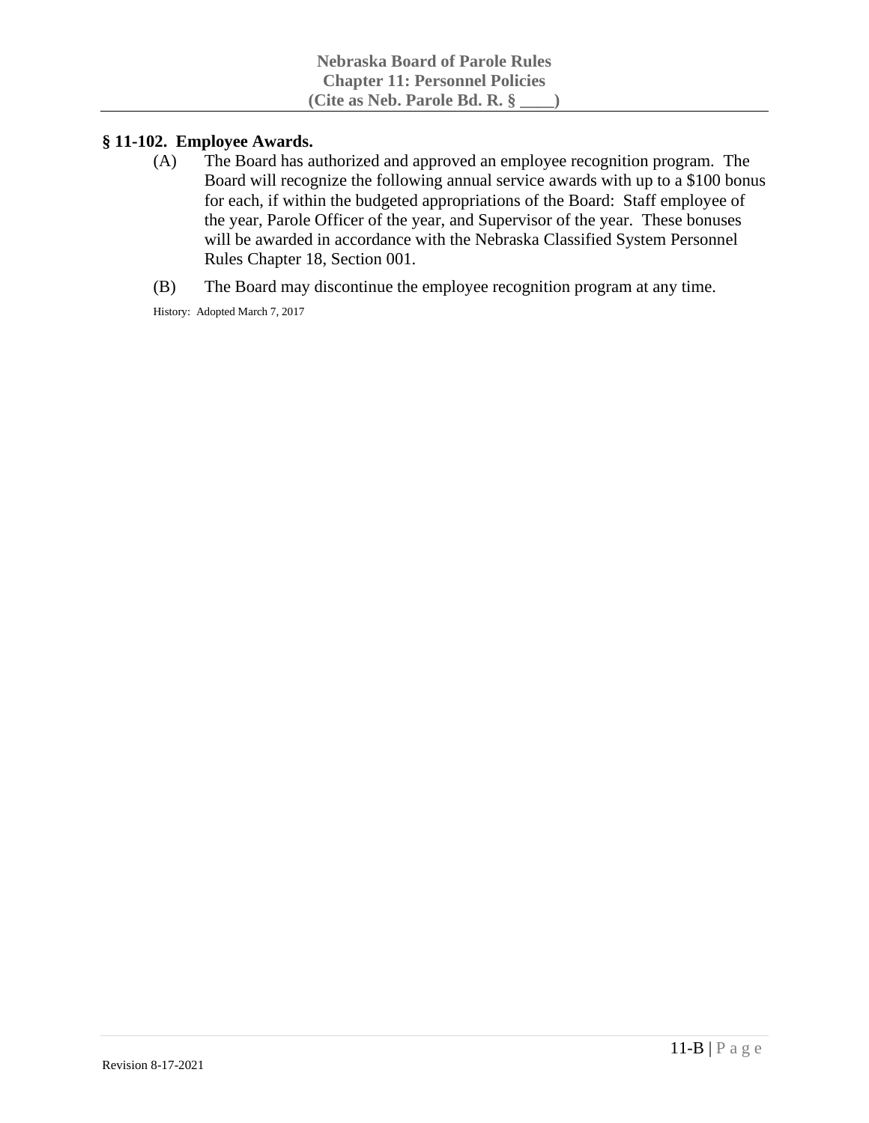## **§ 11-102. Employee Awards.**

- (A) The Board has authorized and approved an employee recognition program. The Board will recognize the following annual service awards with up to a \$100 bonus for each, if within the budgeted appropriations of the Board: Staff employee of the year, Parole Officer of the year, and Supervisor of the year. These bonuses will be awarded in accordance with the Nebraska Classified System Personnel Rules Chapter 18, Section 001.
- (B) The Board may discontinue the employee recognition program at any time.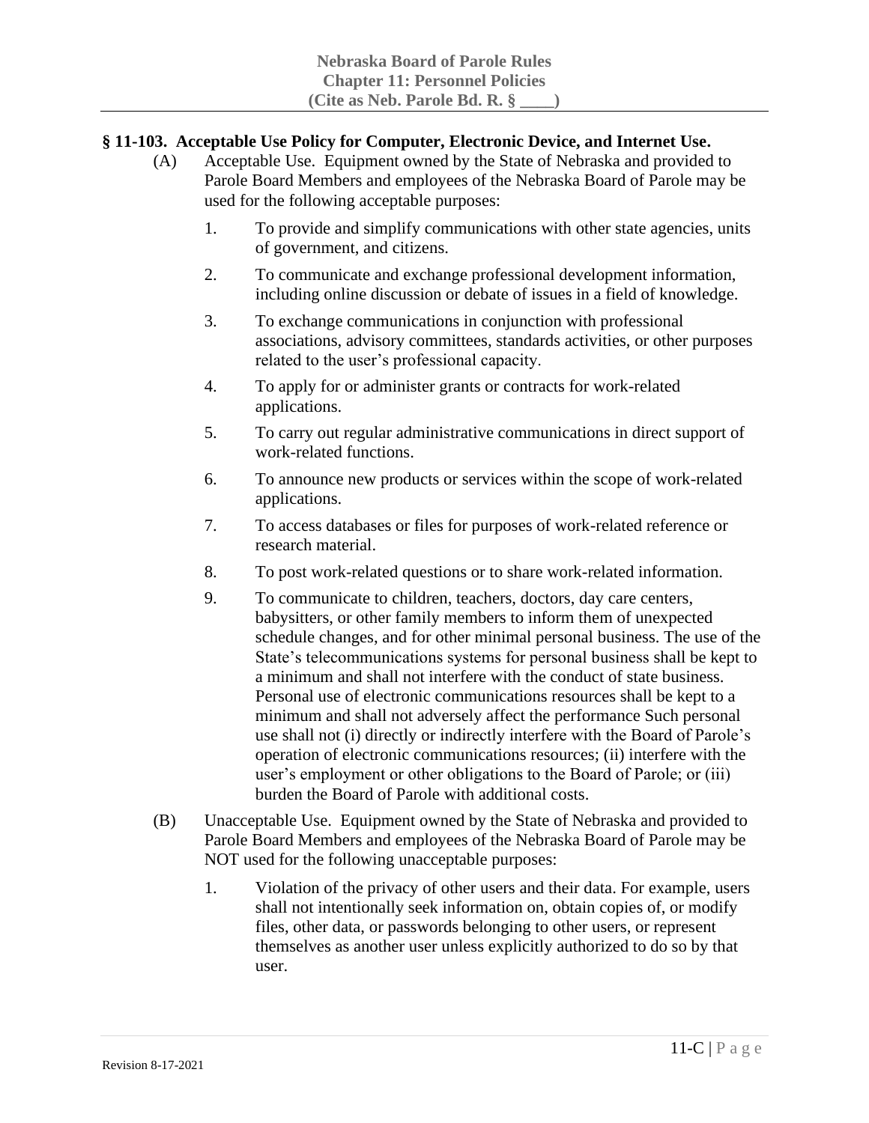## **§ 11-103. Acceptable Use Policy for Computer, Electronic Device, and Internet Use.**

- (A) Acceptable Use. Equipment owned by the State of Nebraska and provided to Parole Board Members and employees of the Nebraska Board of Parole may be used for the following acceptable purposes:
	- 1. To provide and simplify communications with other state agencies, units of government, and citizens.
	- 2. To communicate and exchange professional development information, including online discussion or debate of issues in a field of knowledge.
	- 3. To exchange communications in conjunction with professional associations, advisory committees, standards activities, or other purposes related to the user's professional capacity.
	- 4. To apply for or administer grants or contracts for work-related applications.
	- 5. To carry out regular administrative communications in direct support of work-related functions.
	- 6. To announce new products or services within the scope of work-related applications.
	- 7. To access databases or files for purposes of work-related reference or research material.
	- 8. To post work-related questions or to share work-related information.
	- 9. To communicate to children, teachers, doctors, day care centers, babysitters, or other family members to inform them of unexpected schedule changes, and for other minimal personal business. The use of the State's telecommunications systems for personal business shall be kept to a minimum and shall not interfere with the conduct of state business. Personal use of electronic communications resources shall be kept to a minimum and shall not adversely affect the performance Such personal use shall not (i) directly or indirectly interfere with the Board of Parole's operation of electronic communications resources; (ii) interfere with the user's employment or other obligations to the Board of Parole; or (iii) burden the Board of Parole with additional costs.
- (B) Unacceptable Use. Equipment owned by the State of Nebraska and provided to Parole Board Members and employees of the Nebraska Board of Parole may be NOT used for the following unacceptable purposes:
	- 1. Violation of the privacy of other users and their data. For example, users shall not intentionally seek information on, obtain copies of, or modify files, other data, or passwords belonging to other users, or represent themselves as another user unless explicitly authorized to do so by that user.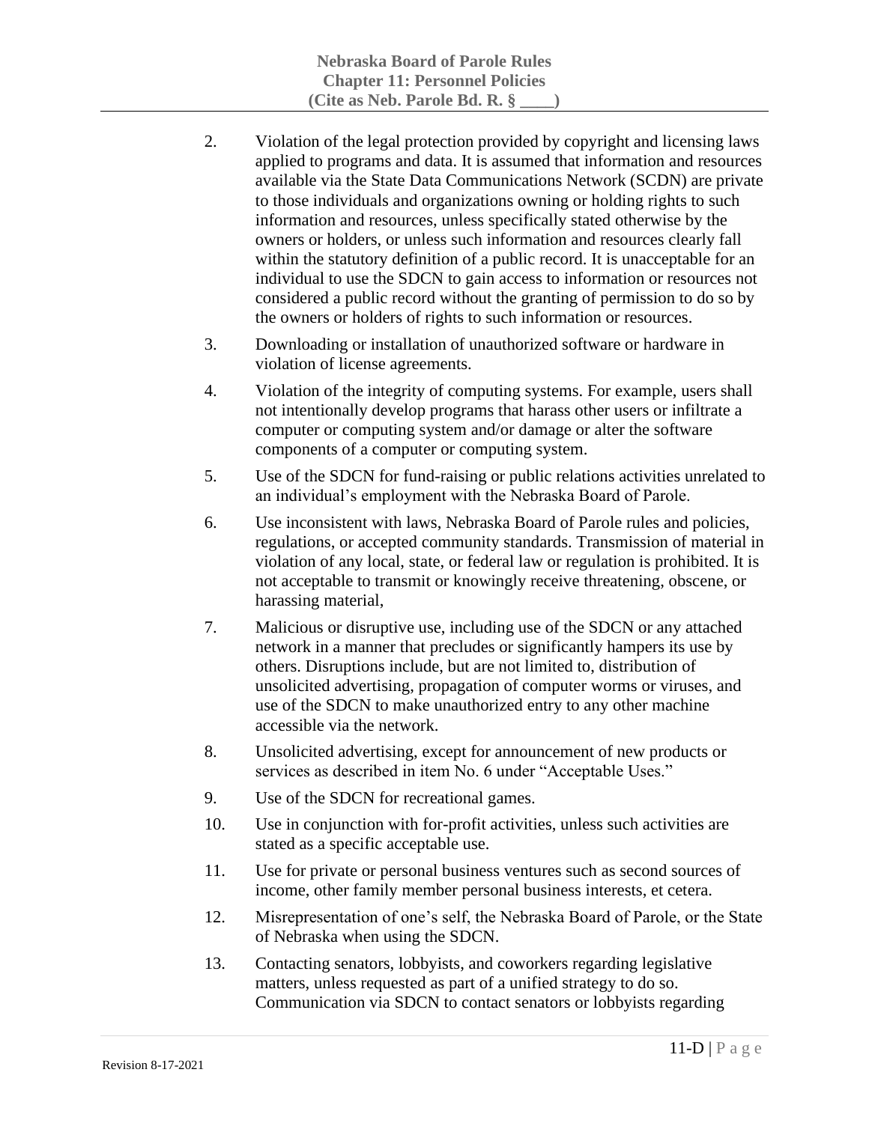- 2. Violation of the legal protection provided by copyright and licensing laws applied to programs and data. It is assumed that information and resources available via the State Data Communications Network (SCDN) are private to those individuals and organizations owning or holding rights to such information and resources, unless specifically stated otherwise by the owners or holders, or unless such information and resources clearly fall within the statutory definition of a public record. It is unacceptable for an individual to use the SDCN to gain access to information or resources not considered a public record without the granting of permission to do so by the owners or holders of rights to such information or resources.
- 3. Downloading or installation of unauthorized software or hardware in violation of license agreements.
- 4. Violation of the integrity of computing systems. For example, users shall not intentionally develop programs that harass other users or infiltrate a computer or computing system and/or damage or alter the software components of a computer or computing system.
- 5. Use of the SDCN for fund-raising or public relations activities unrelated to an individual's employment with the Nebraska Board of Parole.
- 6. Use inconsistent with laws, Nebraska Board of Parole rules and policies, regulations, or accepted community standards. Transmission of material in violation of any local, state, or federal law or regulation is prohibited. It is not acceptable to transmit or knowingly receive threatening, obscene, or harassing material,
- 7. Malicious or disruptive use, including use of the SDCN or any attached network in a manner that precludes or significantly hampers its use by others. Disruptions include, but are not limited to, distribution of unsolicited advertising, propagation of computer worms or viruses, and use of the SDCN to make unauthorized entry to any other machine accessible via the network.
- 8. Unsolicited advertising, except for announcement of new products or services as described in item No. 6 under "Acceptable Uses."
- 9. Use of the SDCN for recreational games.
- 10. Use in conjunction with for-profit activities, unless such activities are stated as a specific acceptable use.
- 11. Use for private or personal business ventures such as second sources of income, other family member personal business interests, et cetera.
- 12. Misrepresentation of one's self, the Nebraska Board of Parole, or the State of Nebraska when using the SDCN.
- 13. Contacting senators, lobbyists, and coworkers regarding legislative matters, unless requested as part of a unified strategy to do so. Communication via SDCN to contact senators or lobbyists regarding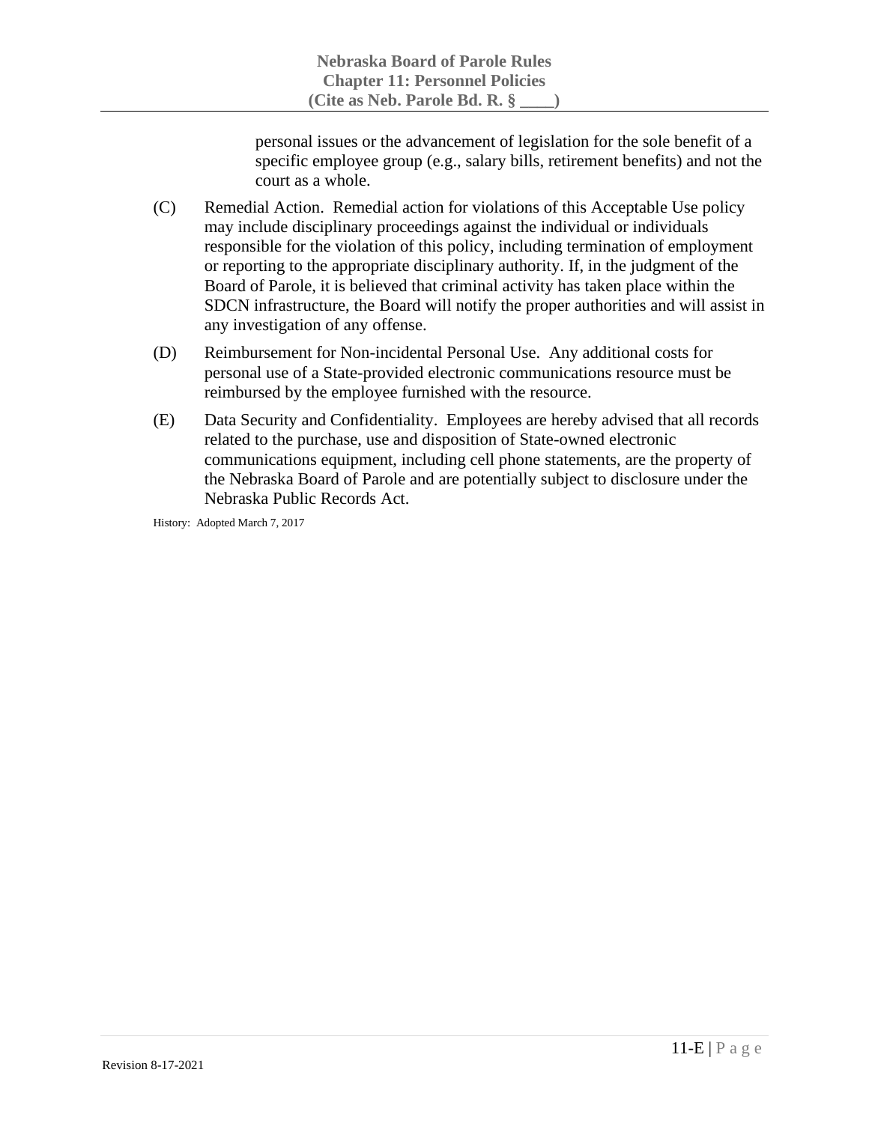personal issues or the advancement of legislation for the sole benefit of a specific employee group (e.g., salary bills, retirement benefits) and not the court as a whole.

- (C) Remedial Action. Remedial action for violations of this Acceptable Use policy may include disciplinary proceedings against the individual or individuals responsible for the violation of this policy, including termination of employment or reporting to the appropriate disciplinary authority. If, in the judgment of the Board of Parole, it is believed that criminal activity has taken place within the SDCN infrastructure, the Board will notify the proper authorities and will assist in any investigation of any offense.
- (D) Reimbursement for Non-incidental Personal Use. Any additional costs for personal use of a State-provided electronic communications resource must be reimbursed by the employee furnished with the resource.
- (E) Data Security and Confidentiality. Employees are hereby advised that all records related to the purchase, use and disposition of State-owned electronic communications equipment, including cell phone statements, are the property of the Nebraska Board of Parole and are potentially subject to disclosure under the Nebraska Public Records Act.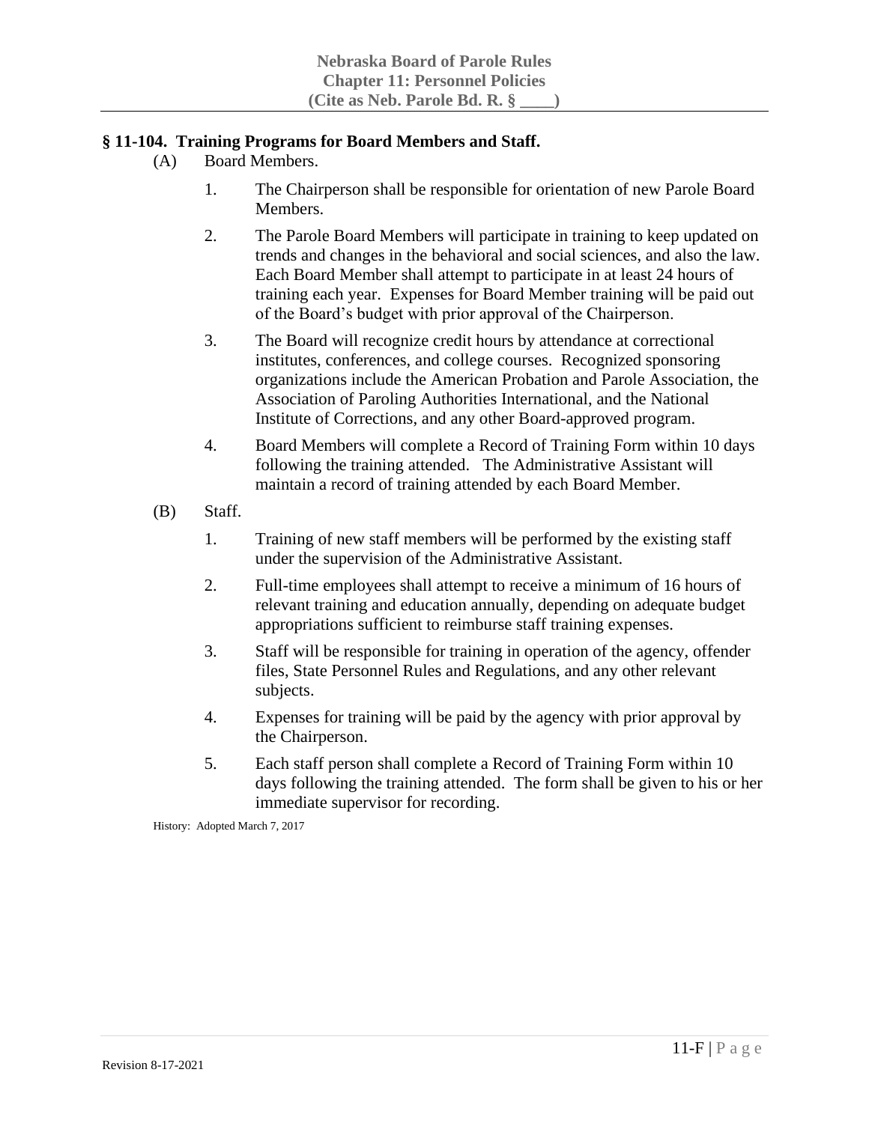#### **§ 11-104. Training Programs for Board Members and Staff.**

- (A) Board Members.
	- 1. The Chairperson shall be responsible for orientation of new Parole Board Members.
	- 2. The Parole Board Members will participate in training to keep updated on trends and changes in the behavioral and social sciences, and also the law. Each Board Member shall attempt to participate in at least 24 hours of training each year. Expenses for Board Member training will be paid out of the Board's budget with prior approval of the Chairperson.
	- 3. The Board will recognize credit hours by attendance at correctional institutes, conferences, and college courses. Recognized sponsoring organizations include the American Probation and Parole Association, the Association of Paroling Authorities International, and the National Institute of Corrections, and any other Board-approved program.
	- 4. Board Members will complete a Record of Training Form within 10 days following the training attended. The Administrative Assistant will maintain a record of training attended by each Board Member.
- (B) Staff.
	- 1. Training of new staff members will be performed by the existing staff under the supervision of the Administrative Assistant.
	- 2. Full-time employees shall attempt to receive a minimum of 16 hours of relevant training and education annually, depending on adequate budget appropriations sufficient to reimburse staff training expenses.
	- 3. Staff will be responsible for training in operation of the agency, offender files, State Personnel Rules and Regulations, and any other relevant subjects.
	- 4. Expenses for training will be paid by the agency with prior approval by the Chairperson.
	- 5. Each staff person shall complete a Record of Training Form within 10 days following the training attended. The form shall be given to his or her immediate supervisor for recording.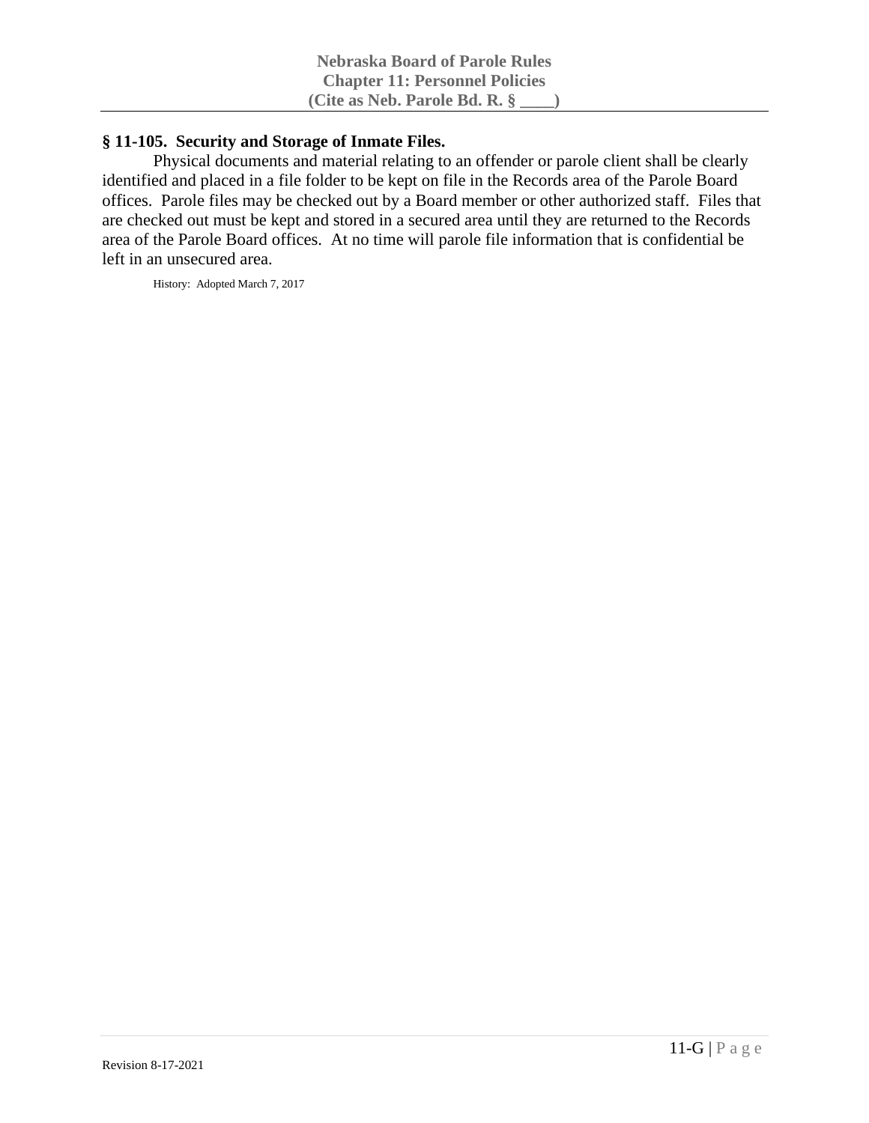## **§ 11-105. Security and Storage of Inmate Files.**

Physical documents and material relating to an offender or parole client shall be clearly identified and placed in a file folder to be kept on file in the Records area of the Parole Board offices. Parole files may be checked out by a Board member or other authorized staff. Files that are checked out must be kept and stored in a secured area until they are returned to the Records area of the Parole Board offices. At no time will parole file information that is confidential be left in an unsecured area.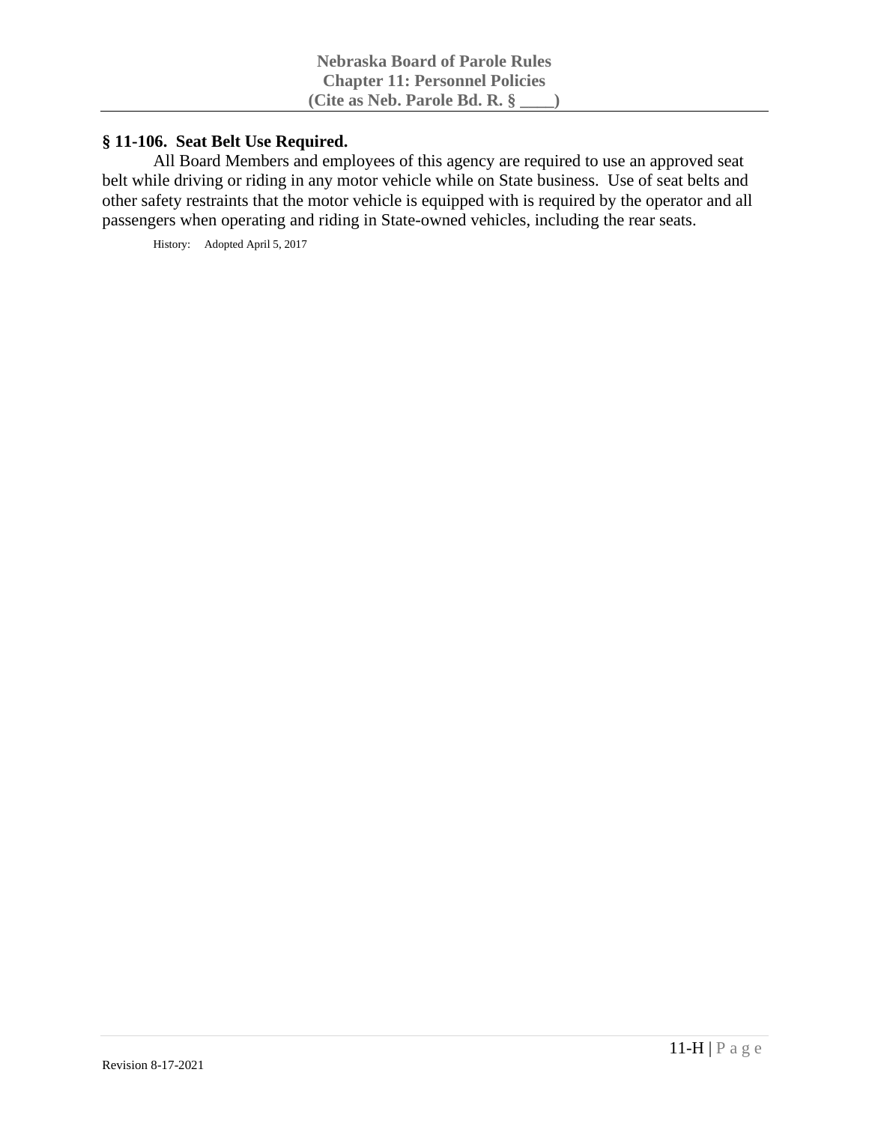#### **§ 11-106. Seat Belt Use Required.**

All Board Members and employees of this agency are required to use an approved seat belt while driving or riding in any motor vehicle while on State business. Use of seat belts and other safety restraints that the motor vehicle is equipped with is required by the operator and all passengers when operating and riding in State-owned vehicles, including the rear seats.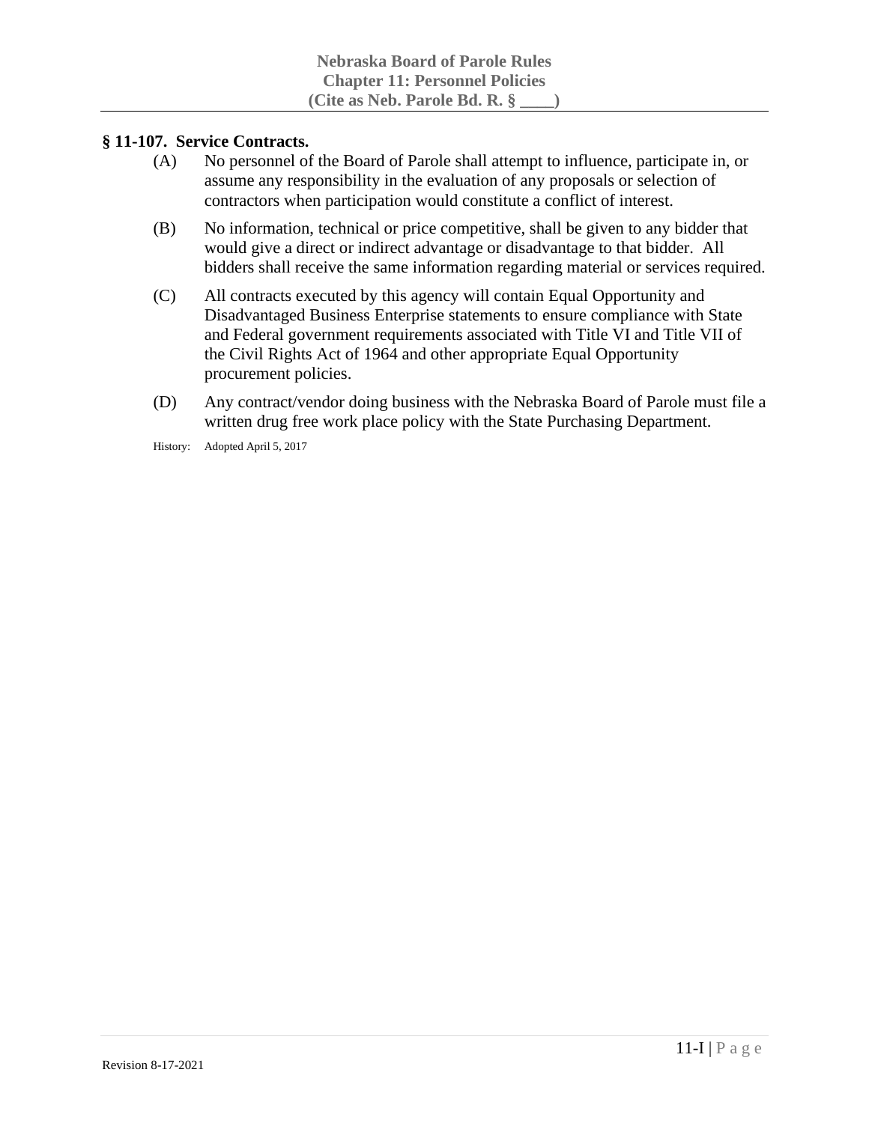#### **§ 11-107. Service Contracts.**

- (A) No personnel of the Board of Parole shall attempt to influence, participate in, or assume any responsibility in the evaluation of any proposals or selection of contractors when participation would constitute a conflict of interest.
- (B) No information, technical or price competitive, shall be given to any bidder that would give a direct or indirect advantage or disadvantage to that bidder. All bidders shall receive the same information regarding material or services required.
- (C) All contracts executed by this agency will contain Equal Opportunity and Disadvantaged Business Enterprise statements to ensure compliance with State and Federal government requirements associated with Title VI and Title VII of the Civil Rights Act of 1964 and other appropriate Equal Opportunity procurement policies.
- (D) Any contract/vendor doing business with the Nebraska Board of Parole must file a written drug free work place policy with the State Purchasing Department.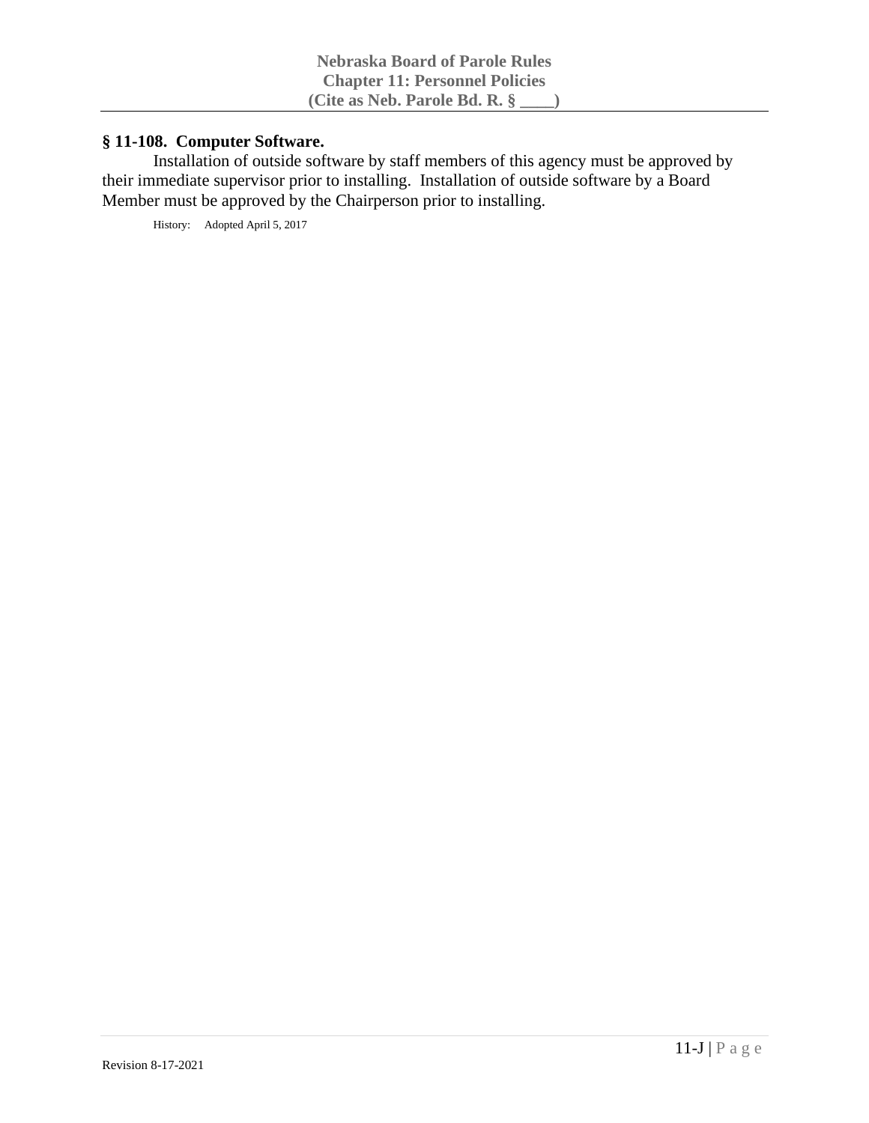# **§ 11-108. Computer Software.**

Installation of outside software by staff members of this agency must be approved by their immediate supervisor prior to installing. Installation of outside software by a Board Member must be approved by the Chairperson prior to installing.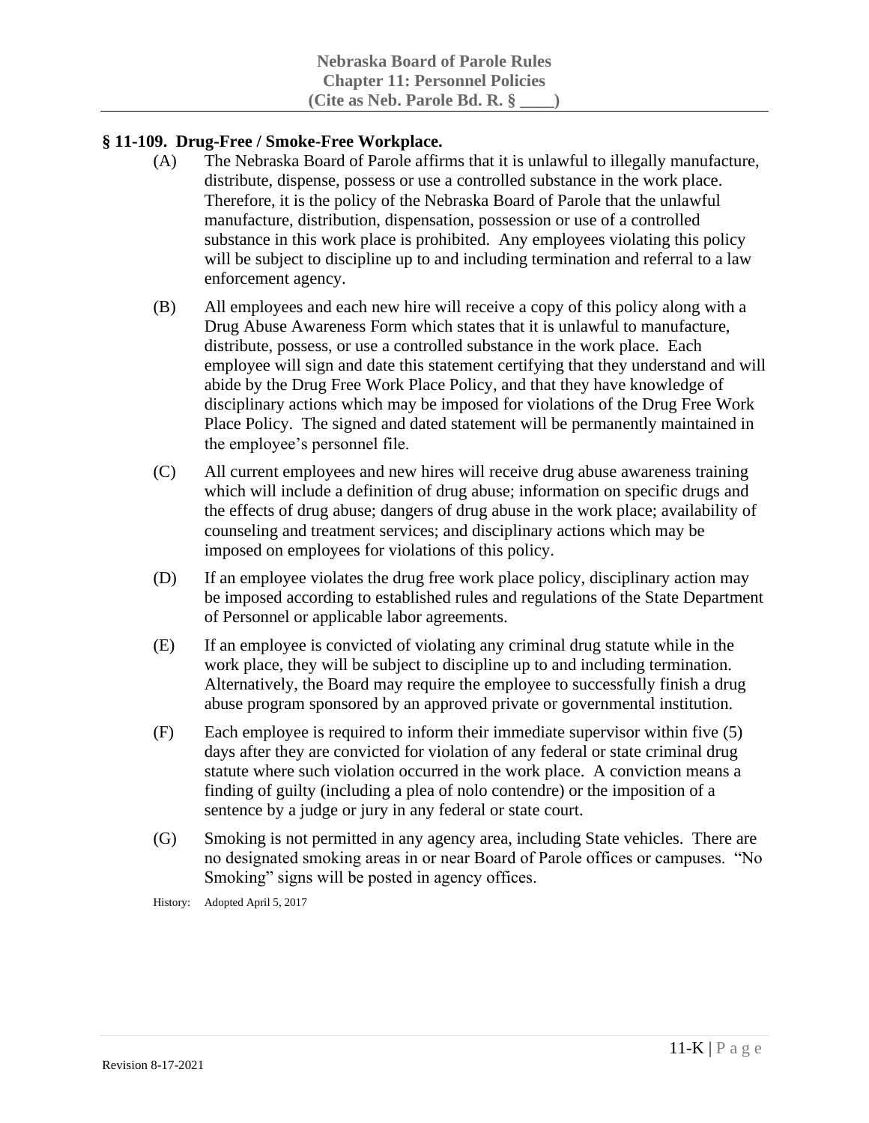## **§ 11-109. Drug-Free / Smoke-Free Workplace.**

- (A) The Nebraska Board of Parole affirms that it is unlawful to illegally manufacture, distribute, dispense, possess or use a controlled substance in the work place. Therefore, it is the policy of the Nebraska Board of Parole that the unlawful manufacture, distribution, dispensation, possession or use of a controlled substance in this work place is prohibited. Any employees violating this policy will be subject to discipline up to and including termination and referral to a law enforcement agency.
- (B) All employees and each new hire will receive a copy of this policy along with a Drug Abuse Awareness Form which states that it is unlawful to manufacture, distribute, possess, or use a controlled substance in the work place. Each employee will sign and date this statement certifying that they understand and will abide by the Drug Free Work Place Policy, and that they have knowledge of disciplinary actions which may be imposed for violations of the Drug Free Work Place Policy. The signed and dated statement will be permanently maintained in the employee's personnel file.
- (C) All current employees and new hires will receive drug abuse awareness training which will include a definition of drug abuse; information on specific drugs and the effects of drug abuse; dangers of drug abuse in the work place; availability of counseling and treatment services; and disciplinary actions which may be imposed on employees for violations of this policy.
- (D) If an employee violates the drug free work place policy, disciplinary action may be imposed according to established rules and regulations of the State Department of Personnel or applicable labor agreements.
- (E) If an employee is convicted of violating any criminal drug statute while in the work place, they will be subject to discipline up to and including termination. Alternatively, the Board may require the employee to successfully finish a drug abuse program sponsored by an approved private or governmental institution.
- (F) Each employee is required to inform their immediate supervisor within five (5) days after they are convicted for violation of any federal or state criminal drug statute where such violation occurred in the work place. A conviction means a finding of guilty (including a plea of nolo contendre) or the imposition of a sentence by a judge or jury in any federal or state court.
- (G) Smoking is not permitted in any agency area, including State vehicles. There are no designated smoking areas in or near Board of Parole offices or campuses. "No Smoking" signs will be posted in agency offices.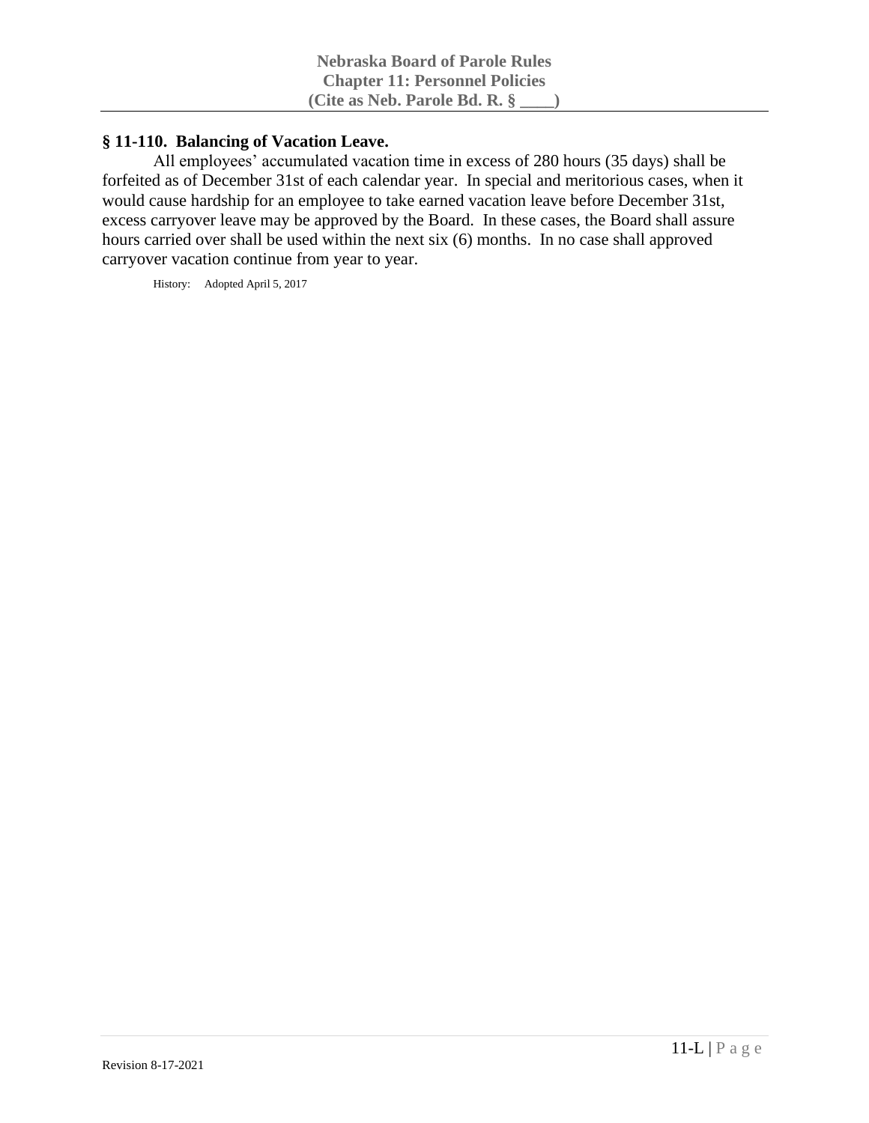# **§ 11-110. Balancing of Vacation Leave.**

All employees' accumulated vacation time in excess of 280 hours (35 days) shall be forfeited as of December 31st of each calendar year. In special and meritorious cases, when it would cause hardship for an employee to take earned vacation leave before December 31st, excess carryover leave may be approved by the Board. In these cases, the Board shall assure hours carried over shall be used within the next six (6) months. In no case shall approved carryover vacation continue from year to year.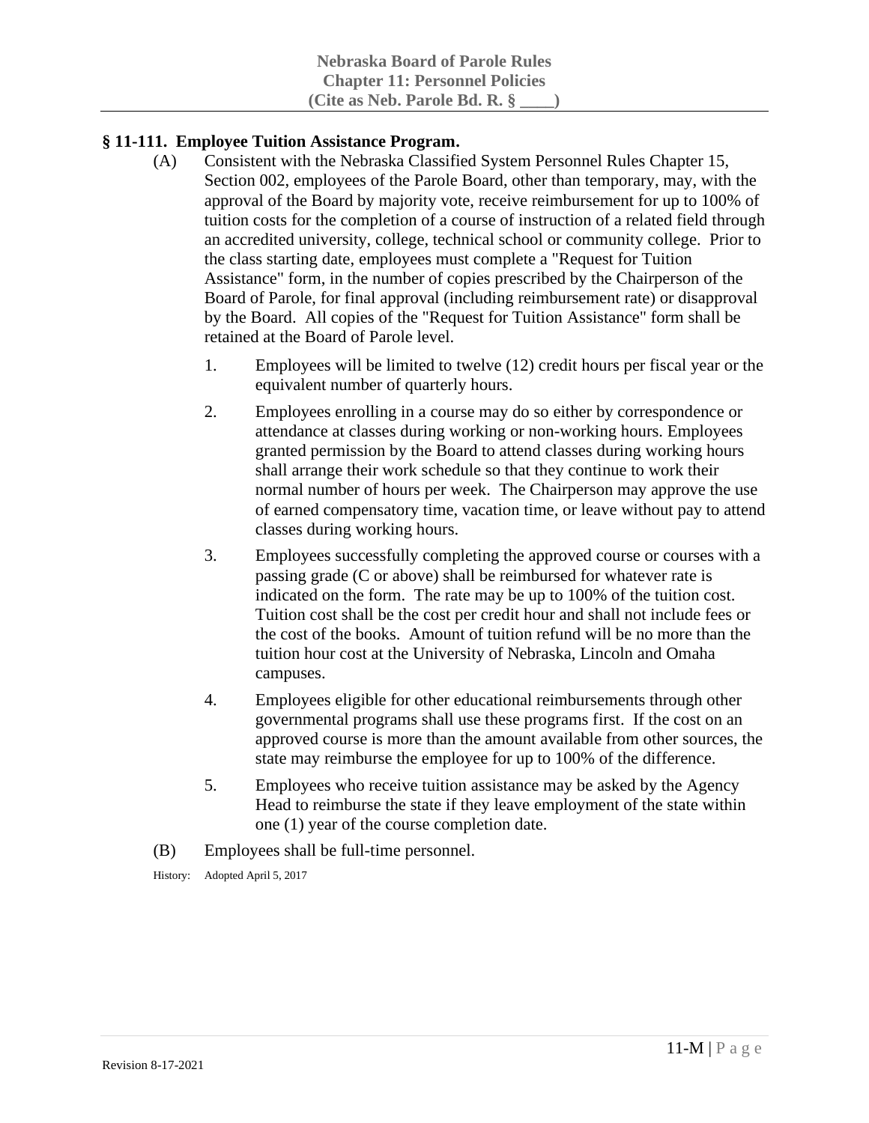# **§ 11-111. Employee Tuition Assistance Program.**

- (A) Consistent with the Nebraska Classified System Personnel Rules Chapter 15, Section 002, employees of the Parole Board, other than temporary, may, with the approval of the Board by majority vote, receive reimbursement for up to 100% of tuition costs for the completion of a course of instruction of a related field through an accredited university, college, technical school or community college. Prior to the class starting date, employees must complete a "Request for Tuition Assistance" form, in the number of copies prescribed by the Chairperson of the Board of Parole, for final approval (including reimbursement rate) or disapproval by the Board. All copies of the "Request for Tuition Assistance" form shall be retained at the Board of Parole level.
	- 1. Employees will be limited to twelve (12) credit hours per fiscal year or the equivalent number of quarterly hours.
	- 2. Employees enrolling in a course may do so either by correspondence or attendance at classes during working or non-working hours. Employees granted permission by the Board to attend classes during working hours shall arrange their work schedule so that they continue to work their normal number of hours per week. The Chairperson may approve the use of earned compensatory time, vacation time, or leave without pay to attend classes during working hours.
	- 3. Employees successfully completing the approved course or courses with a passing grade (C or above) shall be reimbursed for whatever rate is indicated on the form. The rate may be up to 100% of the tuition cost. Tuition cost shall be the cost per credit hour and shall not include fees or the cost of the books. Amount of tuition refund will be no more than the tuition hour cost at the University of Nebraska, Lincoln and Omaha campuses.
	- 4. Employees eligible for other educational reimbursements through other governmental programs shall use these programs first. If the cost on an approved course is more than the amount available from other sources, the state may reimburse the employee for up to 100% of the difference.
	- 5. Employees who receive tuition assistance may be asked by the Agency Head to reimburse the state if they leave employment of the state within one (1) year of the course completion date.
- (B) Employees shall be full-time personnel.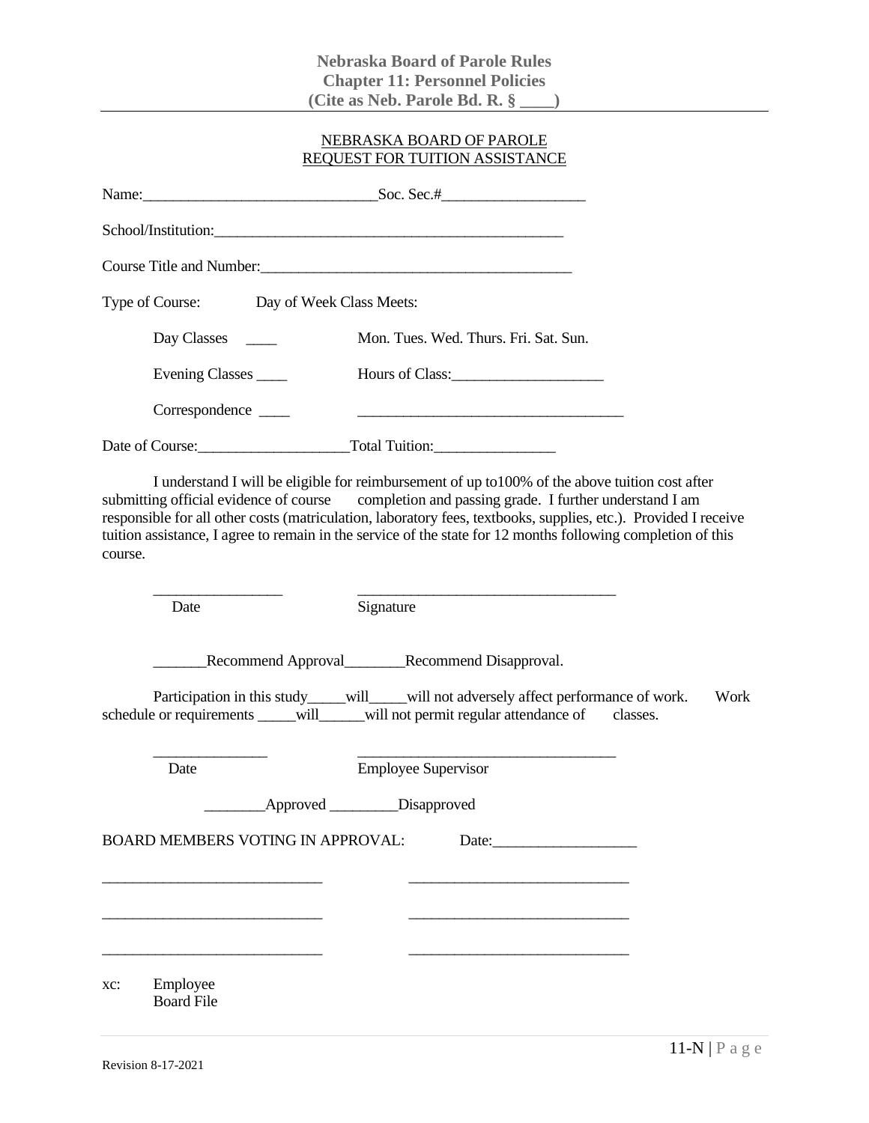### NEBRASKA BOARD OF PAROLE REQUEST FOR TUITION ASSISTANCE

|         |                                          | School/Institution:                                                                                                                                                                                                                                                                                                                                                                                                                  |                  |
|---------|------------------------------------------|--------------------------------------------------------------------------------------------------------------------------------------------------------------------------------------------------------------------------------------------------------------------------------------------------------------------------------------------------------------------------------------------------------------------------------------|------------------|
|         |                                          | Course Title and Number:<br><u>Course Title and Number:</u>                                                                                                                                                                                                                                                                                                                                                                          |                  |
|         | Type of Course: Day of Week Class Meets: |                                                                                                                                                                                                                                                                                                                                                                                                                                      |                  |
|         | Day Classes ________                     | Mon. Tues. Wed. Thurs. Fri. Sat. Sun.                                                                                                                                                                                                                                                                                                                                                                                                |                  |
|         | Evening Classes                          | Hours of Class:                                                                                                                                                                                                                                                                                                                                                                                                                      |                  |
|         | Correspondence                           | <u> 1980 - Johann Barn, fransk politik fotograf (d. 1980)</u>                                                                                                                                                                                                                                                                                                                                                                        |                  |
|         |                                          | Date of Course: Total Tuition:                                                                                                                                                                                                                                                                                                                                                                                                       |                  |
| course. |                                          | I understand I will be eligible for reimbursement of up to 100% of the above tuition cost after<br>submitting official evidence of course completion and passing grade. I further understand I am<br>responsible for all other costs (matriculation, laboratory fees, textbooks, supplies, etc.). Provided I receive<br>tuition assistance, I agree to remain in the service of the state for 12 months following completion of this |                  |
|         | Date                                     | Signature                                                                                                                                                                                                                                                                                                                                                                                                                            |                  |
|         |                                          | Recommend Approval<br>Recommend Disapproval.                                                                                                                                                                                                                                                                                                                                                                                         |                  |
|         |                                          | Participation in this study____will___will not adversely affect performance of work.<br>schedule or requirements _____will_____will not permit regular attendance of                                                                                                                                                                                                                                                                 | Work<br>classes. |
|         | Date                                     | <b>Employee Supervisor</b>                                                                                                                                                                                                                                                                                                                                                                                                           |                  |
|         |                                          | ____________________________________Disapproved                                                                                                                                                                                                                                                                                                                                                                                      |                  |
|         | <b>BOARD MEMBERS VOTING IN APPROVAL:</b> | Date:                                                                                                                                                                                                                                                                                                                                                                                                                                |                  |
|         |                                          |                                                                                                                                                                                                                                                                                                                                                                                                                                      |                  |
|         |                                          |                                                                                                                                                                                                                                                                                                                                                                                                                                      |                  |
|         |                                          |                                                                                                                                                                                                                                                                                                                                                                                                                                      |                  |
| XC:     | Employee<br><b>Board File</b>            |                                                                                                                                                                                                                                                                                                                                                                                                                                      |                  |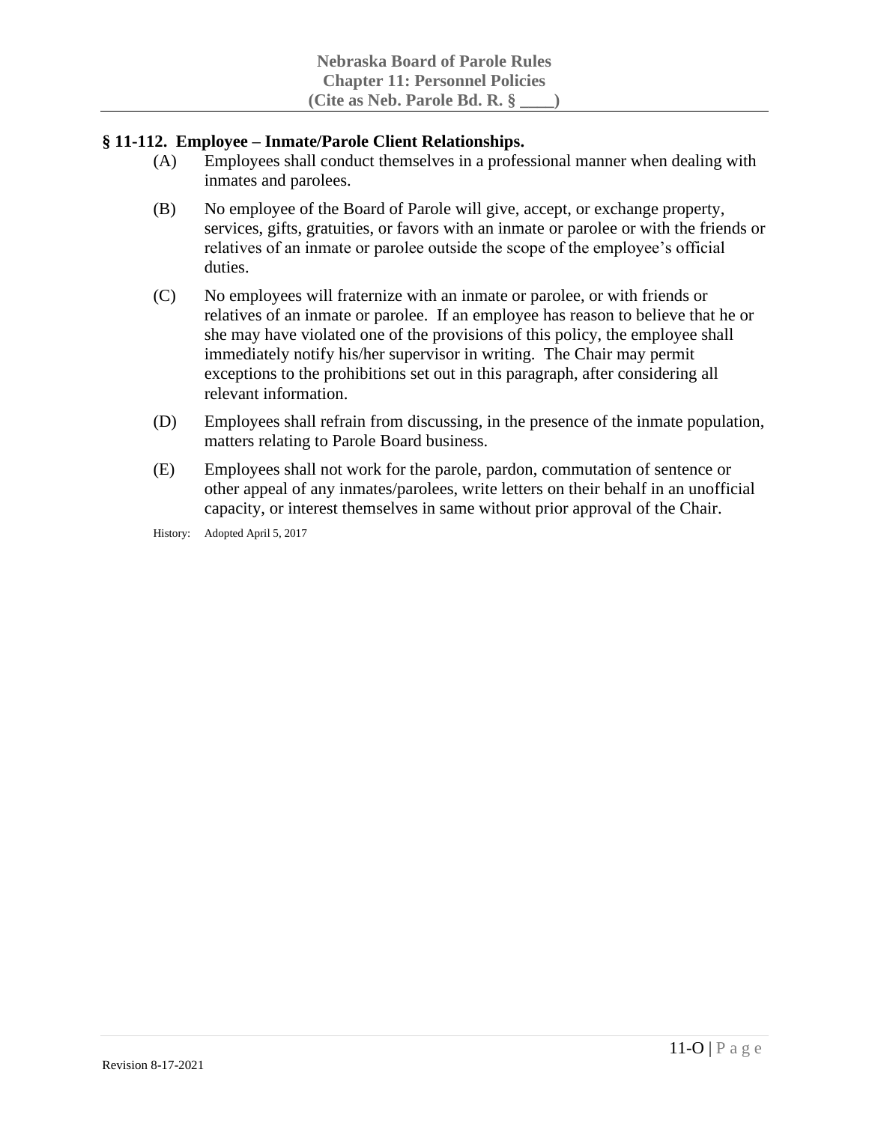### **§ 11-112. Employee – Inmate/Parole Client Relationships.**

- (A) Employees shall conduct themselves in a professional manner when dealing with inmates and parolees.
- (B) No employee of the Board of Parole will give, accept, or exchange property, services, gifts, gratuities, or favors with an inmate or parolee or with the friends or relatives of an inmate or parolee outside the scope of the employee's official duties.
- (C) No employees will fraternize with an inmate or parolee, or with friends or relatives of an inmate or parolee. If an employee has reason to believe that he or she may have violated one of the provisions of this policy, the employee shall immediately notify his/her supervisor in writing. The Chair may permit exceptions to the prohibitions set out in this paragraph, after considering all relevant information.
- (D) Employees shall refrain from discussing, in the presence of the inmate population, matters relating to Parole Board business.
- (E) Employees shall not work for the parole, pardon, commutation of sentence or other appeal of any inmates/parolees, write letters on their behalf in an unofficial capacity, or interest themselves in same without prior approval of the Chair.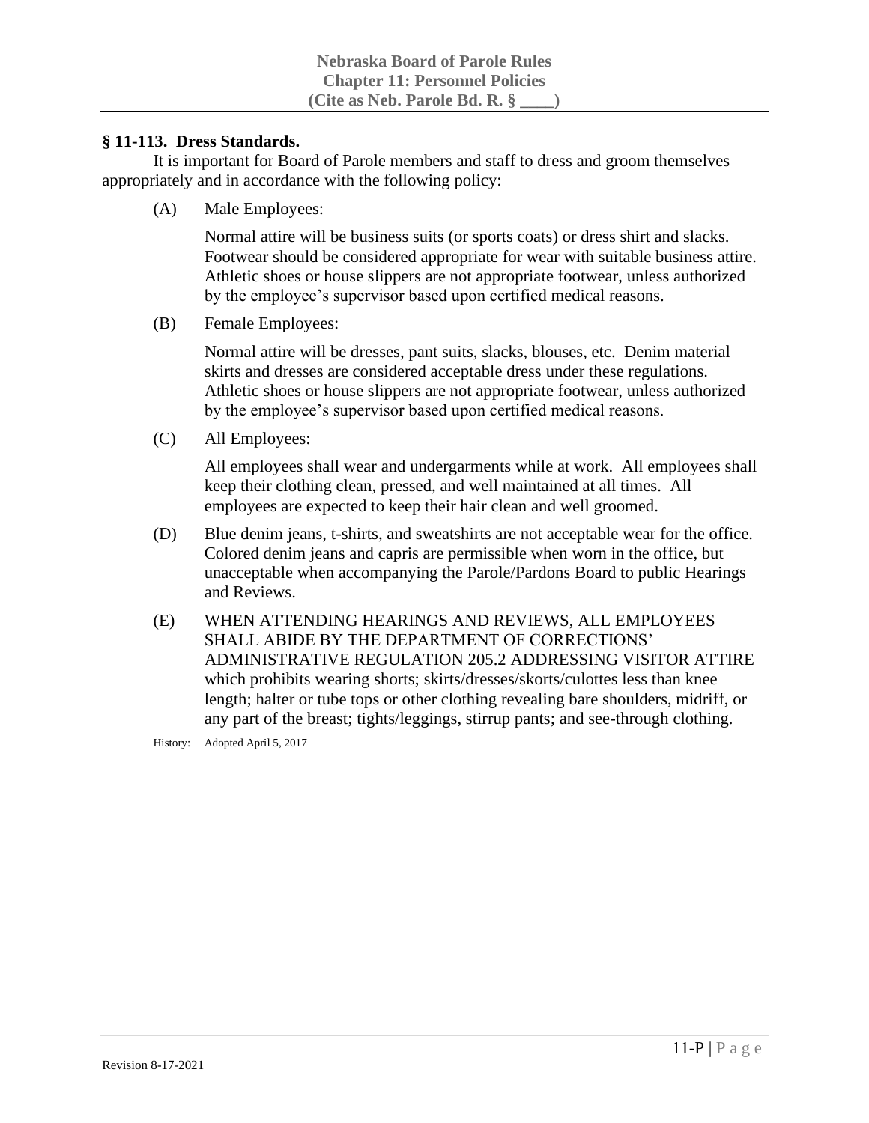### **§ 11-113. Dress Standards.**

It is important for Board of Parole members and staff to dress and groom themselves appropriately and in accordance with the following policy:

(A) Male Employees:

Normal attire will be business suits (or sports coats) or dress shirt and slacks. Footwear should be considered appropriate for wear with suitable business attire. Athletic shoes or house slippers are not appropriate footwear, unless authorized by the employee's supervisor based upon certified medical reasons.

(B) Female Employees:

Normal attire will be dresses, pant suits, slacks, blouses, etc. Denim material skirts and dresses are considered acceptable dress under these regulations. Athletic shoes or house slippers are not appropriate footwear, unless authorized by the employee's supervisor based upon certified medical reasons.

(C) All Employees:

All employees shall wear and undergarments while at work. All employees shall keep their clothing clean, pressed, and well maintained at all times. All employees are expected to keep their hair clean and well groomed.

- (D) Blue denim jeans, t-shirts, and sweatshirts are not acceptable wear for the office. Colored denim jeans and capris are permissible when worn in the office, but unacceptable when accompanying the Parole/Pardons Board to public Hearings and Reviews.
- (E) WHEN ATTENDING HEARINGS AND REVIEWS, ALL EMPLOYEES SHALL ABIDE BY THE DEPARTMENT OF CORRECTIONS' ADMINISTRATIVE REGULATION 205.2 ADDRESSING VISITOR ATTIRE which prohibits wearing shorts; skirts/dresses/skorts/culottes less than knee length; halter or tube tops or other clothing revealing bare shoulders, midriff, or any part of the breast; tights/leggings, stirrup pants; and see-through clothing.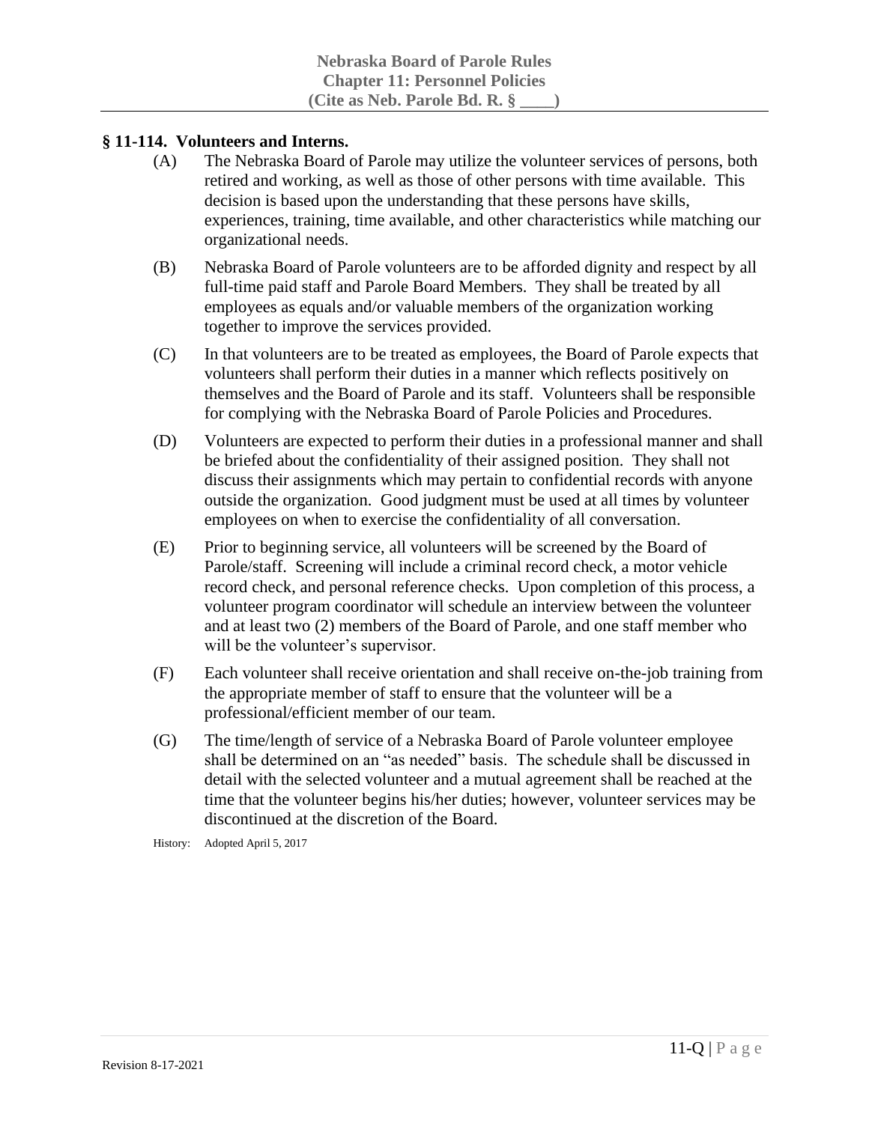### **§ 11-114. Volunteers and Interns.**

- (A) The Nebraska Board of Parole may utilize the volunteer services of persons, both retired and working, as well as those of other persons with time available. This decision is based upon the understanding that these persons have skills, experiences, training, time available, and other characteristics while matching our organizational needs.
- (B) Nebraska Board of Parole volunteers are to be afforded dignity and respect by all full-time paid staff and Parole Board Members. They shall be treated by all employees as equals and/or valuable members of the organization working together to improve the services provided.
- (C) In that volunteers are to be treated as employees, the Board of Parole expects that volunteers shall perform their duties in a manner which reflects positively on themselves and the Board of Parole and its staff. Volunteers shall be responsible for complying with the Nebraska Board of Parole Policies and Procedures.
- (D) Volunteers are expected to perform their duties in a professional manner and shall be briefed about the confidentiality of their assigned position. They shall not discuss their assignments which may pertain to confidential records with anyone outside the organization. Good judgment must be used at all times by volunteer employees on when to exercise the confidentiality of all conversation.
- (E) Prior to beginning service, all volunteers will be screened by the Board of Parole/staff. Screening will include a criminal record check, a motor vehicle record check, and personal reference checks. Upon completion of this process, a volunteer program coordinator will schedule an interview between the volunteer and at least two (2) members of the Board of Parole, and one staff member who will be the volunteer's supervisor.
- (F) Each volunteer shall receive orientation and shall receive on-the-job training from the appropriate member of staff to ensure that the volunteer will be a professional/efficient member of our team.
- (G) The time/length of service of a Nebraska Board of Parole volunteer employee shall be determined on an "as needed" basis. The schedule shall be discussed in detail with the selected volunteer and a mutual agreement shall be reached at the time that the volunteer begins his/her duties; however, volunteer services may be discontinued at the discretion of the Board.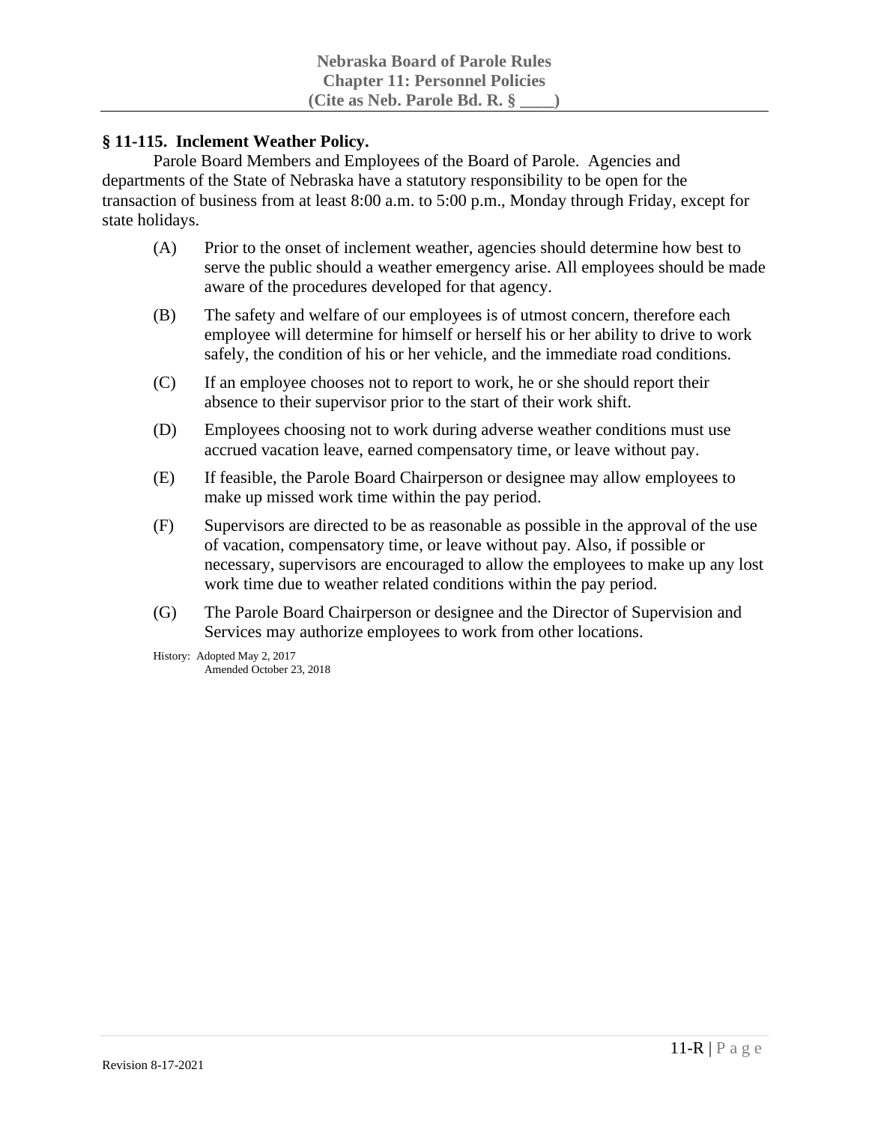# **§ 11-115. Inclement Weather Policy.**

Parole Board Members and Employees of the Board of Parole. Agencies and departments of the State of Nebraska have a statutory responsibility to be open for the transaction of business from at least 8:00 a.m. to 5:00 p.m., Monday through Friday, except for state holidays.

- (A) Prior to the onset of inclement weather, agencies should determine how best to serve the public should a weather emergency arise. All employees should be made aware of the procedures developed for that agency.
- (B) The safety and welfare of our employees is of utmost concern, therefore each employee will determine for himself or herself his or her ability to drive to work safely, the condition of his or her vehicle, and the immediate road conditions.
- (C) If an employee chooses not to report to work, he or she should report their absence to their supervisor prior to the start of their work shift.
- (D) Employees choosing not to work during adverse weather conditions must use accrued vacation leave, earned compensatory time, or leave without pay.
- (E) If feasible, the Parole Board Chairperson or designee may allow employees to make up missed work time within the pay period.
- (F) Supervisors are directed to be as reasonable as possible in the approval of the use of vacation, compensatory time, or leave without pay. Also, if possible or necessary, supervisors are encouraged to allow the employees to make up any lost work time due to weather related conditions within the pay period.
- (G) The Parole Board Chairperson or designee and the Director of Supervision and Services may authorize employees to work from other locations.

History: Adopted May 2, 2017 Amended October 23, 2018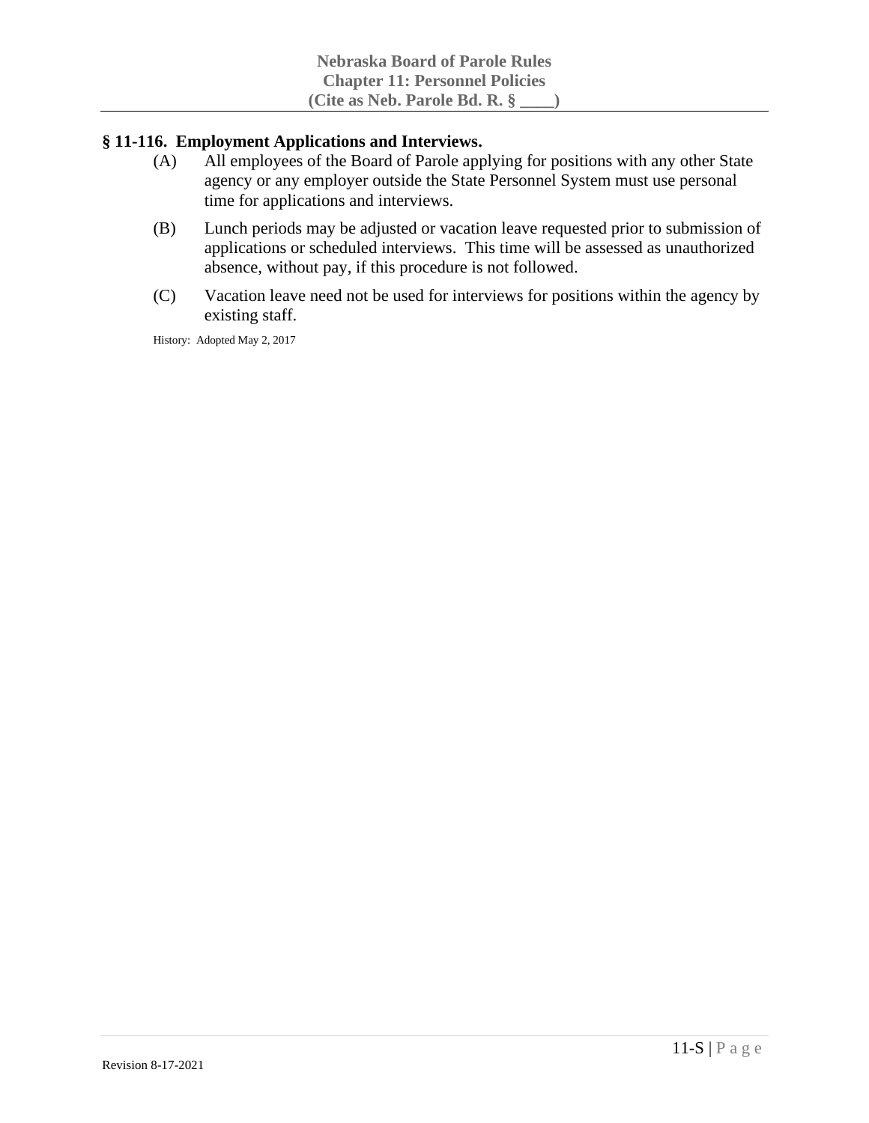### **§ 11-116. Employment Applications and Interviews.**

- (A) All employees of the Board of Parole applying for positions with any other State agency or any employer outside the State Personnel System must use personal time for applications and interviews.
- (B) Lunch periods may be adjusted or vacation leave requested prior to submission of applications or scheduled interviews. This time will be assessed as unauthorized absence, without pay, if this procedure is not followed.
- (C) Vacation leave need not be used for interviews for positions within the agency by existing staff.

History: Adopted May 2, 2017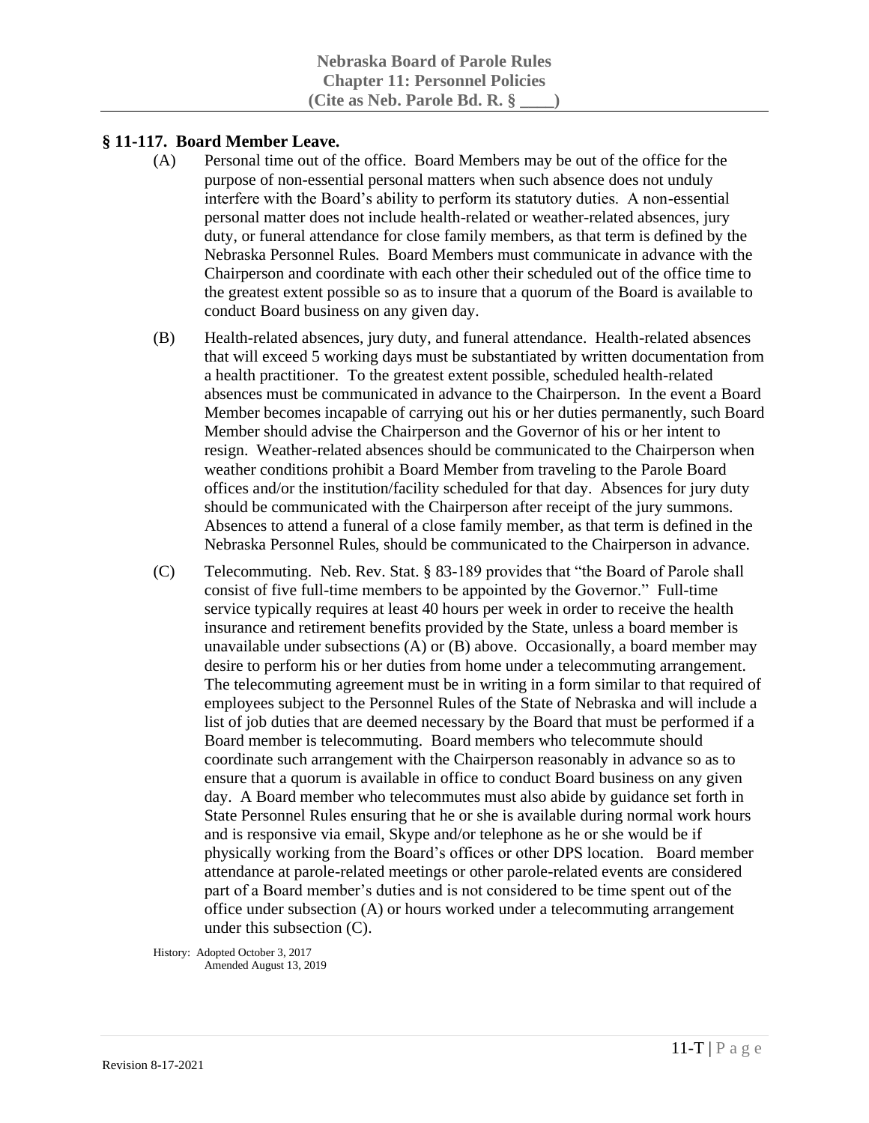### **§ 11-117. Board Member Leave.**

- (A) Personal time out of the office. Board Members may be out of the office for the purpose of non-essential personal matters when such absence does not unduly interfere with the Board's ability to perform its statutory duties. A non-essential personal matter does not include health-related or weather-related absences, jury duty, or funeral attendance for close family members, as that term is defined by the Nebraska Personnel Rules. Board Members must communicate in advance with the Chairperson and coordinate with each other their scheduled out of the office time to the greatest extent possible so as to insure that a quorum of the Board is available to conduct Board business on any given day.
- (B) Health-related absences, jury duty, and funeral attendance. Health-related absences that will exceed 5 working days must be substantiated by written documentation from a health practitioner. To the greatest extent possible, scheduled health-related absences must be communicated in advance to the Chairperson. In the event a Board Member becomes incapable of carrying out his or her duties permanently, such Board Member should advise the Chairperson and the Governor of his or her intent to resign. Weather-related absences should be communicated to the Chairperson when weather conditions prohibit a Board Member from traveling to the Parole Board offices and/or the institution/facility scheduled for that day. Absences for jury duty should be communicated with the Chairperson after receipt of the jury summons. Absences to attend a funeral of a close family member, as that term is defined in the Nebraska Personnel Rules, should be communicated to the Chairperson in advance.
- (C) Telecommuting. Neb. Rev. Stat. § 83-189 provides that "the Board of Parole shall consist of five full-time members to be appointed by the Governor." Full-time service typically requires at least 40 hours per week in order to receive the health insurance and retirement benefits provided by the State, unless a board member is unavailable under subsections (A) or (B) above. Occasionally, a board member may desire to perform his or her duties from home under a telecommuting arrangement. The telecommuting agreement must be in writing in a form similar to that required of employees subject to the Personnel Rules of the State of Nebraska and will include a list of job duties that are deemed necessary by the Board that must be performed if a Board member is telecommuting. Board members who telecommute should coordinate such arrangement with the Chairperson reasonably in advance so as to ensure that a quorum is available in office to conduct Board business on any given day. A Board member who telecommutes must also abide by guidance set forth in State Personnel Rules ensuring that he or she is available during normal work hours and is responsive via email, Skype and/or telephone as he or she would be if physically working from the Board's offices or other DPS location. Board member attendance at parole-related meetings or other parole-related events are considered part of a Board member's duties and is not considered to be time spent out of the office under subsection (A) or hours worked under a telecommuting arrangement under this subsection (C).

History: Adopted October 3, 2017 Amended August 13, 2019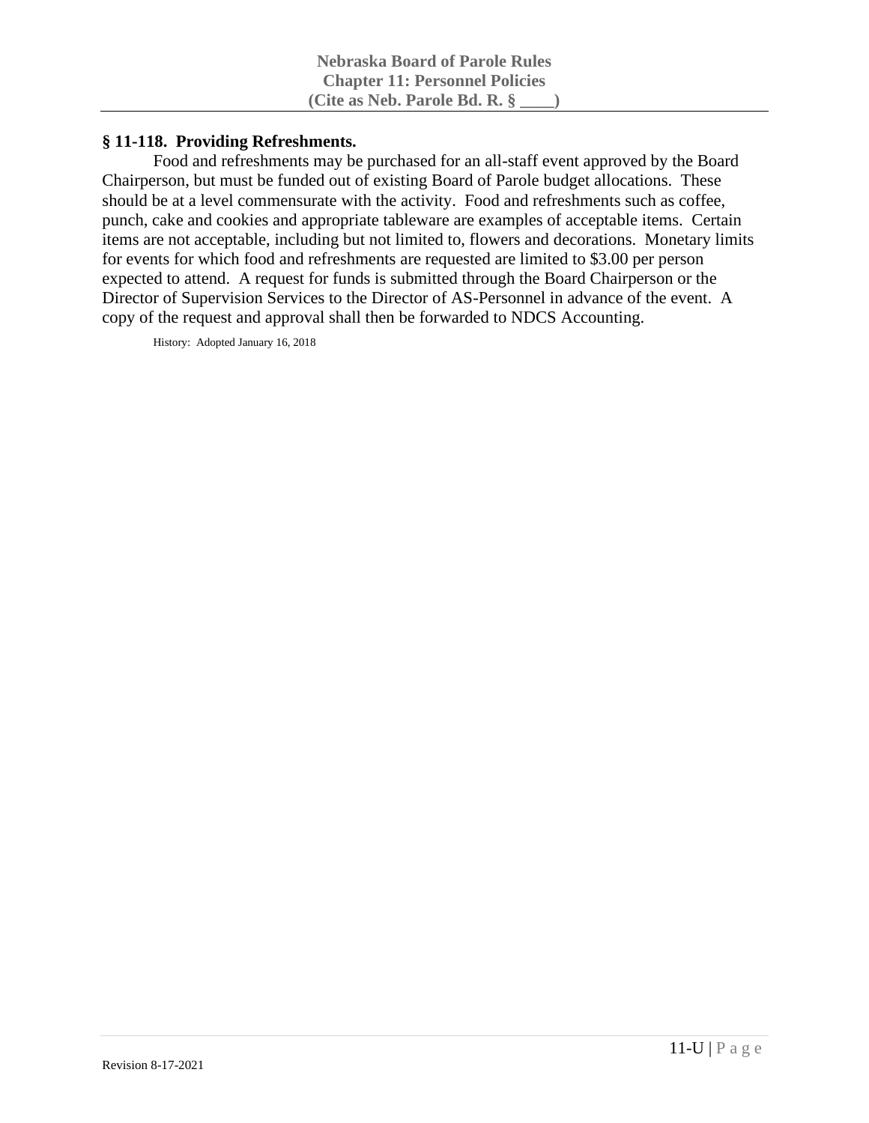## **§ 11-118. Providing Refreshments.**

Food and refreshments may be purchased for an all-staff event approved by the Board Chairperson, but must be funded out of existing Board of Parole budget allocations. These should be at a level commensurate with the activity. Food and refreshments such as coffee, punch, cake and cookies and appropriate tableware are examples of acceptable items. Certain items are not acceptable, including but not limited to, flowers and decorations. Monetary limits for events for which food and refreshments are requested are limited to \$3.00 per person expected to attend. A request for funds is submitted through the Board Chairperson or the Director of Supervision Services to the Director of AS-Personnel in advance of the event. A copy of the request and approval shall then be forwarded to NDCS Accounting.

History: Adopted January 16, 2018